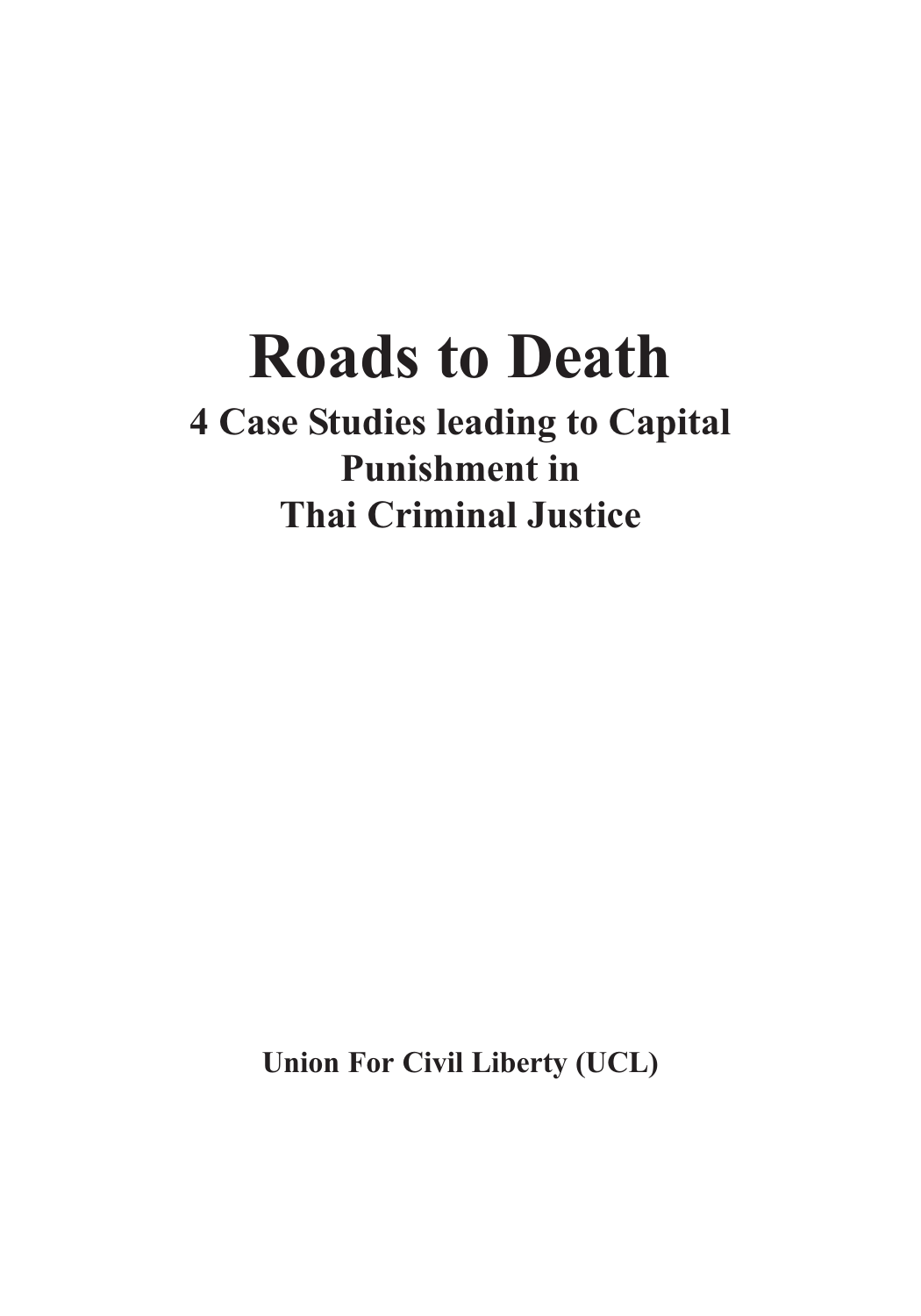# **Roads to Death**

**4 Case Studies leading to Capital Punishment in Thai Criminal Justice**

**Union For Civil Liberty (UCL)**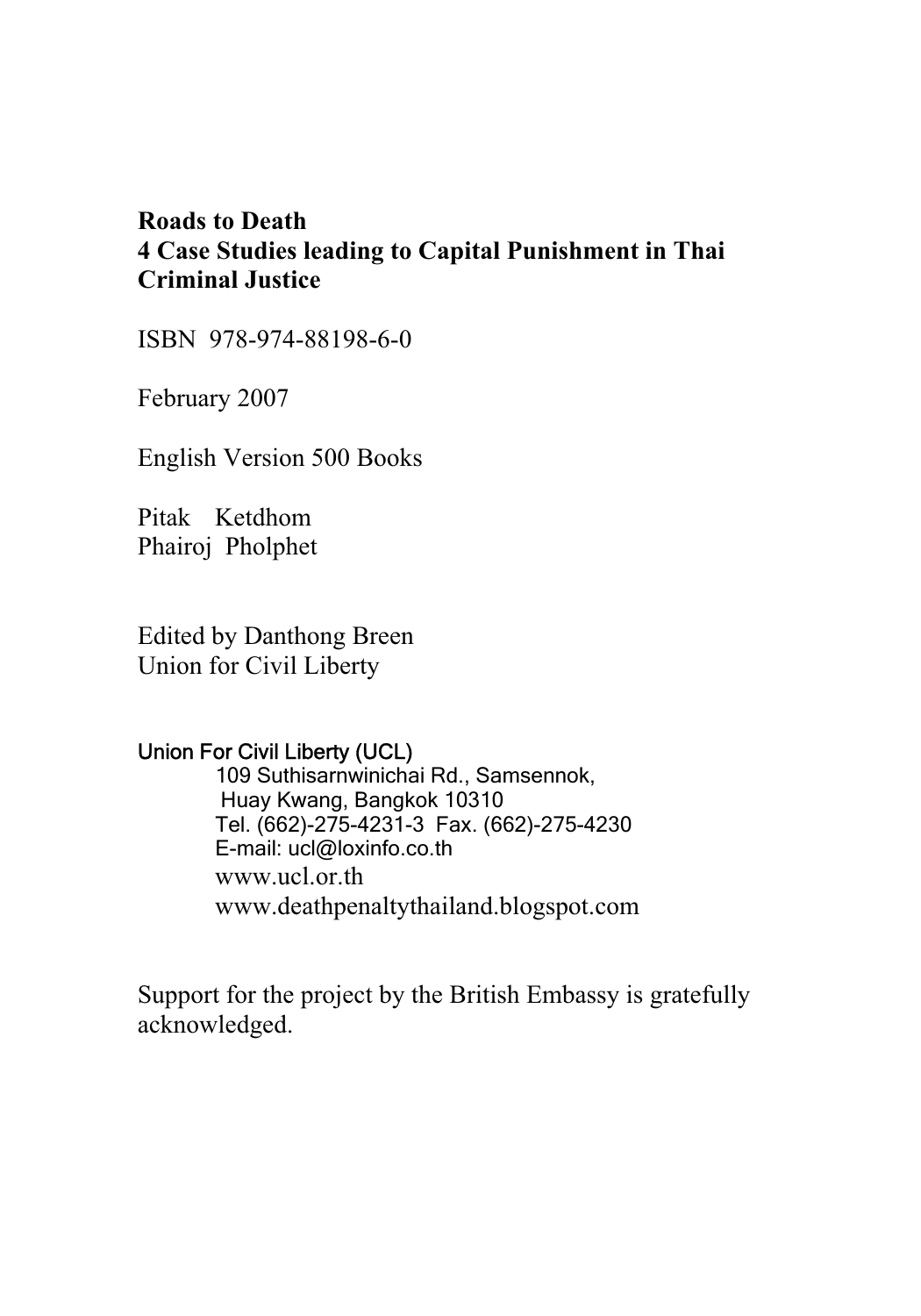# **Roads to Death 4 Case Studies leading to Capital Punishment in Thai Criminal Justice**

ISBN 978-974-88198-6-0

February 2007

English Version 500 Books

Pitak Ketdhom Phairoj Pholphet

Edited by Danthong Breen Union for Civil Liberty

#### Union For Civil Liberty (UCL)

 109 Suthisarnwinichai Rd., Samsennok, Huay Kwang, Bangkok 10310 Tel. (662)-275-4231-3 Fax. (662)-275-4230 E-mail: ucl@loxinfo.co.th www.ucl.or.th www.deathpenaltythailand.blogspot.com

Support for the project by the British Embassy is gratefully acknowledged.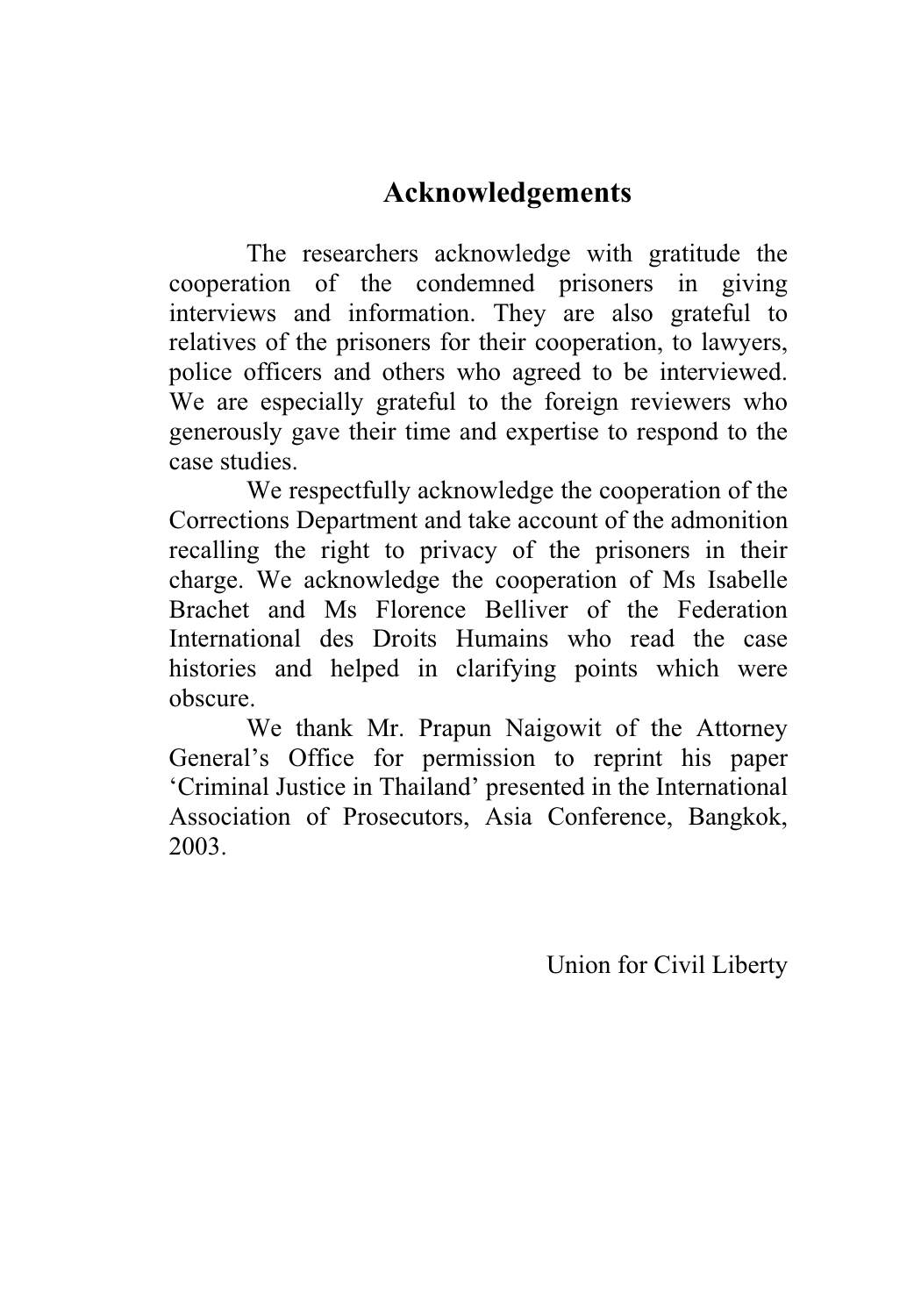# **Acknowledgements**

The researchers acknowledge with gratitude the cooperation of the condemned prisoners in giving interviews and information. They are also grateful to relatives of the prisoners for their cooperation, to lawyers, police officers and others who agreed to be interviewed. We are especially grateful to the foreign reviewers who generously gave their time and expertise to respond to the case studies.

We respectfully acknowledge the cooperation of the Corrections Department and take account of the admonition recalling the right to privacy of the prisoners in their charge. We acknowledge the cooperation of Ms Isabelle Brachet and Ms Florence Belliver of the Federation International des Droits Humains who read the case histories and helped in clarifying points which were obscure.

We thank Mr. Prapun Naigowit of the Attorney General's Office for permission to reprint his paper 'Criminal Justice in Thailand' presented in the International Association of Prosecutors, Asia Conference, Bangkok, 2003.

Union for Civil Liberty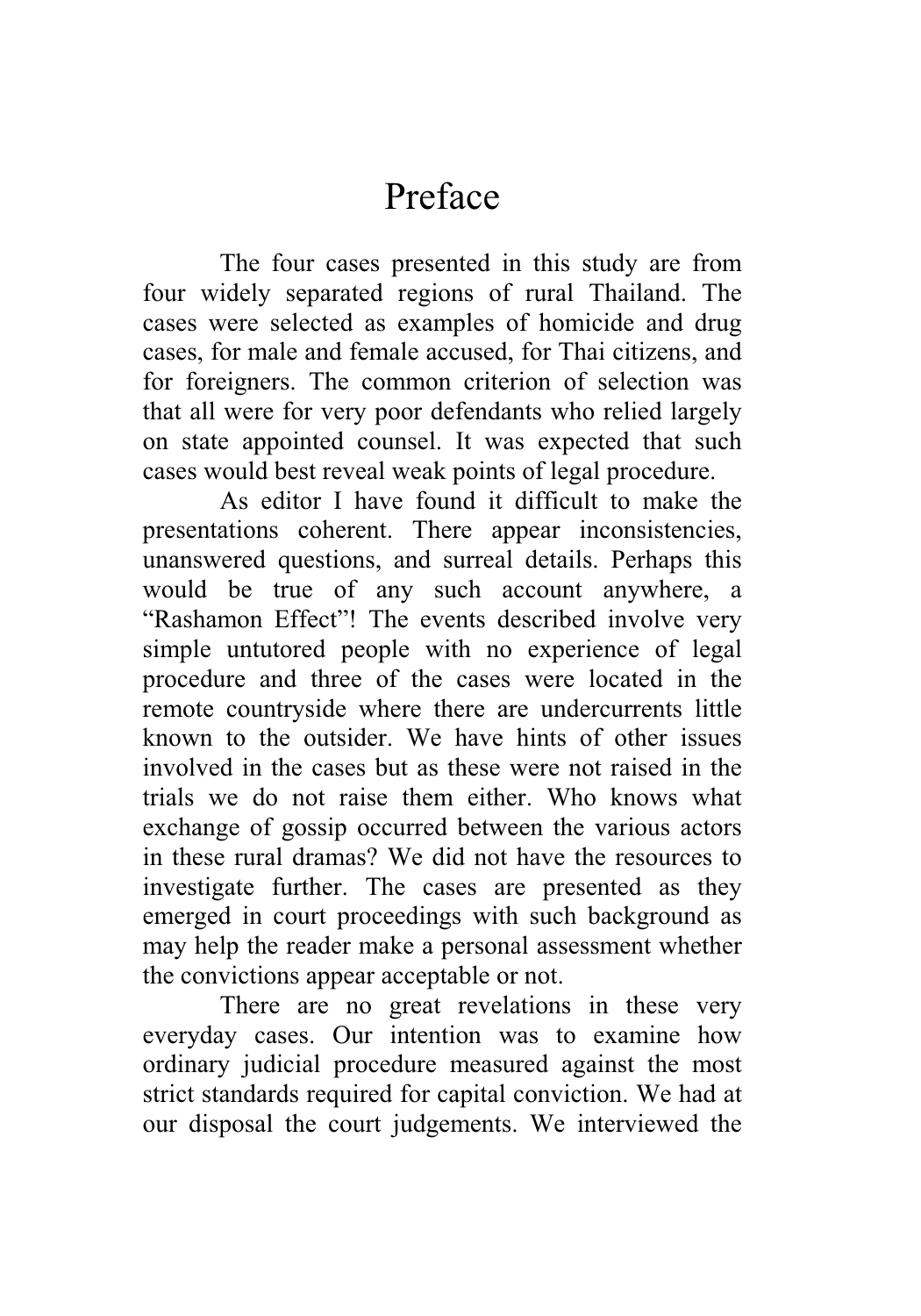# Preface

The four cases presented in this study are from four widely separated regions of rural Thailand. The cases were selected as examples of homicide and drug cases, for male and female accused, for Thai citizens, and for foreigners. The common criterion of selection was that all were for very poor defendants who relied largely on state appointed counsel. It was expected that such cases would best reveal weak points of legal procedure.

As editor I have found it difficult to make the presentations coherent. There appear inconsistencies, unanswered questions, and surreal details. Perhaps this would be true of any such account anywhere, a "Rashamon Effect"! The events described involve very simple untutored people with no experience of legal procedure and three of the cases were located in the remote countryside where there are undercurrents little known to the outsider. We have hints of other issues involved in the cases but as these were not raised in the trials we do not raise them either. Who knows what exchange of gossip occurred between the various actors in these rural dramas? We did not have the resources to investigate further. The cases are presented as they emerged in court proceedings with such background as may help the reader make a personal assessment whether the convictions appear acceptable or not.

There are no great revelations in these very everyday cases. Our intention was to examine how ordinary judicial procedure measured against the most strict standards required for capital conviction. We had at our disposal the court judgements. We interviewed the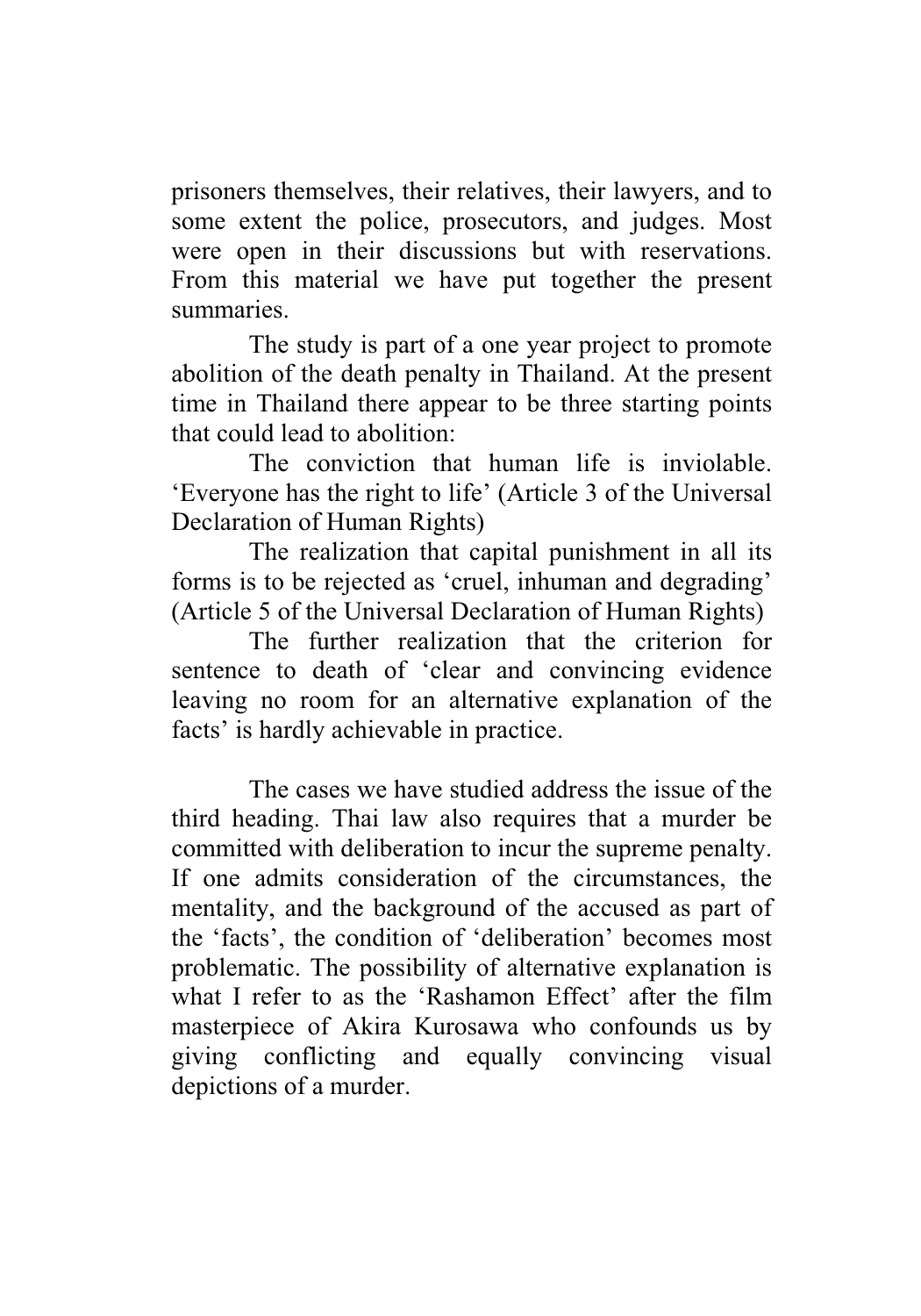prisoners themselves, their relatives, their lawyers, and to some extent the police, prosecutors, and judges. Most were open in their discussions but with reservations. From this material we have put together the present summaries.

The study is part of a one year project to promote abolition of the death penalty in Thailand. At the present time in Thailand there appear to be three starting points that could lead to abolition:

The conviction that human life is inviolable. 'Everyone has the right to life' (Article 3 of the Universal Declaration of Human Rights)

The realization that capital punishment in all its forms is to be rejected as 'cruel, inhuman and degrading' (Article 5 of the Universal Declaration of Human Rights)

The further realization that the criterion for sentence to death of 'clear and convincing evidence leaving no room for an alternative explanation of the facts' is hardly achievable in practice.

The cases we have studied address the issue of the third heading. Thai law also requires that a murder be committed with deliberation to incur the supreme penalty. If one admits consideration of the circumstances, the mentality, and the background of the accused as part of the 'facts', the condition of 'deliberation' becomes most problematic. The possibility of alternative explanation is what I refer to as the 'Rashamon Effect' after the film masterpiece of Akira Kurosawa who confounds us by giving conflicting and equally convincing visual depictions of a murder.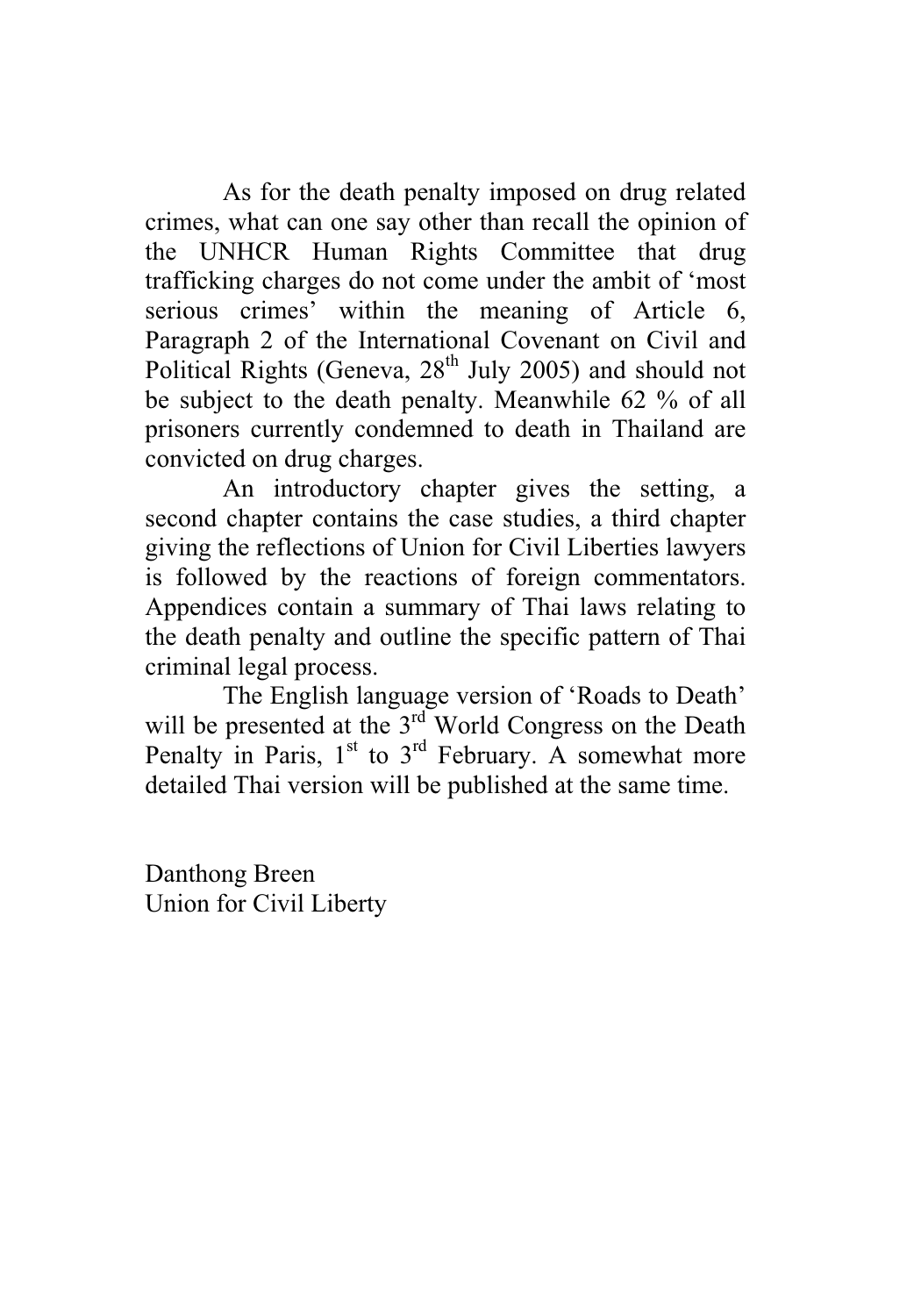As for the death penalty imposed on drug related crimes, what can one say other than recall the opinion of the UNHCR Human Rights Committee that drug trafficking charges do not come under the ambit of 'most serious crimes' within the meaning of Article 6, Paragraph 2 of the International Covenant on Civil and Political Rights (Geneva,  $28<sup>th</sup>$  July 2005) and should not be subject to the death penalty. Meanwhile 62 % of all prisoners currently condemned to death in Thailand are convicted on drug charges.

An introductory chapter gives the setting, a second chapter contains the case studies, a third chapter giving the reflections of Union for Civil Liberties lawyers is followed by the reactions of foreign commentators. Appendices contain a summary of Thai laws relating to the death penalty and outline the specific pattern of Thai criminal legal process.

The English language version of 'Roads to Death' will be presented at the 3<sup>rd</sup> World Congress on the Death Penalty in Paris,  $1<sup>st</sup>$  to  $3<sup>rd</sup>$  February. A somewhat more detailed Thai version will be published at the same time.

Danthong Breen Union for Civil Liberty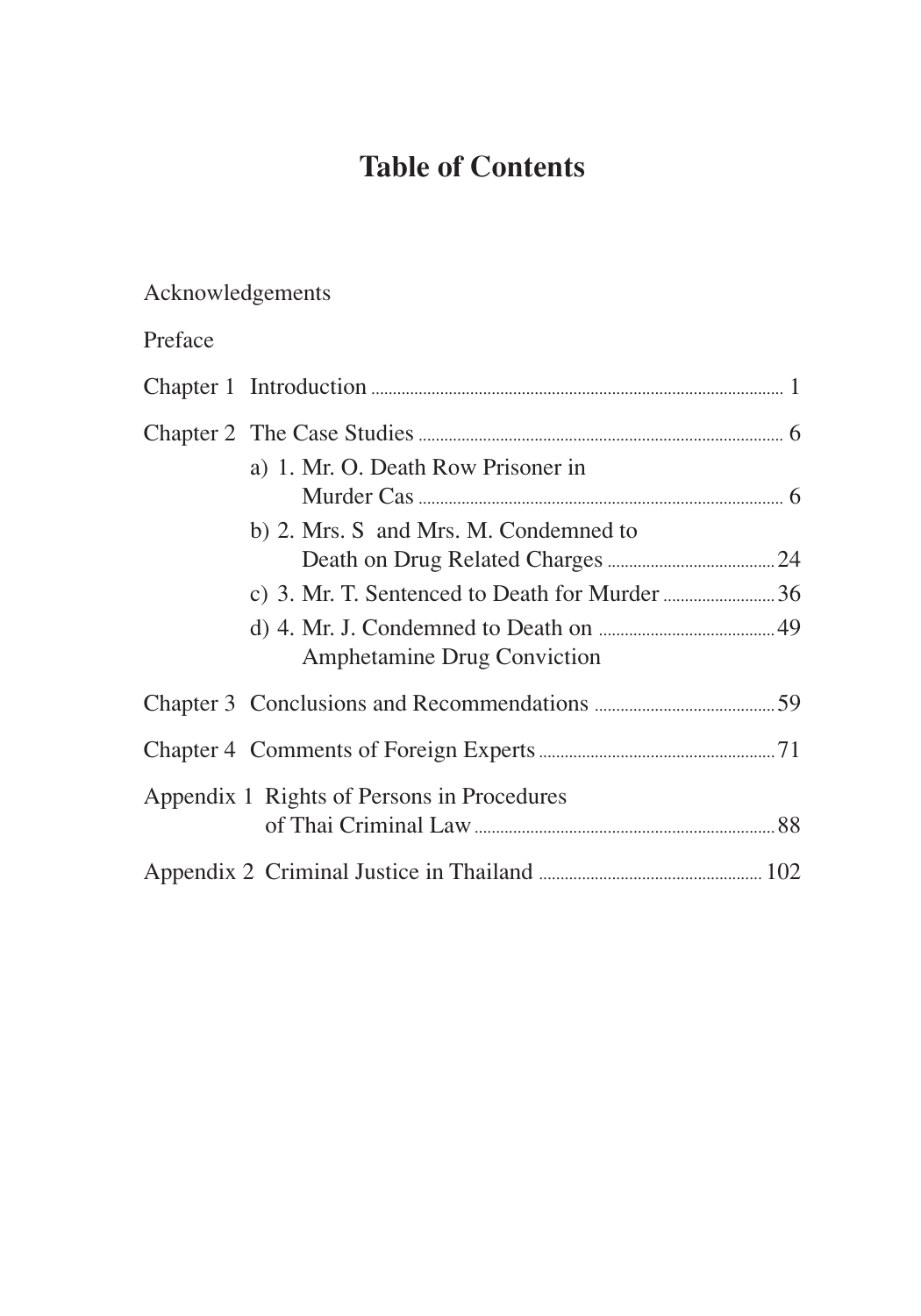# **Table of Contents**

# Acknowledgements

# Preface

| a) 1. Mr. O. Death Row Prisoner in         |  |
|--------------------------------------------|--|
| b) 2. Mrs. S and Mrs. M. Condemned to      |  |
|                                            |  |
| Amphetamine Drug Conviction                |  |
|                                            |  |
|                                            |  |
| Appendix 1 Rights of Persons in Procedures |  |
|                                            |  |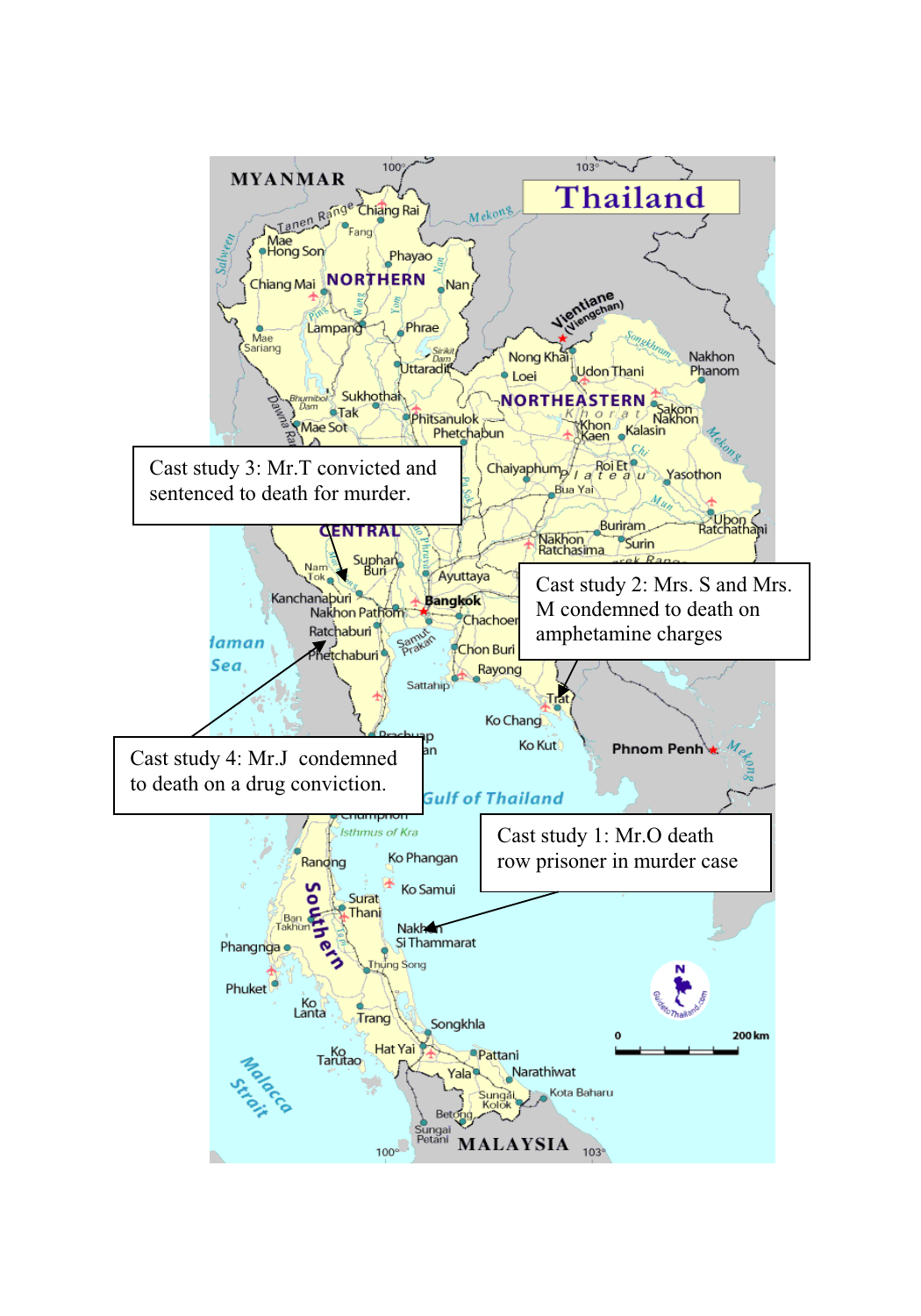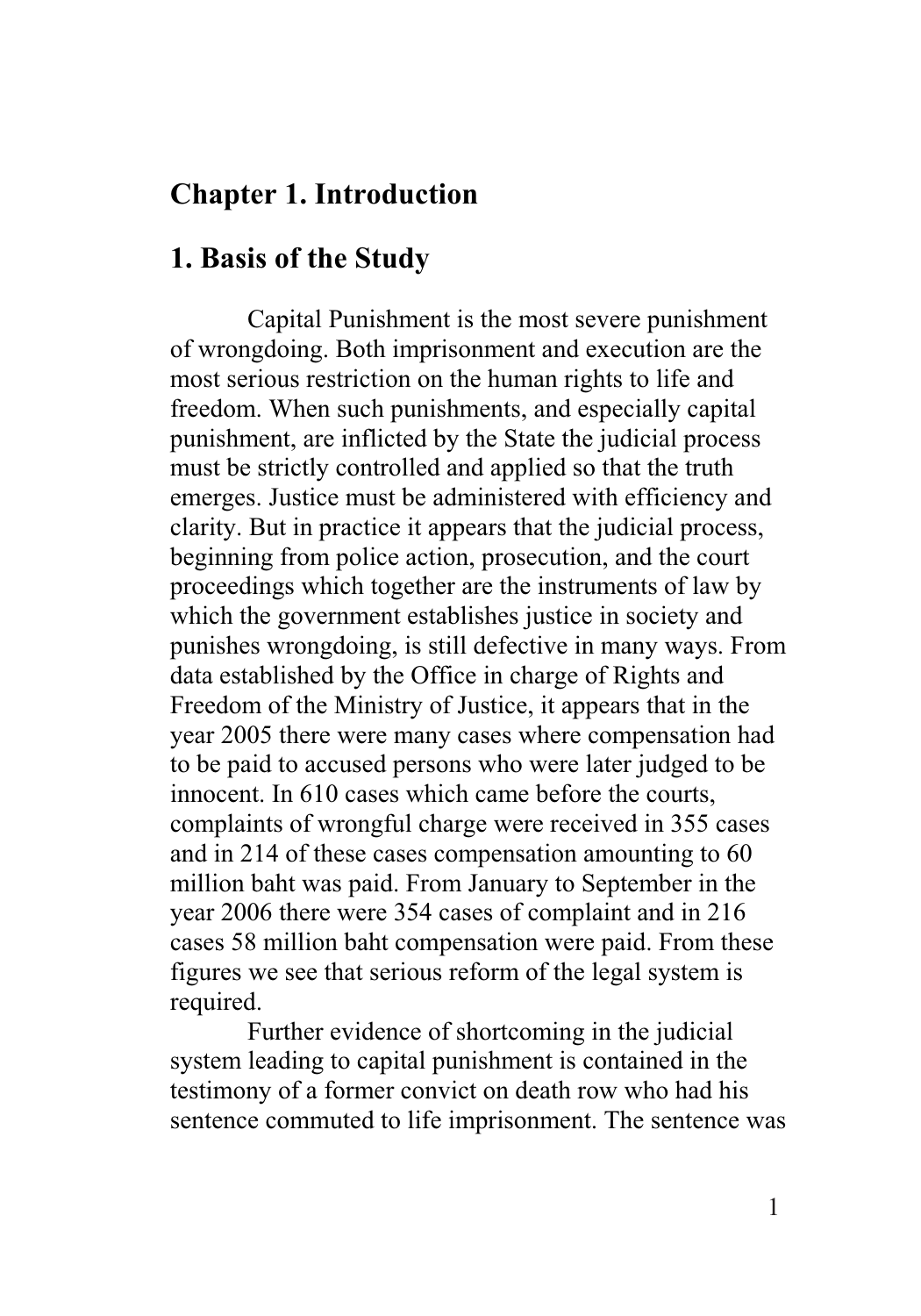# **Chapter 1. Introduction**

## **1. Basis of the Study**

Capital Punishment is the most severe punishment of wrongdoing. Both imprisonment and execution are the most serious restriction on the human rights to life and freedom. When such punishments, and especially capital punishment, are inflicted by the State the judicial process must be strictly controlled and applied so that the truth emerges. Justice must be administered with efficiency and clarity. But in practice it appears that the judicial process, beginning from police action, prosecution, and the court proceedings which together are the instruments of law by which the government establishes justice in society and punishes wrongdoing, is still defective in many ways. From data established by the Office in charge of Rights and Freedom of the Ministry of Justice, it appears that in the year 2005 there were many cases where compensation had to be paid to accused persons who were later judged to be innocent. In 610 cases which came before the courts, complaints of wrongful charge were received in 355 cases and in 214 of these cases compensation amounting to 60 million baht was paid. From January to September in the year 2006 there were 354 cases of complaint and in 216 cases 58 million baht compensation were paid. From these figures we see that serious reform of the legal system is required.

Further evidence of shortcoming in the judicial system leading to capital punishment is contained in the testimony of a former convict on death row who had his sentence commuted to life imprisonment. The sentence was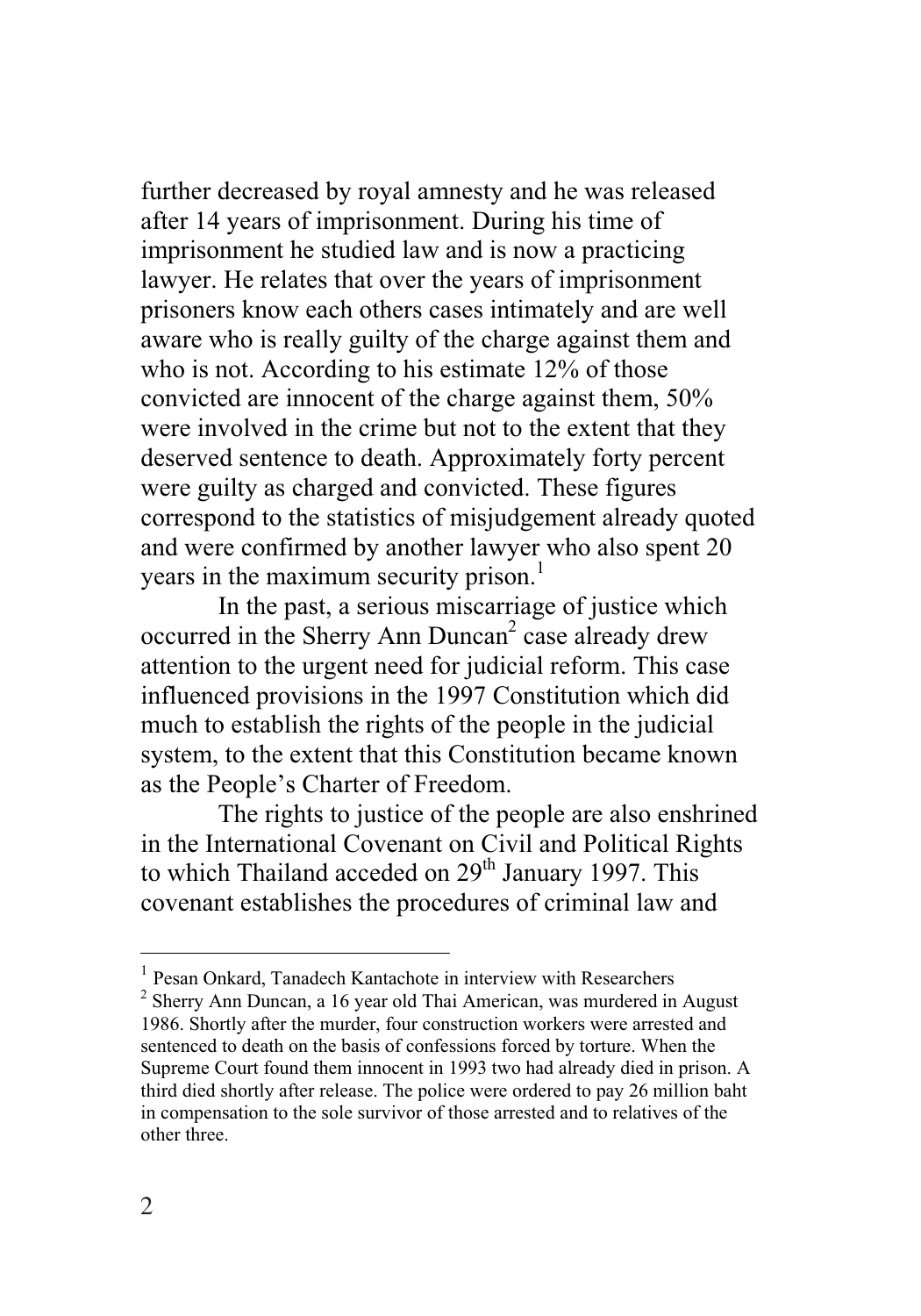further decreased by royal amnesty and he was released after 14 years of imprisonment. During his time of imprisonment he studied law and is now a practicing lawyer. He relates that over the years of imprisonment prisoners know each others cases intimately and are well aware who is really guilty of the charge against them and who is not. According to his estimate 12% of those convicted are innocent of the charge against them, 50% were involved in the crime but not to the extent that they deserved sentence to death. Approximately forty percent were guilty as charged and convicted. These figures correspond to the statistics of misjudgement already quoted and were confirmed by another lawyer who also spent 20 years in the maximum security prison.<sup>1</sup>

 In the past, a serious miscarriage of justice which occurred in the Sherry Ann Duncan<sup>2</sup> case already drew attention to the urgent need for judicial reform. This case influenced provisions in the 1997 Constitution which did much to establish the rights of the people in the judicial system, to the extent that this Constitution became known as the People's Charter of Freedom.

The rights to justice of the people are also enshrined in the International Covenant on Civil and Political Rights to which Thailand acceded on 29<sup>th</sup> January 1997. This covenant establishes the procedures of criminal law and

 $\overline{a}$ 

<sup>&</sup>lt;sup>1</sup> Pesan Onkard, Tanadech Kantachote in interview with Researchers

<sup>&</sup>lt;sup>2</sup> Sherry Ann Duncan, a 16 year old Thai American, was murdered in August 1986. Shortly after the murder, four construction workers were arrested and sentenced to death on the basis of confessions forced by torture. When the Supreme Court found them innocent in 1993 two had already died in prison. A third died shortly after release. The police were ordered to pay 26 million baht in compensation to the sole survivor of those arrested and to relatives of the other three.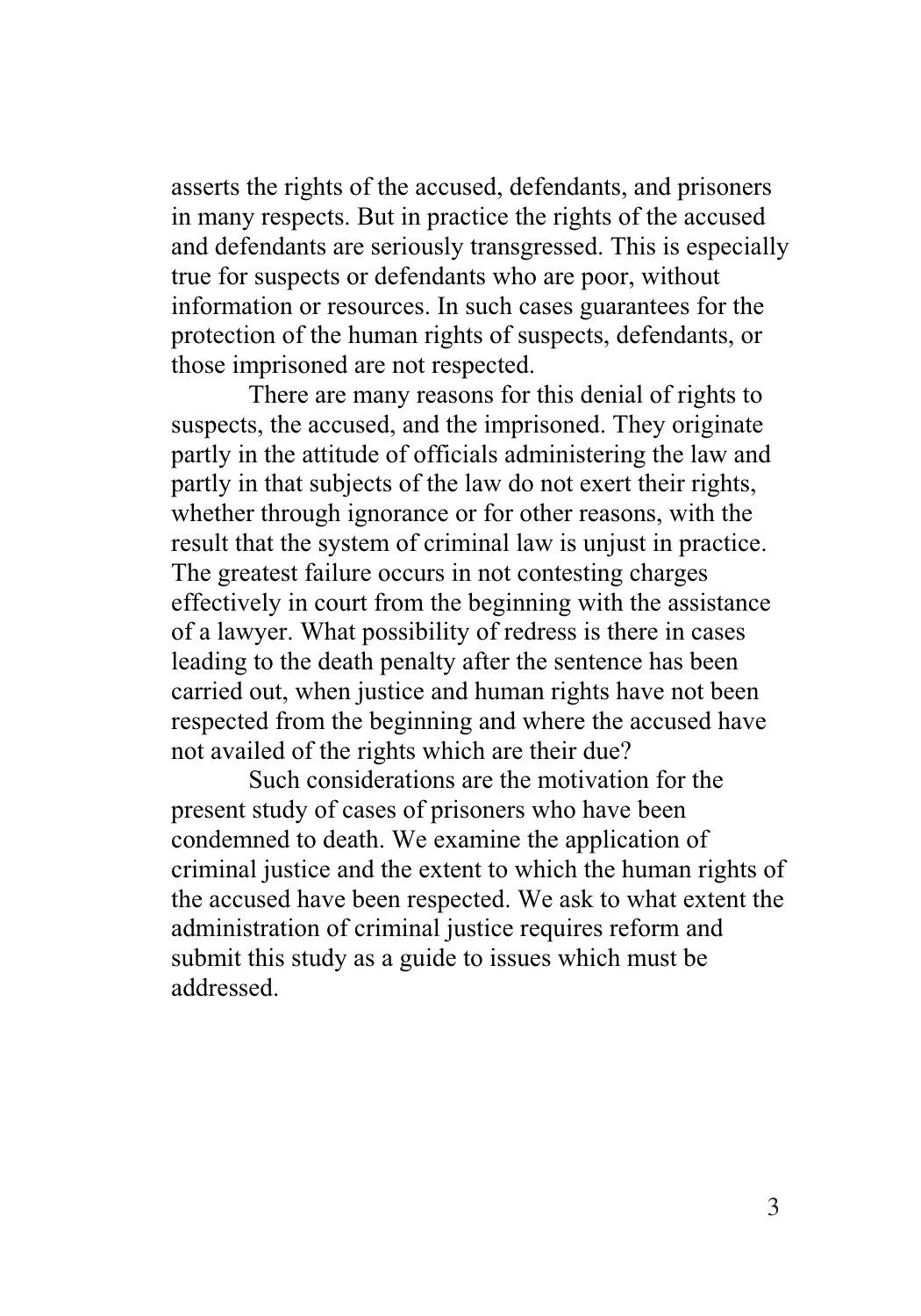asserts the rights of the accused, defendants, and prisoners in many respects. But in practice the rights of the accused and defendants are seriously transgressed. This is especially true for suspects or defendants who are poor, without information or resources. In such cases guarantees for the protection of the human rights of suspects, defendants, or those imprisoned are not respected.

There are many reasons for this denial of rights to suspects, the accused, and the imprisoned. They originate partly in the attitude of officials administering the law and partly in that subjects of the law do not exert their rights, whether through ignorance or for other reasons, with the result that the system of criminal law is unjust in practice. The greatest failure occurs in not contesting charges effectively in court from the beginning with the assistance of a lawyer. What possibility of redress is there in cases leading to the death penalty after the sentence has been carried out, when justice and human rights have not been respected from the beginning and where the accused have not availed of the rights which are their due?

Such considerations are the motivation for the present study of cases of prisoners who have been condemned to death. We examine the application of criminal justice and the extent to which the human rights of the accused have been respected. We ask to what extent the administration of criminal justice requires reform and submit this study as a guide to issues which must be addressed.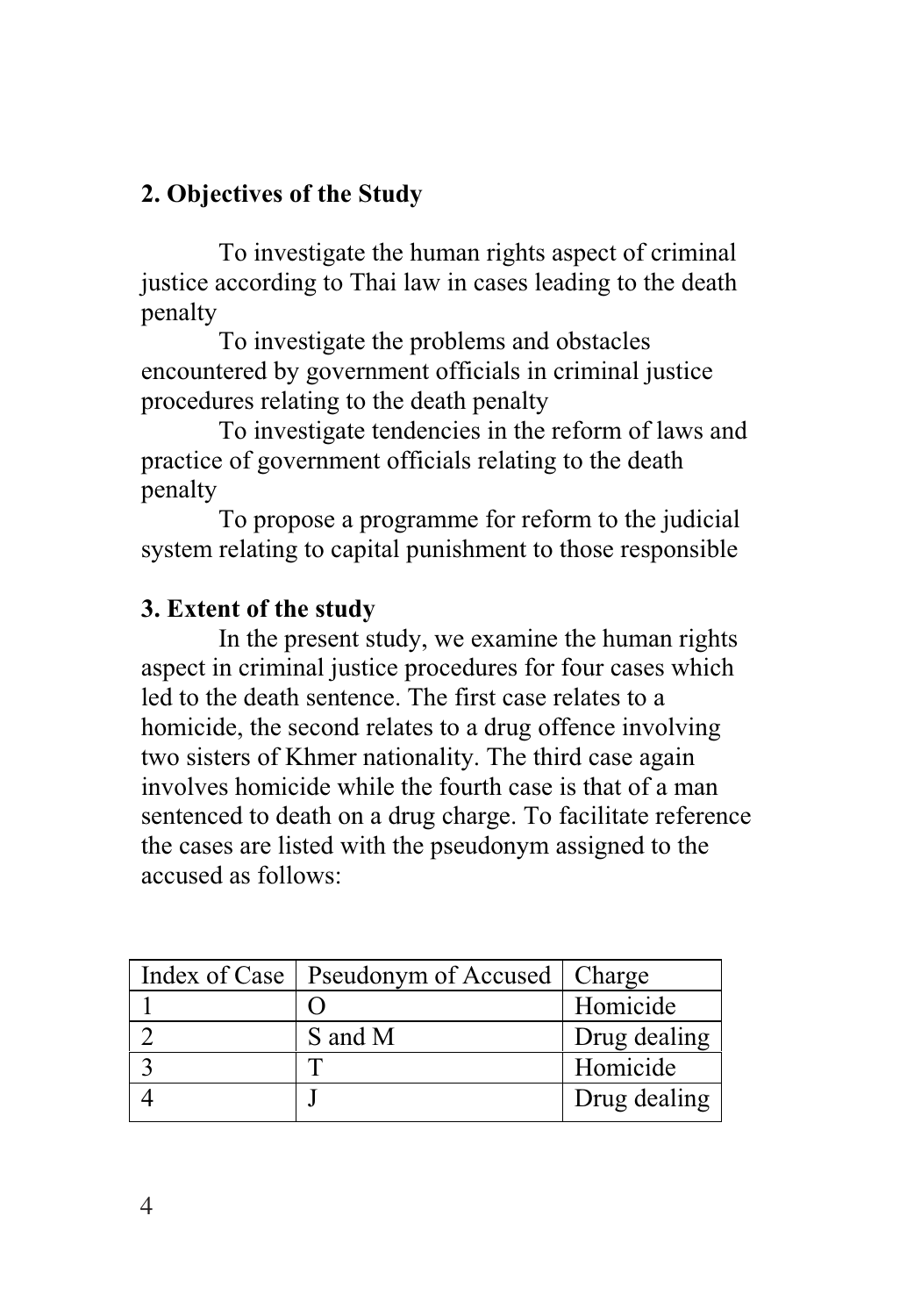# **2. Objectives of the Study**

To investigate the human rights aspect of criminal justice according to Thai law in cases leading to the death penalty

 To investigate the problems and obstacles encountered by government officials in criminal justice procedures relating to the death penalty

 To investigate tendencies in the reform of laws and practice of government officials relating to the death penalty

 To propose a programme for reform to the judicial system relating to capital punishment to those responsible

# **3. Extent of the study**

In the present study, we examine the human rights aspect in criminal justice procedures for four cases which led to the death sentence. The first case relates to a homicide, the second relates to a drug offence involving two sisters of Khmer nationality. The third case again involves homicide while the fourth case is that of a man sentenced to death on a drug charge. To facilitate reference the cases are listed with the pseudonym assigned to the accused as follows:

| Index of Case   Pseudonym of Accused   Charge |              |
|-----------------------------------------------|--------------|
|                                               | Homicide     |
| S and M                                       | Drug dealing |
|                                               | Homicide     |
|                                               | Drug dealing |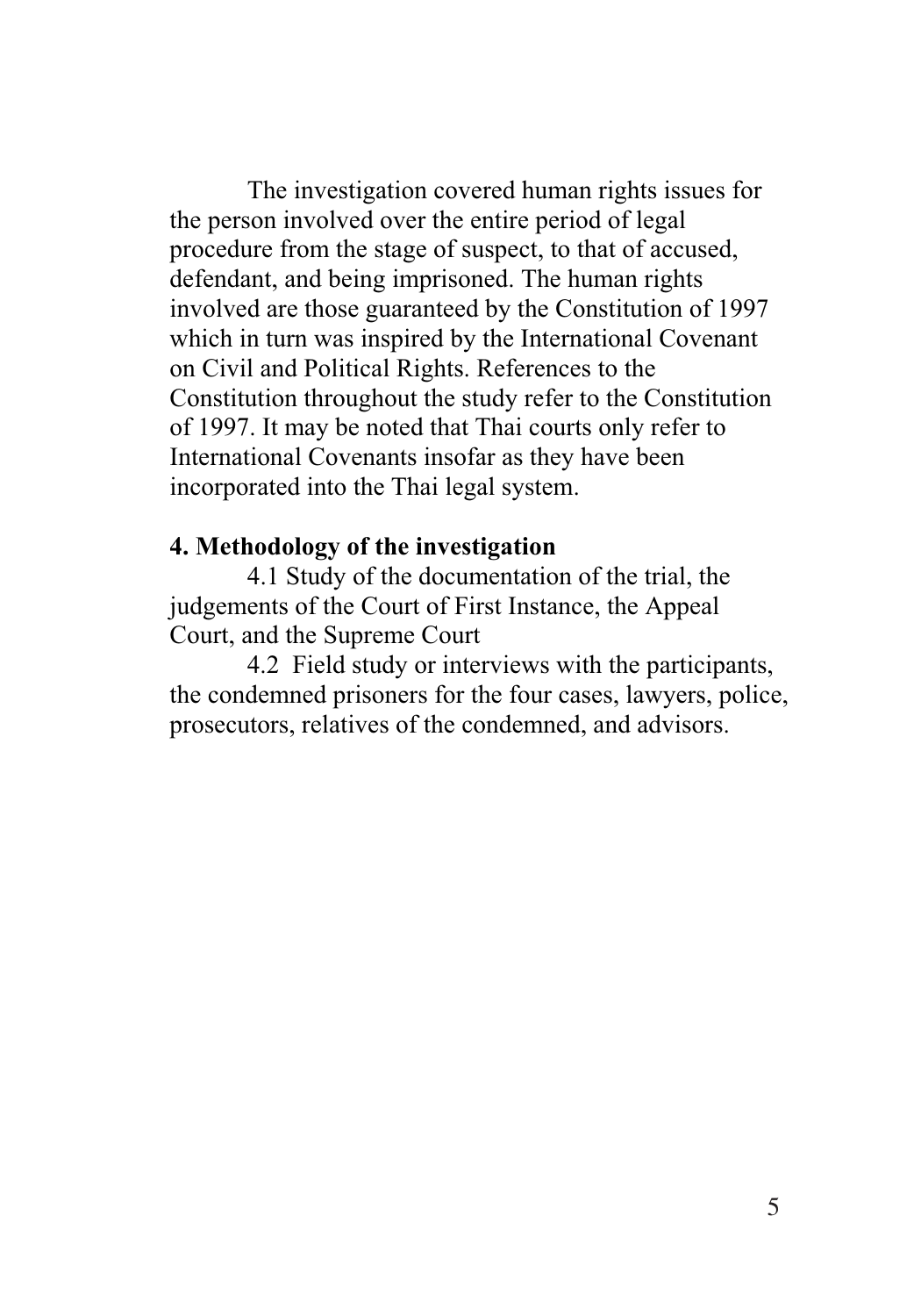The investigation covered human rights issues for the person involved over the entire period of legal procedure from the stage of suspect, to that of accused, defendant, and being imprisoned. The human rights involved are those guaranteed by the Constitution of 1997 which in turn was inspired by the International Covenant on Civil and Political Rights. References to the Constitution throughout the study refer to the Constitution of 1997. It may be noted that Thai courts only refer to International Covenants insofar as they have been incorporated into the Thai legal system.

#### **4. Methodology of the investigation**

4.1 Study of the documentation of the trial, the judgements of the Court of First Instance, the Appeal Court, and the Supreme Court

 4.2 Field study or interviews with the participants, the condemned prisoners for the four cases, lawyers, police, prosecutors, relatives of the condemned, and advisors.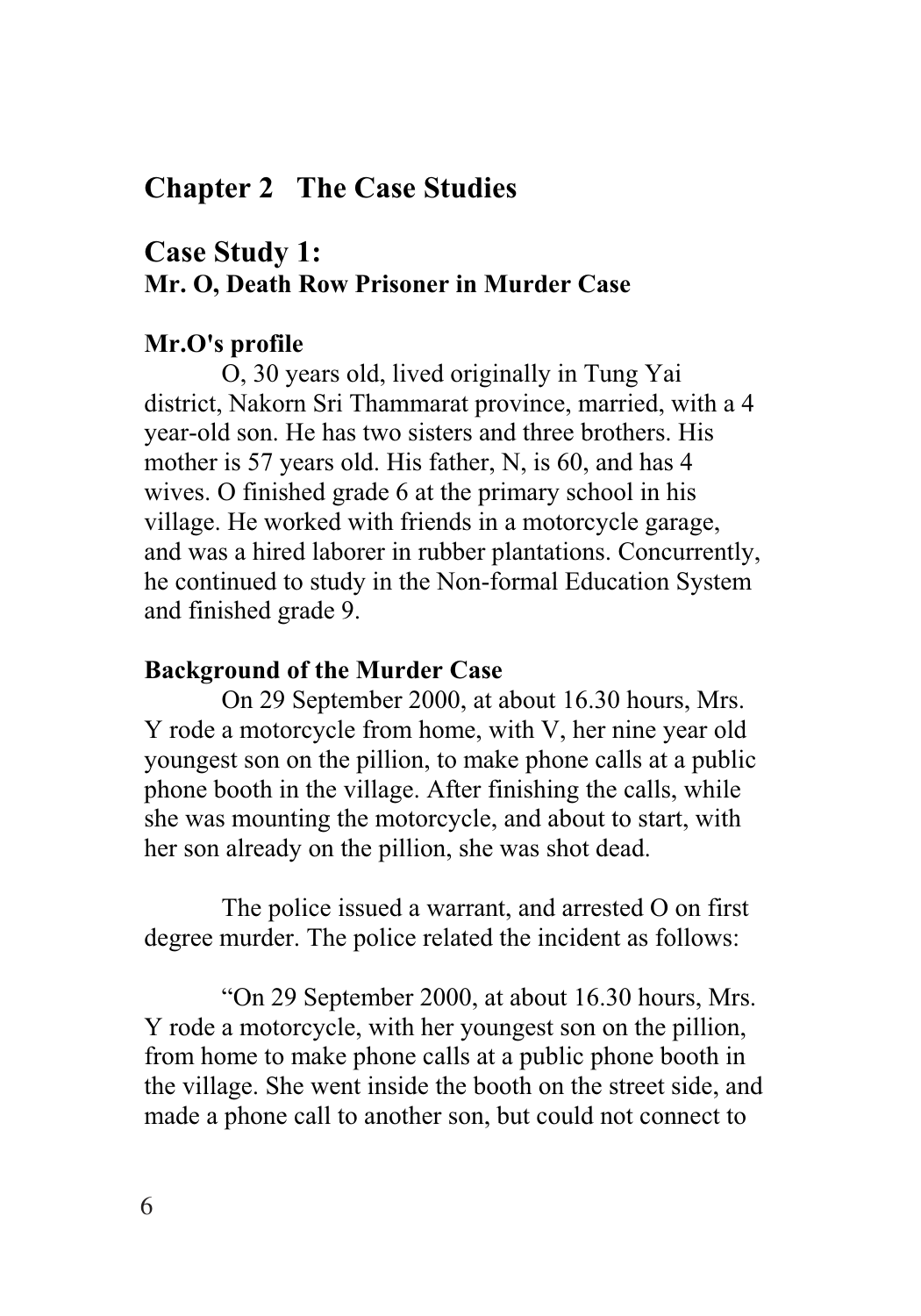# **Chapter 2 The Case Studies**

# **Case Study 1: Mr. O, Death Row Prisoner in Murder Case**

### **Mr.O's profile**

O, 30 years old, lived originally in Tung Yai district, Nakorn Sri Thammarat province, married, with a 4 year-old son. He has two sisters and three brothers. His mother is 57 years old. His father, N, is 60, and has 4 wives. O finished grade 6 at the primary school in his village. He worked with friends in a motorcycle garage, and was a hired laborer in rubber plantations. Concurrently, he continued to study in the Non-formal Education System and finished grade 9.

#### **Background of the Murder Case**

On 29 September 2000, at about 16.30 hours, Mrs. Y rode a motorcycle from home, with V, her nine year old youngest son on the pillion, to make phone calls at a public phone booth in the village. After finishing the calls, while she was mounting the motorcycle, and about to start, with her son already on the pillion, she was shot dead.

The police issued a warrant, and arrested O on first degree murder. The police related the incident as follows:

"On 29 September 2000, at about 16.30 hours, Mrs. Y rode a motorcycle, with her youngest son on the pillion, from home to make phone calls at a public phone booth in the village. She went inside the booth on the street side, and made a phone call to another son, but could not connect to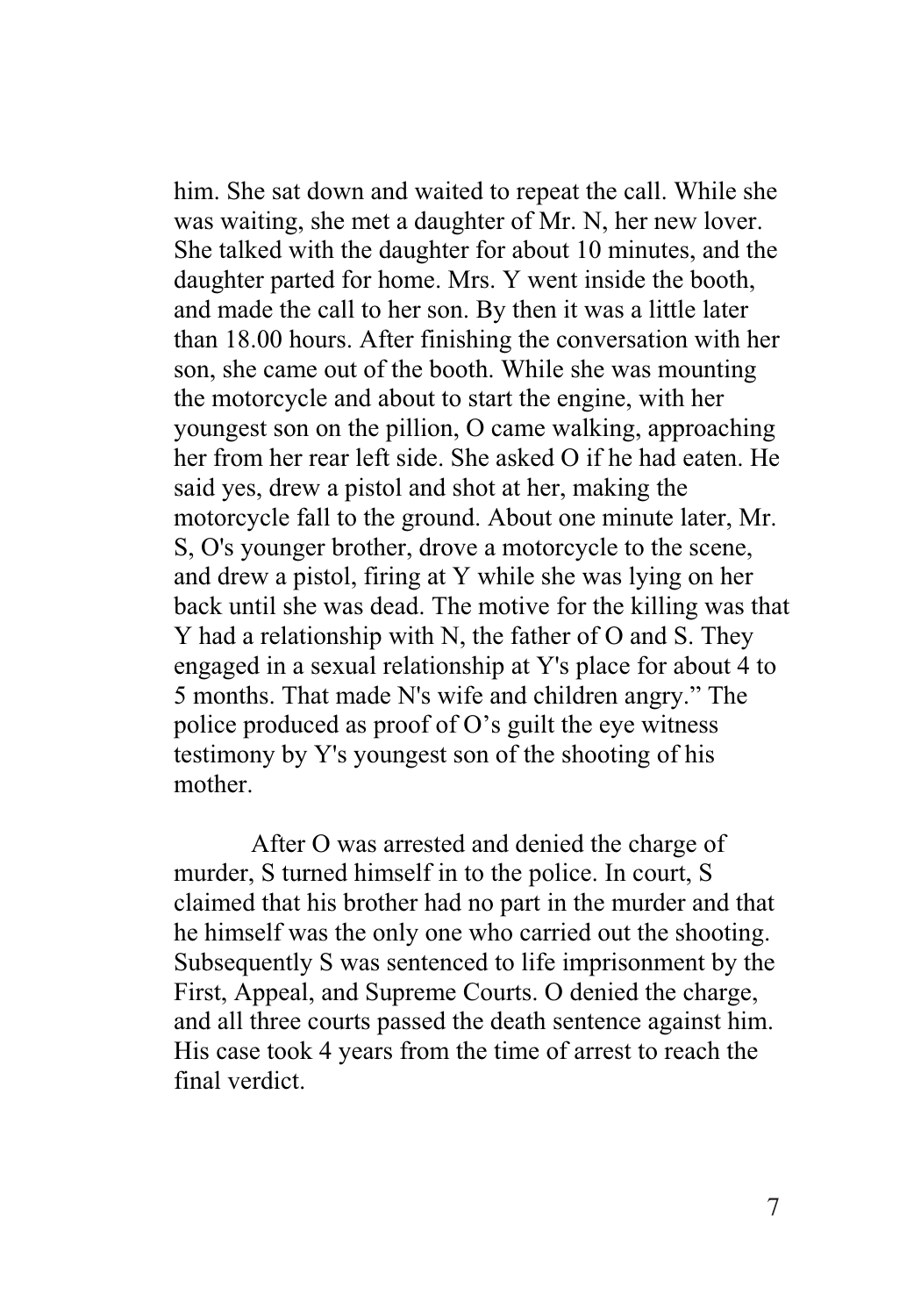him. She sat down and waited to repeat the call. While she was waiting, she met a daughter of Mr. N, her new lover. She talked with the daughter for about 10 minutes, and the daughter parted for home. Mrs. Y went inside the booth, and made the call to her son. By then it was a little later than 18.00 hours. After finishing the conversation with her son, she came out of the booth. While she was mounting the motorcycle and about to start the engine, with her youngest son on the pillion, O came walking, approaching her from her rear left side. She asked O if he had eaten. He said yes, drew a pistol and shot at her, making the motorcycle fall to the ground. About one minute later, Mr. S, O's younger brother, drove a motorcycle to the scene, and drew a pistol, firing at Y while she was lying on her back until she was dead. The motive for the killing was that Y had a relationship with N, the father of O and S. They engaged in a sexual relationship at Y's place for about 4 to 5 months. That made N's wife and children angry." The police produced as proof of O's guilt the eye witness testimony by Y's youngest son of the shooting of his mother.

After O was arrested and denied the charge of murder, S turned himself in to the police. In court, S claimed that his brother had no part in the murder and that he himself was the only one who carried out the shooting. Subsequently S was sentenced to life imprisonment by the First, Appeal, and Supreme Courts. O denied the charge, and all three courts passed the death sentence against him. His case took 4 years from the time of arrest to reach the final verdict.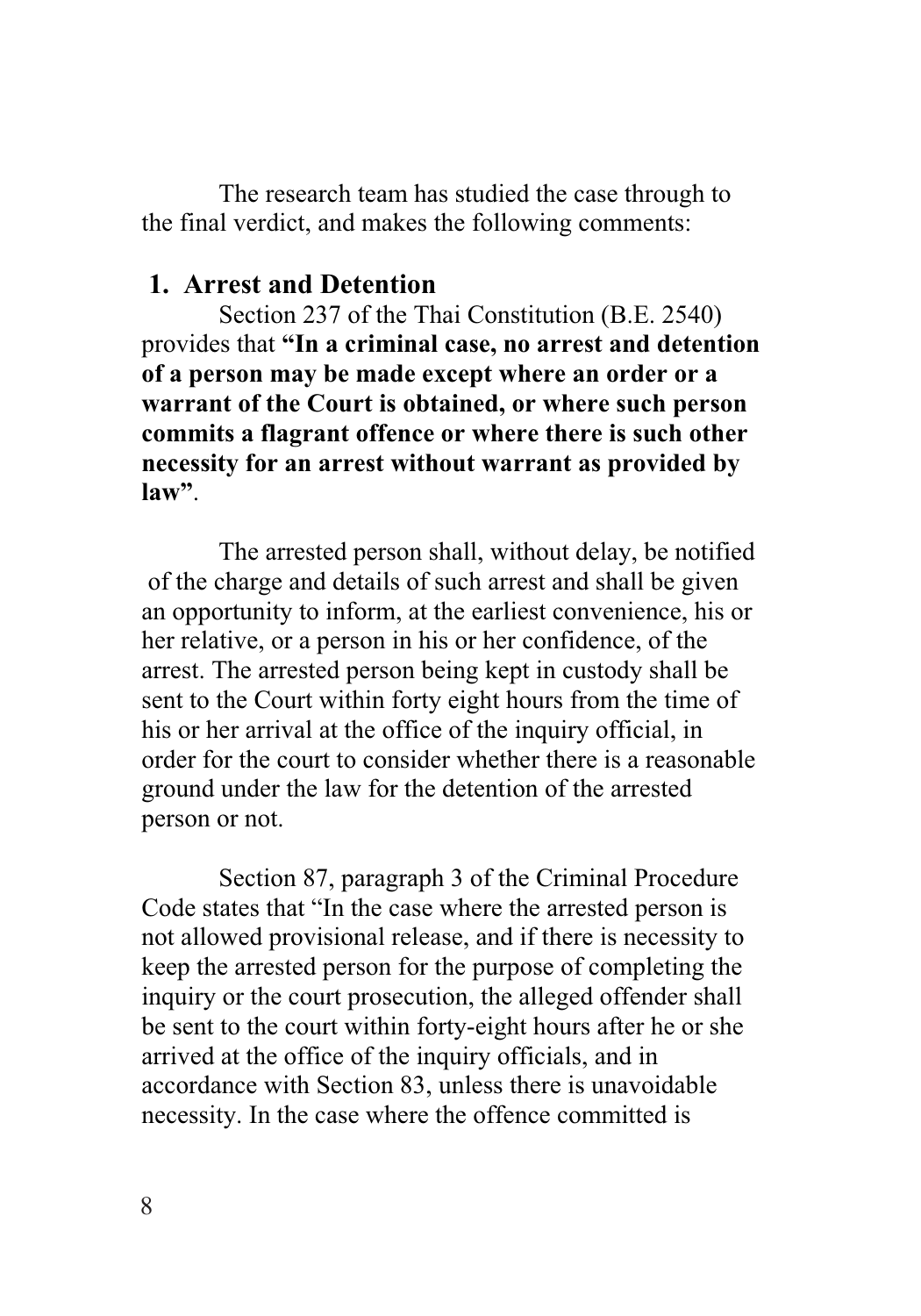The research team has studied the case through to the final verdict, and makes the following comments:

#### **1. Arrest and Detention**

Section 237 of the Thai Constitution (B.E. 2540) provides that **"In a criminal case, no arrest and detention of a person may be made except where an order or a warrant of the Court is obtained, or where such person commits a flagrant offence or where there is such other necessity for an arrest without warrant as provided by law"**.

The arrested person shall, without delay, be notified of the charge and details of such arrest and shall be given an opportunity to inform, at the earliest convenience, his or her relative, or a person in his or her confidence, of the arrest. The arrested person being kept in custody shall be sent to the Court within forty eight hours from the time of his or her arrival at the office of the inquiry official, in order for the court to consider whether there is a reasonable ground under the law for the detention of the arrested person or not.

Section 87, paragraph 3 of the Criminal Procedure Code states that "In the case where the arrested person is not allowed provisional release, and if there is necessity to keep the arrested person for the purpose of completing the inquiry or the court prosecution, the alleged offender shall be sent to the court within forty-eight hours after he or she arrived at the office of the inquiry officials, and in accordance with Section 83, unless there is unavoidable necessity. In the case where the offence committed is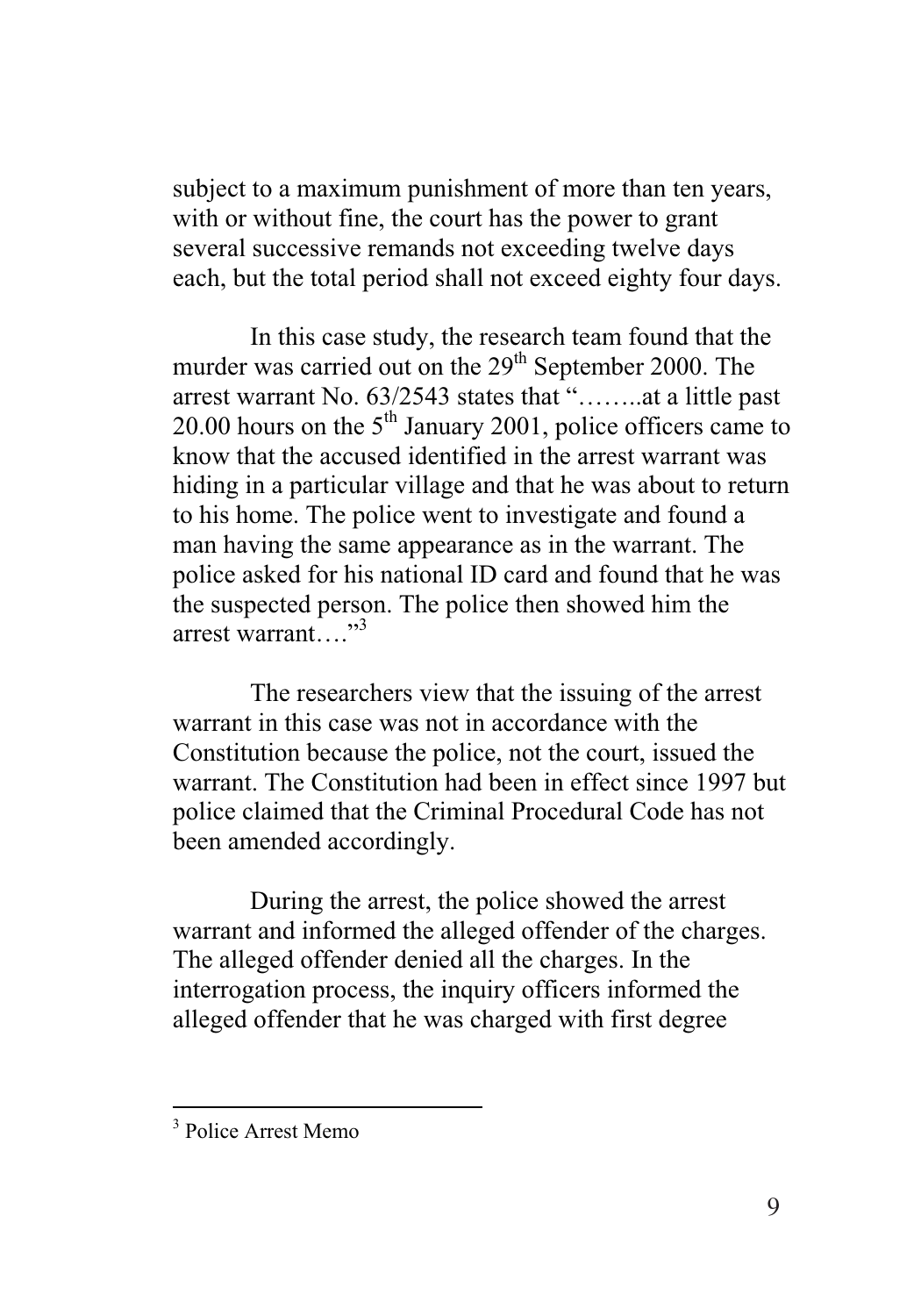subject to a maximum punishment of more than ten years, with or without fine, the court has the power to grant several successive remands not exceeding twelve days each, but the total period shall not exceed eighty four days.

In this case study, the research team found that the murder was carried out on the  $29<sup>th</sup>$  September 2000. The arrest warrant No. 63/2543 states that "……..at a little past 20.00 hours on the  $5<sup>th</sup>$  January 2001, police officers came to know that the accused identified in the arrest warrant was hiding in a particular village and that he was about to return to his home. The police went to investigate and found a man having the same appearance as in the warrant. The police asked for his national ID card and found that he was the suspected person. The police then showed him the arrest warrant. "3

The researchers view that the issuing of the arrest warrant in this case was not in accordance with the Constitution because the police, not the court, issued the warrant. The Constitution had been in effect since 1997 but police claimed that the Criminal Procedural Code has not been amended accordingly.

During the arrest, the police showed the arrest warrant and informed the alleged offender of the charges. The alleged offender denied all the charges. In the interrogation process, the inquiry officers informed the alleged offender that he was charged with first degree

 3 Police Arrest Memo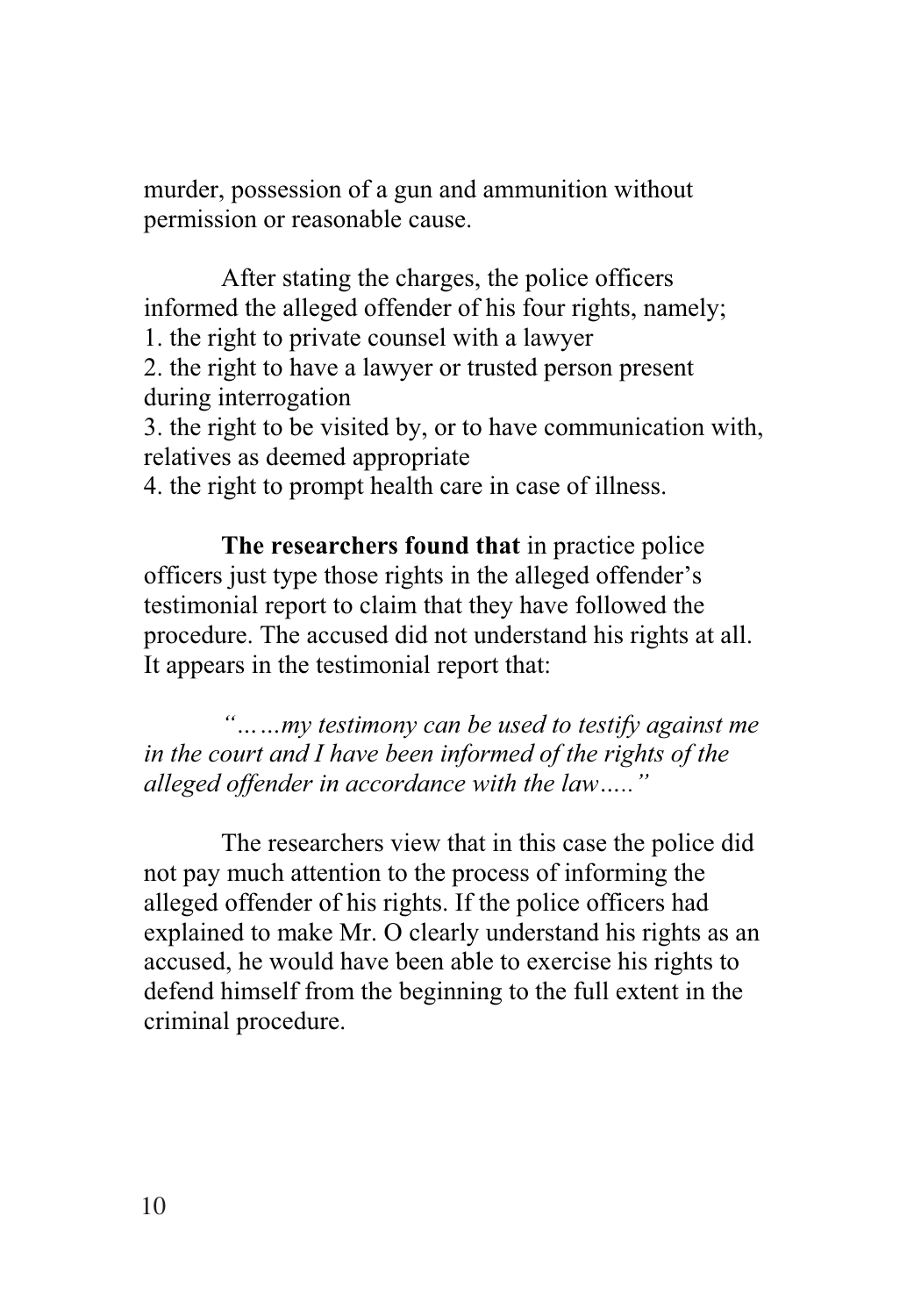murder, possession of a gun and ammunition without permission or reasonable cause.

After stating the charges, the police officers informed the alleged offender of his four rights, namely;

1. the right to private counsel with a lawyer

2. the right to have a lawyer or trusted person present during interrogation

3. the right to be visited by, or to have communication with, relatives as deemed appropriate

4. the right to prompt health care in case of illness.

**The researchers found that** in practice police officers just type those rights in the alleged offender's testimonial report to claim that they have followed the procedure. The accused did not understand his rights at all. It appears in the testimonial report that:

*"……my testimony can be used to testify against me in the court and I have been informed of the rights of the alleged offender in accordance with the law….."* 

The researchers view that in this case the police did not pay much attention to the process of informing the alleged offender of his rights. If the police officers had explained to make Mr. O clearly understand his rights as an accused, he would have been able to exercise his rights to defend himself from the beginning to the full extent in the criminal procedure.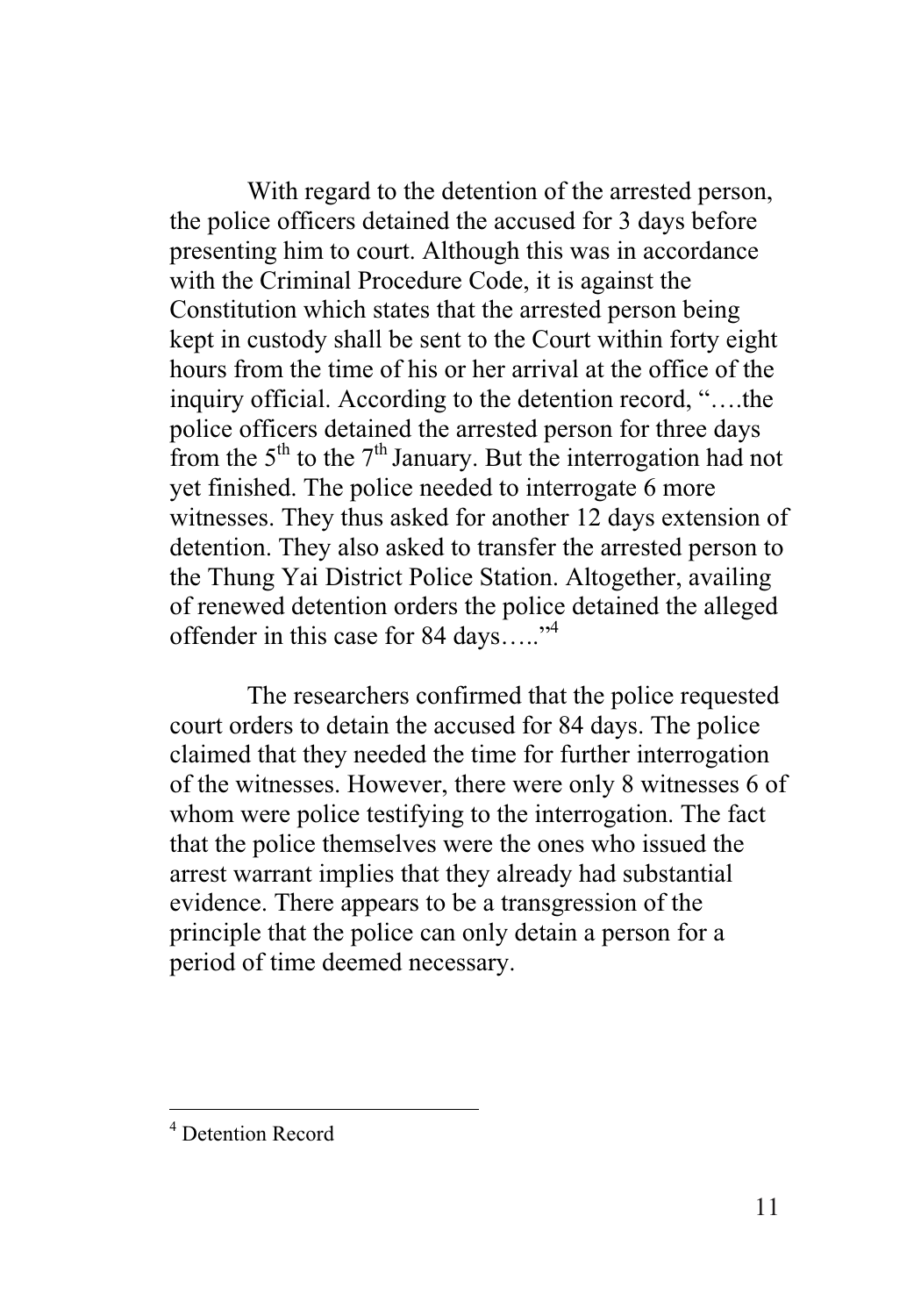With regard to the detention of the arrested person, the police officers detained the accused for 3 days before presenting him to court. Although this was in accordance with the Criminal Procedure Code, it is against the Constitution which states that the arrested person being kept in custody shall be sent to the Court within forty eight hours from the time of his or her arrival at the office of the inquiry official. According to the detention record, "….the police officers detained the arrested person for three days from the  $5<sup>th</sup>$  to the  $7<sup>th</sup>$  January. But the interrogation had not yet finished. The police needed to interrogate 6 more witnesses. They thus asked for another 12 days extension of detention. They also asked to transfer the arrested person to the Thung Yai District Police Station. Altogether, availing of renewed detention orders the police detained the alleged offender in this case for 84 days....."<sup>4</sup>

The researchers confirmed that the police requested court orders to detain the accused for 84 days. The police claimed that they needed the time for further interrogation of the witnesses. However, there were only 8 witnesses 6 of whom were police testifying to the interrogation. The fact that the police themselves were the ones who issued the arrest warrant implies that they already had substantial evidence. There appears to be a transgression of the principle that the police can only detain a person for a period of time deemed necessary.

 4 Detention Record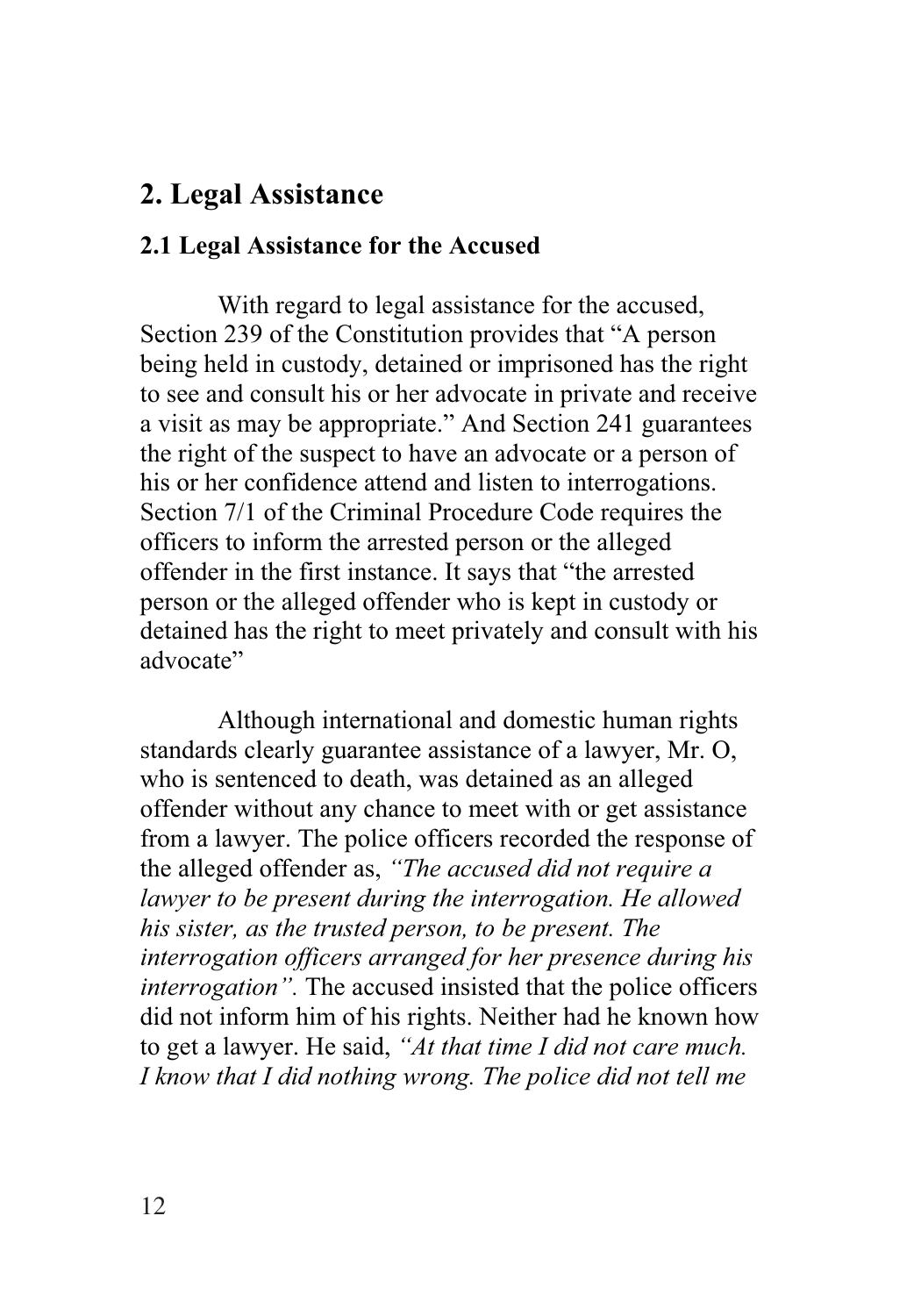# **2. Legal Assistance**

#### **2.1 Legal Assistance for the Accused**

With regard to legal assistance for the accused, Section 239 of the Constitution provides that "A person being held in custody, detained or imprisoned has the right to see and consult his or her advocate in private and receive a visit as may be appropriate." And Section 241 guarantees the right of the suspect to have an advocate or a person of his or her confidence attend and listen to interrogations. Section 7/1 of the Criminal Procedure Code requires the officers to inform the arrested person or the alleged offender in the first instance. It says that "the arrested person or the alleged offender who is kept in custody or detained has the right to meet privately and consult with his advocate"

Although international and domestic human rights standards clearly guarantee assistance of a lawyer, Mr. O, who is sentenced to death, was detained as an alleged offender without any chance to meet with or get assistance from a lawyer. The police officers recorded the response of the alleged offender as, *"The accused did not require a lawyer to be present during the interrogation. He allowed his sister, as the trusted person, to be present. The interrogation officers arranged for her presence during his interrogation".* The accused insisted that the police officers did not inform him of his rights. Neither had he known how to get a lawyer. He said, *"At that time I did not care much. I know that I did nothing wrong. The police did not tell me*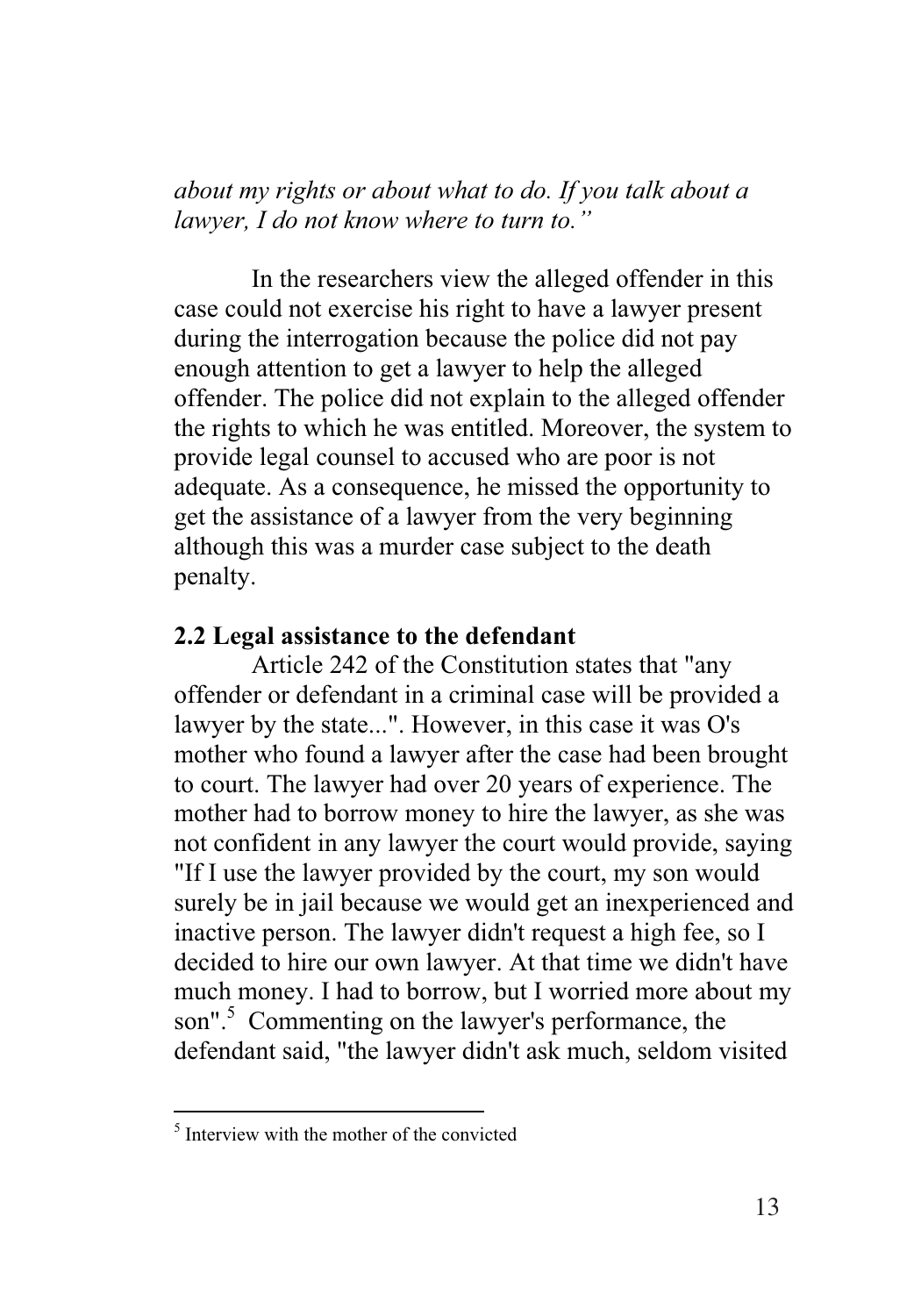*about my rights or about what to do. If you talk about a lawyer, I do not know where to turn to."*

In the researchers view the alleged offender in this case could not exercise his right to have a lawyer present during the interrogation because the police did not pay enough attention to get a lawyer to help the alleged offender. The police did not explain to the alleged offender the rights to which he was entitled. Moreover, the system to provide legal counsel to accused who are poor is not adequate. As a consequence, he missed the opportunity to get the assistance of a lawyer from the very beginning although this was a murder case subject to the death penalty.

#### **2.2 Legal assistance to the defendant**

Article 242 of the Constitution states that "any offender or defendant in a criminal case will be provided a lawyer by the state...". However, in this case it was O's mother who found a lawyer after the case had been brought to court. The lawyer had over 20 years of experience. The mother had to borrow money to hire the lawyer, as she was not confident in any lawyer the court would provide, saying "If I use the lawyer provided by the court, my son would surely be in jail because we would get an inexperienced and inactive person. The lawyer didn't request a high fee, so I decided to hire our own lawyer. At that time we didn't have much money. I had to borrow, but I worried more about my son".<sup>5</sup> Commenting on the lawyer's performance, the defendant said, "the lawyer didn't ask much, seldom visited

 $\frac{1}{5}$  Interview with the mother of the convicted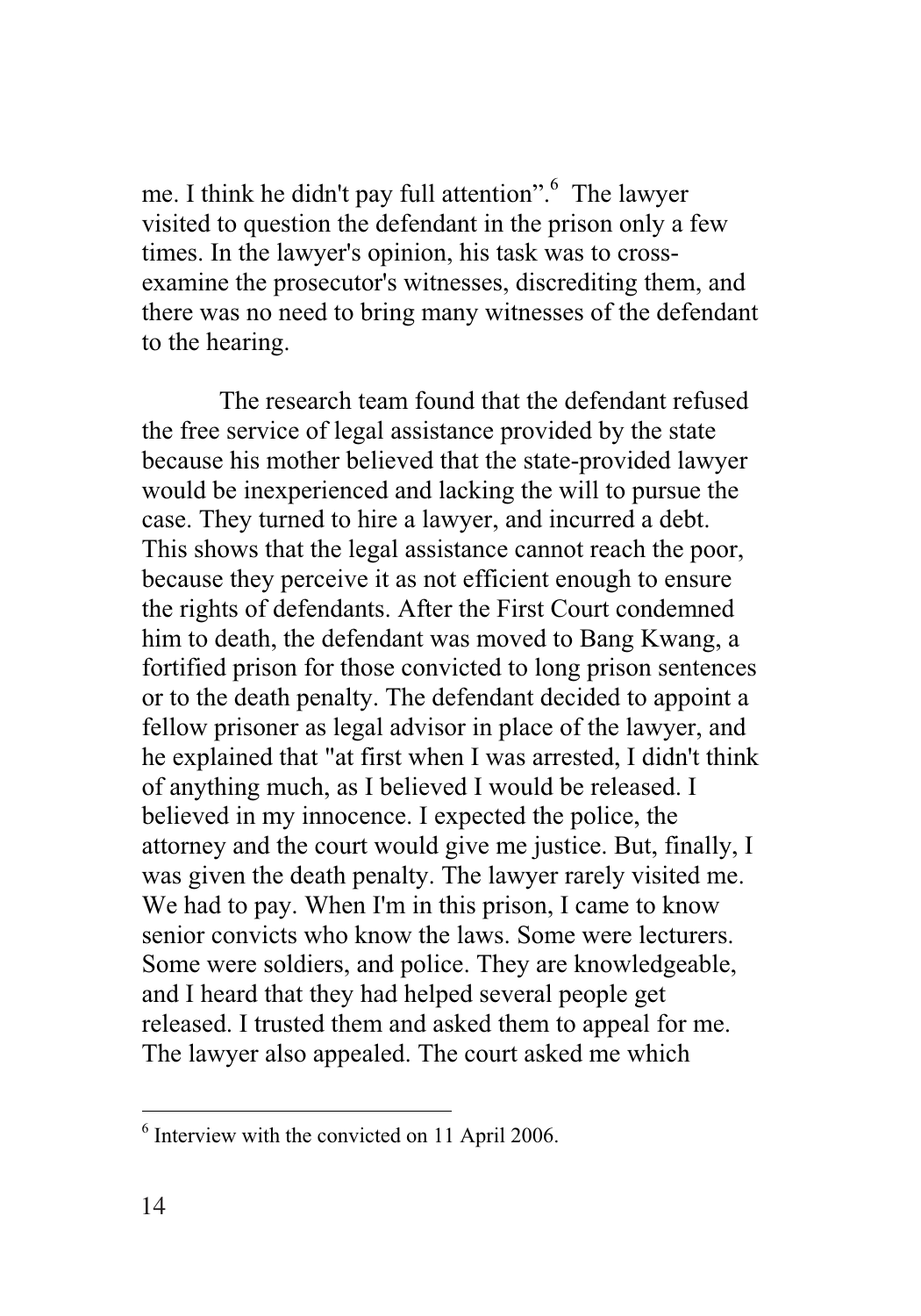me. I think he didn't pay full attention".<sup>6</sup> The lawyer visited to question the defendant in the prison only a few times. In the lawyer's opinion, his task was to crossexamine the prosecutor's witnesses, discrediting them, and there was no need to bring many witnesses of the defendant to the hearing.

The research team found that the defendant refused the free service of legal assistance provided by the state because his mother believed that the state-provided lawyer would be inexperienced and lacking the will to pursue the case. They turned to hire a lawyer, and incurred a debt. This shows that the legal assistance cannot reach the poor, because they perceive it as not efficient enough to ensure the rights of defendants. After the First Court condemned him to death, the defendant was moved to Bang Kwang, a fortified prison for those convicted to long prison sentences or to the death penalty. The defendant decided to appoint a fellow prisoner as legal advisor in place of the lawyer, and he explained that "at first when I was arrested, I didn't think of anything much, as I believed I would be released. I believed in my innocence. I expected the police, the attorney and the court would give me justice. But, finally, I was given the death penalty. The lawyer rarely visited me. We had to pay. When I'm in this prison, I came to know senior convicts who know the laws. Some were lecturers. Some were soldiers, and police. They are knowledgeable, and I heard that they had helped several people get released. I trusted them and asked them to appeal for me. The lawyer also appealed. The court asked me which

<sup>&</sup>lt;sup>6</sup> Interview with the convicted on 11 April 2006.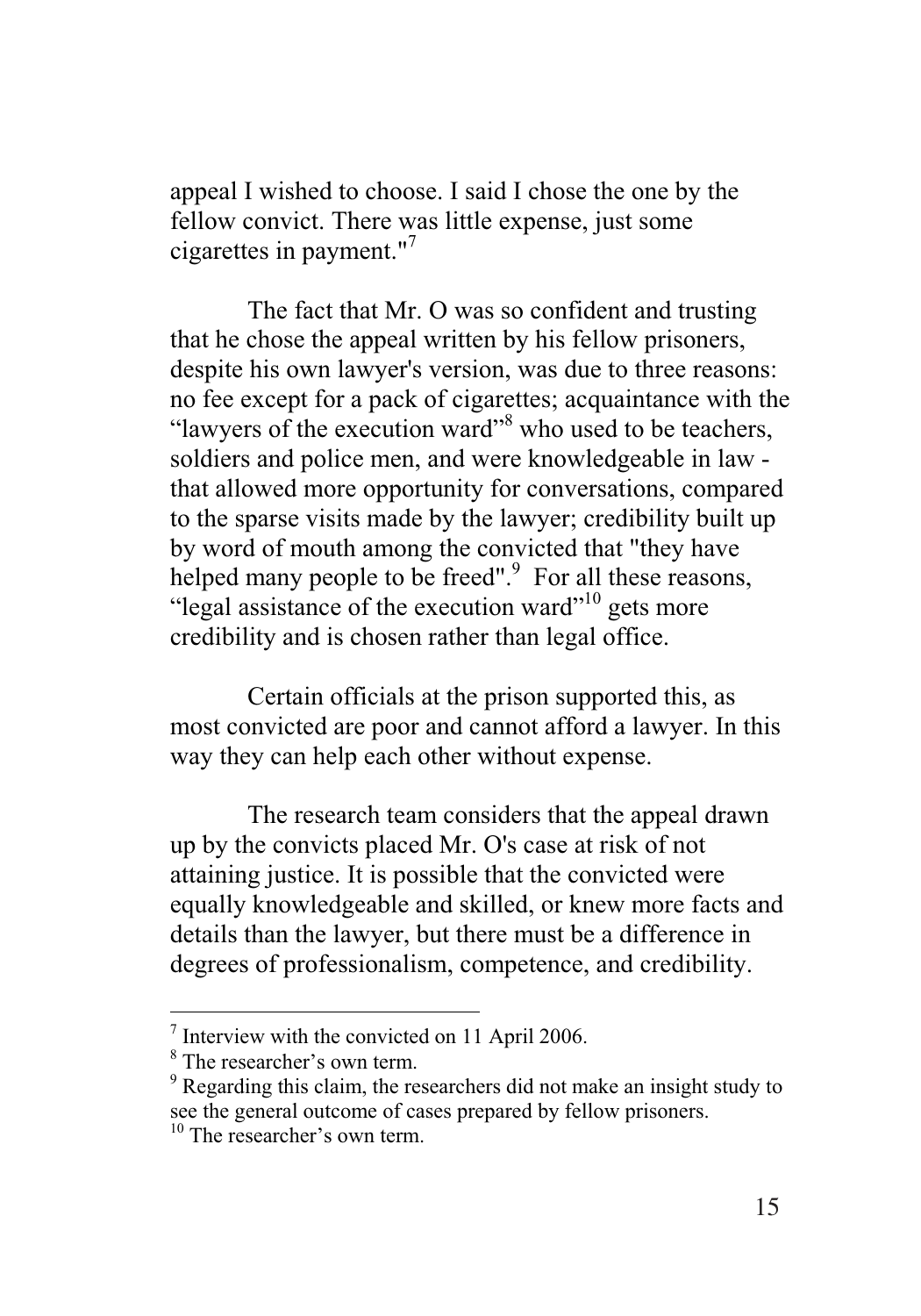appeal I wished to choose. I said I chose the one by the fellow convict. There was little expense, just some cigarettes in payment."<sup>7</sup>

The fact that Mr. O was so confident and trusting that he chose the appeal written by his fellow prisoners, despite his own lawyer's version, was due to three reasons: no fee except for a pack of cigarettes; acquaintance with the "lawyers of the execution ward"<sup>8</sup> who used to be teachers, soldiers and police men, and were knowledgeable in law that allowed more opportunity for conversations, compared to the sparse visits made by the lawyer; credibility built up by word of mouth among the convicted that "they have helped many people to be freed".<sup>9</sup> For all these reasons, "legal assistance of the execution ward"<sup>10</sup> gets more credibility and is chosen rather than legal office.

Certain officials at the prison supported this, as most convicted are poor and cannot afford a lawyer. In this way they can help each other without expense.

The research team considers that the appeal drawn up by the convicts placed Mr. O's case at risk of not attaining justice. It is possible that the convicted were equally knowledgeable and skilled, or knew more facts and details than the lawyer, but there must be a difference in degrees of professionalism, competence, and credibility.

 $\frac{7}{8}$  Interview with the convicted on 11 April 2006.

<sup>&</sup>lt;sup>8</sup> The researcher's own term.

<sup>&</sup>lt;sup>9</sup> Regarding this claim, the researchers did not make an insight study to see the general outcome of cases prepared by fellow prisoners.

<sup>&</sup>lt;sup>10</sup> The researcher's own term.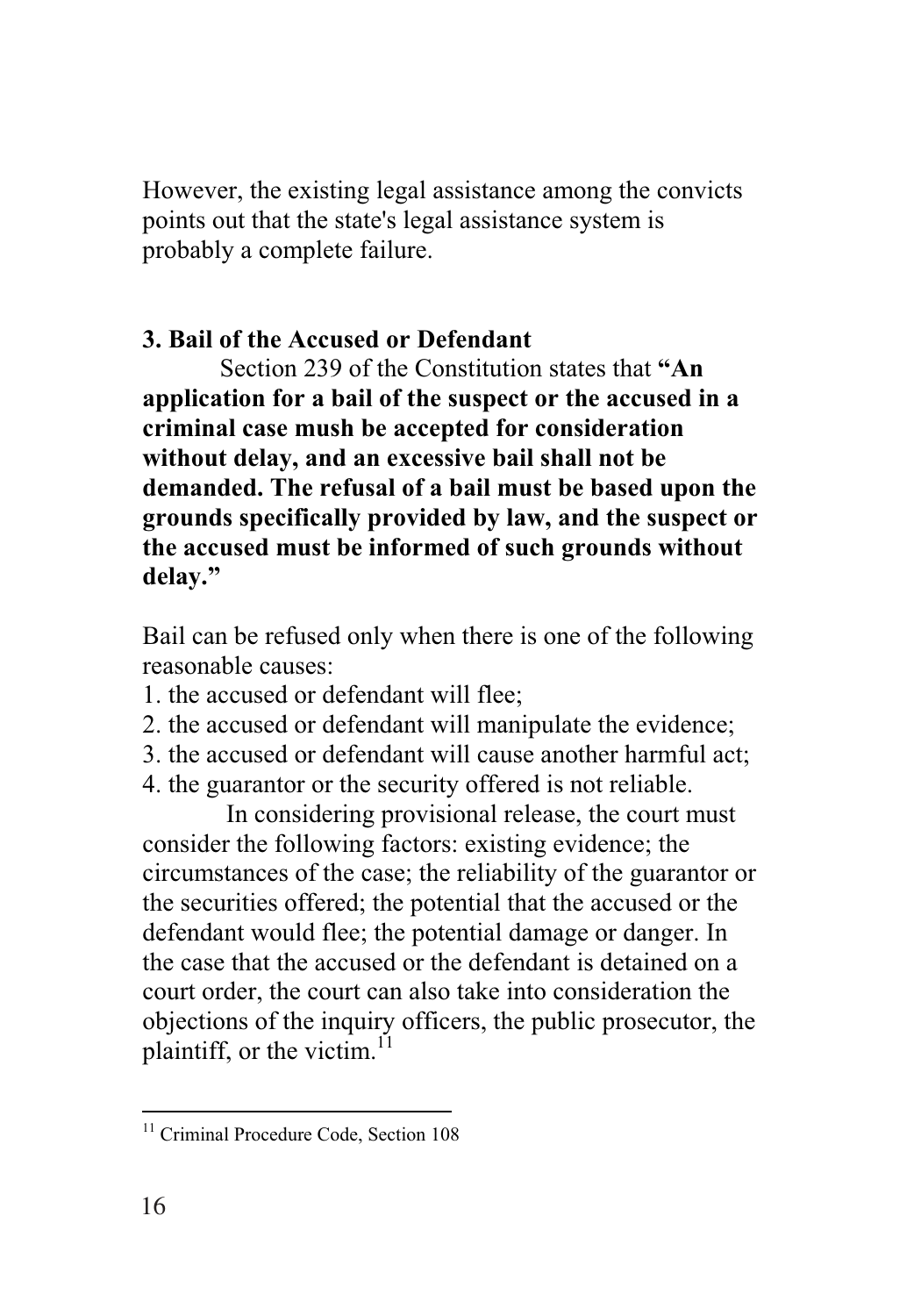However, the existing legal assistance among the convicts points out that the state's legal assistance system is probably a complete failure.

# **3. Bail of the Accused or Defendant**

Section 239 of the Constitution states that **"An application for a bail of the suspect or the accused in a criminal case mush be accepted for consideration without delay, and an excessive bail shall not be demanded. The refusal of a bail must be based upon the grounds specifically provided by law, and the suspect or the accused must be informed of such grounds without delay."**

Bail can be refused only when there is one of the following reasonable causes:

- 1. the accused or defendant will flee;
- 2. the accused or defendant will manipulate the evidence;
- 3. the accused or defendant will cause another harmful act;
- 4. the guarantor or the security offered is not reliable.

 In considering provisional release, the court must consider the following factors: existing evidence; the circumstances of the case; the reliability of the guarantor or the securities offered; the potential that the accused or the defendant would flee; the potential damage or danger. In the case that the accused or the defendant is detained on a court order, the court can also take into consideration the objections of the inquiry officers, the public prosecutor, the plaintiff, or the victim. $^{11}$ 

 $\overline{a}$ 

<sup>&</sup>lt;sup>11</sup> Criminal Procedure Code, Section 108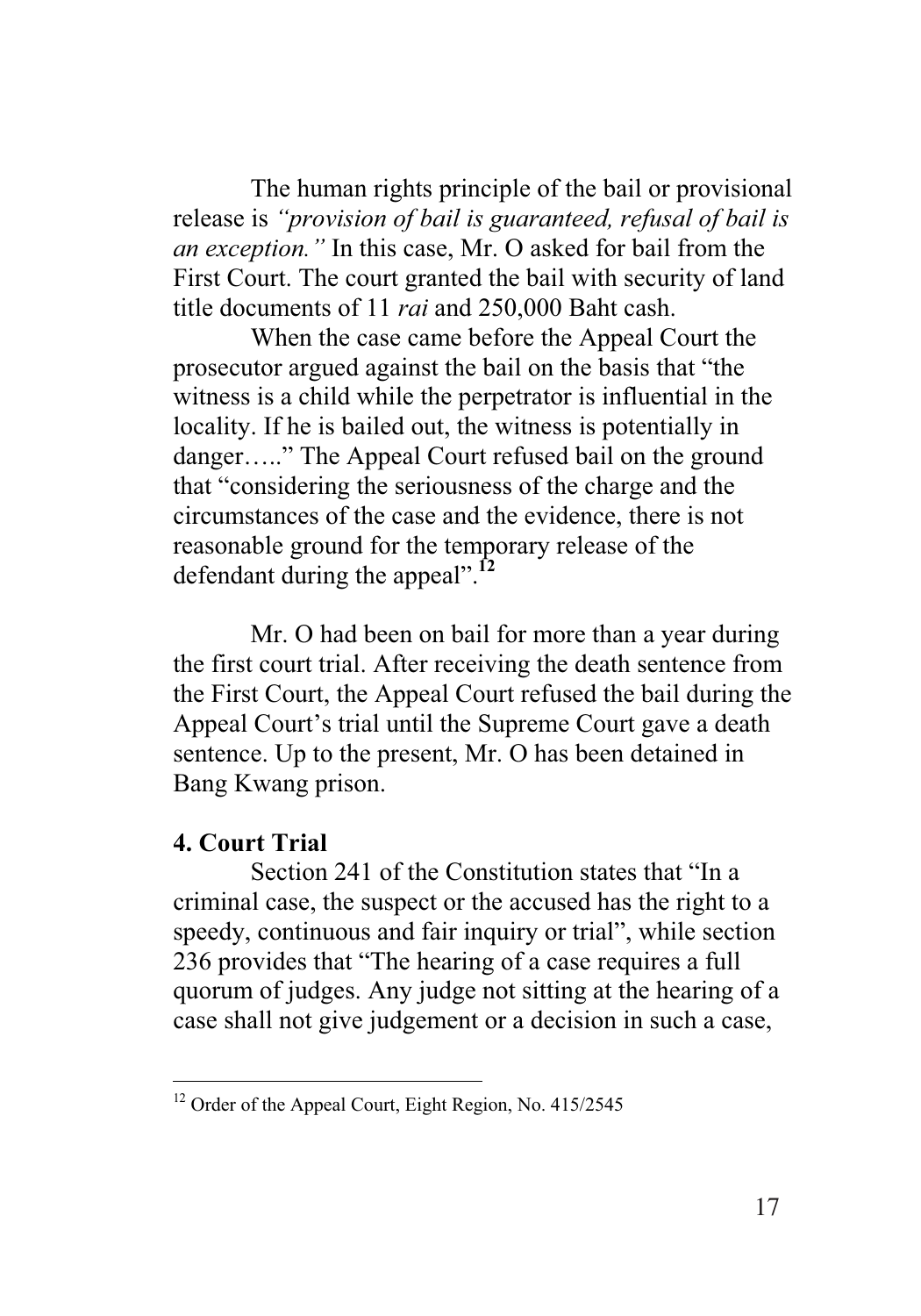The human rights principle of the bail or provisional release is *"provision of bail is guaranteed, refusal of bail is an exception."* In this case, Mr. O asked for bail from the First Court. The court granted the bail with security of land title documents of 11 *rai* and 250,000 Baht cash.

When the case came before the Appeal Court the prosecutor argued against the bail on the basis that "the witness is a child while the perpetrator is influential in the locality. If he is bailed out, the witness is potentially in danger….." The Appeal Court refused bail on the ground that "considering the seriousness of the charge and the circumstances of the case and the evidence, there is not reasonable ground for the temporary release of the defendant during the appeal".**<sup>12</sup>**

Mr. O had been on bail for more than a year during the first court trial. After receiving the death sentence from the First Court, the Appeal Court refused the bail during the Appeal Court's trial until the Supreme Court gave a death sentence. Up to the present, Mr. O has been detained in Bang Kwang prison.

#### **4. Court Trial**

 $\overline{a}$ 

Section 241 of the Constitution states that "In a criminal case, the suspect or the accused has the right to a speedy, continuous and fair inquiry or trial", while section 236 provides that "The hearing of a case requires a full quorum of judges. Any judge not sitting at the hearing of a case shall not give judgement or a decision in such a case,

<sup>&</sup>lt;sup>12</sup> Order of the Appeal Court, Eight Region, No. 415/2545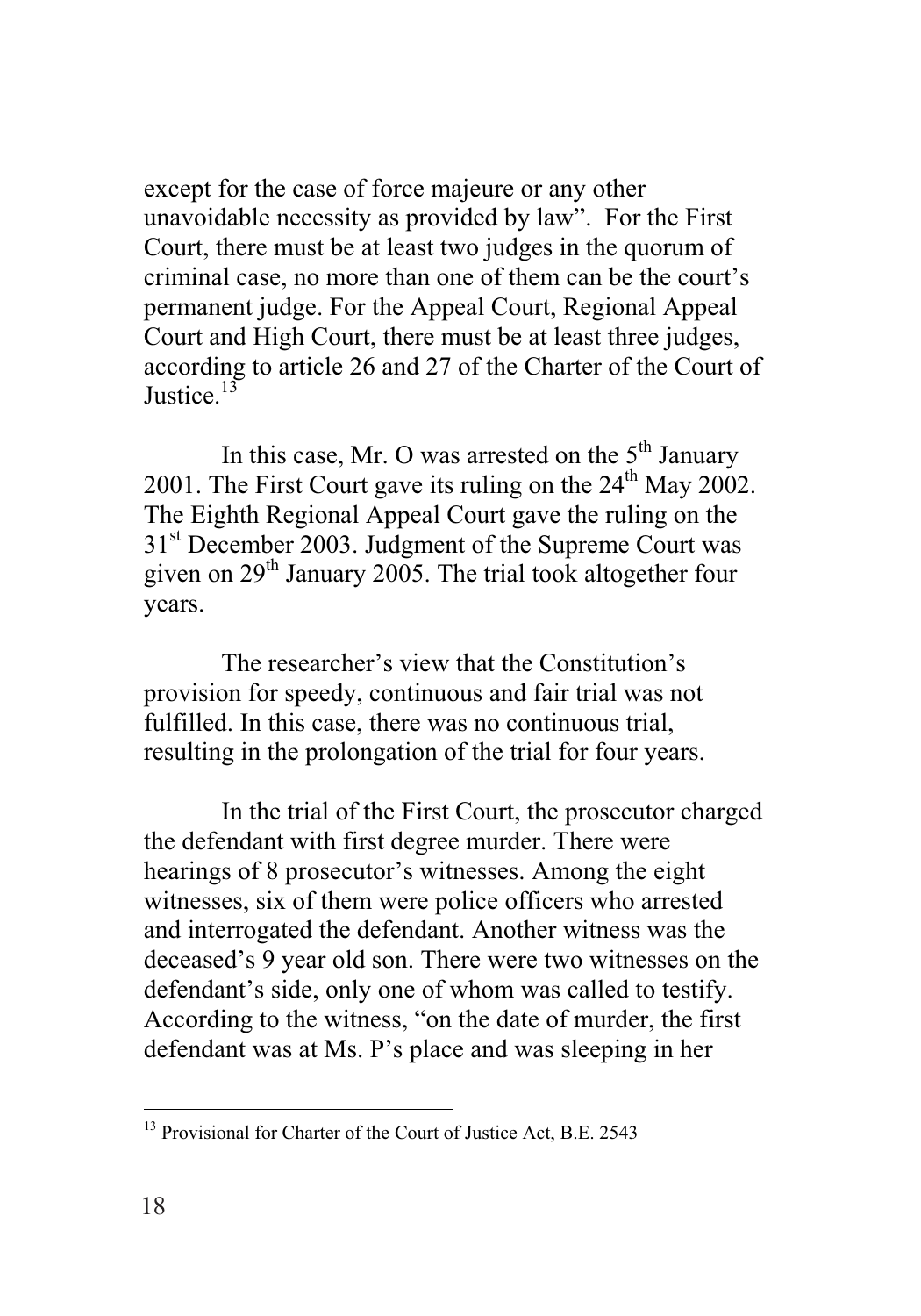except for the case of force majeure or any other unavoidable necessity as provided by law". For the First Court, there must be at least two judges in the quorum of criminal case, no more than one of them can be the court's permanent judge. For the Appeal Court, Regional Appeal Court and High Court, there must be at least three judges, according to article 26 and 27 of the Charter of the Court of Iustice.<sup>13</sup>

In this case, Mr. O was arrested on the  $5<sup>th</sup>$  January 2001. The First Court gave its ruling on the  $24<sup>th</sup>$  May 2002. The Eighth Regional Appeal Court gave the ruling on the 31<sup>st</sup> December 2003. Judgment of the Supreme Court was given on 29<sup>th</sup> January 2005. The trial took altogether four years.

The researcher's view that the Constitution's provision for speedy, continuous and fair trial was not fulfilled. In this case, there was no continuous trial, resulting in the prolongation of the trial for four years.

In the trial of the First Court, the prosecutor charged the defendant with first degree murder. There were hearings of 8 prosecutor's witnesses. Among the eight witnesses, six of them were police officers who arrested and interrogated the defendant. Another witness was the deceased's 9 year old son. There were two witnesses on the defendant's side, only one of whom was called to testify. According to the witness, "on the date of murder, the first defendant was at Ms. P's place and was sleeping in her

 $\overline{a}$ 

<sup>&</sup>lt;sup>13</sup> Provisional for Charter of the Court of Justice Act, B.E. 2543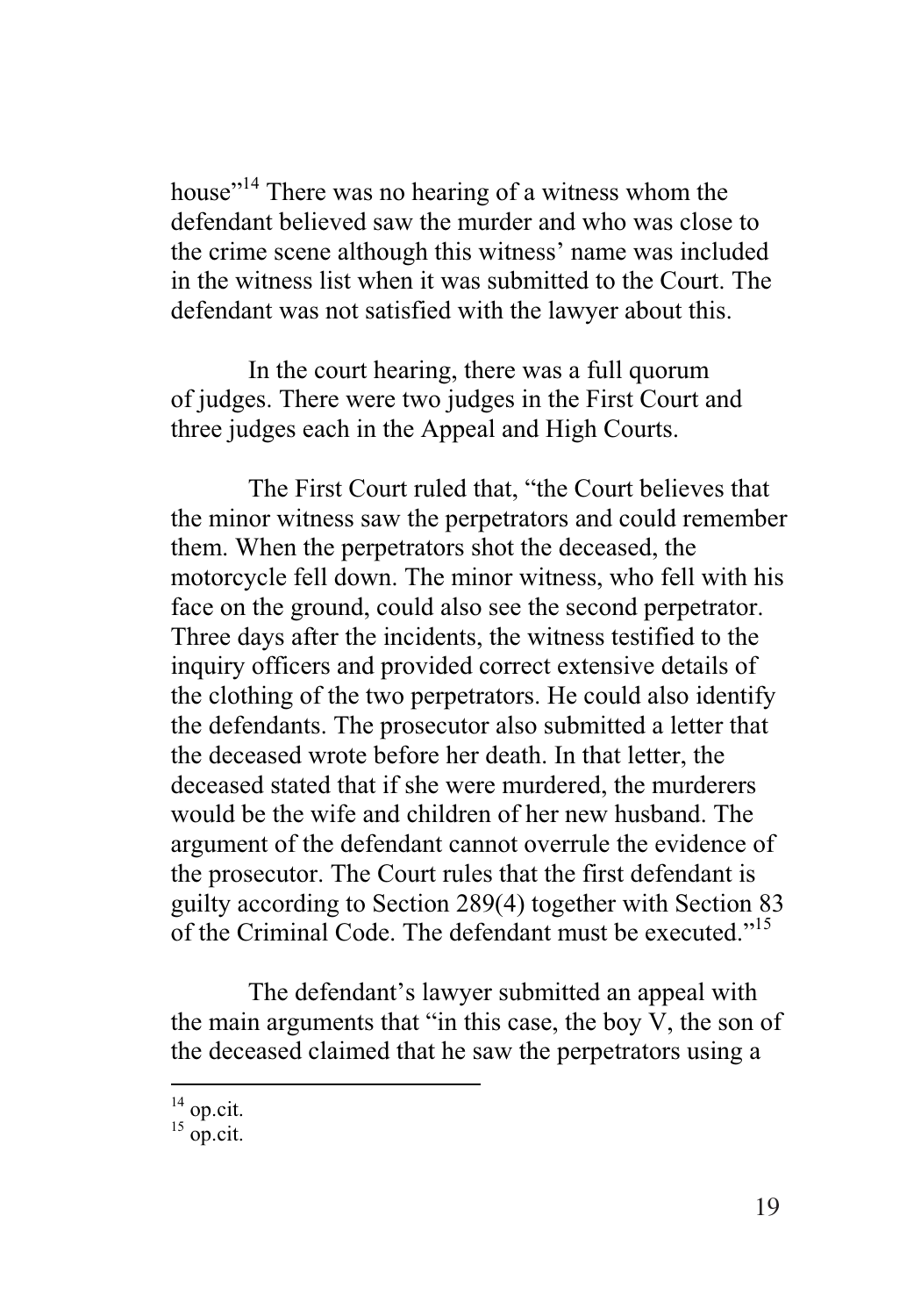house"<sup>14</sup> There was no hearing of a witness whom the defendant believed saw the murder and who was close to the crime scene although this witness' name was included in the witness list when it was submitted to the Court. The defendant was not satisfied with the lawyer about this.

In the court hearing, there was a full quorum of judges. There were two judges in the First Court and three judges each in the Appeal and High Courts.

The First Court ruled that, "the Court believes that the minor witness saw the perpetrators and could remember them. When the perpetrators shot the deceased, the motorcycle fell down. The minor witness, who fell with his face on the ground, could also see the second perpetrator. Three days after the incidents, the witness testified to the inquiry officers and provided correct extensive details of the clothing of the two perpetrators. He could also identify the defendants. The prosecutor also submitted a letter that the deceased wrote before her death. In that letter, the deceased stated that if she were murdered, the murderers would be the wife and children of her new husband. The argument of the defendant cannot overrule the evidence of the prosecutor. The Court rules that the first defendant is guilty according to Section 289(4) together with Section 83 of the Criminal Code. The defendant must be executed."15

The defendant's lawyer submitted an appeal with the main arguments that "in this case, the boy V, the son of the deceased claimed that he saw the perpetrators using a

<sup>-</sup> $14$  op.cit.

 $15$  op.cit.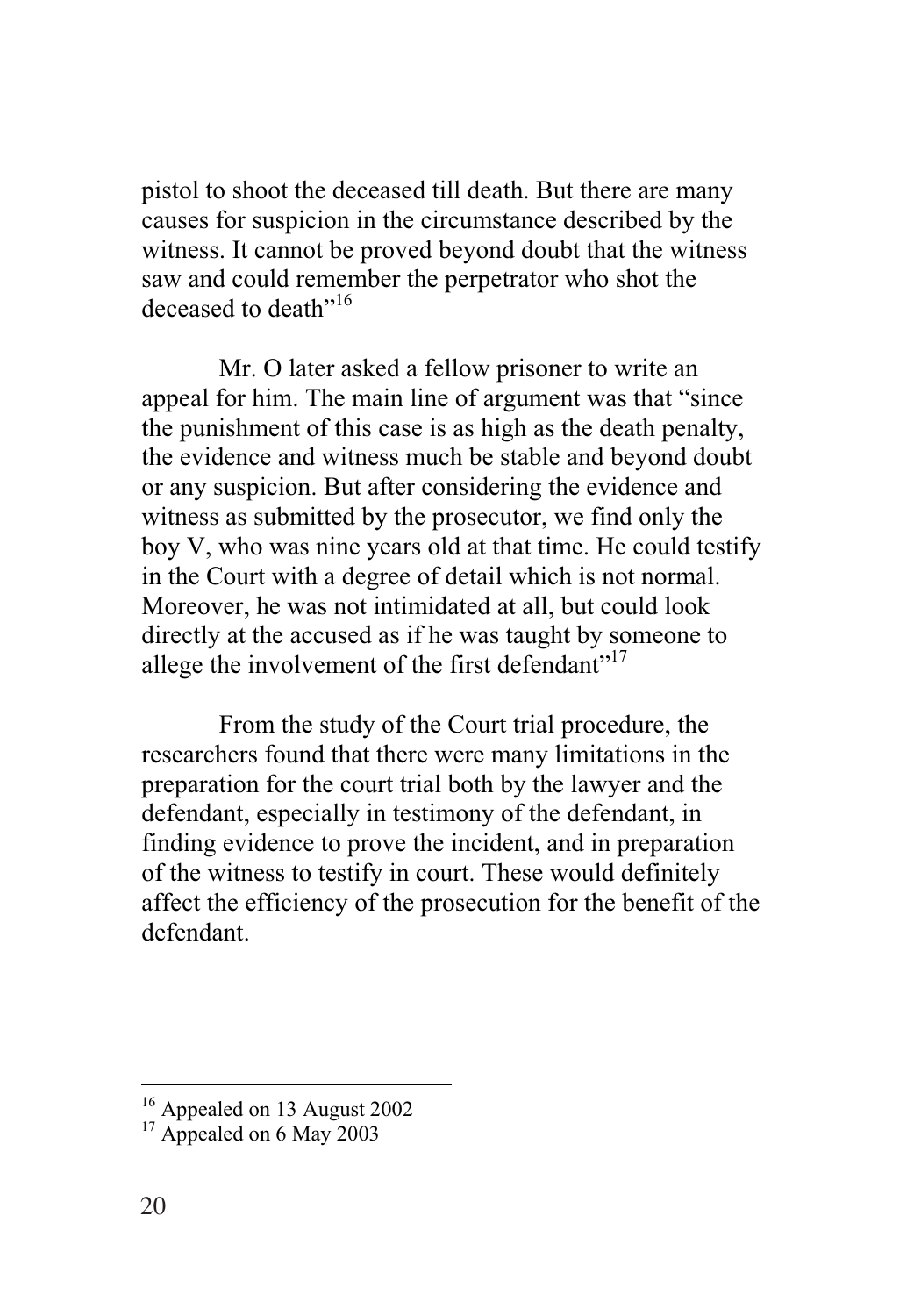pistol to shoot the deceased till death. But there are many causes for suspicion in the circumstance described by the witness. It cannot be proved beyond doubt that the witness saw and could remember the perpetrator who shot the deceased to death"<sup>16</sup>

Mr. O later asked a fellow prisoner to write an appeal for him. The main line of argument was that "since the punishment of this case is as high as the death penalty, the evidence and witness much be stable and beyond doubt or any suspicion. But after considering the evidence and witness as submitted by the prosecutor, we find only the boy V, who was nine years old at that time. He could testify in the Court with a degree of detail which is not normal. Moreover, he was not intimidated at all, but could look directly at the accused as if he was taught by someone to allege the involvement of the first defendant"<sup>17</sup>

From the study of the Court trial procedure, the researchers found that there were many limitations in the preparation for the court trial both by the lawyer and the defendant, especially in testimony of the defendant, in finding evidence to prove the incident, and in preparation of the witness to testify in court. These would definitely affect the efficiency of the prosecution for the benefit of the defendant.

<u>.</u>

<sup>16</sup> Appealed on 13 August 2002

 $17$  Appealed on 6 May 2003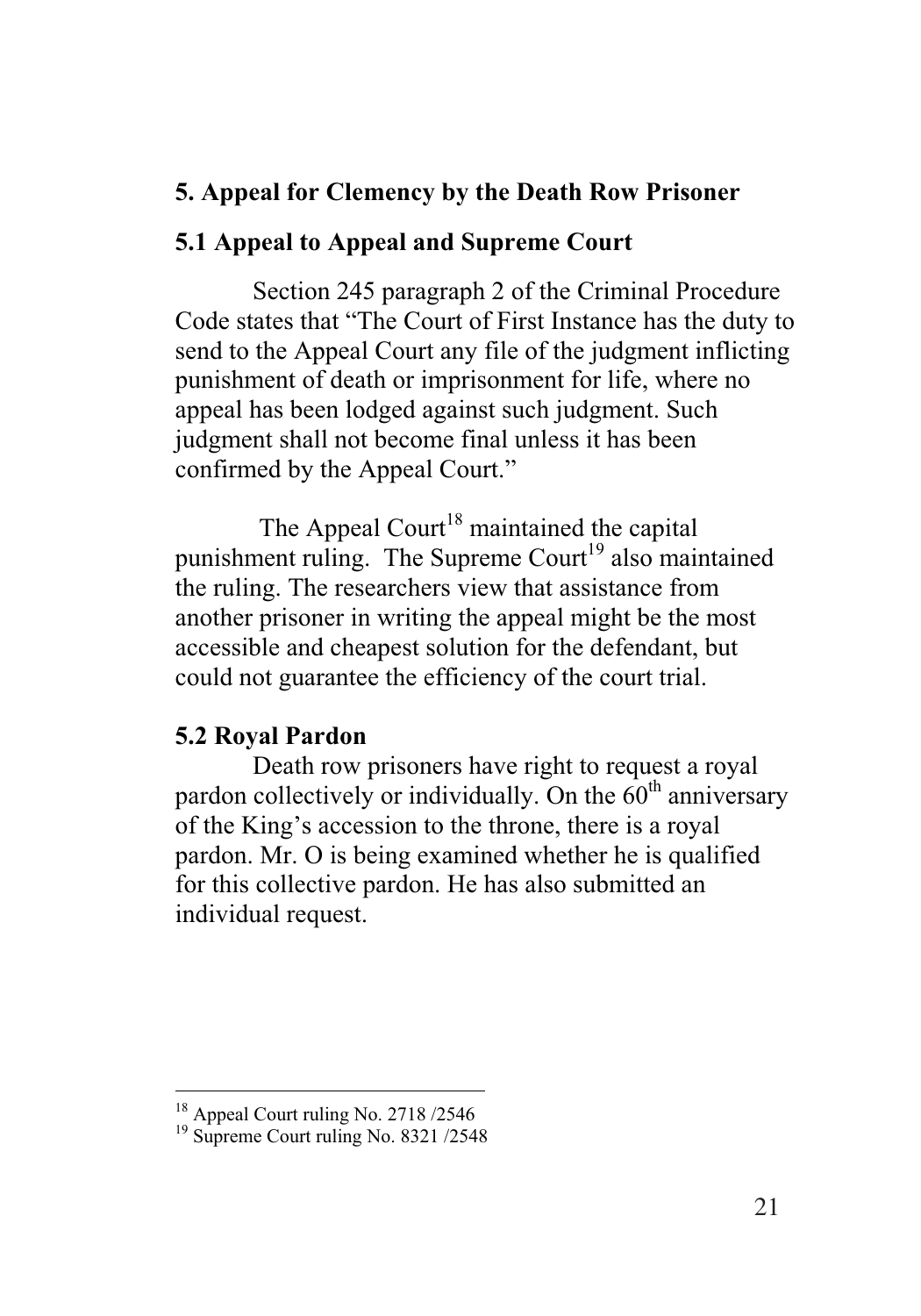# **5. Appeal for Clemency by the Death Row Prisoner**

#### **5.1 Appeal to Appeal and Supreme Court**

Section 245 paragraph 2 of the Criminal Procedure Code states that "The Court of First Instance has the duty to send to the Appeal Court any file of the judgment inflicting punishment of death or imprisonment for life, where no appeal has been lodged against such judgment. Such judgment shall not become final unless it has been confirmed by the Appeal Court."

The Appeal Court<sup>18</sup> maintained the capital punishment ruling. The Supreme Court<sup>19</sup> also maintained the ruling. The researchers view that assistance from another prisoner in writing the appeal might be the most accessible and cheapest solution for the defendant, but could not guarantee the efficiency of the court trial.

#### **5.2 Royal Pardon**

Death row prisoners have right to request a royal pardon collectively or individually. On the  $60<sup>th</sup>$  anniversary of the King's accession to the throne, there is a royal pardon. Mr. O is being examined whether he is qualified for this collective pardon. He has also submitted an individual request.

 $\overline{a}$ 

<sup>&</sup>lt;sup>18</sup> Appeal Court ruling No. 2718 /2546

<sup>19</sup> Supreme Court ruling No. 8321 /2548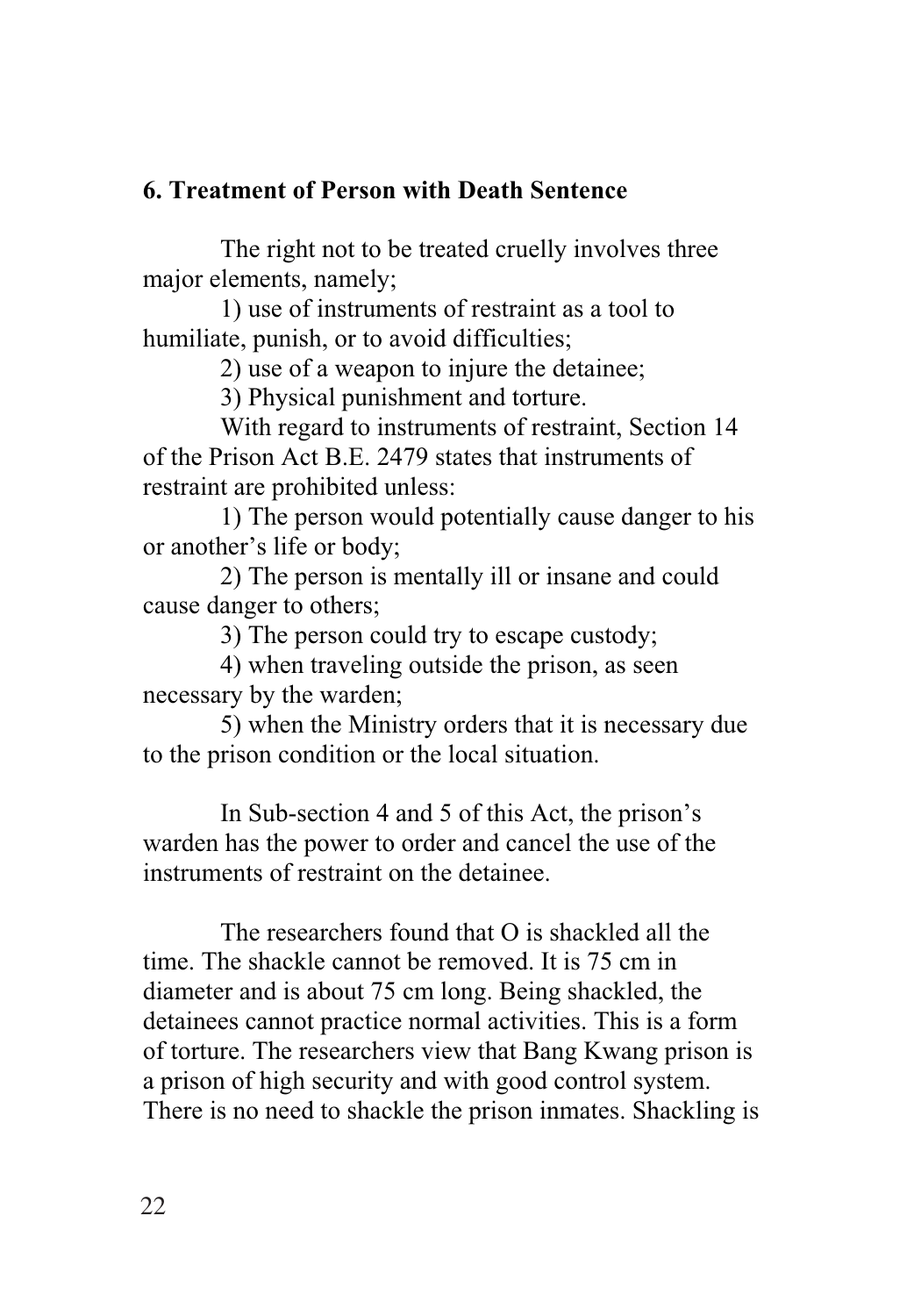# **6. Treatment of Person with Death Sentence**

The right not to be treated cruelly involves three major elements, namely;

1) use of instruments of restraint as a tool to humiliate, punish, or to avoid difficulties;

2) use of a weapon to injure the detainee;

3) Physical punishment and torture.

With regard to instruments of restraint, Section 14 of the Prison Act B.E. 2479 states that instruments of restraint are prohibited unless:

1) The person would potentially cause danger to his or another's life or body;

2) The person is mentally ill or insane and could cause danger to others;

3) The person could try to escape custody;

4) when traveling outside the prison, as seen necessary by the warden;

5) when the Ministry orders that it is necessary due to the prison condition or the local situation.

In Sub-section 4 and 5 of this Act, the prison's warden has the power to order and cancel the use of the instruments of restraint on the detainee.

The researchers found that  $O$  is shackled all the time. The shackle cannot be removed. It is 75 cm in diameter and is about 75 cm long. Being shackled, the detainees cannot practice normal activities. This is a form of torture. The researchers view that Bang Kwang prison is a prison of high security and with good control system. There is no need to shackle the prison inmates. Shackling is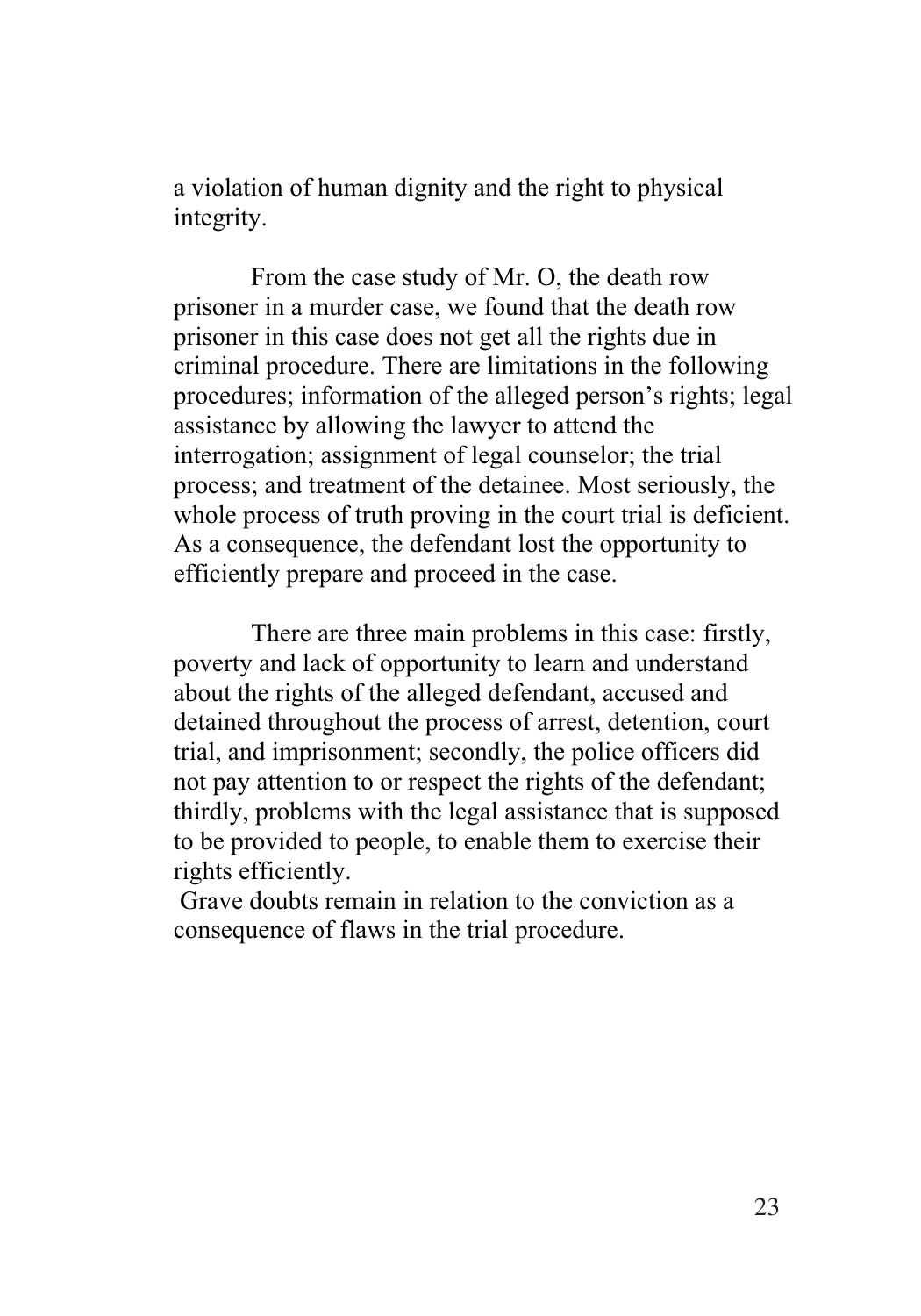a violation of human dignity and the right to physical integrity.

From the case study of Mr. O, the death row prisoner in a murder case, we found that the death row prisoner in this case does not get all the rights due in criminal procedure. There are limitations in the following procedures; information of the alleged person's rights; legal assistance by allowing the lawyer to attend the interrogation; assignment of legal counselor; the trial process; and treatment of the detainee. Most seriously, the whole process of truth proving in the court trial is deficient. As a consequence, the defendant lost the opportunity to efficiently prepare and proceed in the case.

There are three main problems in this case: firstly, poverty and lack of opportunity to learn and understand about the rights of the alleged defendant, accused and detained throughout the process of arrest, detention, court trial, and imprisonment; secondly, the police officers did not pay attention to or respect the rights of the defendant; thirdly, problems with the legal assistance that is supposed to be provided to people, to enable them to exercise their rights efficiently.

 Grave doubts remain in relation to the conviction as a consequence of flaws in the trial procedure.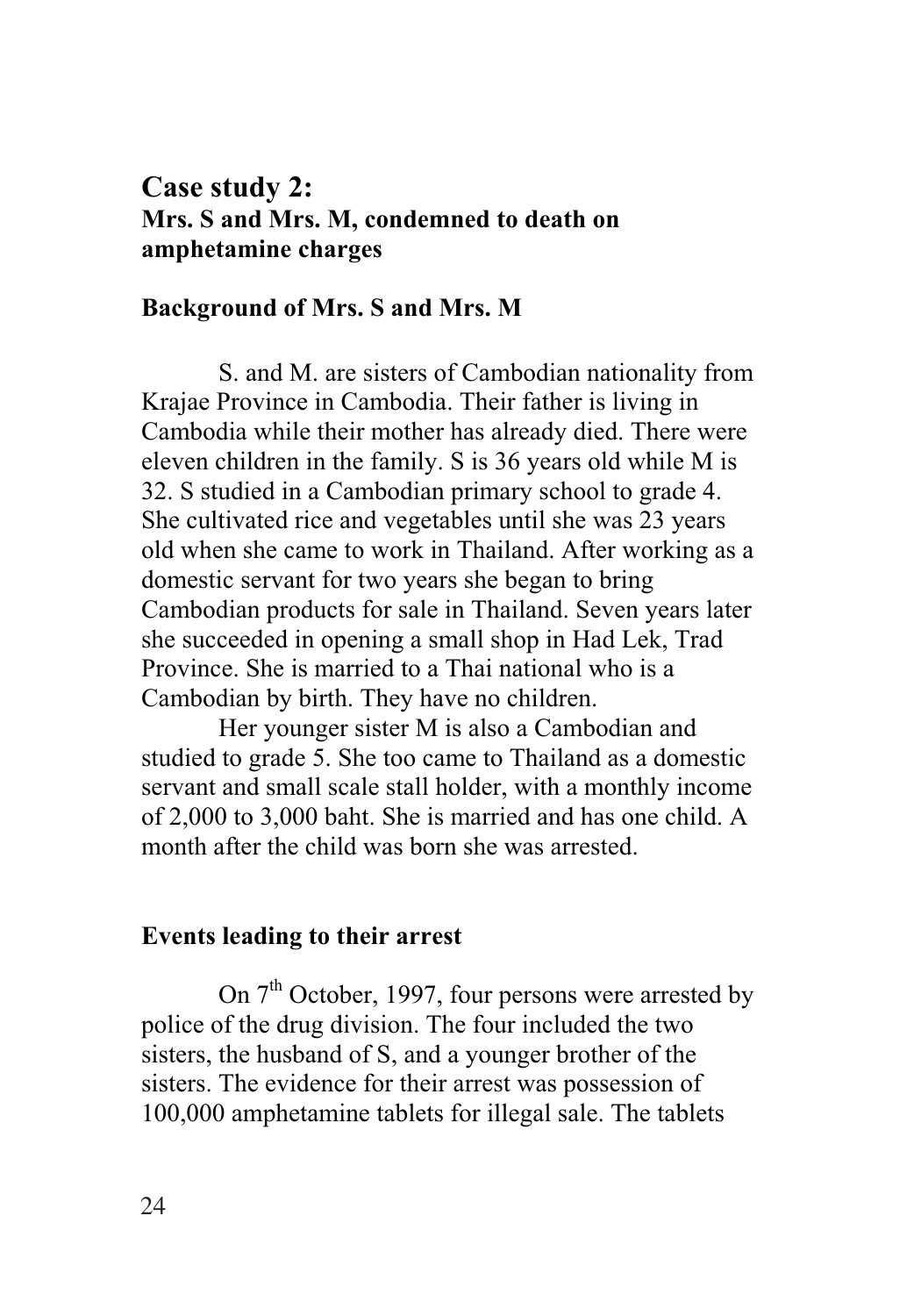# **Case study 2: Mrs. S and Mrs. M, condemned to death on amphetamine charges**

#### **Background of Mrs. S and Mrs. M**

S. and M. are sisters of Cambodian nationality from Krajae Province in Cambodia. Their father is living in Cambodia while their mother has already died. There were eleven children in the family. S is 36 years old while M is 32. S studied in a Cambodian primary school to grade 4. She cultivated rice and vegetables until she was 23 years old when she came to work in Thailand. After working as a domestic servant for two years she began to bring Cambodian products for sale in Thailand. Seven years later she succeeded in opening a small shop in Had Lek, Trad Province. She is married to a Thai national who is a Cambodian by birth. They have no children.

Her younger sister M is also a Cambodian and studied to grade 5. She too came to Thailand as a domestic servant and small scale stall holder, with a monthly income of 2,000 to 3,000 baht. She is married and has one child. A month after the child was born she was arrested.

#### **Events leading to their arrest**

On  $7<sup>th</sup>$  October, 1997, four persons were arrested by police of the drug division. The four included the two sisters, the husband of S, and a younger brother of the sisters. The evidence for their arrest was possession of 100,000 amphetamine tablets for illegal sale. The tablets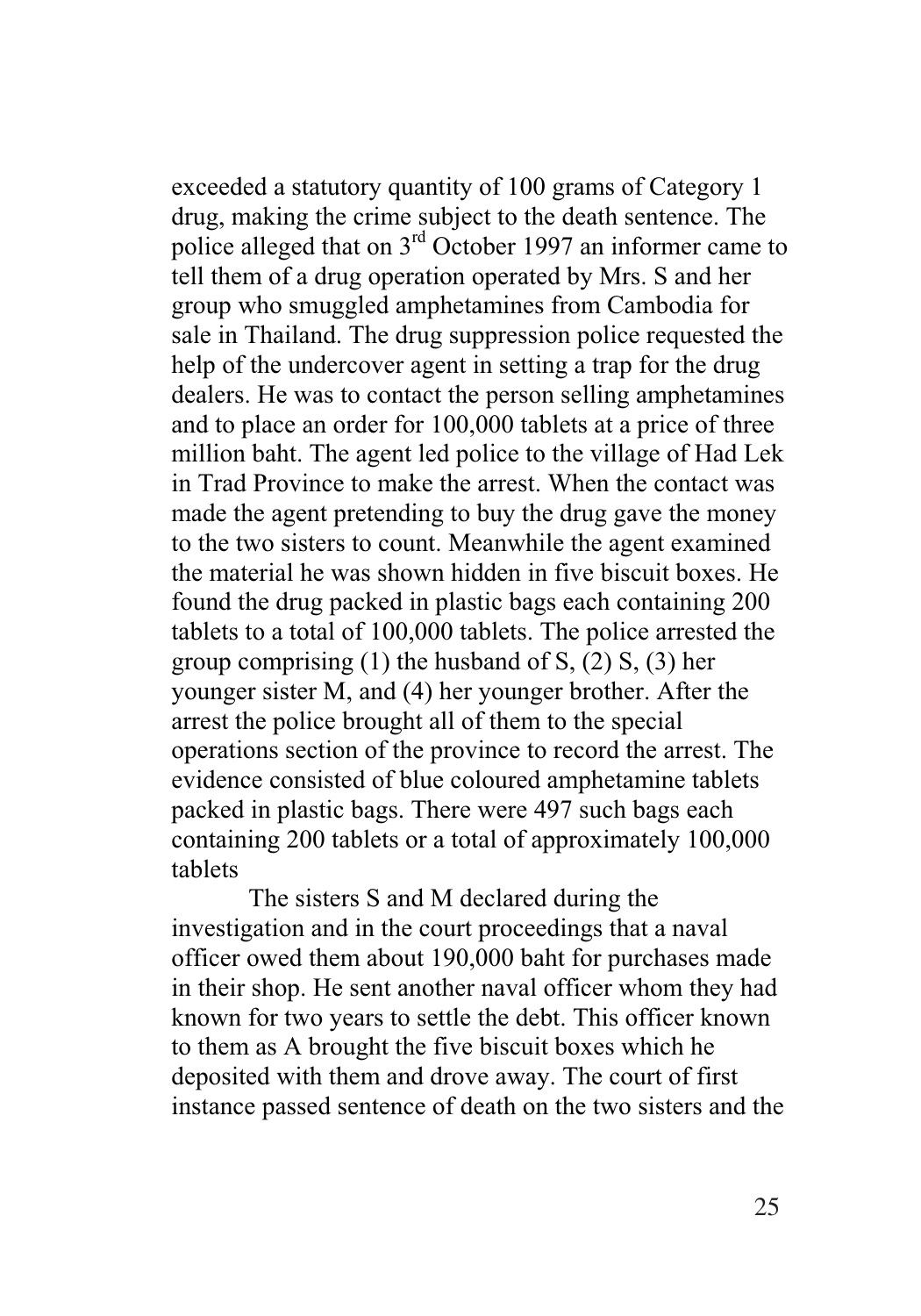exceeded a statutory quantity of 100 grams of Category 1 drug, making the crime subject to the death sentence. The police alleged that on  $3<sup>rd</sup>$  October 1997 an informer came to tell them of a drug operation operated by Mrs. S and her group who smuggled amphetamines from Cambodia for sale in Thailand. The drug suppression police requested the help of the undercover agent in setting a trap for the drug dealers. He was to contact the person selling amphetamines and to place an order for 100,000 tablets at a price of three million baht. The agent led police to the village of Had Lek in Trad Province to make the arrest. When the contact was made the agent pretending to buy the drug gave the money to the two sisters to count. Meanwhile the agent examined the material he was shown hidden in five biscuit boxes. He found the drug packed in plastic bags each containing 200 tablets to a total of 100,000 tablets. The police arrested the group comprising  $(1)$  the husband of S,  $(2)$  S,  $(3)$  her younger sister M, and (4) her younger brother. After the arrest the police brought all of them to the special operations section of the province to record the arrest. The evidence consisted of blue coloured amphetamine tablets packed in plastic bags. There were 497 such bags each containing 200 tablets or a total of approximately 100,000 tablets

The sisters S and M declared during the investigation and in the court proceedings that a naval officer owed them about 190,000 baht for purchases made in their shop. He sent another naval officer whom they had known for two years to settle the debt. This officer known to them as A brought the five biscuit boxes which he deposited with them and drove away. The court of first instance passed sentence of death on the two sisters and the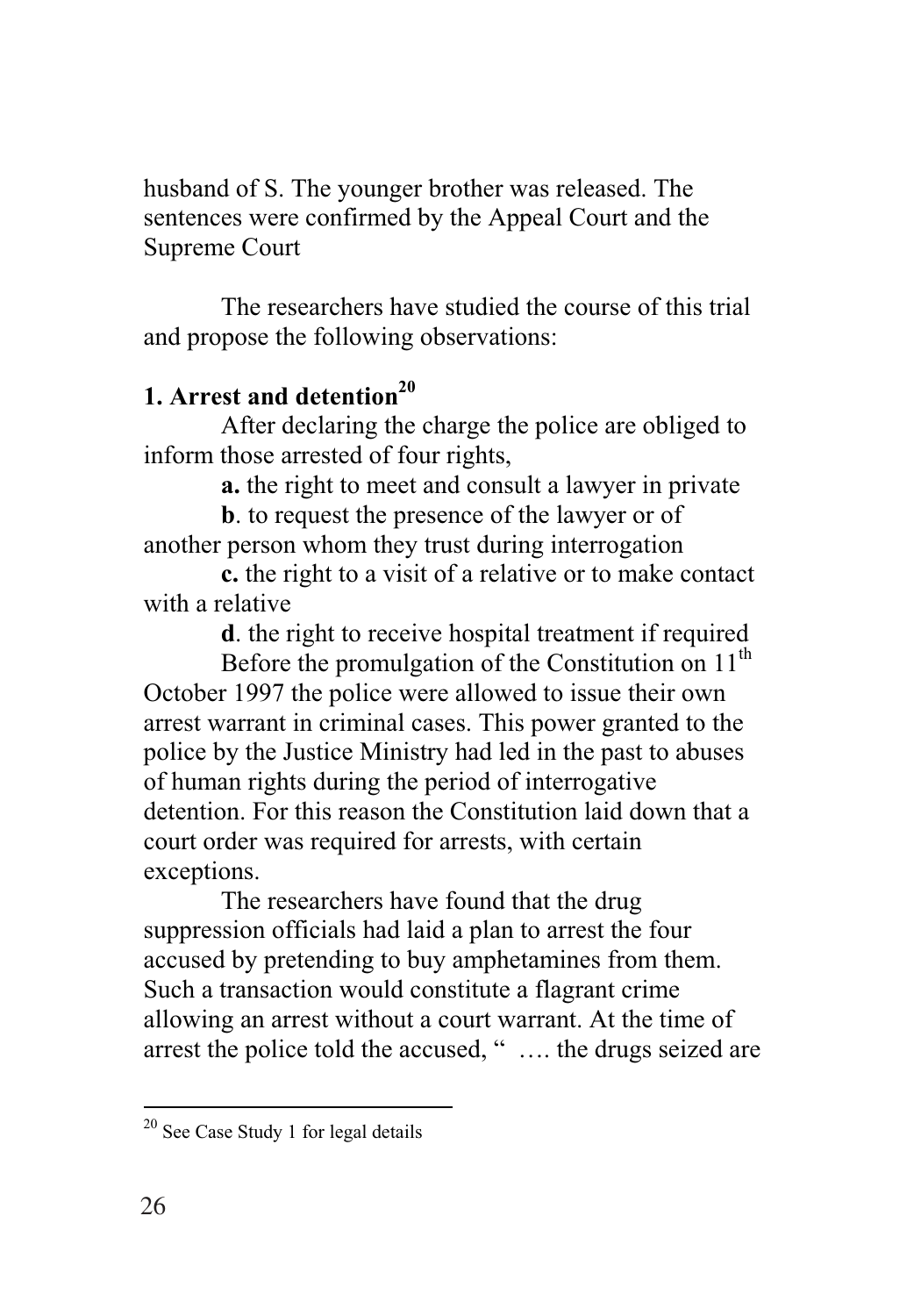husband of S. The younger brother was released. The sentences were confirmed by the Appeal Court and the Supreme Court

The researchers have studied the course of this trial and propose the following observations:

# **1. Arrest and detention**<sup>20</sup>

After declaring the charge the police are obliged to inform those arrested of four rights,

**a.** the right to meet and consult a lawyer in private

**b**. to request the presence of the lawyer or of another person whom they trust during interrogation

**c.** the right to a visit of a relative or to make contact with a relative

**d**. the right to receive hospital treatment if required

Before the promulgation of the Constitution on  $11<sup>th</sup>$ October 1997 the police were allowed to issue their own arrest warrant in criminal cases. This power granted to the police by the Justice Ministry had led in the past to abuses of human rights during the period of interrogative detention. For this reason the Constitution laid down that a court order was required for arrests, with certain exceptions.

The researchers have found that the drug suppression officials had laid a plan to arrest the four accused by pretending to buy amphetamines from them. Such a transaction would constitute a flagrant crime allowing an arrest without a court warrant. At the time of arrest the police told the accused, " …. the drugs seized are

 $\overline{a}$ 

<sup>&</sup>lt;sup>20</sup> See Case Study 1 for legal details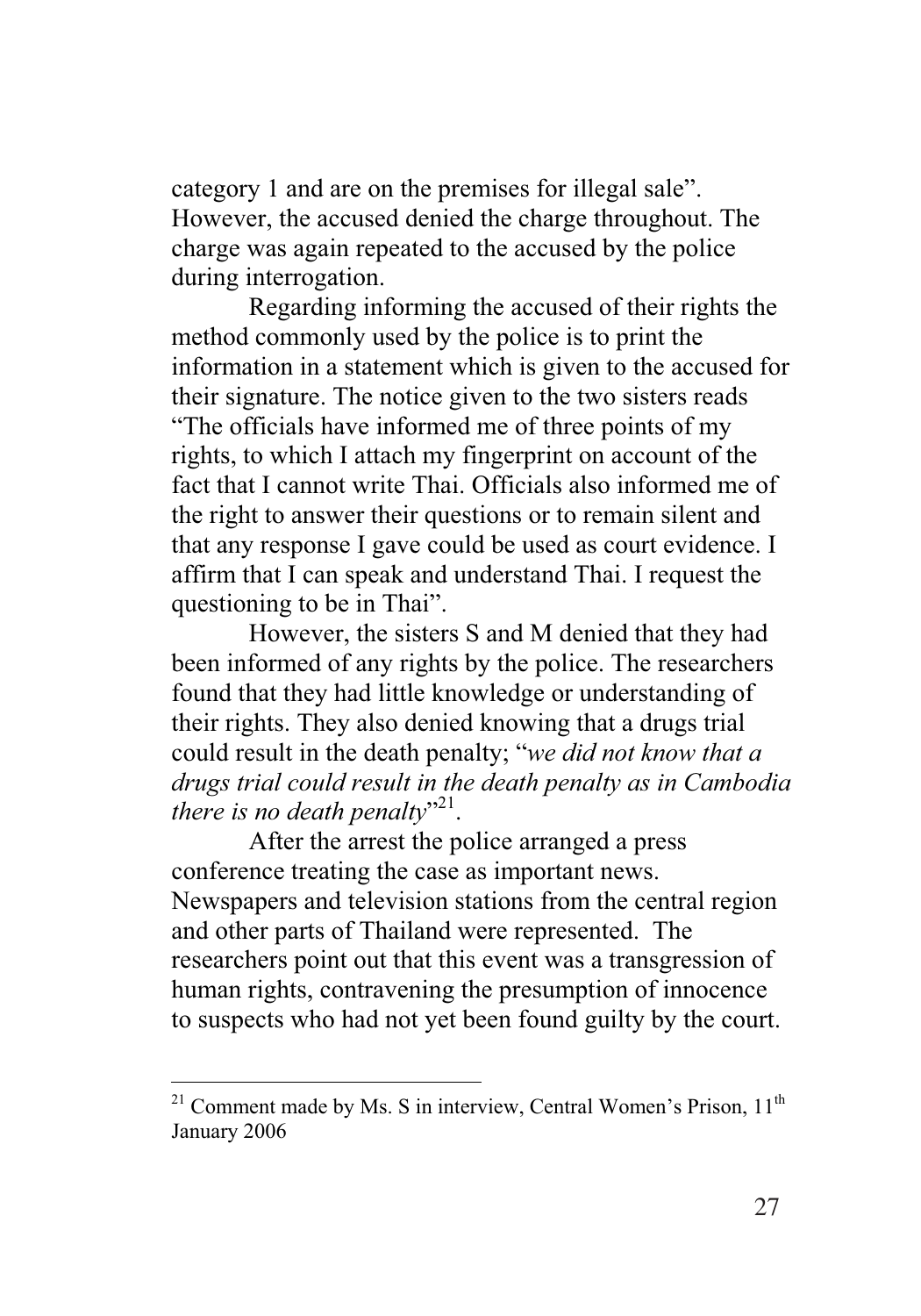category 1 and are on the premises for illegal sale". However, the accused denied the charge throughout. The charge was again repeated to the accused by the police during interrogation.

Regarding informing the accused of their rights the method commonly used by the police is to print the information in a statement which is given to the accused for their signature. The notice given to the two sisters reads "The officials have informed me of three points of my rights, to which I attach my fingerprint on account of the fact that I cannot write Thai. Officials also informed me of the right to answer their questions or to remain silent and that any response I gave could be used as court evidence. I affirm that I can speak and understand Thai. I request the questioning to be in Thai".

However, the sisters S and M denied that they had been informed of any rights by the police. The researchers found that they had little knowledge or understanding of their rights. They also denied knowing that a drugs trial could result in the death penalty; "*we did not know that a drugs trial could result in the death penalty as in Cambodia there is no death penalty*"<sup>21</sup>.

After the arrest the police arranged a press conference treating the case as important news. Newspapers and television stations from the central region and other parts of Thailand were represented. The researchers point out that this event was a transgression of human rights, contravening the presumption of innocence to suspects who had not yet been found guilty by the court.

 $21$  Comment made by Ms. S in interview, Central Women's Prison,  $11<sup>th</sup>$ January 2006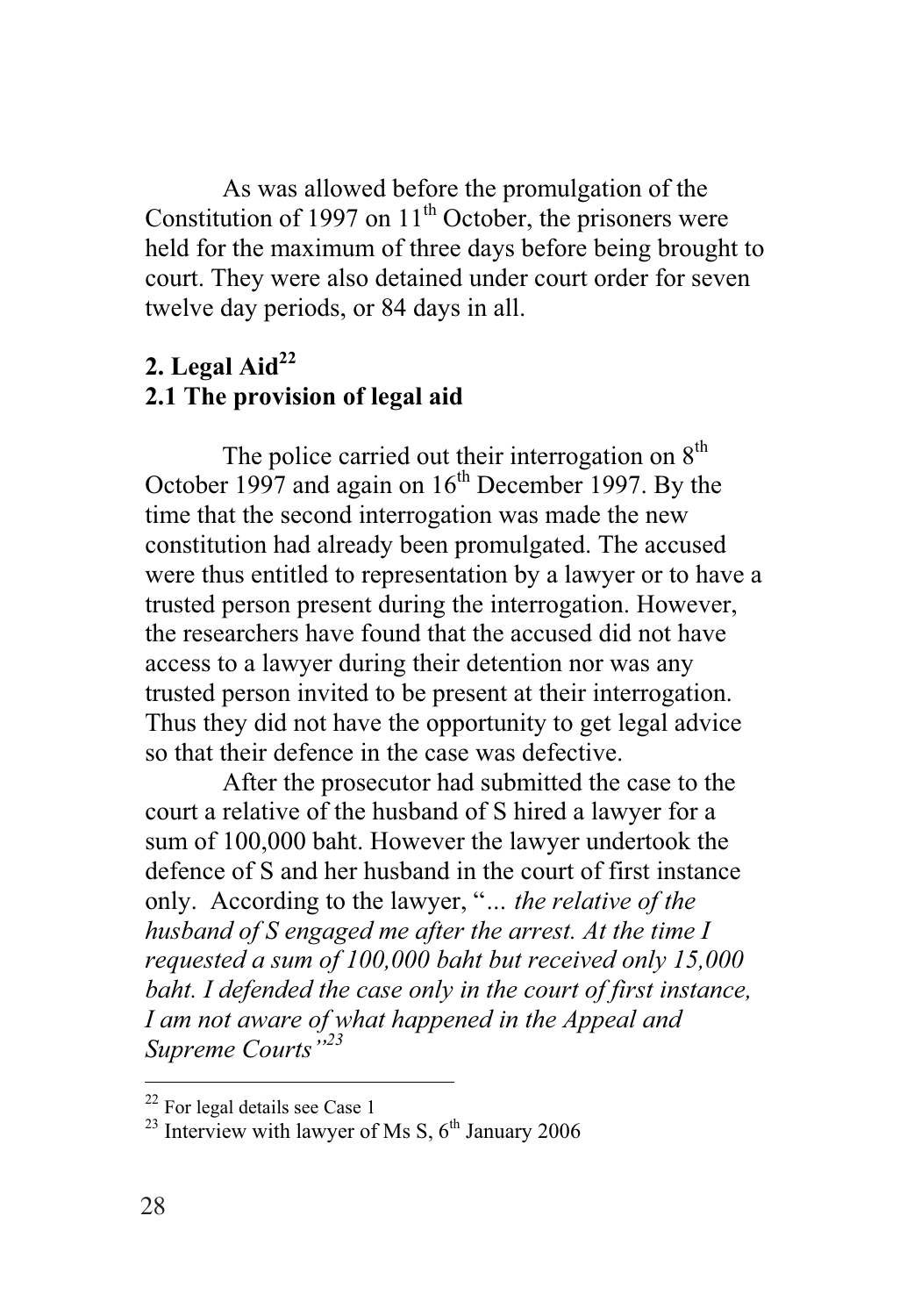As was allowed before the promulgation of the Constitution of 1997 on  $11<sup>th</sup>$  October, the prisoners were held for the maximum of three days before being brought to court. They were also detained under court order for seven twelve day periods, or 84 days in all.

## $2.$  Legal Aid<sup>22</sup> **2.1 The provision of legal aid**

The police carried out their interrogation on  $8<sup>th</sup>$ October 1997 and again on  $16<sup>th</sup>$  December 1997. By the time that the second interrogation was made the new constitution had already been promulgated. The accused were thus entitled to representation by a lawyer or to have a trusted person present during the interrogation. However, the researchers have found that the accused did not have access to a lawyer during their detention nor was any trusted person invited to be present at their interrogation. Thus they did not have the opportunity to get legal advice so that their defence in the case was defective.

After the prosecutor had submitted the case to the court a relative of the husband of S hired a lawyer for a sum of 100,000 baht. However the lawyer undertook the defence of S and her husband in the court of first instance only. According to the lawyer, "*… the relative of the husband of S engaged me after the arrest. At the time I requested a sum of 100,000 baht but received only 15,000 baht. I defended the case only in the court of first instance, I am not aware of what happened in the Appeal and Supreme Courts"23*

<sup>&</sup>lt;sup>22</sup> For legal details see Case 1

<sup>&</sup>lt;sup>23</sup> Interview with lawyer of Ms S,  $6<sup>th</sup>$  January 2006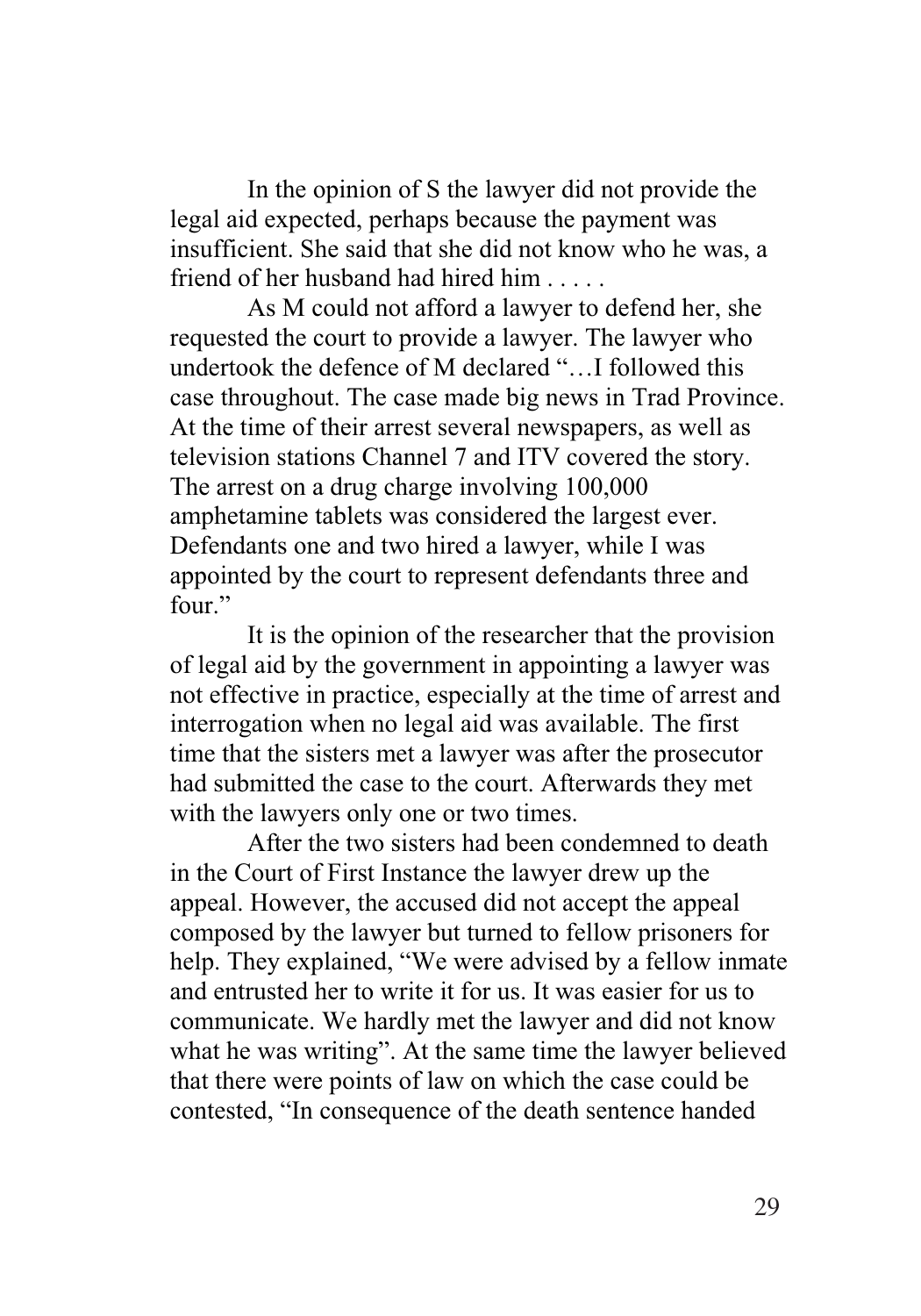In the opinion of S the lawyer did not provide the legal aid expected, perhaps because the payment was insufficient. She said that she did not know who he was, a friend of her husband had hired him . . . . .

As M could not afford a lawyer to defend her, she requested the court to provide a lawyer. The lawyer who undertook the defence of M declared "…I followed this case throughout. The case made big news in Trad Province. At the time of their arrest several newspapers, as well as television stations Channel 7 and ITV covered the story. The arrest on a drug charge involving 100,000 amphetamine tablets was considered the largest ever. Defendants one and two hired a lawyer, while I was appointed by the court to represent defendants three and four."

It is the opinion of the researcher that the provision of legal aid by the government in appointing a lawyer was not effective in practice, especially at the time of arrest and interrogation when no legal aid was available. The first time that the sisters met a lawyer was after the prosecutor had submitted the case to the court. Afterwards they met with the lawyers only one or two times.

After the two sisters had been condemned to death in the Court of First Instance the lawyer drew up the appeal. However, the accused did not accept the appeal composed by the lawyer but turned to fellow prisoners for help. They explained, "We were advised by a fellow inmate and entrusted her to write it for us. It was easier for us to communicate. We hardly met the lawyer and did not know what he was writing". At the same time the lawyer believed that there were points of law on which the case could be contested, "In consequence of the death sentence handed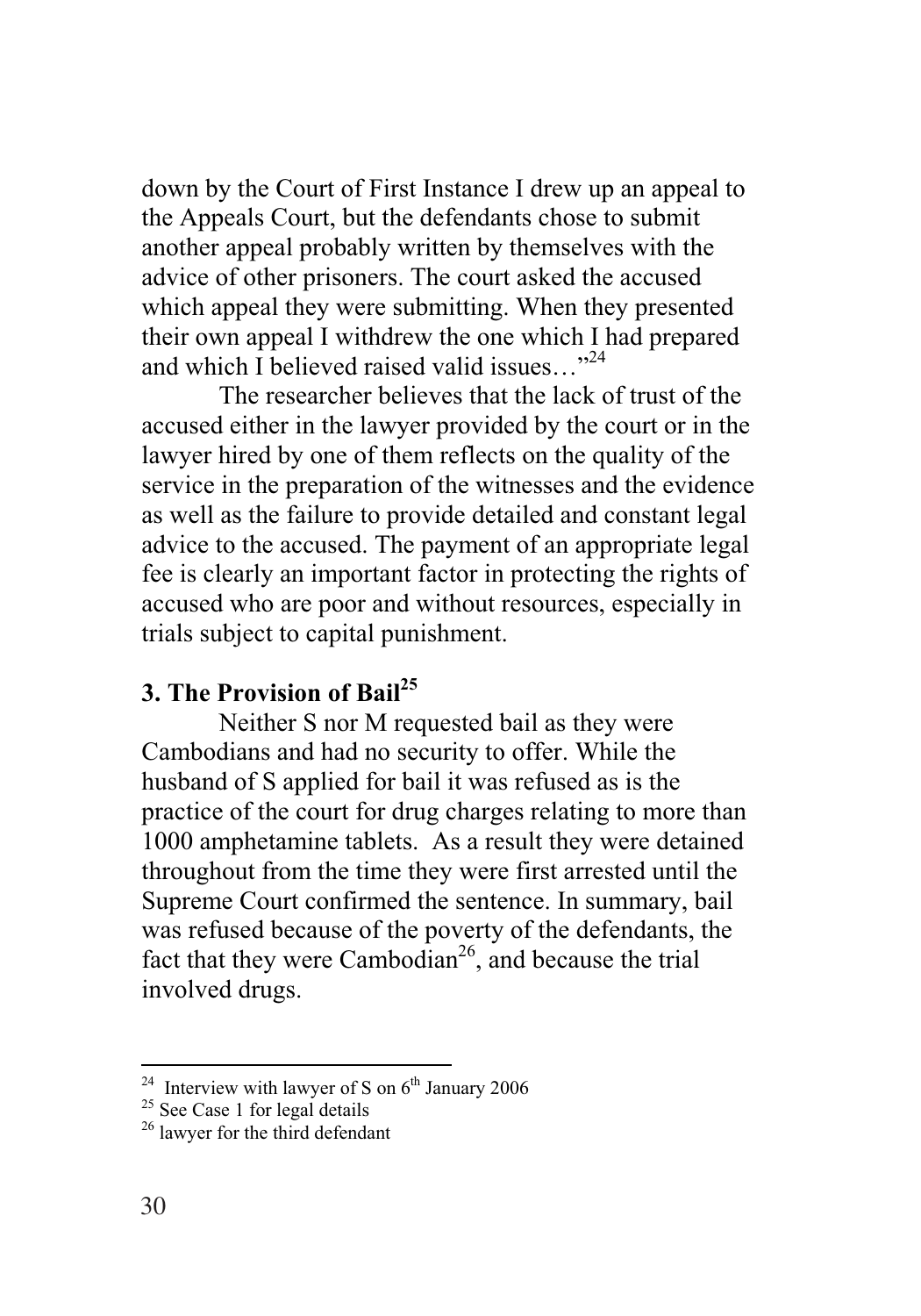down by the Court of First Instance I drew up an appeal to the Appeals Court, but the defendants chose to submit another appeal probably written by themselves with the advice of other prisoners. The court asked the accused which appeal they were submitting. When they presented their own appeal I withdrew the one which I had prepared and which I believed raised valid issues... $^{324}$ 

The researcher believes that the lack of trust of the accused either in the lawyer provided by the court or in the lawyer hired by one of them reflects on the quality of the service in the preparation of the witnesses and the evidence as well as the failure to provide detailed and constant legal advice to the accused. The payment of an appropriate legal fee is clearly an important factor in protecting the rights of accused who are poor and without resources, especially in trials subject to capital punishment.

## **3. The Provision of Bail25**

Neither S nor M requested bail as they were Cambodians and had no security to offer. While the husband of S applied for bail it was refused as is the practice of the court for drug charges relating to more than 1000 amphetamine tablets. As a result they were detained throughout from the time they were first arrested until the Supreme Court confirmed the sentence. In summary, bail was refused because of the poverty of the defendants, the fact that they were Cambodian<sup>26</sup>, and because the trial involved drugs.

<sup>&</sup>lt;sup>24</sup> Interview with lawyer of S on  $6^{th}$  January 2006<br><sup>25</sup> See Case 1 for legal details <sup>26</sup> lawyer for the third defendant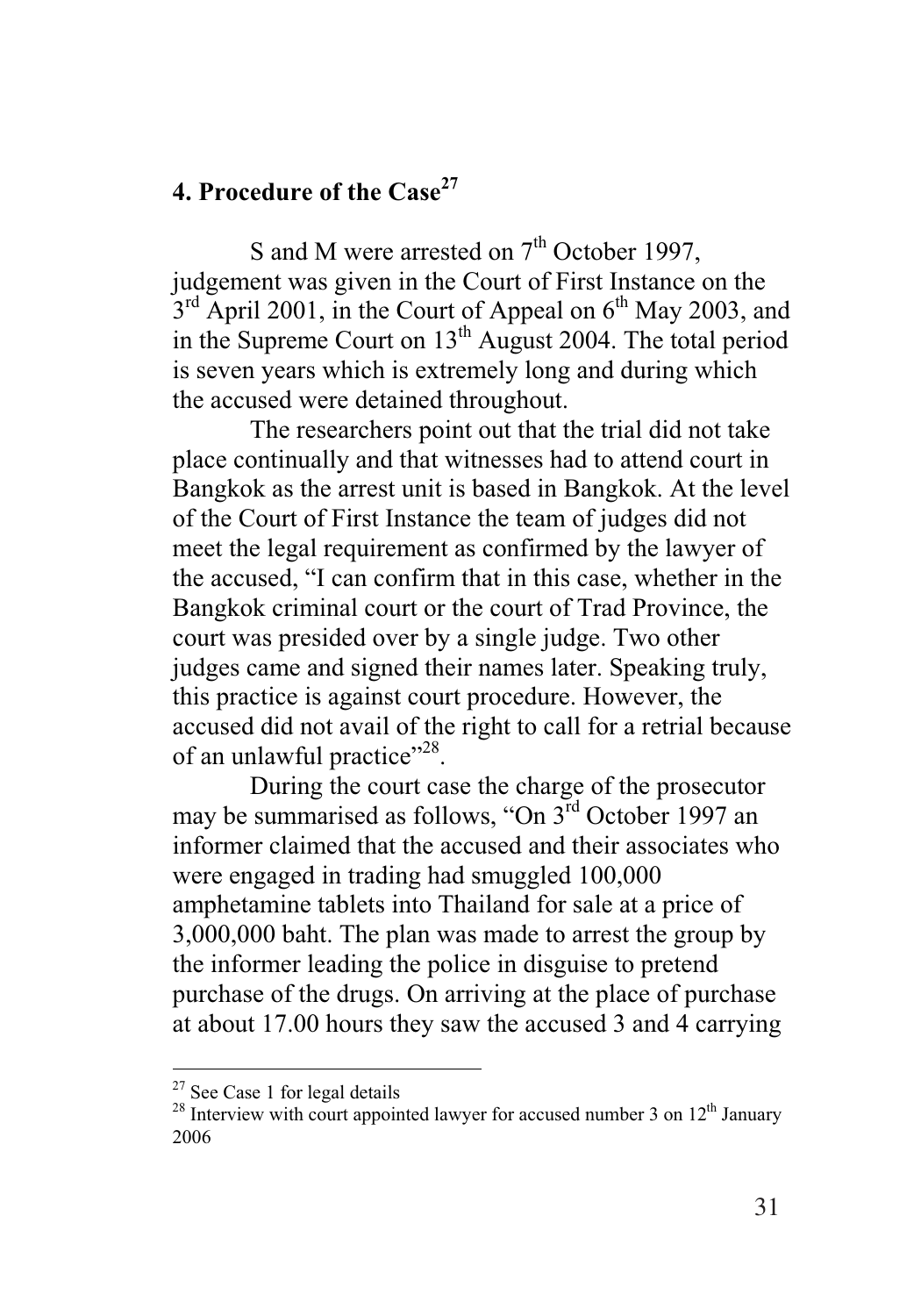### **4. Procedure of the Case<sup>27</sup>**

S and M were arrested on  $7<sup>th</sup>$  October 1997, judgement was given in the Court of First Instance on the  $3<sup>rd</sup>$  April 2001, in the Court of Appeal on  $6<sup>th</sup>$  May 2003, and in the Supreme Court on  $13<sup>th</sup>$  August 2004. The total period is seven years which is extremely long and during which the accused were detained throughout.

The researchers point out that the trial did not take place continually and that witnesses had to attend court in Bangkok as the arrest unit is based in Bangkok. At the level of the Court of First Instance the team of judges did not meet the legal requirement as confirmed by the lawyer of the accused, "I can confirm that in this case, whether in the Bangkok criminal court or the court of Trad Province, the court was presided over by a single judge. Two other judges came and signed their names later. Speaking truly, this practice is against court procedure. However, the accused did not avail of the right to call for a retrial because of an unlawful practice"<sup>28</sup>.

During the court case the charge of the prosecutor may be summarised as follows, "On 3rd October 1997 an informer claimed that the accused and their associates who were engaged in trading had smuggled 100,000 amphetamine tablets into Thailand for sale at a price of 3,000,000 baht. The plan was made to arrest the group by the informer leading the police in disguise to pretend purchase of the drugs. On arriving at the place of purchase at about 17.00 hours they saw the accused 3 and 4 carrying

<sup>&</sup>lt;sup>27</sup> See Case 1 for legal details <sup>28</sup> Interview with court appointed lawyer for accused number 3 on  $12<sup>th</sup>$  January 2006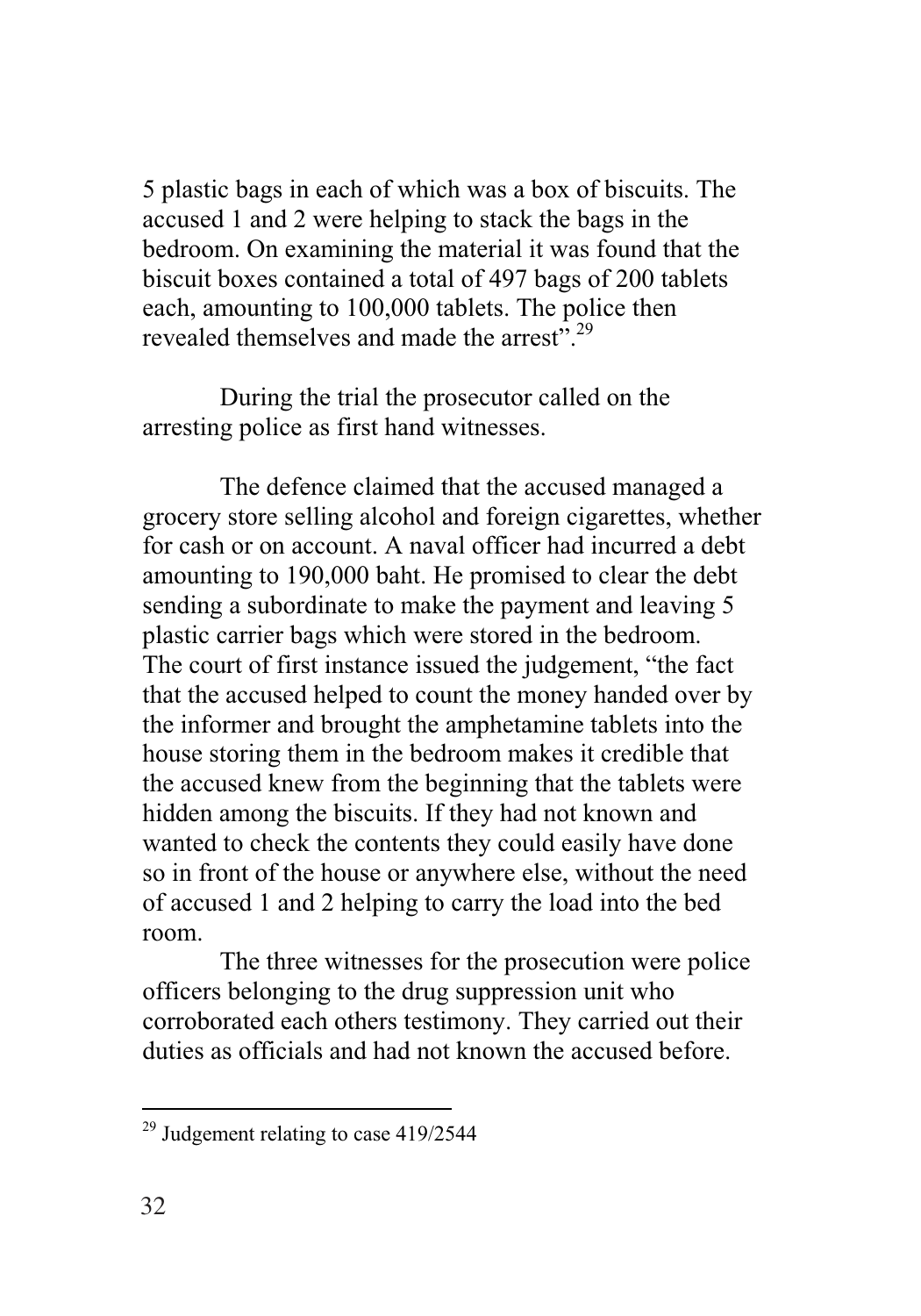5 plastic bags in each of which was a box of biscuits. The accused 1 and 2 were helping to stack the bags in the bedroom. On examining the material it was found that the biscuit boxes contained a total of 497 bags of 200 tablets each, amounting to 100,000 tablets. The police then revealed themselves and made the arrest".<sup>29</sup>

During the trial the prosecutor called on the arresting police as first hand witnesses.

The defence claimed that the accused managed a grocery store selling alcohol and foreign cigarettes, whether for cash or on account. A naval officer had incurred a debt amounting to 190,000 baht. He promised to clear the debt sending a subordinate to make the payment and leaving 5 plastic carrier bags which were stored in the bedroom. The court of first instance issued the judgement, "the fact that the accused helped to count the money handed over by the informer and brought the amphetamine tablets into the house storing them in the bedroom makes it credible that the accused knew from the beginning that the tablets were hidden among the biscuits. If they had not known and wanted to check the contents they could easily have done so in front of the house or anywhere else, without the need of accused 1 and 2 helping to carry the load into the bed room.

The three witnesses for the prosecution were police officers belonging to the drug suppression unit who corroborated each others testimony. They carried out their duties as officials and had not known the accused before.

<sup>-</sup> $29$  Judgement relating to case 419/2544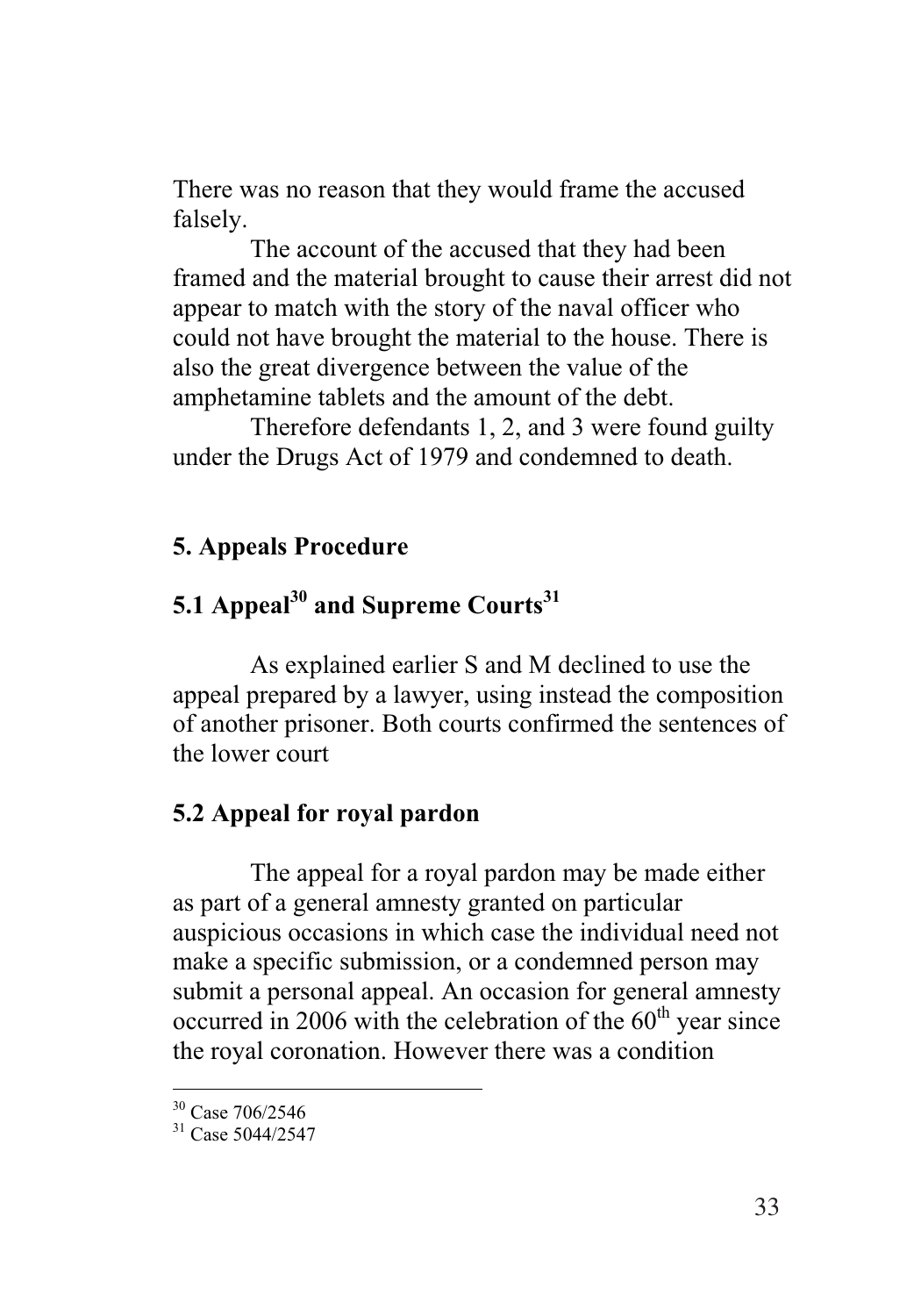There was no reason that they would frame the accused falsely.

The account of the accused that they had been framed and the material brought to cause their arrest did not appear to match with the story of the naval officer who could not have brought the material to the house. There is also the great divergence between the value of the amphetamine tablets and the amount of the debt.

Therefore defendants 1, 2, and 3 were found guilty under the Drugs Act of 1979 and condemned to death.

#### **5. Appeals Procedure**

# 5.1 Appeal<sup>30</sup> and Supreme Courts<sup>31</sup>

As explained earlier S and M declined to use the appeal prepared by a lawyer, using instead the composition of another prisoner. Both courts confirmed the sentences of the lower court

### **5.2 Appeal for royal pardon**

The appeal for a royal pardon may be made either as part of a general amnesty granted on particular auspicious occasions in which case the individual need not make a specific submission, or a condemned person may submit a personal appeal. An occasion for general amnesty occurred in 2006 with the celebration of the  $60<sup>th</sup>$  year since the royal coronation. However there was a condition

<sup>30</sup> Case 706/2546

<sup>&</sup>lt;sup>31</sup> Case 5044/2547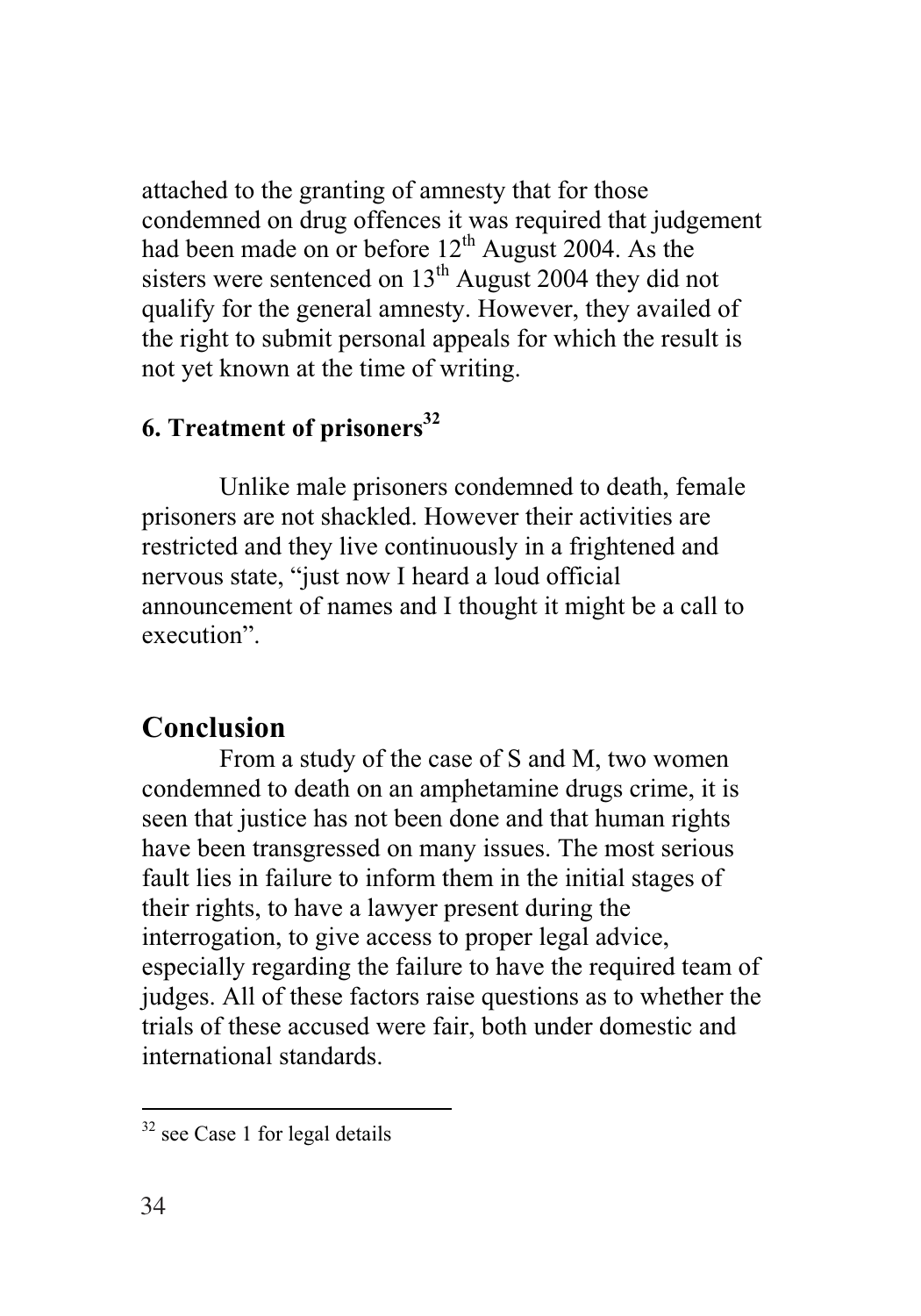attached to the granting of amnesty that for those condemned on drug offences it was required that judgement had been made on or before  $12<sup>th</sup>$  August 2004. As the sisters were sentenced on  $13<sup>th</sup>$  August 2004 they did not qualify for the general amnesty. However, they availed of the right to submit personal appeals for which the result is not yet known at the time of writing.

# **6. Treatment of prisoners32**

Unlike male prisoners condemned to death, female prisoners are not shackled. However their activities are restricted and they live continuously in a frightened and nervous state, "just now I heard a loud official announcement of names and I thought it might be a call to execution".

# **Conclusion**

From a study of the case of S and M, two women condemned to death on an amphetamine drugs crime, it is seen that justice has not been done and that human rights have been transgressed on many issues. The most serious fault lies in failure to inform them in the initial stages of their rights, to have a lawyer present during the interrogation, to give access to proper legal advice, especially regarding the failure to have the required team of judges. All of these factors raise questions as to whether the trials of these accused were fair, both under domestic and international standards.

 $\overline{a}$  $32$  see Case 1 for legal details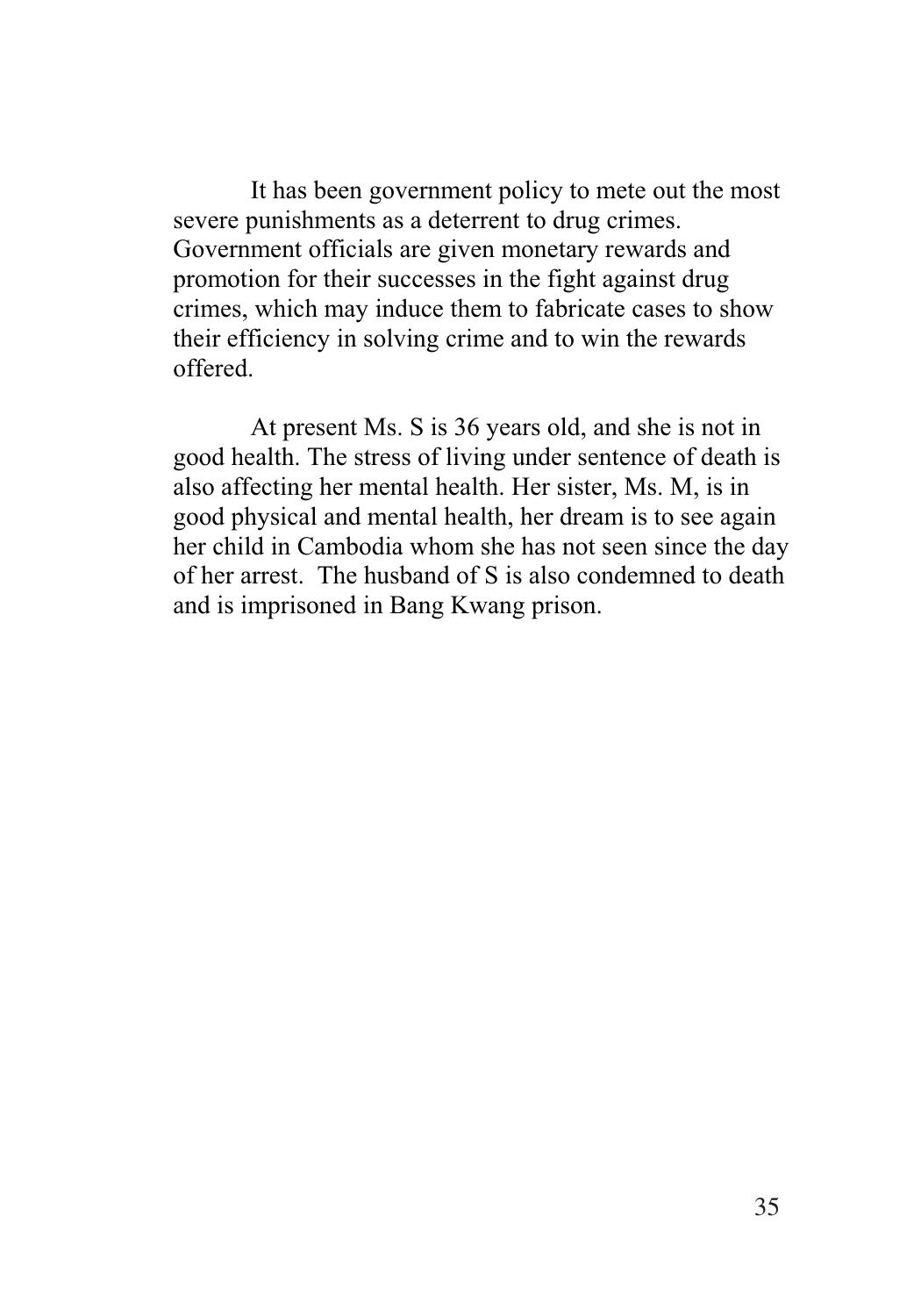It has been government policy to mete out the most severe punishments as a deterrent to drug crimes. Government officials are given monetary rewards and promotion for their successes in the fight against drug crimes, which may induce them to fabricate cases to show their efficiency in solving crime and to win the rewards offered.

At present Ms. S is 36 years old, and she is not in good health. The stress of living under sentence of death is also affecting her mental health. Her sister, Ms. M, is in good physical and mental health, her dream is to see again her child in Cambodia whom she has not seen since the day of her arrest. The husband of S is also condemned to death and is imprisoned in Bang Kwang prison.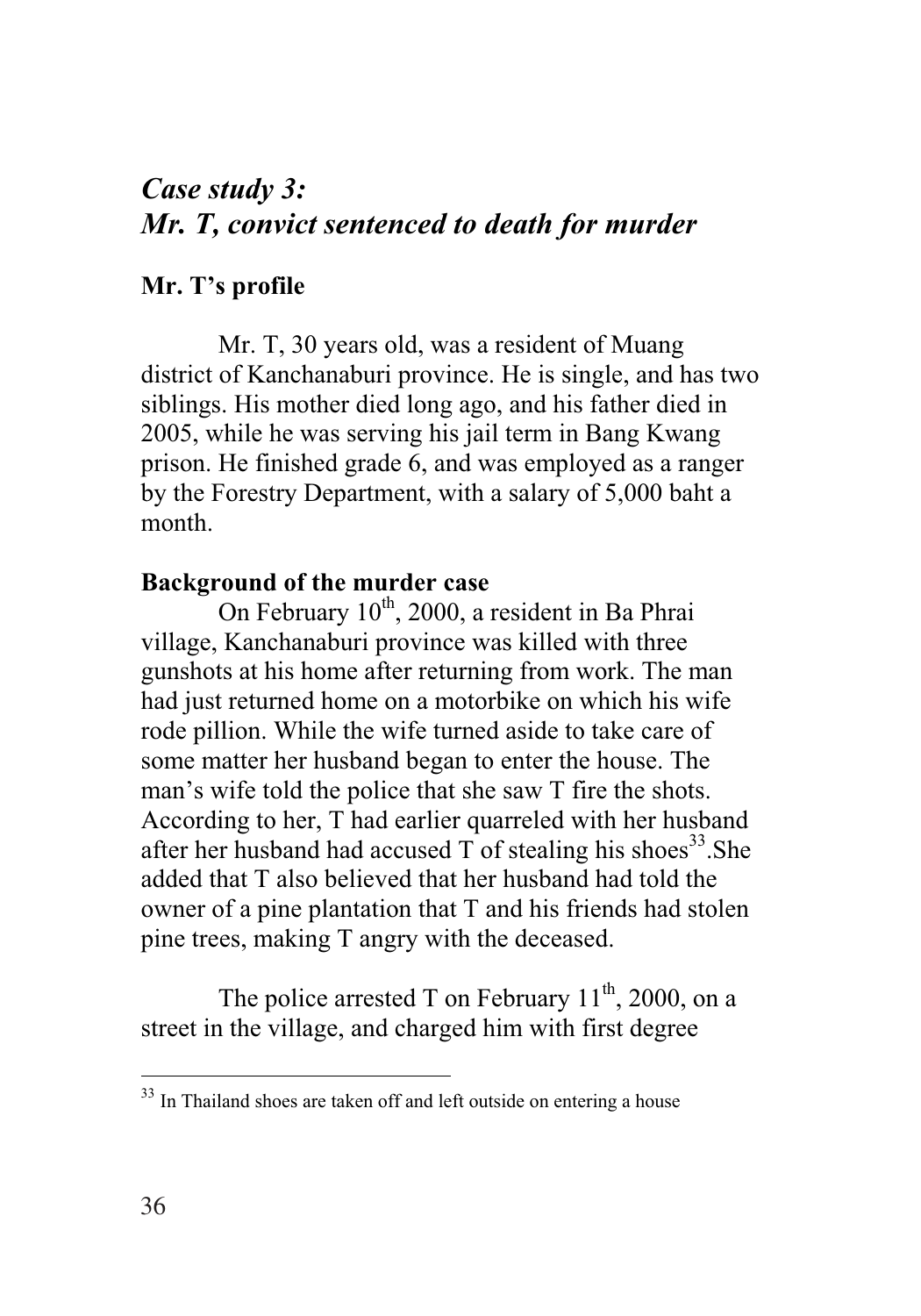# *Case study 3: Mr. T, convict sentenced to death for murder*

### **Mr. T's profile**

Mr. T, 30 years old, was a resident of Muang district of Kanchanaburi province. He is single, and has two siblings. His mother died long ago, and his father died in 2005, while he was serving his jail term in Bang Kwang prison. He finished grade 6, and was employed as a ranger by the Forestry Department, with a salary of 5,000 baht a month.

#### **Background of the murder case**

On February 10<sup>th</sup>, 2000, a resident in Ba Phrai village, Kanchanaburi province was killed with three gunshots at his home after returning from work. The man had just returned home on a motorbike on which his wife rode pillion. While the wife turned aside to take care of some matter her husband began to enter the house. The man's wife told the police that she saw T fire the shots. According to her, T had earlier quarreled with her husband after her husband had accused T of stealing his shoes<sup>33</sup>. She added that T also believed that her husband had told the owner of a pine plantation that T and his friends had stolen pine trees, making T angry with the deceased.

The police arrested T on February  $11^{th}$ , 2000, on a street in the village, and charged him with first degree

 $33$  In Thailand shoes are taken off and left outside on entering a house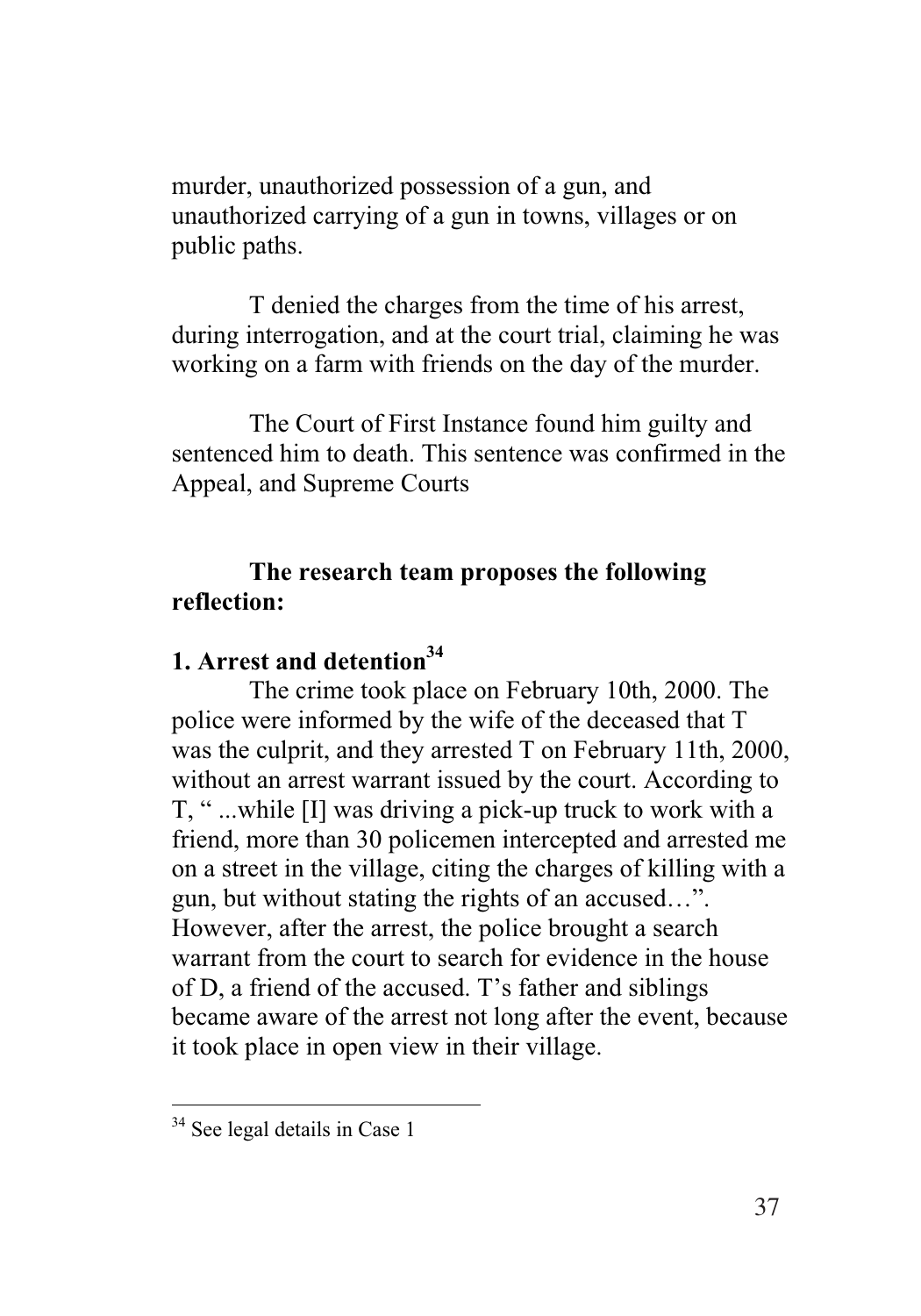murder, unauthorized possession of a gun, and unauthorized carrying of a gun in towns, villages or on public paths.

T denied the charges from the time of his arrest, during interrogation, and at the court trial, claiming he was working on a farm with friends on the day of the murder.

The Court of First Instance found him guilty and sentenced him to death. This sentence was confirmed in the Appeal, and Supreme Courts

### **The research team proposes the following reflection:**

## **1. Arrest and detention34**

The crime took place on February 10th, 2000. The police were informed by the wife of the deceased that T was the culprit, and they arrested T on February 11th, 2000, without an arrest warrant issued by the court. According to T, " ...while [I] was driving a pick-up truck to work with a friend, more than 30 policemen intercepted and arrested me on a street in the village, citing the charges of killing with a gun, but without stating the rights of an accused…". However, after the arrest, the police brought a search warrant from the court to search for evidence in the house of D, a friend of the accused. T's father and siblings became aware of the arrest not long after the event, because it took place in open view in their village.

<sup>&</sup>lt;sup>34</sup> See legal details in Case 1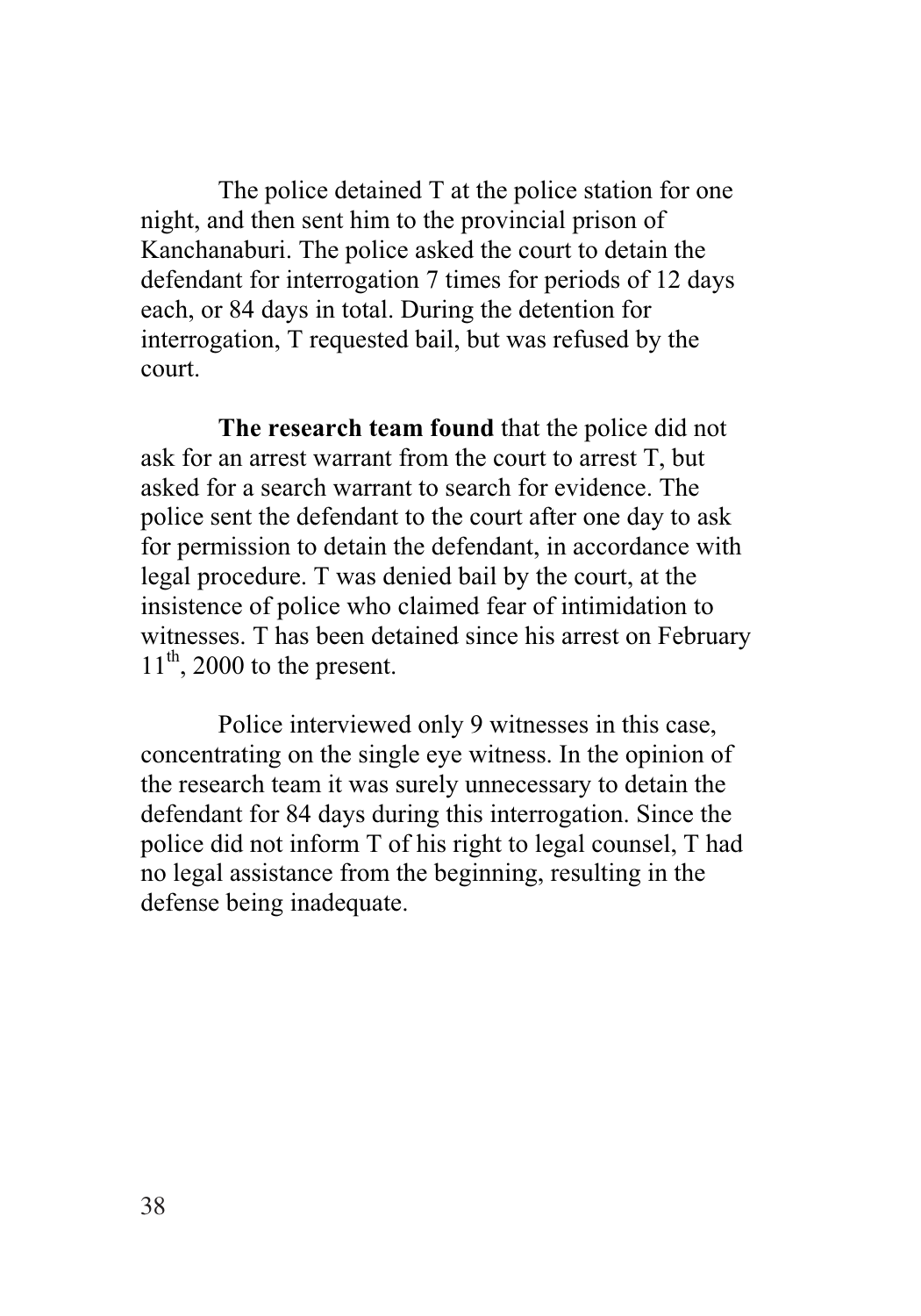The police detained T at the police station for one night, and then sent him to the provincial prison of Kanchanaburi. The police asked the court to detain the defendant for interrogation 7 times for periods of 12 days each, or 84 days in total. During the detention for interrogation, T requested bail, but was refused by the court.

**The research team found** that the police did not ask for an arrest warrant from the court to arrest T, but asked for a search warrant to search for evidence. The police sent the defendant to the court after one day to ask for permission to detain the defendant, in accordance with legal procedure. T was denied bail by the court, at the insistence of police who claimed fear of intimidation to witnesses. T has been detained since his arrest on February  $11<sup>th</sup>$ , 2000 to the present.

Police interviewed only 9 witnesses in this case, concentrating on the single eye witness. In the opinion of the research team it was surely unnecessary to detain the defendant for 84 days during this interrogation. Since the police did not inform T of his right to legal counsel, T had no legal assistance from the beginning, resulting in the defense being inadequate.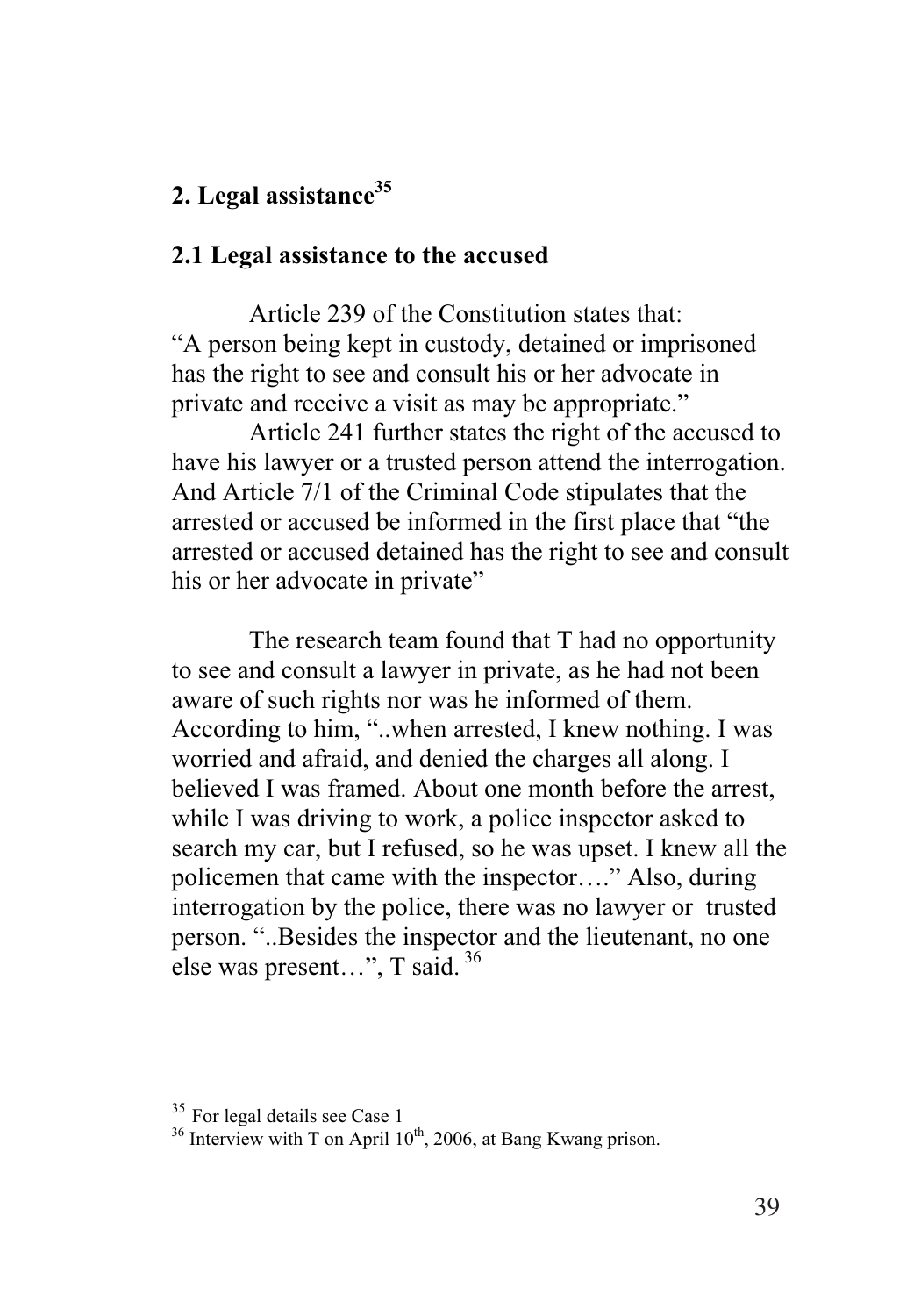## **2. Legal assistance35**

#### **2.1 Legal assistance to the accused**

Article 239 of the Constitution states that: "A person being kept in custody, detained or imprisoned has the right to see and consult his or her advocate in private and receive a visit as may be appropriate."

Article 241 further states the right of the accused to have his lawyer or a trusted person attend the interrogation. And Article 7/1 of the Criminal Code stipulates that the arrested or accused be informed in the first place that "the arrested or accused detained has the right to see and consult his or her advocate in private"

The research team found that T had no opportunity to see and consult a lawyer in private, as he had not been aware of such rights nor was he informed of them. According to him, "..when arrested, I knew nothing. I was worried and afraid, and denied the charges all along. I believed I was framed. About one month before the arrest, while I was driving to work, a police inspector asked to search my car, but I refused, so he was upset. I knew all the policemen that came with the inspector…." Also, during interrogation by the police, there was no lawyer or trusted person. "..Besides the inspector and the lieutenant, no one else was present…", T said. <sup>36</sup>

<sup>&</sup>lt;sup>35</sup> For legal details see Case 1

 $36$  Interview with T on April 10<sup>th</sup>, 2006, at Bang Kwang prison.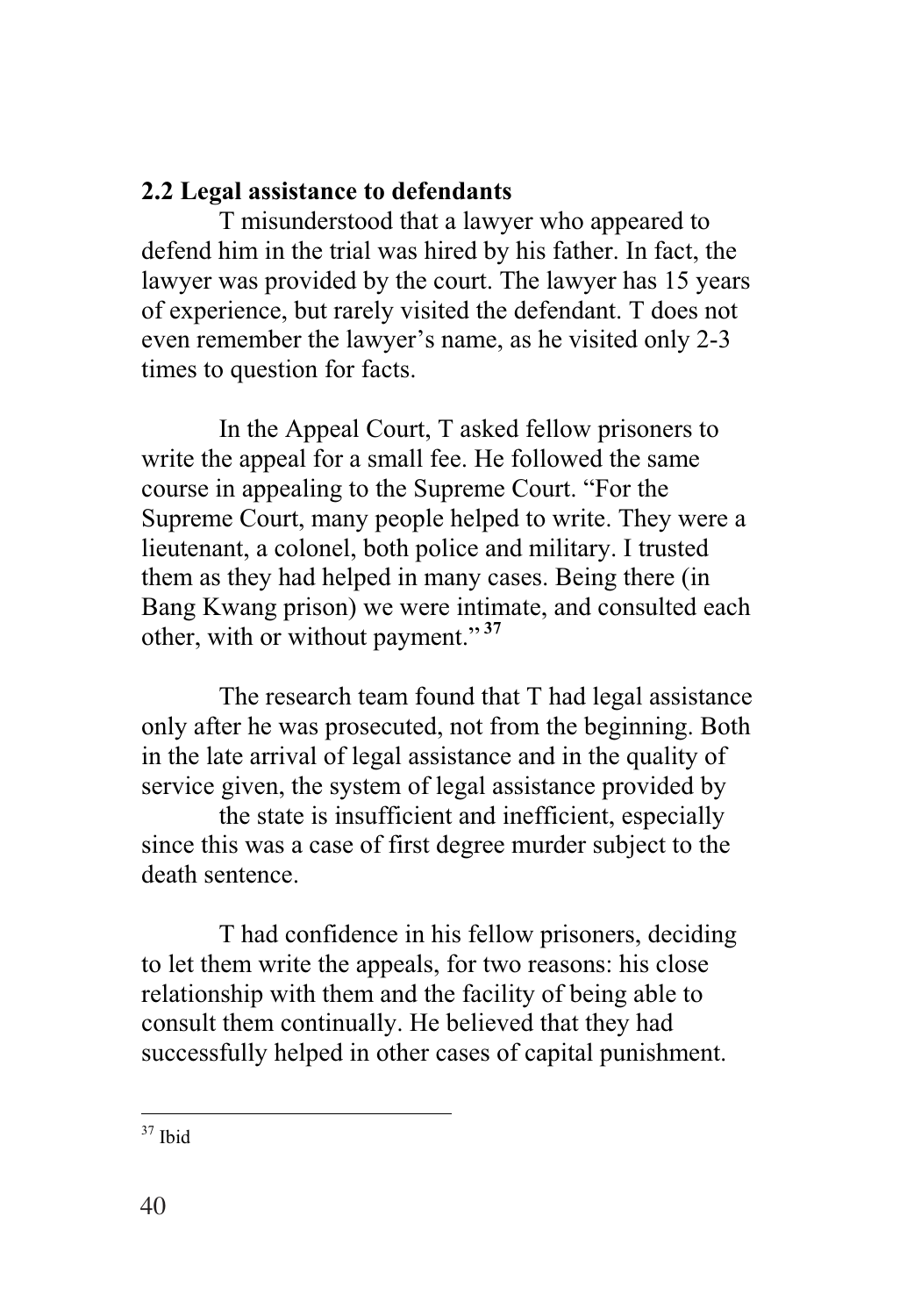### **2.2 Legal assistance to defendants**

T misunderstood that a lawyer who appeared to defend him in the trial was hired by his father. In fact, the lawyer was provided by the court. The lawyer has 15 years of experience, but rarely visited the defendant. T does not even remember the lawyer's name, as he visited only 2-3 times to question for facts.

In the Appeal Court, T asked fellow prisoners to write the appeal for a small fee. He followed the same course in appealing to the Supreme Court. "For the Supreme Court, many people helped to write. They were a lieutenant, a colonel, both police and military. I trusted them as they had helped in many cases. Being there (in Bang Kwang prison) we were intimate, and consulted each other, with or without payment." **<sup>37</sup>**

The research team found that T had legal assistance only after he was prosecuted, not from the beginning. Both in the late arrival of legal assistance and in the quality of service given, the system of legal assistance provided by

the state is insufficient and inefficient, especially since this was a case of first degree murder subject to the death sentence.

T had confidence in his fellow prisoners, deciding to let them write the appeals, for two reasons: his close relationship with them and the facility of being able to consult them continually. He believed that they had successfully helped in other cases of capital punishment.

 $\overline{a}$  $37$  Ibid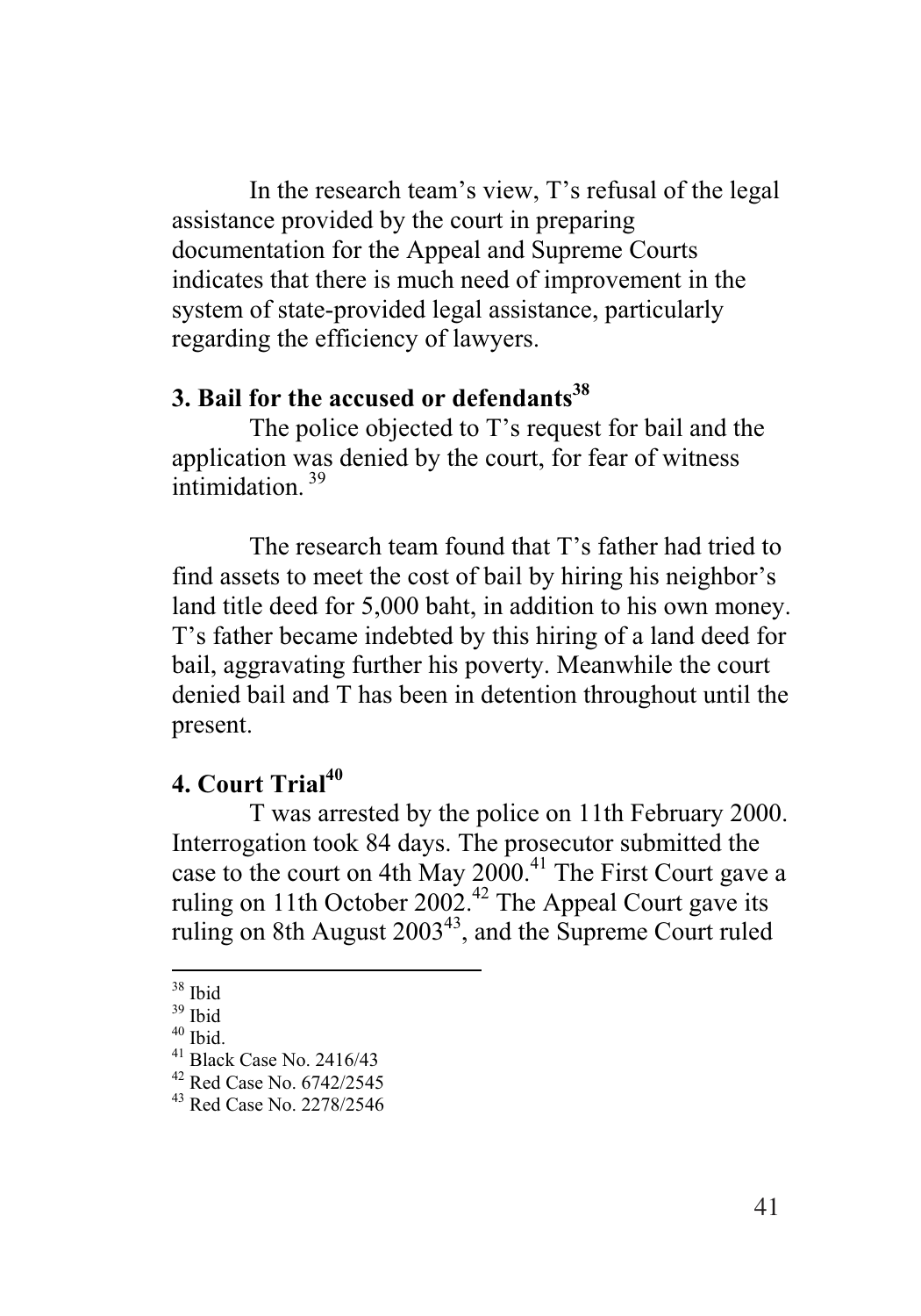In the research team's view, T's refusal of the legal assistance provided by the court in preparing documentation for the Appeal and Supreme Courts indicates that there is much need of improvement in the system of state-provided legal assistance, particularly regarding the efficiency of lawyers.

### **3. Bail for the accused or defendants**<sup>38</sup>

The police objected to T's request for bail and the application was denied by the court, for fear of witness intimidation <sup>39</sup>

The research team found that T's father had tried to find assets to meet the cost of bail by hiring his neighbor's land title deed for 5,000 baht, in addition to his own money. T's father became indebted by this hiring of a land deed for bail, aggravating further his poverty. Meanwhile the court denied bail and T has been in detention throughout until the present.

### **4. Court Trial40**

T was arrested by the police on 11th February 2000. Interrogation took 84 days. The prosecutor submitted the case to the court on 4th May 2000.<sup>41</sup> The First Court gave a ruling on 11th October 2002.<sup>42</sup> The Appeal Court gave its ruling on 8th August  $2003^{43}$ , and the Supreme Court ruled

 $\overline{a}$ 38 Ibid

<sup>39</sup> Ibid

 $40$  Ibid.

<sup>41</sup> Black Case No. 2416/43

<sup>&</sup>lt;sup>42</sup> Red Case No. 6742/2545

<sup>43</sup> Red Case No. 2278/2546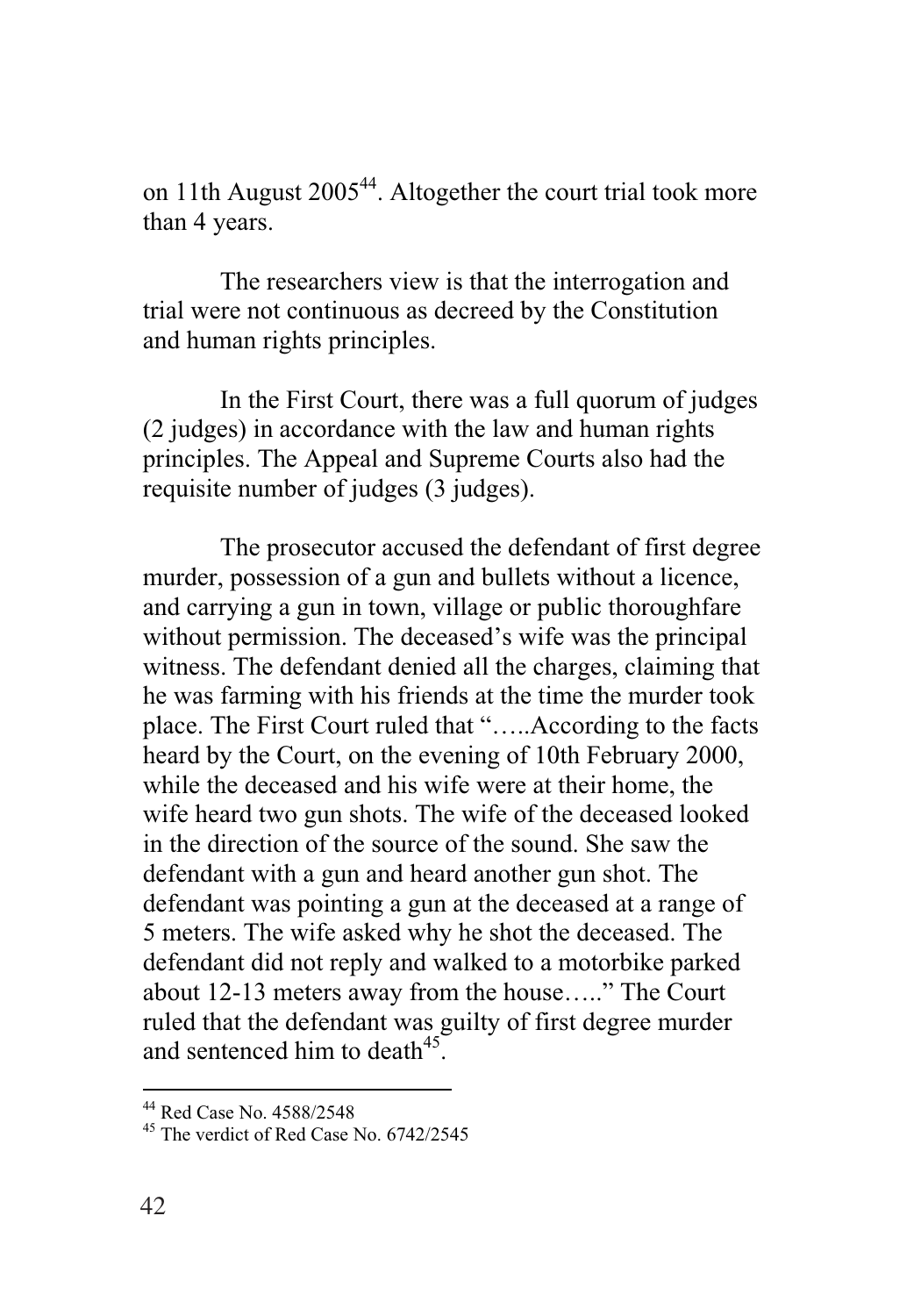on 11th August  $2005^{44}$ . Altogether the court trial took more than 4 years.

The researchers view is that the interrogation and trial were not continuous as decreed by the Constitution and human rights principles.

In the First Court, there was a full quorum of judges (2 judges) in accordance with the law and human rights principles. The Appeal and Supreme Courts also had the requisite number of judges (3 judges).

The prosecutor accused the defendant of first degree murder, possession of a gun and bullets without a licence, and carrying a gun in town, village or public thoroughfare without permission. The deceased's wife was the principal witness. The defendant denied all the charges, claiming that he was farming with his friends at the time the murder took place. The First Court ruled that "…..According to the facts heard by the Court, on the evening of 10th February 2000, while the deceased and his wife were at their home, the wife heard two gun shots. The wife of the deceased looked in the direction of the source of the sound. She saw the defendant with a gun and heard another gun shot. The defendant was pointing a gun at the deceased at a range of 5 meters. The wife asked why he shot the deceased. The defendant did not reply and walked to a motorbike parked about 12-13 meters away from the house….." The Court ruled that the defendant was guilty of first degree murder and sentenced him to death<sup>45</sup>.

<sup>44</sup> Red Case No. 4588/2548

 $45$  The verdict of Red Case No. 6742/2545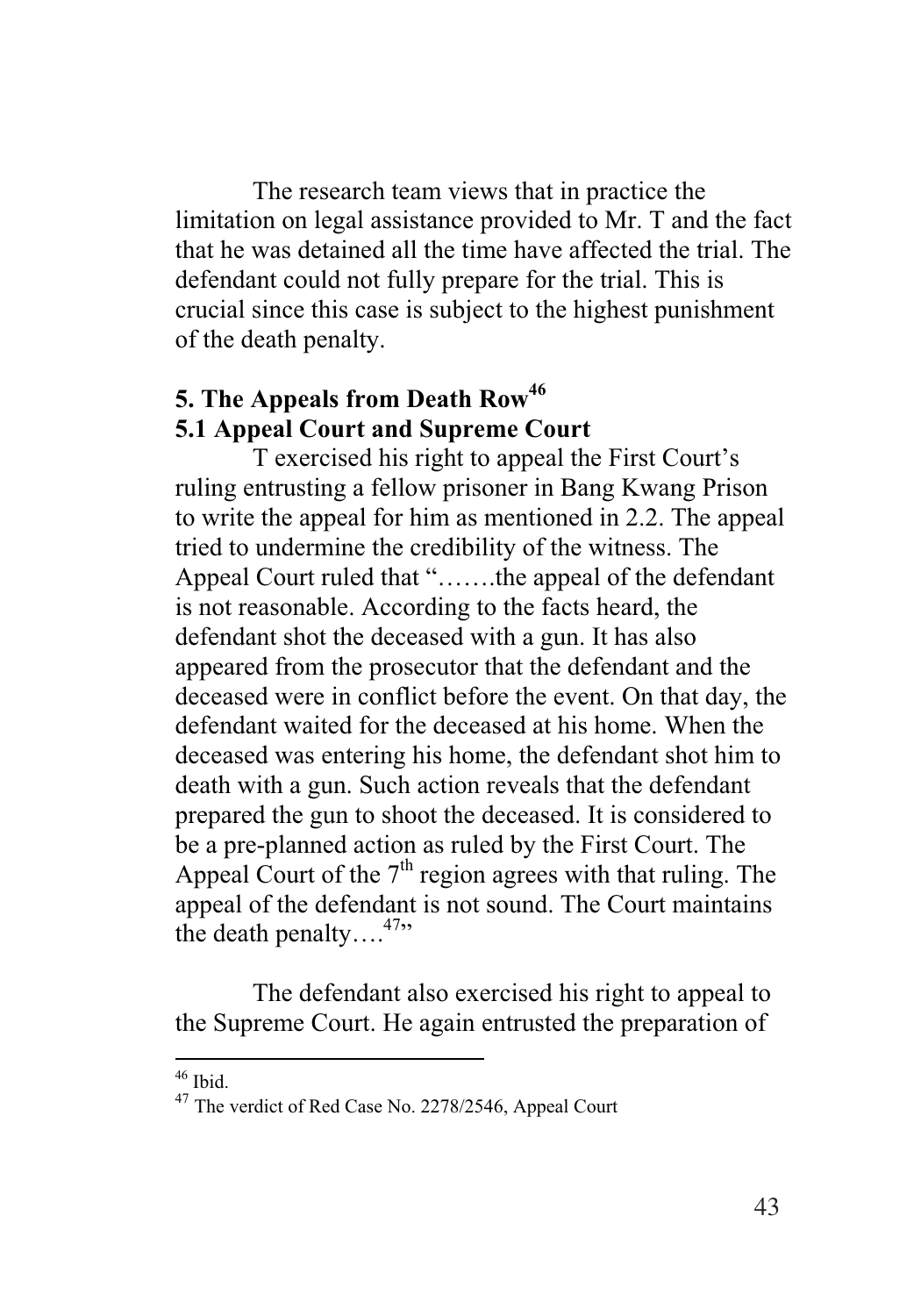The research team views that in practice the limitation on legal assistance provided to Mr. T and the fact that he was detained all the time have affected the trial. The defendant could not fully prepare for the trial. This is crucial since this case is subject to the highest punishment of the death penalty.

## **5. The Appeals from Death Row46 5.1 Appeal Court and Supreme Court**

T exercised his right to appeal the First Court's ruling entrusting a fellow prisoner in Bang Kwang Prison to write the appeal for him as mentioned in 2.2. The appeal tried to undermine the credibility of the witness. The Appeal Court ruled that "…….the appeal of the defendant is not reasonable. According to the facts heard, the defendant shot the deceased with a gun. It has also appeared from the prosecutor that the defendant and the deceased were in conflict before the event. On that day, the defendant waited for the deceased at his home. When the deceased was entering his home, the defendant shot him to death with a gun. Such action reveals that the defendant prepared the gun to shoot the deceased. It is considered to be a pre-planned action as ruled by the First Court. The Appeal Court of the  $7<sup>th</sup>$  region agrees with that ruling. The appeal of the defendant is not sound. The Court maintains the death penalty... $^{47}$ 

The defendant also exercised his right to appeal to the Supreme Court. He again entrusted the preparation of

 $46$  Ibid.

<sup>&</sup>lt;sup>47</sup> The verdict of Red Case No. 2278/2546, Appeal Court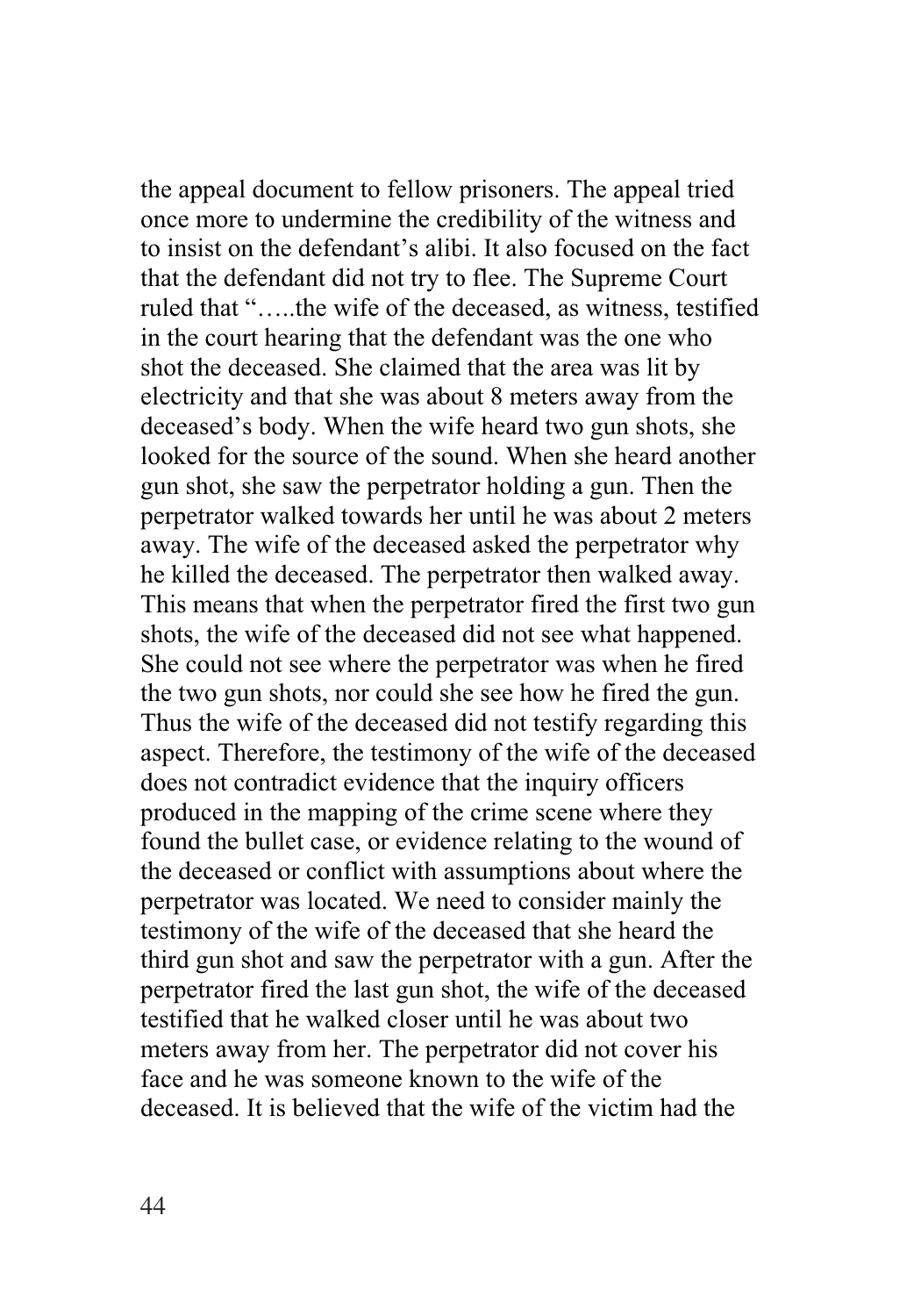the appeal document to fellow prisoners. The appeal tried once more to undermine the credibility of the witness and to insist on the defendant's alibi. It also focused on the fact that the defendant did not try to flee. The Supreme Court ruled that "…..the wife of the deceased, as witness, testified in the court hearing that the defendant was the one who shot the deceased. She claimed that the area was lit by electricity and that she was about 8 meters away from the deceased's body. When the wife heard two gun shots, she looked for the source of the sound. When she heard another gun shot, she saw the perpetrator holding a gun. Then the perpetrator walked towards her until he was about 2 meters away. The wife of the deceased asked the perpetrator why he killed the deceased. The perpetrator then walked away. This means that when the perpetrator fired the first two gun shots, the wife of the deceased did not see what happened. She could not see where the perpetrator was when he fired the two gun shots, nor could she see how he fired the gun. Thus the wife of the deceased did not testify regarding this aspect. Therefore, the testimony of the wife of the deceased does not contradict evidence that the inquiry officers produced in the mapping of the crime scene where they found the bullet case, or evidence relating to the wound of the deceased or conflict with assumptions about where the perpetrator was located. We need to consider mainly the testimony of the wife of the deceased that she heard the third gun shot and saw the perpetrator with a gun. After the perpetrator fired the last gun shot, the wife of the deceased testified that he walked closer until he was about two meters away from her. The perpetrator did not cover his face and he was someone known to the wife of the deceased. It is believed that the wife of the victim had the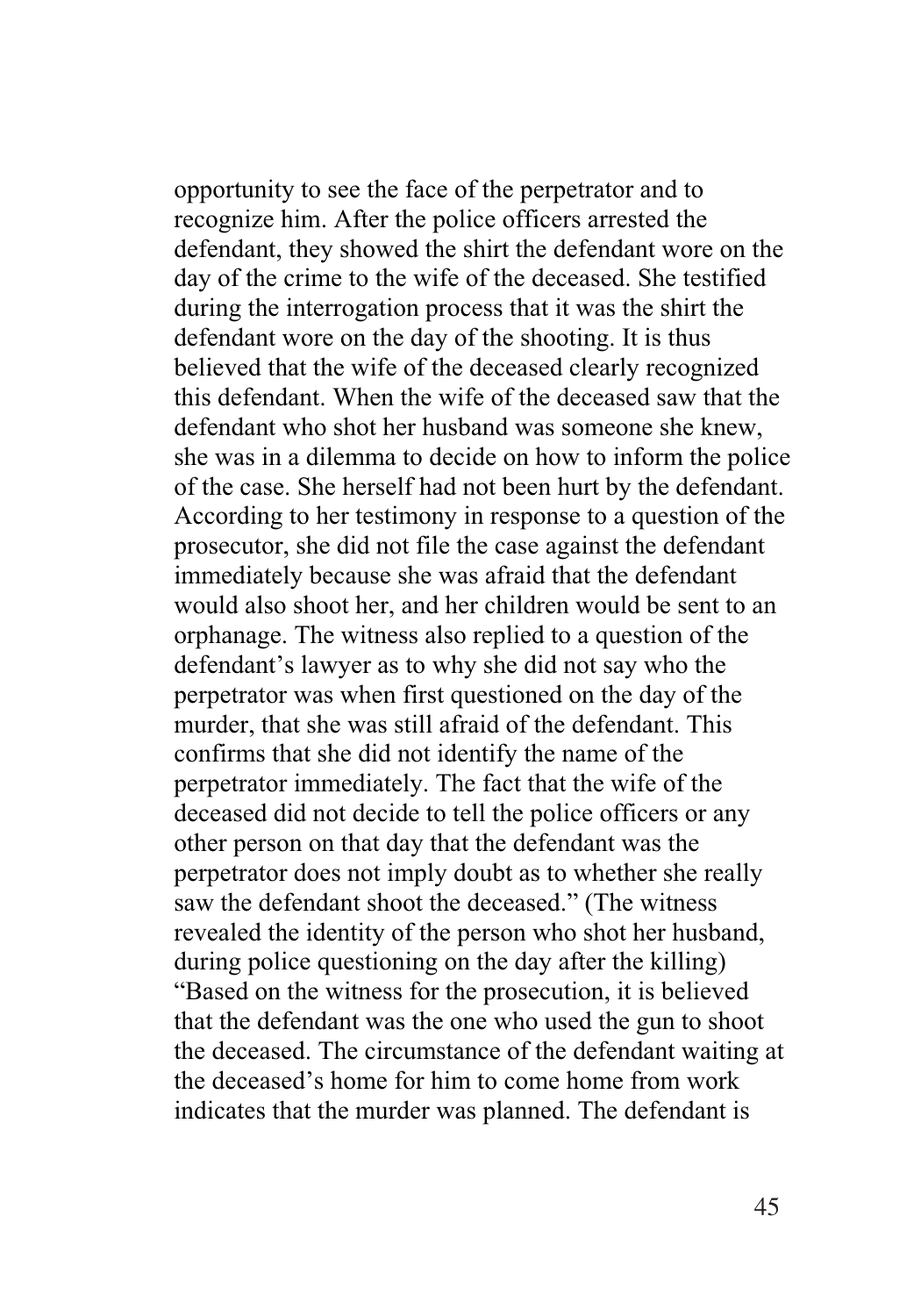opportunity to see the face of the perpetrator and to recognize him. After the police officers arrested the defendant, they showed the shirt the defendant wore on the day of the crime to the wife of the deceased. She testified during the interrogation process that it was the shirt the defendant wore on the day of the shooting. It is thus believed that the wife of the deceased clearly recognized this defendant. When the wife of the deceased saw that the defendant who shot her husband was someone she knew, she was in a dilemma to decide on how to inform the police of the case. She herself had not been hurt by the defendant. According to her testimony in response to a question of the prosecutor, she did not file the case against the defendant immediately because she was afraid that the defendant would also shoot her, and her children would be sent to an orphanage. The witness also replied to a question of the defendant's lawyer as to why she did not say who the perpetrator was when first questioned on the day of the murder, that she was still afraid of the defendant. This confirms that she did not identify the name of the perpetrator immediately. The fact that the wife of the deceased did not decide to tell the police officers or any other person on that day that the defendant was the perpetrator does not imply doubt as to whether she really saw the defendant shoot the deceased." (The witness revealed the identity of the person who shot her husband, during police questioning on the day after the killing) "Based on the witness for the prosecution, it is believed that the defendant was the one who used the gun to shoot the deceased. The circumstance of the defendant waiting at the deceased's home for him to come home from work indicates that the murder was planned. The defendant is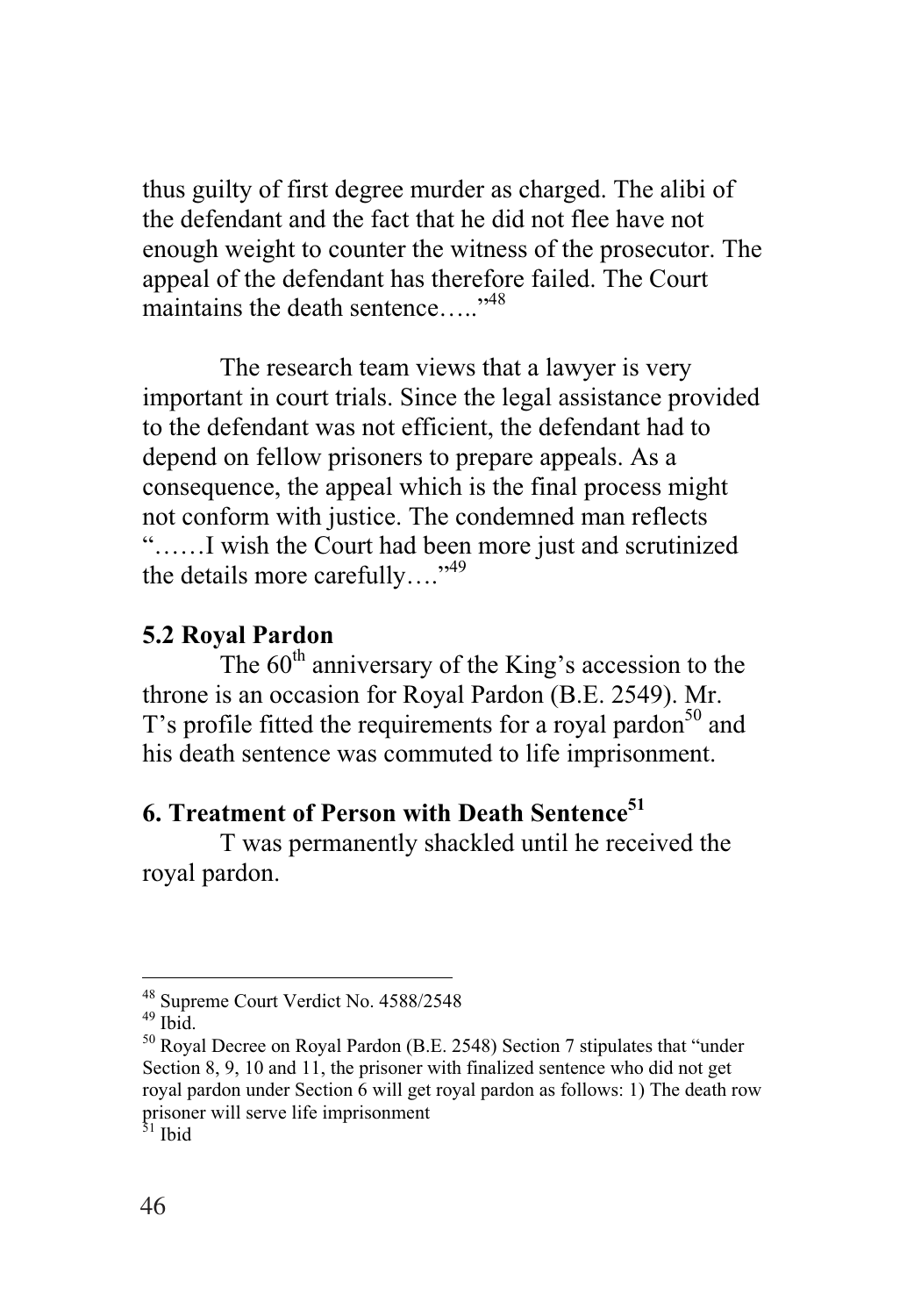thus guilty of first degree murder as charged. The alibi of the defendant and the fact that he did not flee have not enough weight to counter the witness of the prosecutor. The appeal of the defendant has therefore failed. The Court maintains the death sentence.....<sup>"48</sup>

The research team views that a lawyer is very important in court trials. Since the legal assistance provided to the defendant was not efficient, the defendant had to depend on fellow prisoners to prepare appeals. As a consequence, the appeal which is the final process might not conform with justice. The condemned man reflects "……I wish the Court had been more just and scrutinized the details more carefully…."49

### **5.2 Royal Pardon**

The  $60<sup>th</sup>$  anniversary of the King's accession to the throne is an occasion for Royal Pardon (B.E. 2549). Mr. T's profile fitted the requirements for a royal pardon<sup>50</sup> and his death sentence was commuted to life imprisonment.

## **6. Treatment of Person with Death Sentence51**

T was permanently shackled until he received the royal pardon.

<u>.</u>

<sup>48</sup> Supreme Court Verdict No. 4588/2548

<sup>49</sup> Ibid.

<sup>50</sup> Royal Decree on Royal Pardon (B.E. 2548) Section 7 stipulates that "under Section 8, 9, 10 and 11, the prisoner with finalized sentence who did not get royal pardon under Section 6 will get royal pardon as follows: 1) The death row prisoner will serve life imprisonment

<sup>&</sup>lt;sup>31</sup> Ibid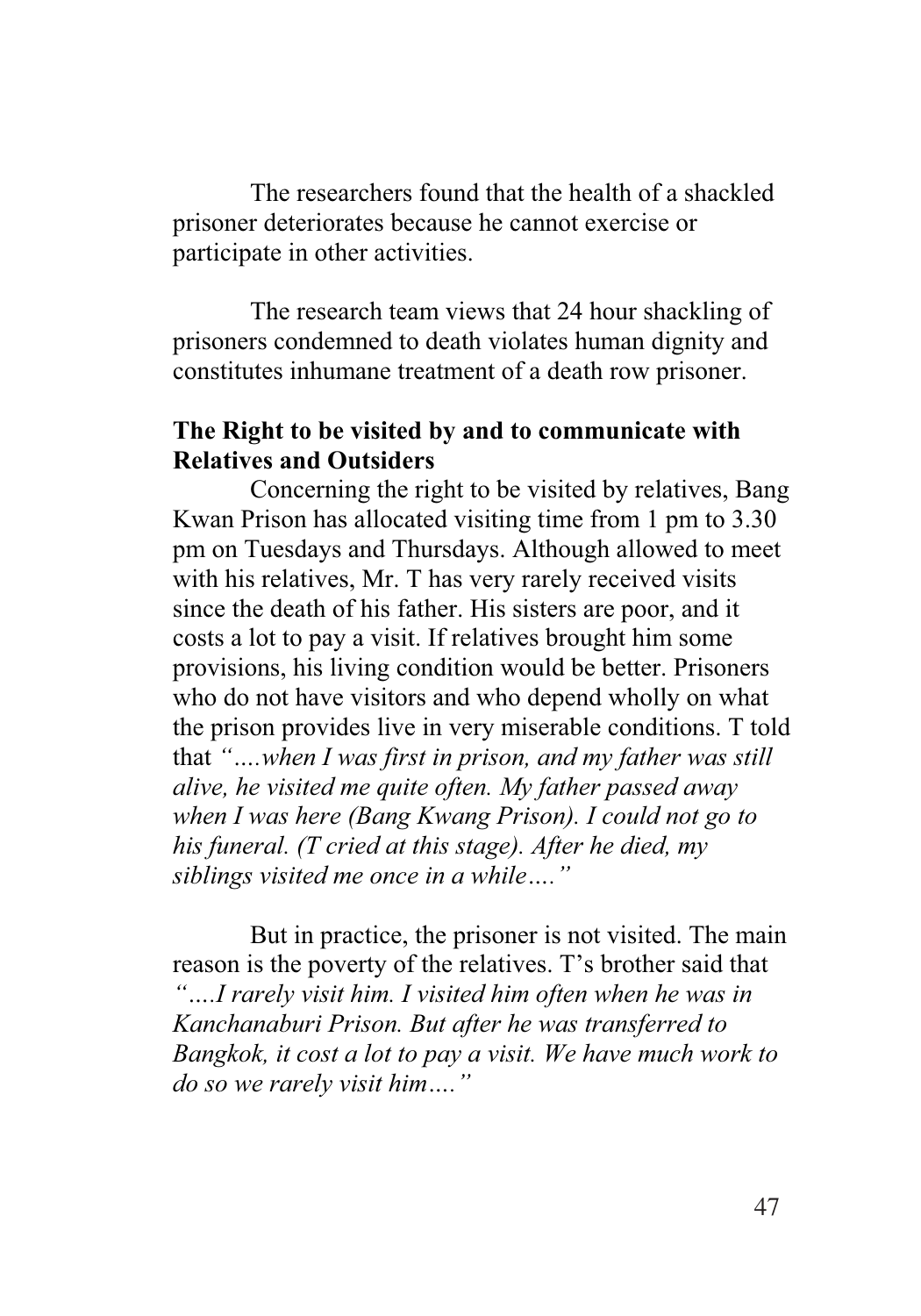The researchers found that the health of a shackled prisoner deteriorates because he cannot exercise or participate in other activities.

The research team views that 24 hour shackling of prisoners condemned to death violates human dignity and constitutes inhumane treatment of a death row prisoner.

### **The Right to be visited by and to communicate with Relatives and Outsiders**

Concerning the right to be visited by relatives, Bang Kwan Prison has allocated visiting time from 1 pm to 3.30 pm on Tuesdays and Thursdays. Although allowed to meet with his relatives, Mr. T has very rarely received visits since the death of his father. His sisters are poor, and it costs a lot to pay a visit. If relatives brought him some provisions, his living condition would be better. Prisoners who do not have visitors and who depend wholly on what the prison provides live in very miserable conditions. T told that *"….when I was first in prison, and my father was still alive, he visited me quite often. My father passed away when I was here (Bang Kwang Prison). I could not go to his funeral. (T cried at this stage). After he died, my siblings visited me once in a while…."*

But in practice, the prisoner is not visited. The main reason is the poverty of the relatives. T's brother said that *"….I rarely visit him. I visited him often when he was in Kanchanaburi Prison. But after he was transferred to Bangkok, it cost a lot to pay a visit. We have much work to do so we rarely visit him…."*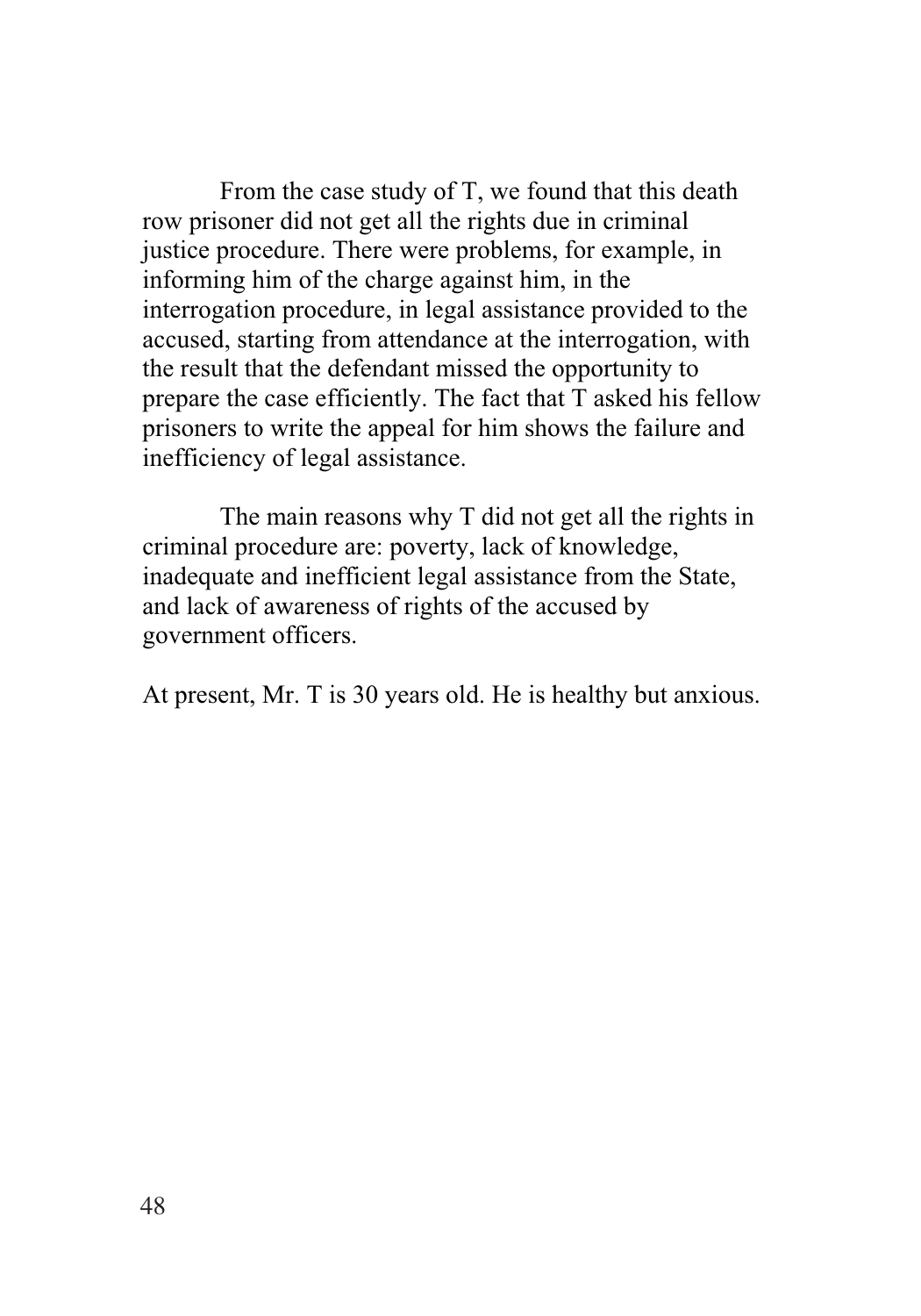From the case study of T, we found that this death row prisoner did not get all the rights due in criminal justice procedure. There were problems, for example, in informing him of the charge against him, in the interrogation procedure, in legal assistance provided to the accused, starting from attendance at the interrogation, with the result that the defendant missed the opportunity to prepare the case efficiently. The fact that T asked his fellow prisoners to write the appeal for him shows the failure and inefficiency of legal assistance.

The main reasons why T did not get all the rights in criminal procedure are: poverty, lack of knowledge, inadequate and inefficient legal assistance from the State, and lack of awareness of rights of the accused by government officers.

At present, Mr. T is 30 years old. He is healthy but anxious.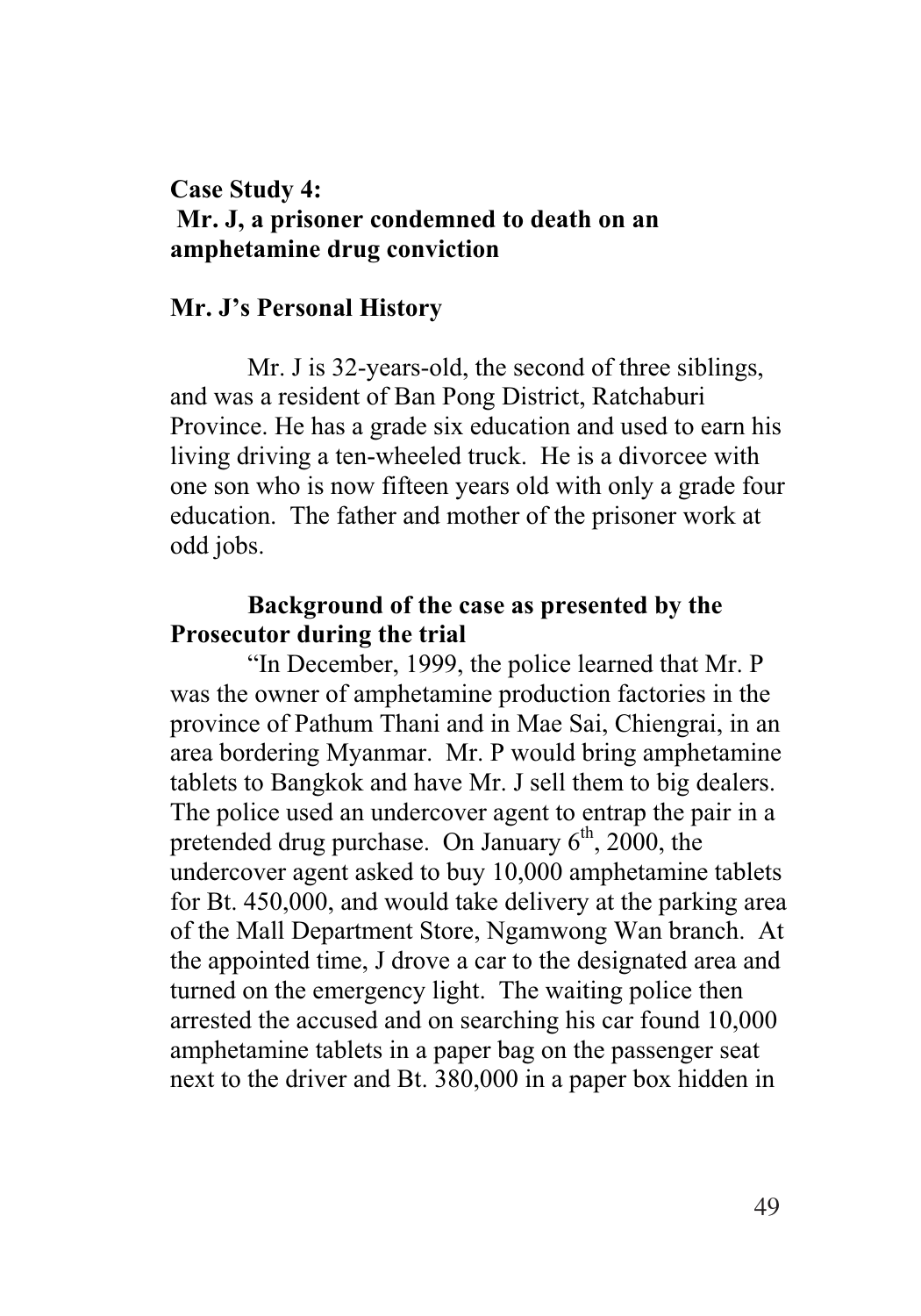#### **Case Study 4: Mr. J, a prisoner condemned to death on an amphetamine drug conviction**

#### **Mr. J's Personal History**

Mr. J is 32-years-old, the second of three siblings, and was a resident of Ban Pong District, Ratchaburi Province. He has a grade six education and used to earn his living driving a ten-wheeled truck. He is a divorcee with one son who is now fifteen years old with only a grade four education. The father and mother of the prisoner work at odd jobs.

#### **Background of the case as presented by the Prosecutor during the trial**

"In December, 1999, the police learned that Mr. P was the owner of amphetamine production factories in the province of Pathum Thani and in Mae Sai, Chiengrai, in an area bordering Myanmar. Mr. P would bring amphetamine tablets to Bangkok and have Mr. J sell them to big dealers. The police used an undercover agent to entrap the pair in a pretended drug purchase. On January  $6<sup>th</sup>$ , 2000, the undercover agent asked to buy 10,000 amphetamine tablets for Bt. 450,000, and would take delivery at the parking area of the Mall Department Store, Ngamwong Wan branch. At the appointed time, J drove a car to the designated area and turned on the emergency light. The waiting police then arrested the accused and on searching his car found 10,000 amphetamine tablets in a paper bag on the passenger seat next to the driver and Bt. 380,000 in a paper box hidden in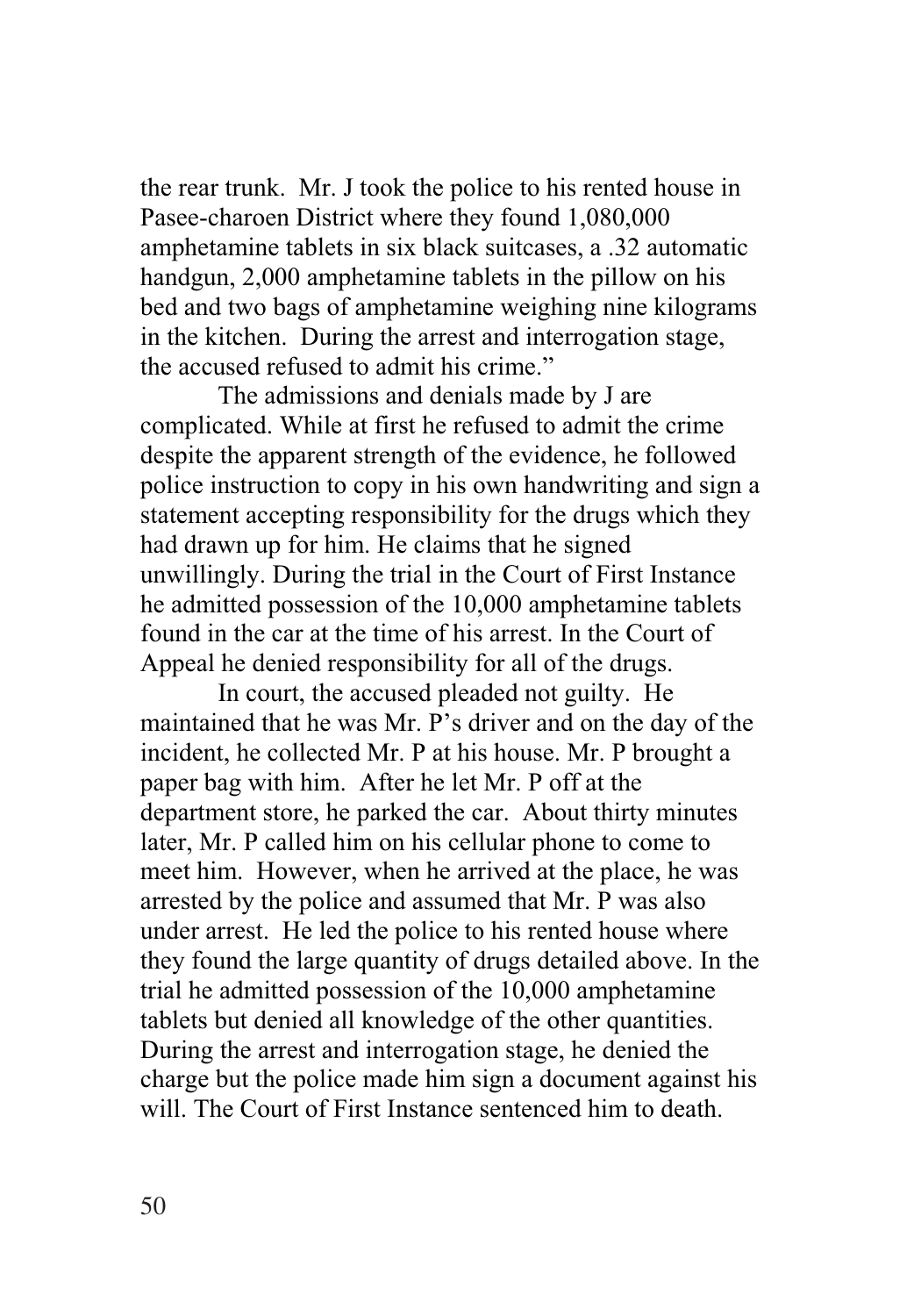the rear trunk. Mr. J took the police to his rented house in Pasee-charoen District where they found 1,080,000 amphetamine tablets in six black suitcases, a .32 automatic handgun, 2,000 amphetamine tablets in the pillow on his bed and two bags of amphetamine weighing nine kilograms in the kitchen. During the arrest and interrogation stage, the accused refused to admit his crime."

The admissions and denials made by J are complicated. While at first he refused to admit the crime despite the apparent strength of the evidence, he followed police instruction to copy in his own handwriting and sign a statement accepting responsibility for the drugs which they had drawn up for him. He claims that he signed unwillingly. During the trial in the Court of First Instance he admitted possession of the 10,000 amphetamine tablets found in the car at the time of his arrest. In the Court of Appeal he denied responsibility for all of the drugs.

In court, the accused pleaded not guilty. He maintained that he was Mr. P's driver and on the day of the incident, he collected Mr. P at his house. Mr. P brought a paper bag with him. After he let Mr. P off at the department store, he parked the car. About thirty minutes later, Mr. P called him on his cellular phone to come to meet him. However, when he arrived at the place, he was arrested by the police and assumed that Mr. P was also under arrest. He led the police to his rented house where they found the large quantity of drugs detailed above. In the trial he admitted possession of the 10,000 amphetamine tablets but denied all knowledge of the other quantities. During the arrest and interrogation stage, he denied the charge but the police made him sign a document against his will. The Court of First Instance sentenced him to death.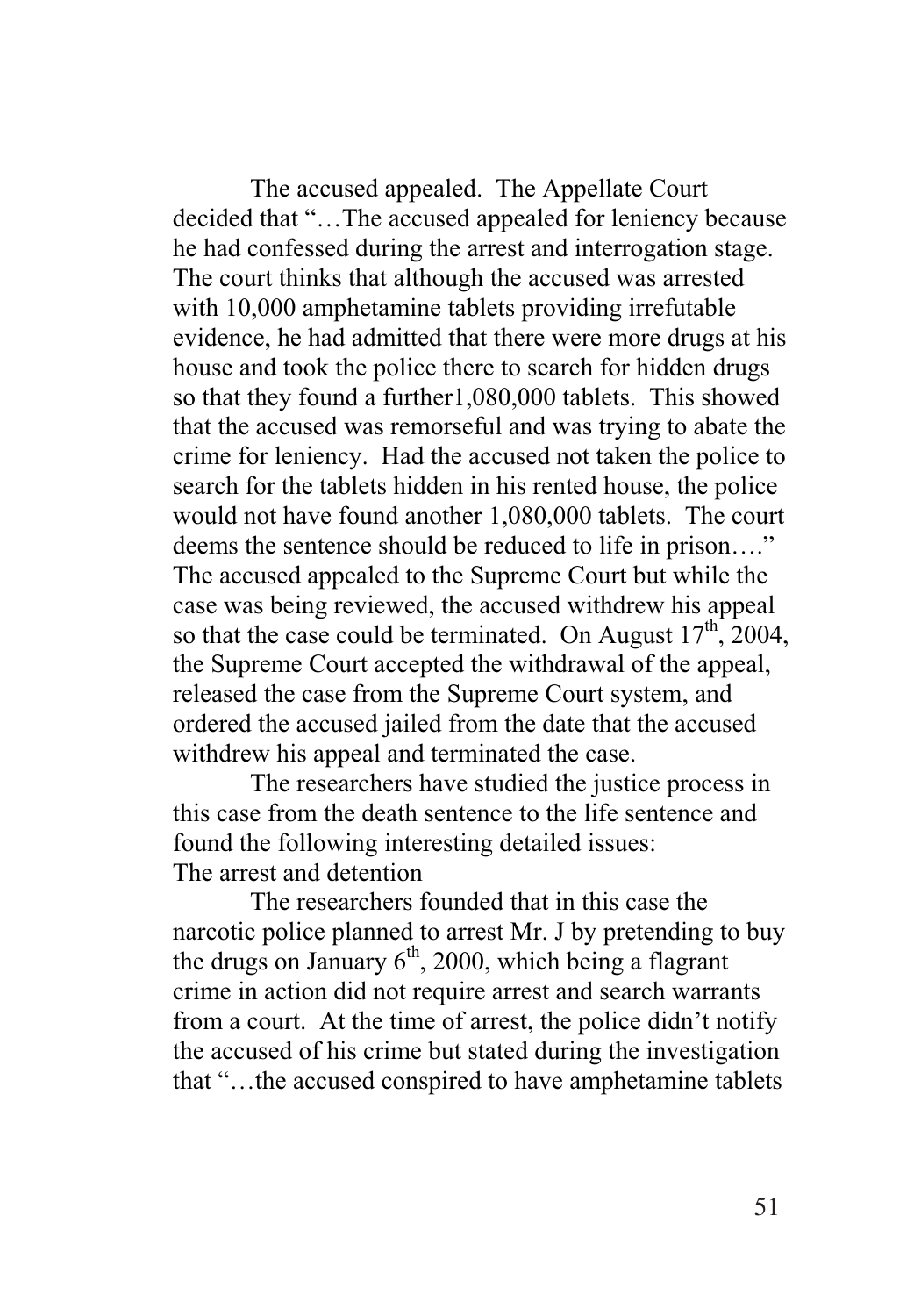The accused appealed. The Appellate Court decided that "…The accused appealed for leniency because he had confessed during the arrest and interrogation stage. The court thinks that although the accused was arrested with 10,000 amphetamine tablets providing irrefutable evidence, he had admitted that there were more drugs at his house and took the police there to search for hidden drugs so that they found a further1,080,000 tablets. This showed that the accused was remorseful and was trying to abate the crime for leniency. Had the accused not taken the police to search for the tablets hidden in his rented house, the police would not have found another 1,080,000 tablets. The court deems the sentence should be reduced to life in prison…." The accused appealed to the Supreme Court but while the case was being reviewed, the accused withdrew his appeal so that the case could be terminated. On August  $17<sup>th</sup>$ , 2004, the Supreme Court accepted the withdrawal of the appeal, released the case from the Supreme Court system, and ordered the accused jailed from the date that the accused withdrew his appeal and terminated the case.

The researchers have studied the justice process in this case from the death sentence to the life sentence and found the following interesting detailed issues: The arrest and detention

The researchers founded that in this case the narcotic police planned to arrest Mr. J by pretending to buy the drugs on January  $6<sup>th</sup>$ , 2000, which being a flagrant crime in action did not require arrest and search warrants from a court. At the time of arrest, the police didn't notify the accused of his crime but stated during the investigation that "…the accused conspired to have amphetamine tablets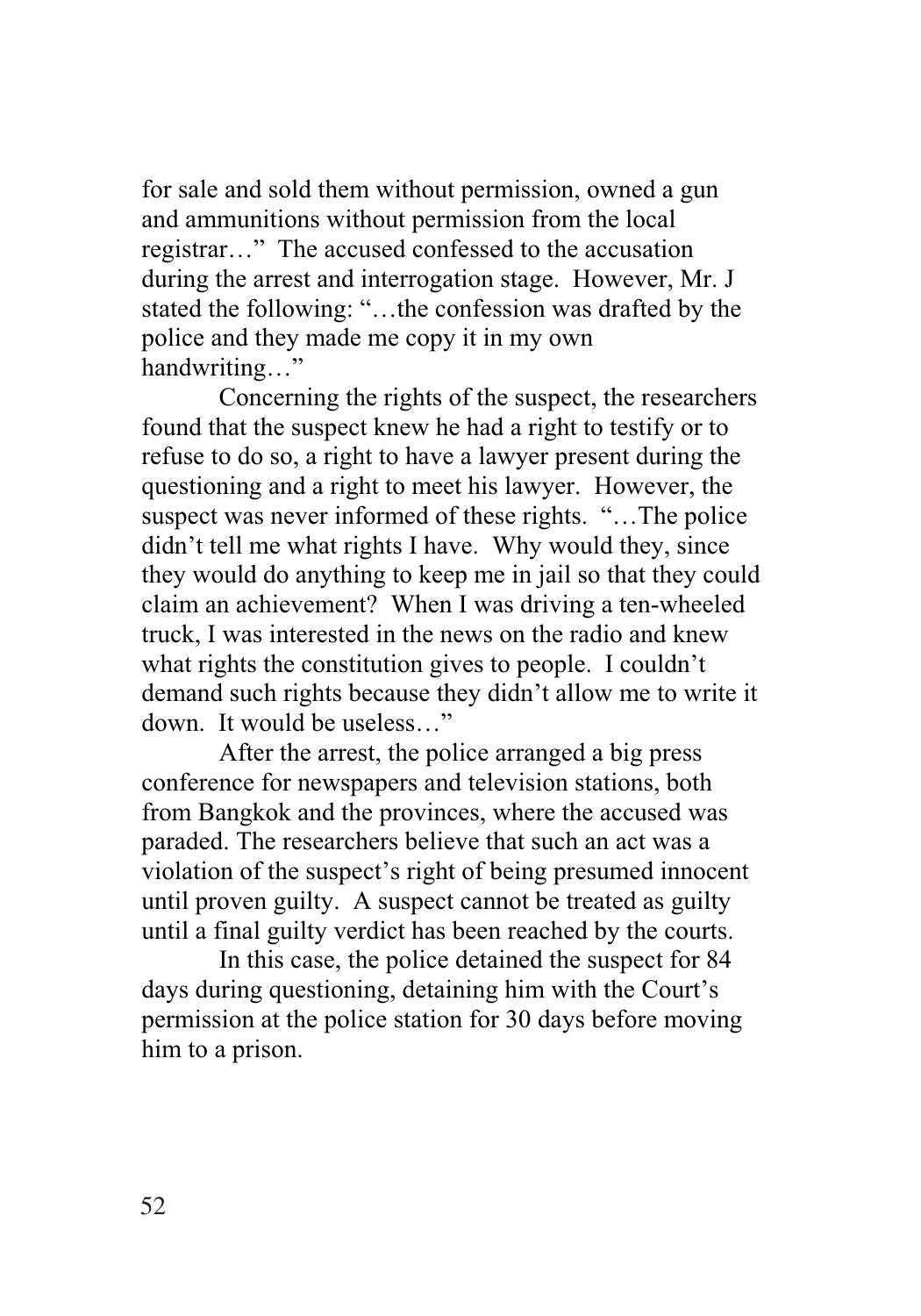for sale and sold them without permission, owned a gun and ammunitions without permission from the local registrar…" The accused confessed to the accusation during the arrest and interrogation stage. However, Mr. J stated the following: "…the confession was drafted by the police and they made me copy it in my own handwriting…"

Concerning the rights of the suspect, the researchers found that the suspect knew he had a right to testify or to refuse to do so, a right to have a lawyer present during the questioning and a right to meet his lawyer. However, the suspect was never informed of these rights. "…The police didn't tell me what rights I have. Why would they, since they would do anything to keep me in jail so that they could claim an achievement? When I was driving a ten-wheeled truck, I was interested in the news on the radio and knew what rights the constitution gives to people. I couldn't demand such rights because they didn't allow me to write it down. It would be useless…"

After the arrest, the police arranged a big press conference for newspapers and television stations, both from Bangkok and the provinces, where the accused was paraded. The researchers believe that such an act was a violation of the suspect's right of being presumed innocent until proven guilty. A suspect cannot be treated as guilty until a final guilty verdict has been reached by the courts.

In this case, the police detained the suspect for 84 days during questioning, detaining him with the Court's permission at the police station for 30 days before moving him to a prison.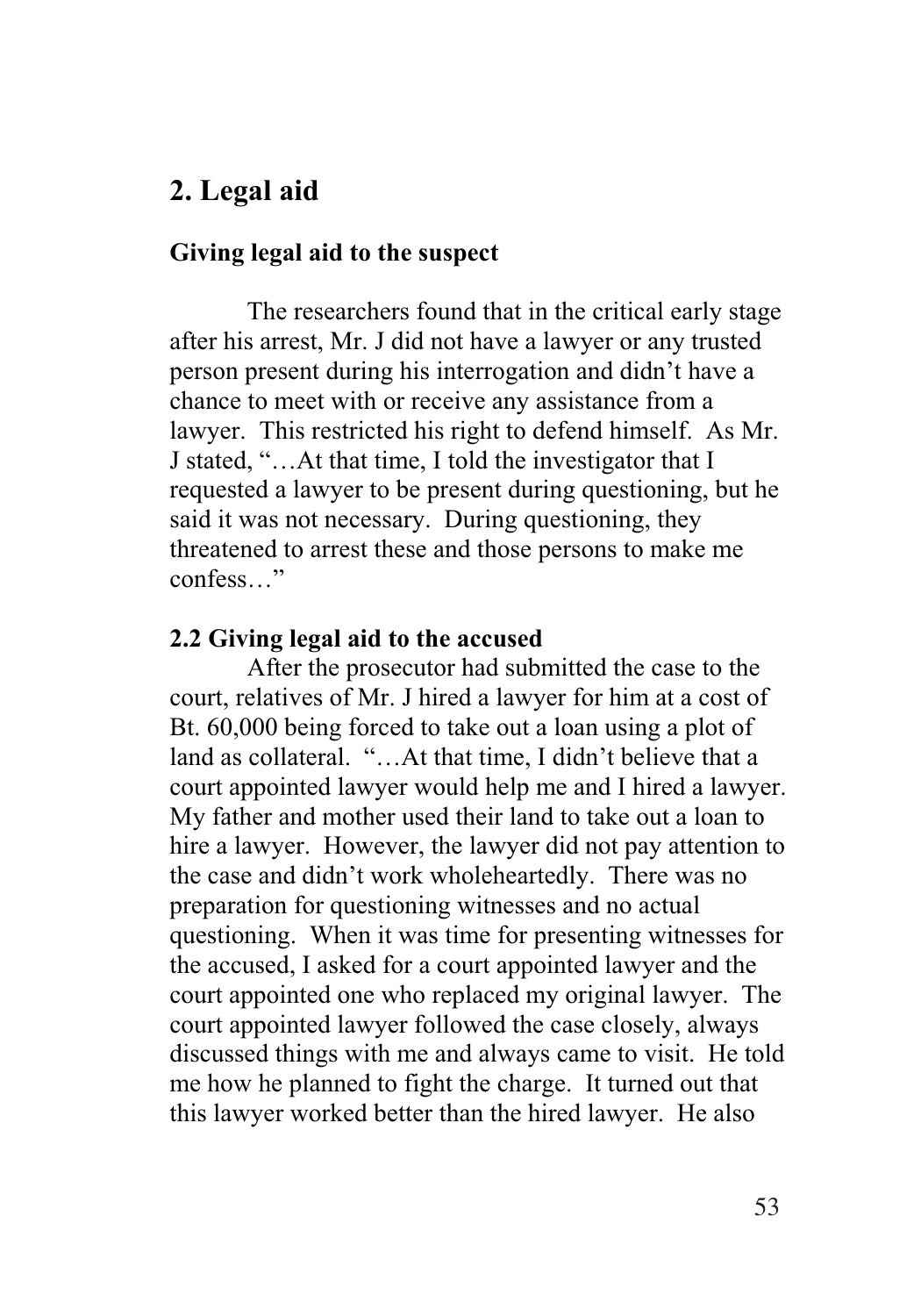# **2. Legal aid**

#### **Giving legal aid to the suspect**

The researchers found that in the critical early stage after his arrest, Mr. J did not have a lawyer or any trusted person present during his interrogation and didn't have a chance to meet with or receive any assistance from a lawyer. This restricted his right to defend himself. As Mr. J stated, "…At that time, I told the investigator that I requested a lawyer to be present during questioning, but he said it was not necessary. During questioning, they threatened to arrest these and those persons to make me confess…"

#### **2.2 Giving legal aid to the accused**

After the prosecutor had submitted the case to the court, relatives of Mr. J hired a lawyer for him at a cost of Bt. 60,000 being forced to take out a loan using a plot of land as collateral. "…At that time, I didn't believe that a court appointed lawyer would help me and I hired a lawyer. My father and mother used their land to take out a loan to hire a lawyer. However, the lawyer did not pay attention to the case and didn't work wholeheartedly. There was no preparation for questioning witnesses and no actual questioning. When it was time for presenting witnesses for the accused, I asked for a court appointed lawyer and the court appointed one who replaced my original lawyer. The court appointed lawyer followed the case closely, always discussed things with me and always came to visit. He told me how he planned to fight the charge. It turned out that this lawyer worked better than the hired lawyer. He also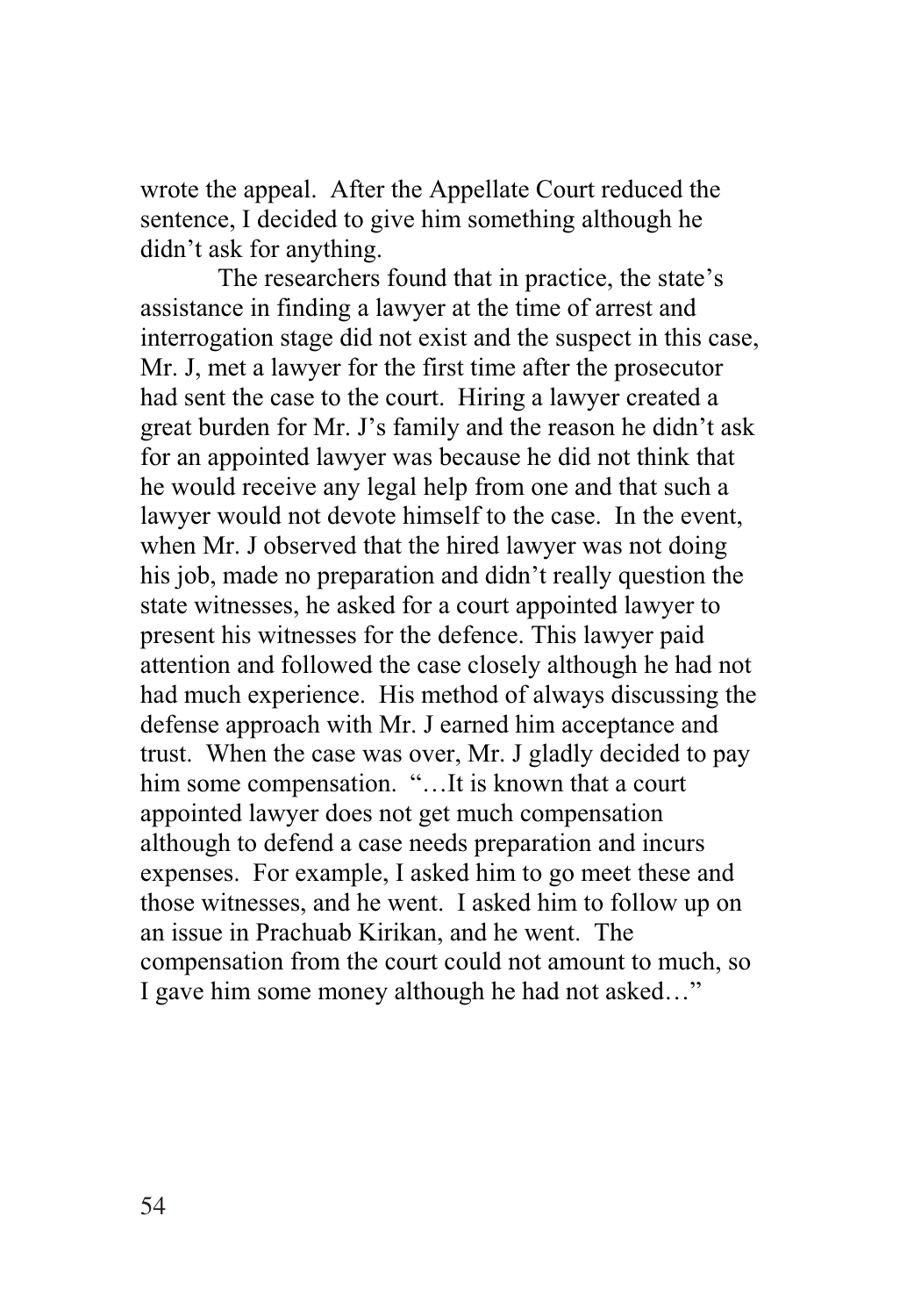wrote the appeal. After the Appellate Court reduced the sentence, I decided to give him something although he didn't ask for anything.

The researchers found that in practice, the state's assistance in finding a lawyer at the time of arrest and interrogation stage did not exist and the suspect in this case, Mr. J, met a lawyer for the first time after the prosecutor had sent the case to the court. Hiring a lawyer created a great burden for Mr. J's family and the reason he didn't ask for an appointed lawyer was because he did not think that he would receive any legal help from one and that such a lawyer would not devote himself to the case. In the event, when Mr. J observed that the hired lawyer was not doing his job, made no preparation and didn't really question the state witnesses, he asked for a court appointed lawyer to present his witnesses for the defence. This lawyer paid attention and followed the case closely although he had not had much experience. His method of always discussing the defense approach with Mr. J earned him acceptance and trust. When the case was over, Mr. J gladly decided to pay him some compensation. "…It is known that a court appointed lawyer does not get much compensation although to defend a case needs preparation and incurs expenses. For example, I asked him to go meet these and those witnesses, and he went. I asked him to follow up on an issue in Prachuab Kirikan, and he went. The compensation from the court could not amount to much, so I gave him some money although he had not asked…"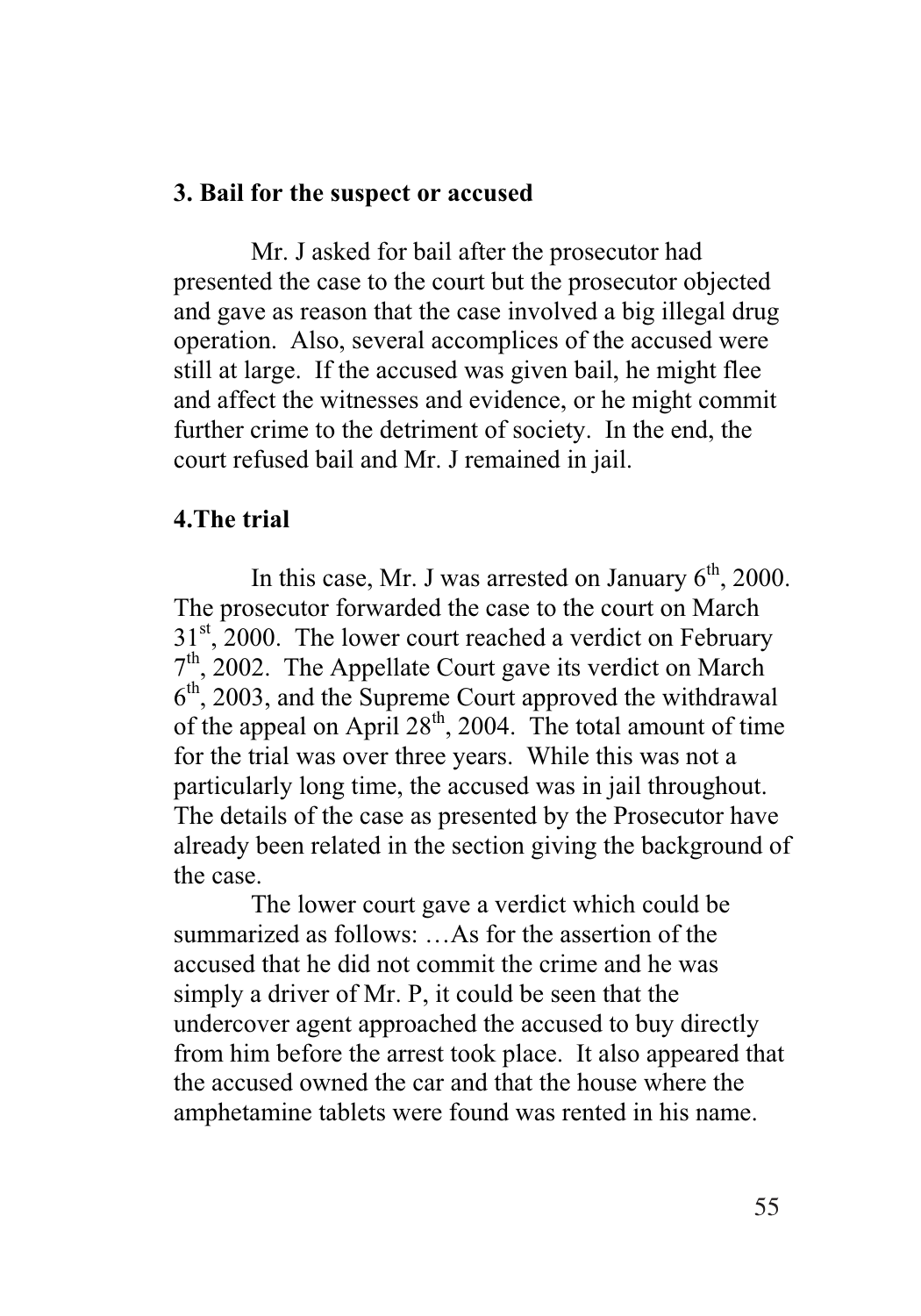#### **3. Bail for the suspect or accused**

Mr. J asked for bail after the prosecutor had presented the case to the court but the prosecutor objected and gave as reason that the case involved a big illegal drug operation. Also, several accomplices of the accused were still at large. If the accused was given bail, he might flee and affect the witnesses and evidence, or he might commit further crime to the detriment of society. In the end, the court refused bail and Mr. J remained in jail.

#### **4.The trial**

In this case, Mr. J was arrested on January  $6<sup>th</sup>$ , 2000. The prosecutor forwarded the case to the court on March  $31<sup>st</sup>$ , 2000. The lower court reached a verdict on February 7<sup>th</sup>, 2002. The Appellate Court gave its verdict on March  $6<sup>th</sup>$ , 2003, and the Supreme Court approved the withdrawal of the appeal on April  $28<sup>th</sup>$ , 2004. The total amount of time for the trial was over three years. While this was not a particularly long time, the accused was in jail throughout. The details of the case as presented by the Prosecutor have already been related in the section giving the background of the case.

The lower court gave a verdict which could be summarized as follows: …As for the assertion of the accused that he did not commit the crime and he was simply a driver of Mr. P, it could be seen that the undercover agent approached the accused to buy directly from him before the arrest took place. It also appeared that the accused owned the car and that the house where the amphetamine tablets were found was rented in his name.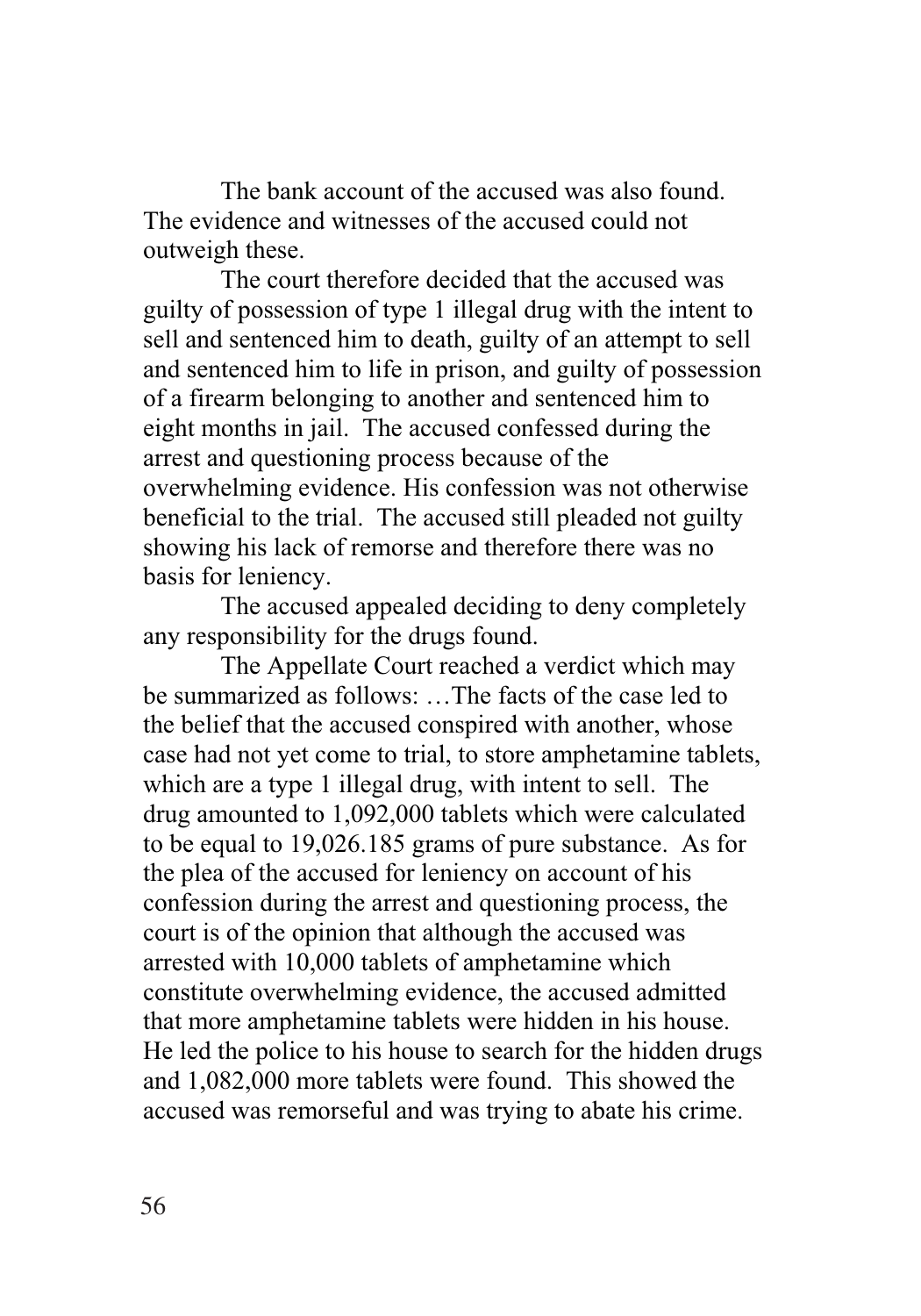The bank account of the accused was also found. The evidence and witnesses of the accused could not outweigh these.

The court therefore decided that the accused was guilty of possession of type 1 illegal drug with the intent to sell and sentenced him to death, guilty of an attempt to sell and sentenced him to life in prison, and guilty of possession of a firearm belonging to another and sentenced him to eight months in jail. The accused confessed during the arrest and questioning process because of the overwhelming evidence. His confession was not otherwise beneficial to the trial. The accused still pleaded not guilty showing his lack of remorse and therefore there was no basis for leniency.

The accused appealed deciding to deny completely any responsibility for the drugs found.

The Appellate Court reached a verdict which may be summarized as follows: …The facts of the case led to the belief that the accused conspired with another, whose case had not yet come to trial, to store amphetamine tablets, which are a type 1 illegal drug, with intent to sell. The drug amounted to 1,092,000 tablets which were calculated to be equal to 19,026.185 grams of pure substance. As for the plea of the accused for leniency on account of his confession during the arrest and questioning process, the court is of the opinion that although the accused was arrested with 10,000 tablets of amphetamine which constitute overwhelming evidence, the accused admitted that more amphetamine tablets were hidden in his house. He led the police to his house to search for the hidden drugs and 1,082,000 more tablets were found. This showed the accused was remorseful and was trying to abate his crime.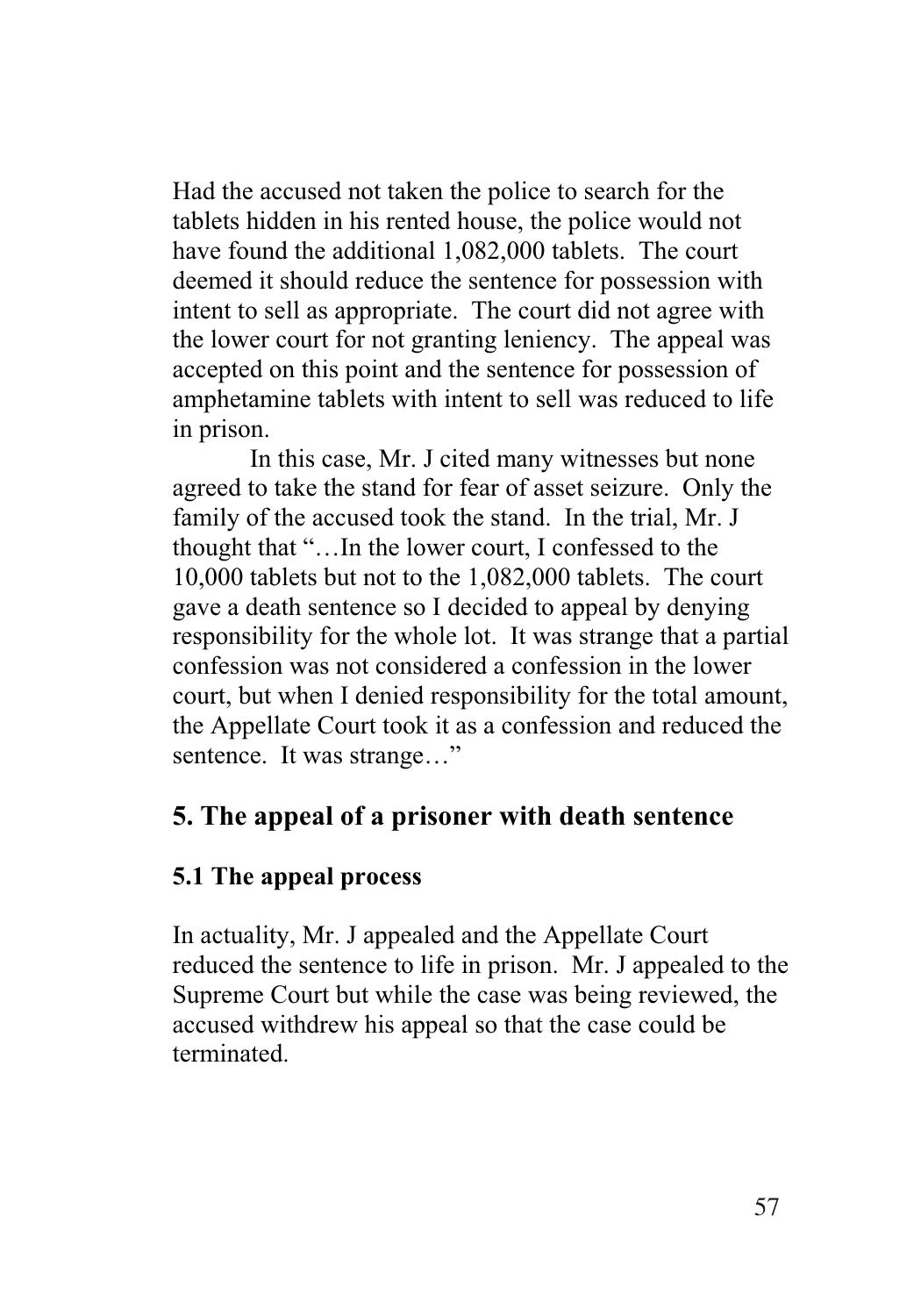Had the accused not taken the police to search for the tablets hidden in his rented house, the police would not have found the additional 1,082,000 tablets. The court deemed it should reduce the sentence for possession with intent to sell as appropriate. The court did not agree with the lower court for not granting leniency. The appeal was accepted on this point and the sentence for possession of amphetamine tablets with intent to sell was reduced to life in prison.

In this case, Mr. J cited many witnesses but none agreed to take the stand for fear of asset seizure. Only the family of the accused took the stand. In the trial, Mr. J thought that "…In the lower court, I confessed to the 10,000 tablets but not to the 1,082,000 tablets. The court gave a death sentence so I decided to appeal by denying responsibility for the whole lot. It was strange that a partial confession was not considered a confession in the lower court, but when I denied responsibility for the total amount, the Appellate Court took it as a confession and reduced the sentence. It was strange..."

# **5. The appeal of a prisoner with death sentence**

## **5.1 The appeal process**

In actuality, Mr. J appealed and the Appellate Court reduced the sentence to life in prison. Mr. J appealed to the Supreme Court but while the case was being reviewed, the accused withdrew his appeal so that the case could be terminated.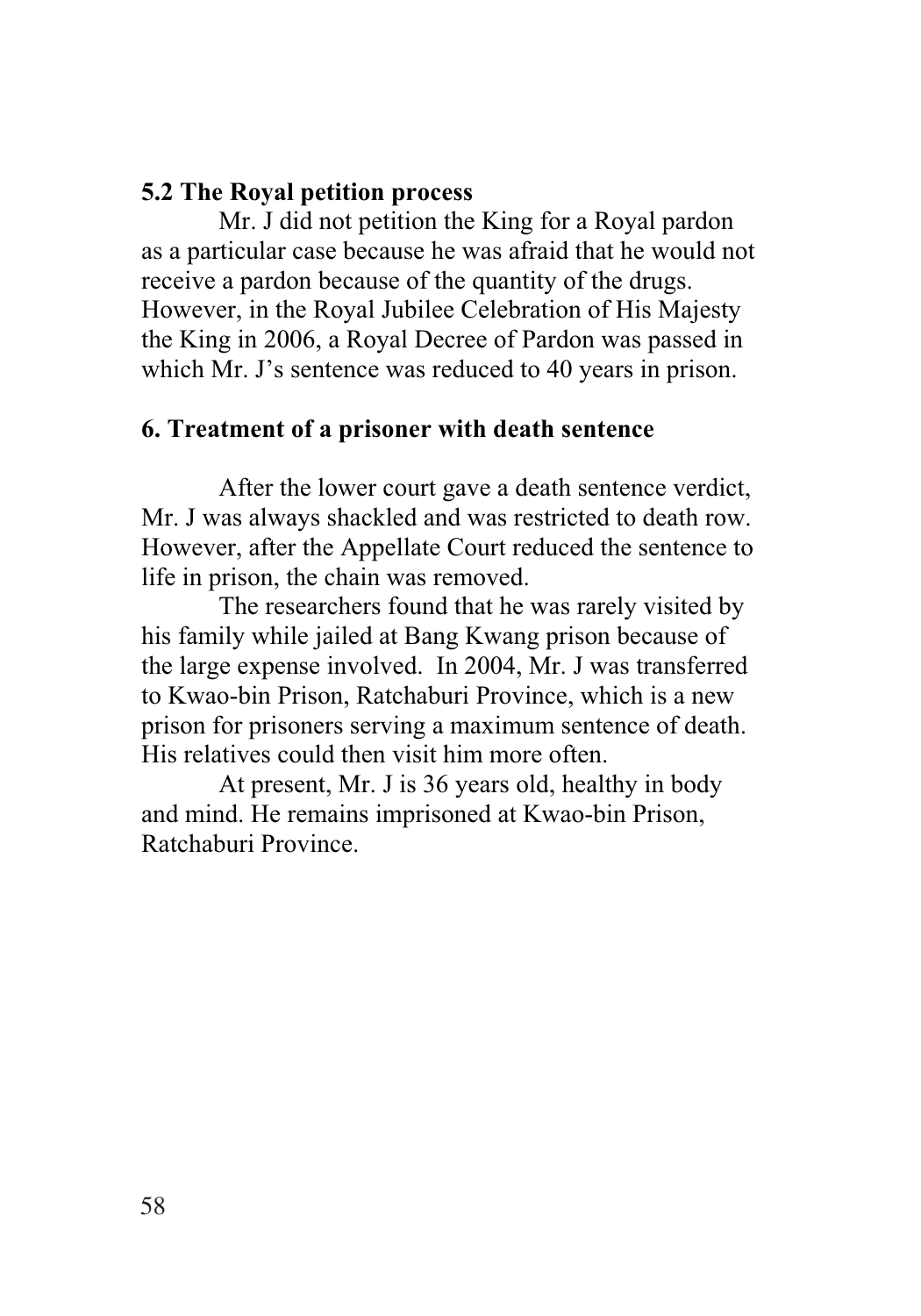### **5.2 The Royal petition process**

Mr. J did not petition the King for a Royal pardon as a particular case because he was afraid that he would not receive a pardon because of the quantity of the drugs. However, in the Royal Jubilee Celebration of His Majesty the King in 2006, a Royal Decree of Pardon was passed in which Mr. J's sentence was reduced to 40 years in prison.

### **6. Treatment of a prisoner with death sentence**

After the lower court gave a death sentence verdict, Mr. J was always shackled and was restricted to death row. However, after the Appellate Court reduced the sentence to life in prison, the chain was removed.

The researchers found that he was rarely visited by his family while jailed at Bang Kwang prison because of the large expense involved. In 2004, Mr. J was transferred to Kwao-bin Prison, Ratchaburi Province, which is a new prison for prisoners serving a maximum sentence of death. His relatives could then visit him more often.

At present, Mr. J is 36 years old, healthy in body and mind. He remains imprisoned at Kwao-bin Prison, Ratchaburi Province.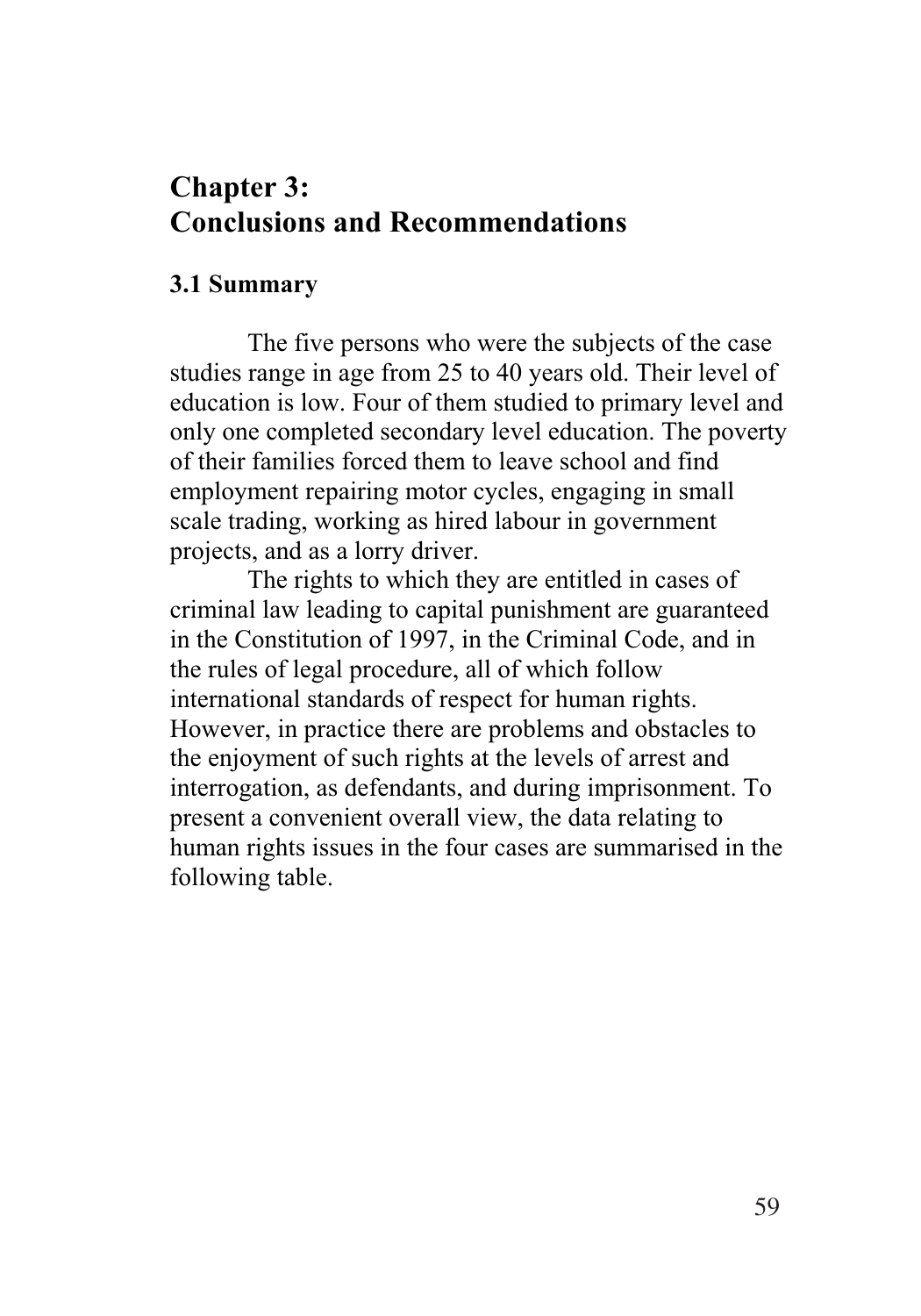# **Chapter 3: Conclusions and Recommendations**

#### **3.1 Summary**

The five persons who were the subjects of the case studies range in age from 25 to 40 years old. Their level of education is low. Four of them studied to primary level and only one completed secondary level education. The poverty of their families forced them to leave school and find employment repairing motor cycles, engaging in small scale trading, working as hired labour in government projects, and as a lorry driver.

The rights to which they are entitled in cases of criminal law leading to capital punishment are guaranteed in the Constitution of 1997, in the Criminal Code, and in the rules of legal procedure, all of which follow international standards of respect for human rights. However, in practice there are problems and obstacles to the enjoyment of such rights at the levels of arrest and interrogation, as defendants, and during imprisonment. To present a convenient overall view, the data relating to human rights issues in the four cases are summarised in the following table.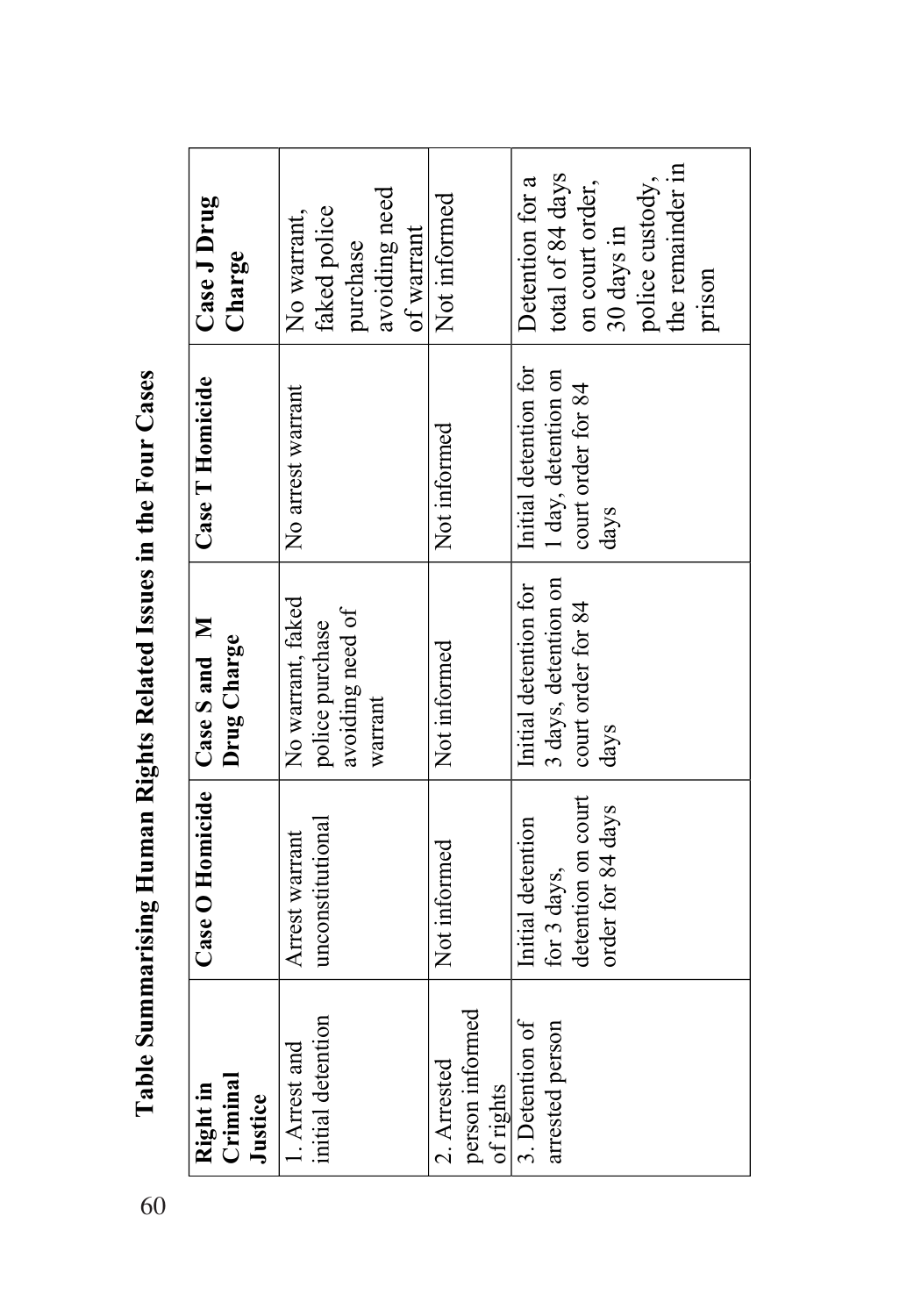| Criminal<br>Right in<br>Justice             | Case O Homicide   Case S and M                                              | Drug Charge                                                                 | Case T Homicide                                                            | Case J Drug<br>Charge                                                                                                 |
|---------------------------------------------|-----------------------------------------------------------------------------|-----------------------------------------------------------------------------|----------------------------------------------------------------------------|-----------------------------------------------------------------------------------------------------------------------|
| initial detention<br>1. Arrest and          | unconstitutional<br>Arrest warrant                                          | No warrant, faked<br>avoiding need of<br>police purchase<br>warrant         | No arrest warrant                                                          | avoiding need<br>faked police<br>No warrant,<br>of warrant<br>purchase                                                |
| person informed<br>2. Arrested<br>of rights | Not informed                                                                | Not informed                                                                | Not informed                                                               | Not informed                                                                                                          |
| 3. Detention of<br>arrested person          | detention on court<br>order for 84 days<br>Initial detention<br>for 3 days, | Initial detention for<br>3 days, detention on<br>court order for 84<br>days | Initial detention for<br>1 day, detention on<br>court order for 84<br>days | the remainder in<br>total of 84 days<br>Detention for a<br>police custody,<br>on court order,<br>30 days in<br>prison |

Table Summarising Human Rights Related Issues in the Four Cases 60**Table Summarising Human Rights Related Issues in the Four Cases**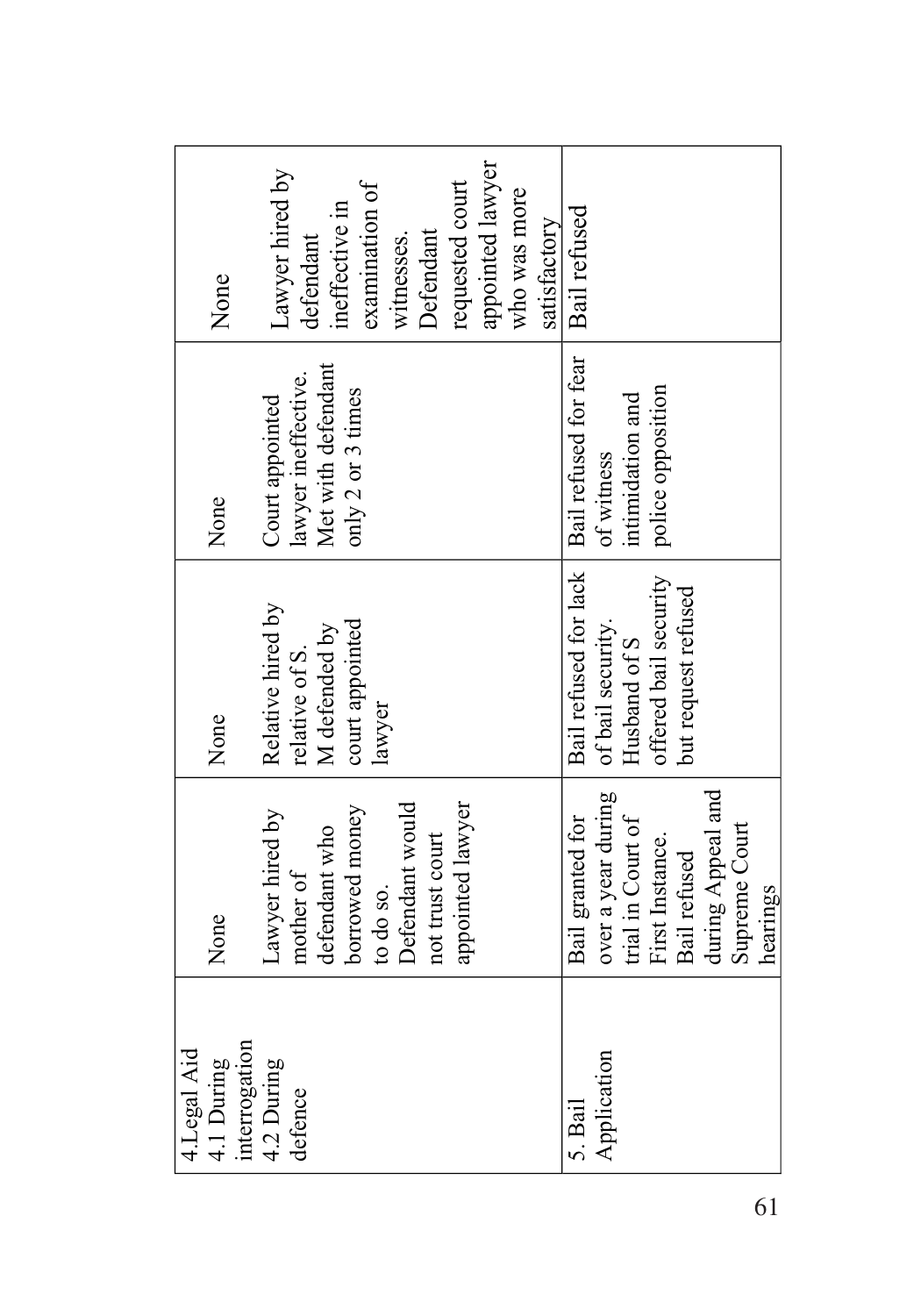| 4.Legal Aid<br>4.1 During | None               | None                  | None                  | None             |
|---------------------------|--------------------|-----------------------|-----------------------|------------------|
| interrogation             |                    |                       |                       |                  |
| 4.2 During                | Lawyer hired by    | Relative hired by     | Court appointed       | awyer hired by   |
| defence                   | mother of          | relative of S.        | awyer ineffective.    | defendant        |
|                           | defendant who      | M defended by         | Met with defendant    | ineffective in   |
|                           | borrowed money     | court appointed       | only 2 or 3 times     |                  |
|                           | to do so.          | lawyer                |                       | examination of   |
|                           | Defendant would    |                       |                       | witnesses.       |
|                           | not trust court    |                       |                       | <b>Defendant</b> |
|                           | appointed lawyer   |                       |                       | requested court  |
|                           |                    |                       |                       | appointed lawyer |
|                           |                    |                       |                       | who was more     |
|                           |                    |                       |                       |                  |
|                           |                    |                       |                       | satisfactory     |
| 5. Bail                   | Bail granted for   | Bail refused for lack | Bail refused for fear | Bail refused     |
| Application               | over a year during | of bail security.     | of witness            |                  |
|                           | trial in Court of  | Husband of S          | intimidation and      |                  |
|                           | First Instance.    | offered bail security | police opposition     |                  |
|                           | Bail refused       | but request refused   |                       |                  |
|                           | during Appeal and  |                       |                       |                  |
|                           | Supreme Court      |                       |                       |                  |
|                           | hearings           |                       |                       |                  |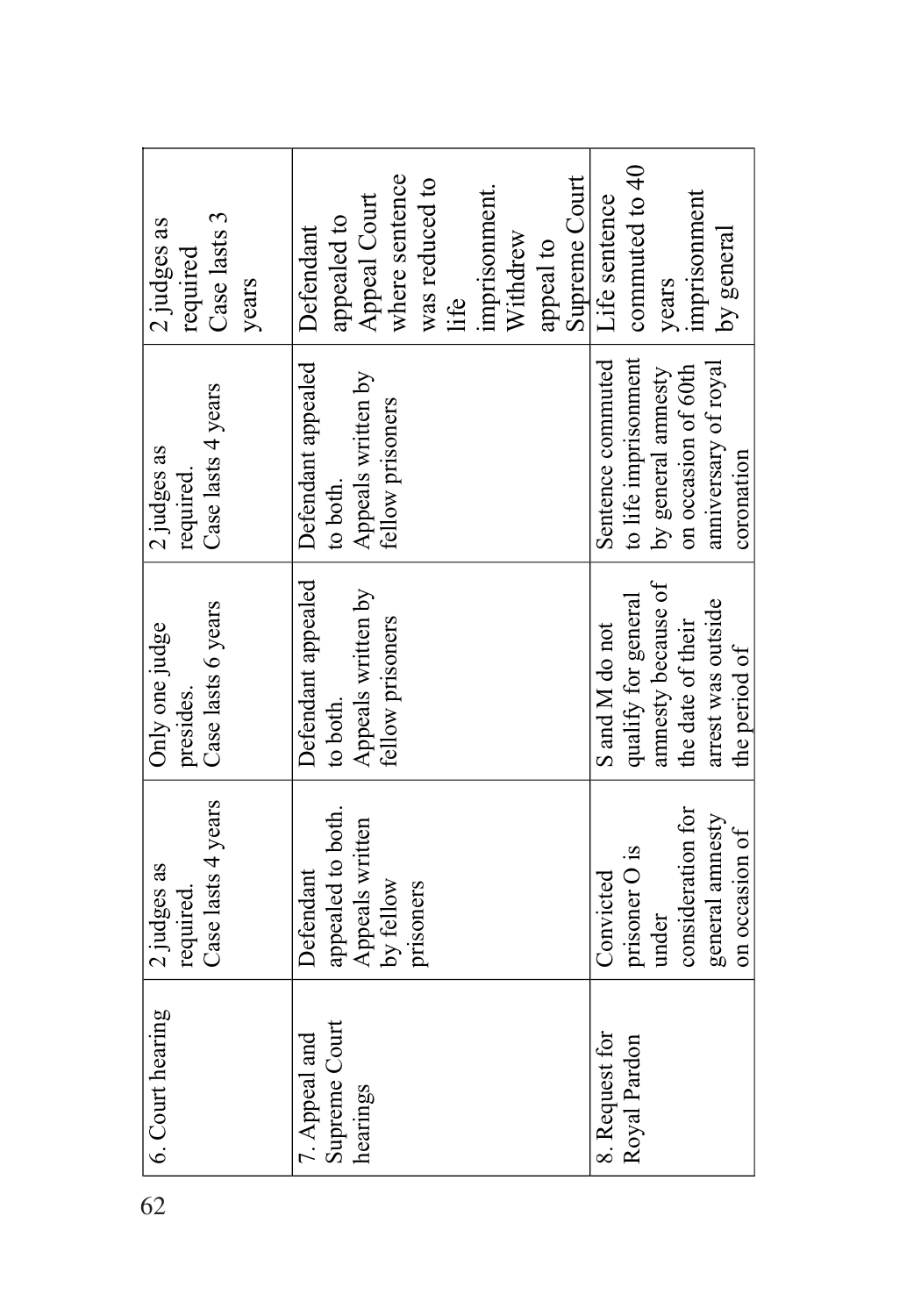| 62 | 6. Court hearing | 2 judges as        | Only one judge      | 2 judges as          | 2 judges as    |
|----|------------------|--------------------|---------------------|----------------------|----------------|
|    |                  | required.          | presides.           | required.            | required       |
|    |                  | Case lasts 4 years | Case lasts 6 years  | Case lasts 4 years   | Case lasts 3   |
|    |                  |                    |                     |                      | years          |
|    | 7. Appeal and    | Defendant          | Defendant appealed  | Defendant appealed   | Defendant      |
|    | Supreme Court    | appealed to both.  | to both.            | to both.             | appealed to    |
|    | hearings         | Appeals written    | Appeals written by  | Appeals written by   | Appeal Court   |
|    |                  | by fellow          | fellow prisoners    | fellow prisoners     | where sentence |
|    |                  | prisoners          |                     |                      | was reduced to |
|    |                  |                    |                     |                      | life           |
|    |                  |                    |                     |                      | imprisonment.  |
|    |                  |                    |                     |                      | Withdrew       |
|    |                  |                    |                     |                      | appeal to      |
|    |                  |                    |                     |                      | Supreme Court  |
|    | 8. Request for   | Convicted          | S and M do not      | Sentence commuted    | Life sentence  |
|    | Royal Pardon     | prisoner O is      | qualify for general | to life imprisonment | commuted to 40 |
|    |                  | under              | amnesty because of  | by general amnesty   | years          |
|    |                  | consideration for  | the date of their   | on occasion of 60th  | imprisonment   |
|    |                  | general annesty    | arrest was outside  | anniversary of royal | by general     |
|    |                  | on occasion of     | the period of       | coronation           |                |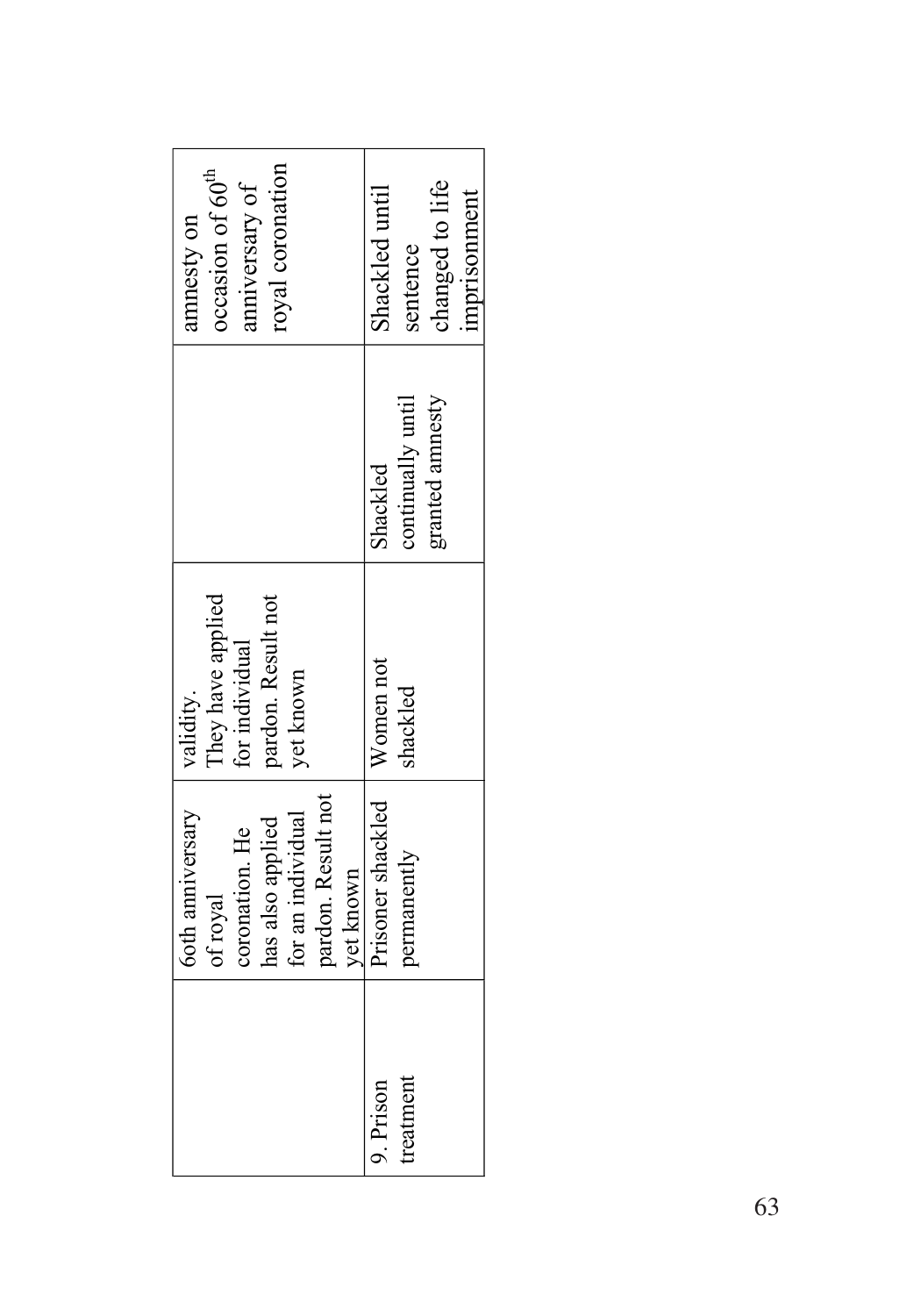| oyal coronation<br>occasion of 60 <sup>tt</sup><br>anniversary of<br>amnesty on                                                   | changed to life<br>hackled until<br>mprisonment<br>sentence |
|-----------------------------------------------------------------------------------------------------------------------------------|-------------------------------------------------------------|
|                                                                                                                                   | granted amnesty<br>continually until<br>shackled            |
| They have applied<br>for individual<br>pardon. Result not<br>yet known<br>validity.                                               | Women not<br>shackled                                       |
| pardon. Result not<br><b>6oth anniversary</b><br>for an individual<br>has also applied<br>coronation. He<br>yet known<br>of royal | Prisoner shackled<br>permanently                            |
|                                                                                                                                   | treatment<br>9. Prison                                      |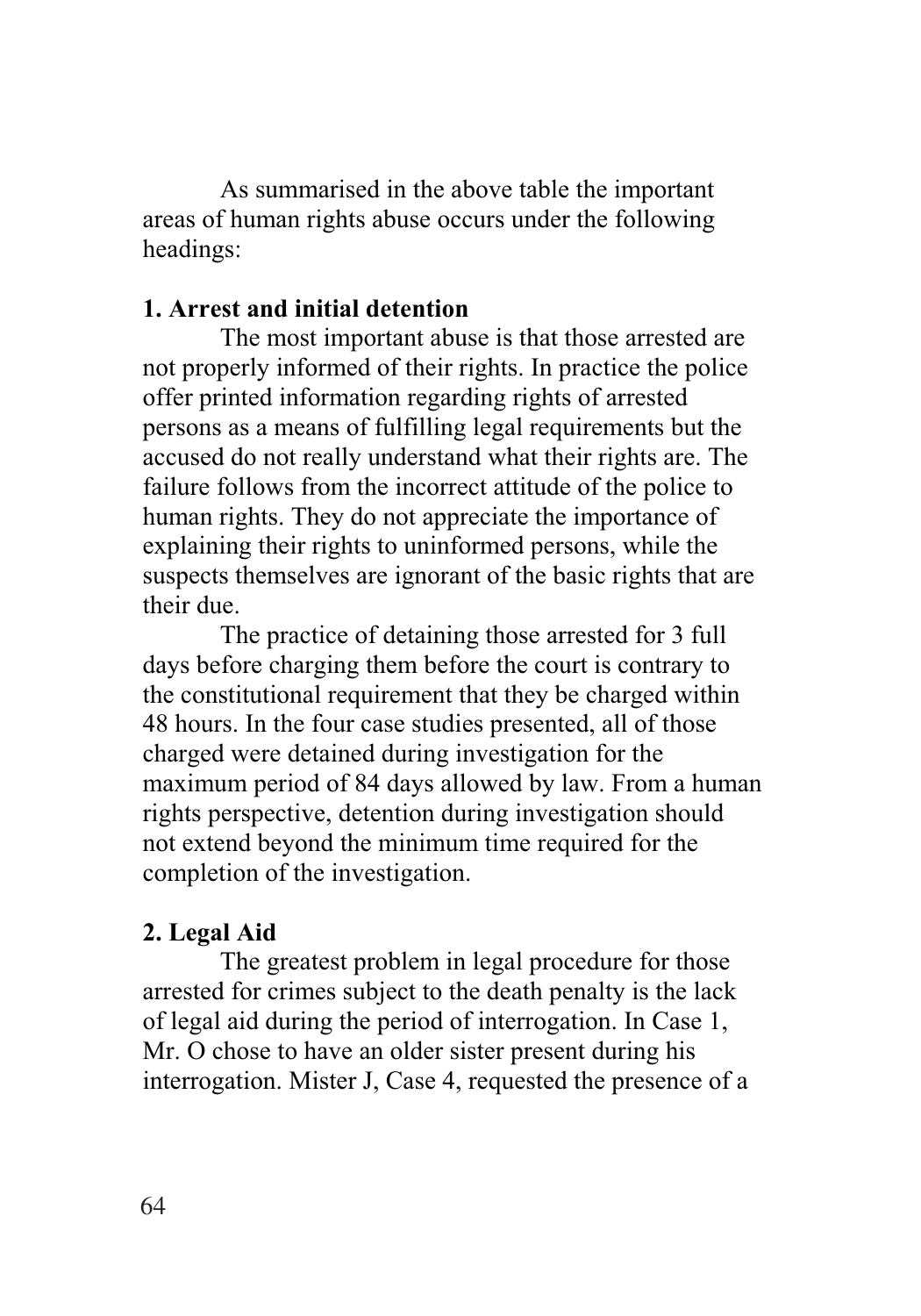As summarised in the above table the important areas of human rights abuse occurs under the following headings:

#### **1. Arrest and initial detention**

The most important abuse is that those arrested are not properly informed of their rights. In practice the police offer printed information regarding rights of arrested persons as a means of fulfilling legal requirements but the accused do not really understand what their rights are. The failure follows from the incorrect attitude of the police to human rights. They do not appreciate the importance of explaining their rights to uninformed persons, while the suspects themselves are ignorant of the basic rights that are their due.

The practice of detaining those arrested for 3 full days before charging them before the court is contrary to the constitutional requirement that they be charged within 48 hours. In the four case studies presented, all of those charged were detained during investigation for the maximum period of 84 days allowed by law. From a human rights perspective, detention during investigation should not extend beyond the minimum time required for the completion of the investigation.

#### **2. Legal Aid**

The greatest problem in legal procedure for those arrested for crimes subject to the death penalty is the lack of legal aid during the period of interrogation. In Case 1, Mr. O chose to have an older sister present during his interrogation. Mister J, Case 4, requested the presence of a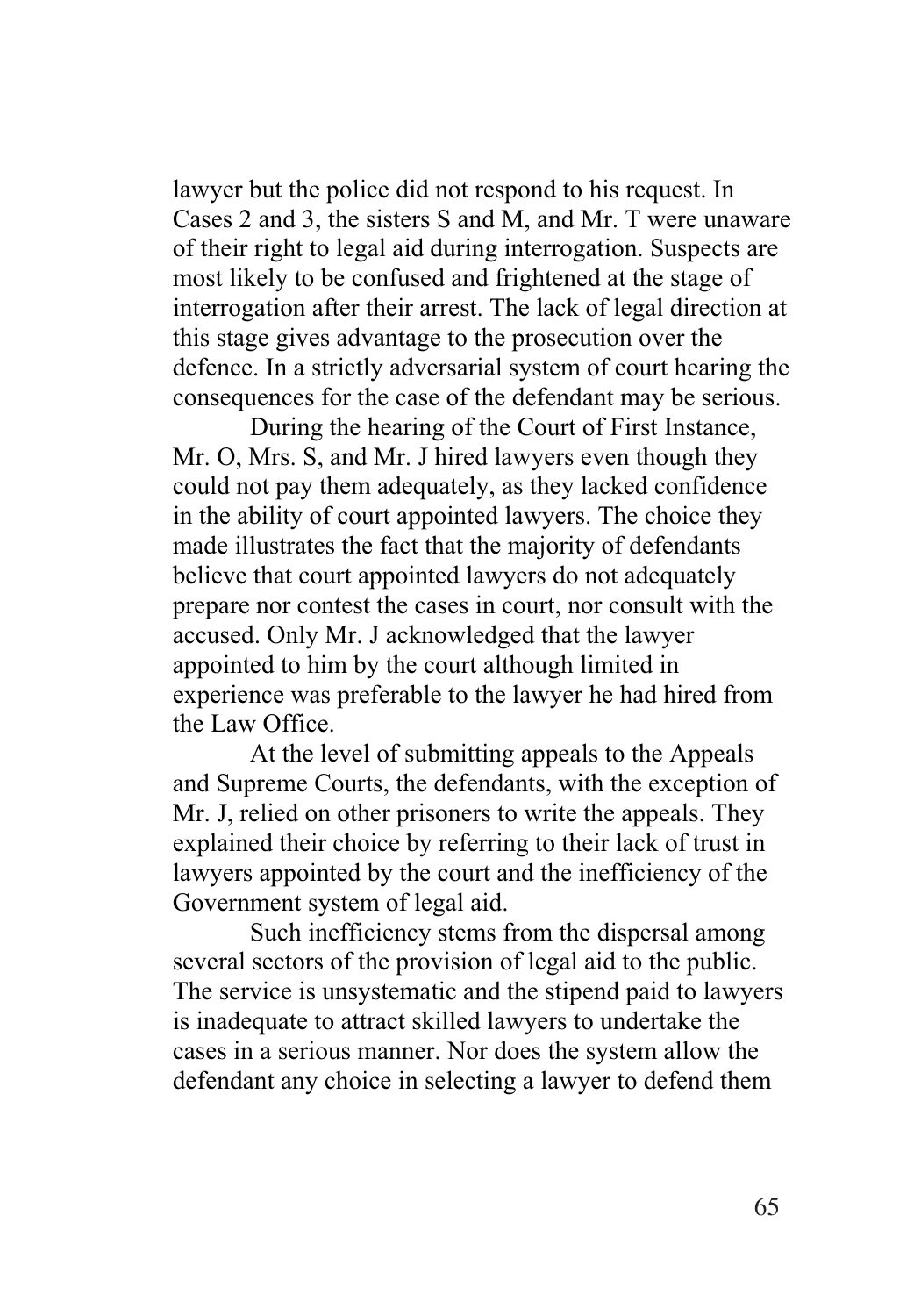lawyer but the police did not respond to his request. In Cases 2 and 3, the sisters S and M, and Mr. T were unaware of their right to legal aid during interrogation. Suspects are most likely to be confused and frightened at the stage of interrogation after their arrest. The lack of legal direction at this stage gives advantage to the prosecution over the defence. In a strictly adversarial system of court hearing the consequences for the case of the defendant may be serious.

During the hearing of the Court of First Instance, Mr. O, Mrs. S, and Mr. J hired lawyers even though they could not pay them adequately, as they lacked confidence in the ability of court appointed lawyers. The choice they made illustrates the fact that the majority of defendants believe that court appointed lawyers do not adequately prepare nor contest the cases in court, nor consult with the accused. Only Mr. J acknowledged that the lawyer appointed to him by the court although limited in experience was preferable to the lawyer he had hired from the Law Office.

At the level of submitting appeals to the Appeals and Supreme Courts, the defendants, with the exception of Mr. J, relied on other prisoners to write the appeals. They explained their choice by referring to their lack of trust in lawyers appointed by the court and the inefficiency of the Government system of legal aid.

Such inefficiency stems from the dispersal among several sectors of the provision of legal aid to the public. The service is unsystematic and the stipend paid to lawyers is inadequate to attract skilled lawyers to undertake the cases in a serious manner. Nor does the system allow the defendant any choice in selecting a lawyer to defend them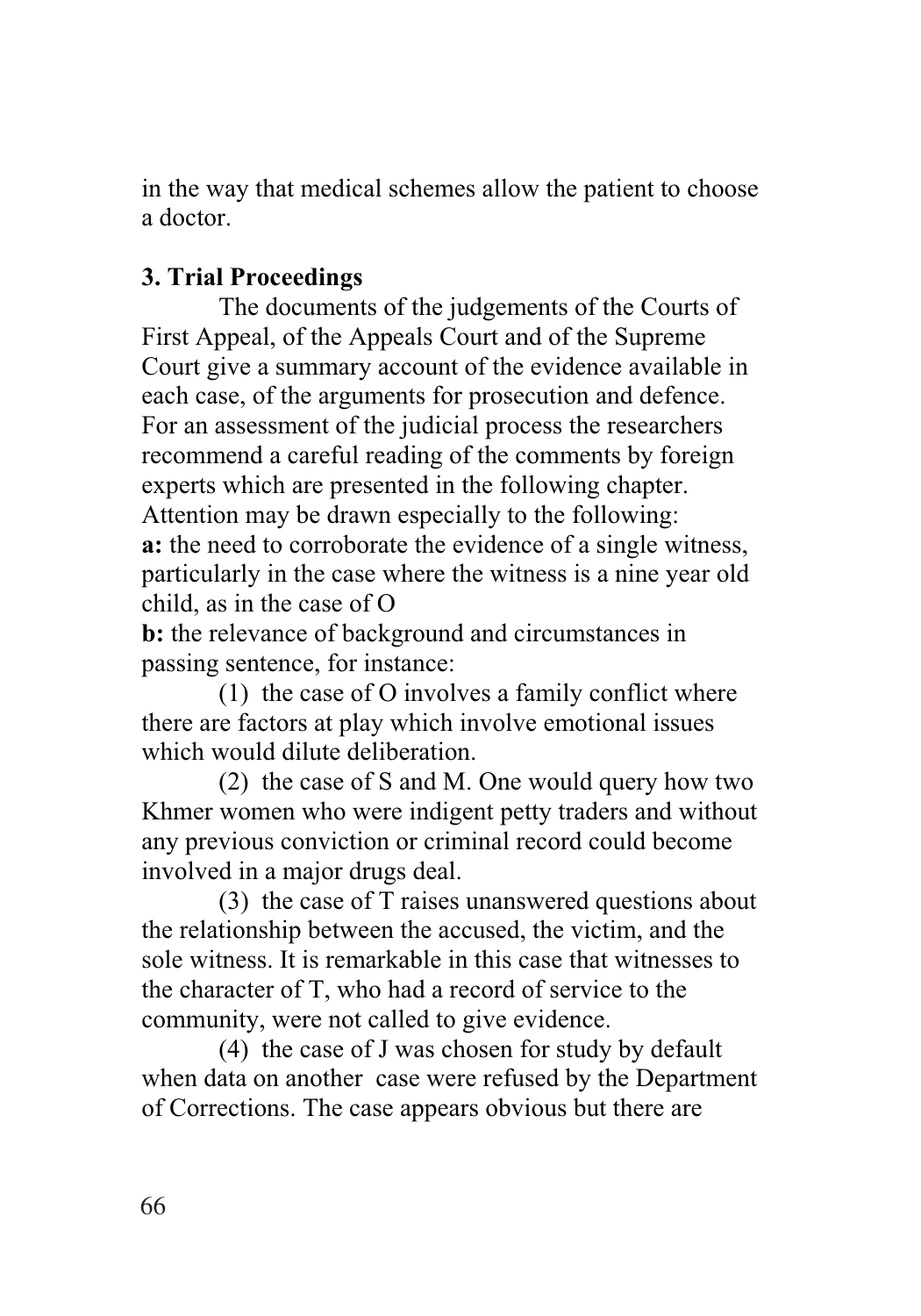in the way that medical schemes allow the patient to choose a doctor.

## **3. Trial Proceedings**

The documents of the judgements of the Courts of First Appeal, of the Appeals Court and of the Supreme Court give a summary account of the evidence available in each case, of the arguments for prosecution and defence. For an assessment of the judicial process the researchers recommend a careful reading of the comments by foreign experts which are presented in the following chapter. Attention may be drawn especially to the following: **a:** the need to corroborate the evidence of a single witness, particularly in the case where the witness is a nine year old child, as in the case of O

**b:** the relevance of background and circumstances in passing sentence, for instance:

(1) the case of O involves a family conflict where there are factors at play which involve emotional issues which would dilute deliberation.

(2) the case of S and M. One would query how two Khmer women who were indigent petty traders and without any previous conviction or criminal record could become involved in a major drugs deal.

(3) the case of T raises unanswered questions about the relationship between the accused, the victim, and the sole witness. It is remarkable in this case that witnesses to the character of T, who had a record of service to the community, were not called to give evidence.

 (4) the case of J was chosen for study by default when data on another case were refused by the Department of Corrections. The case appears obvious but there are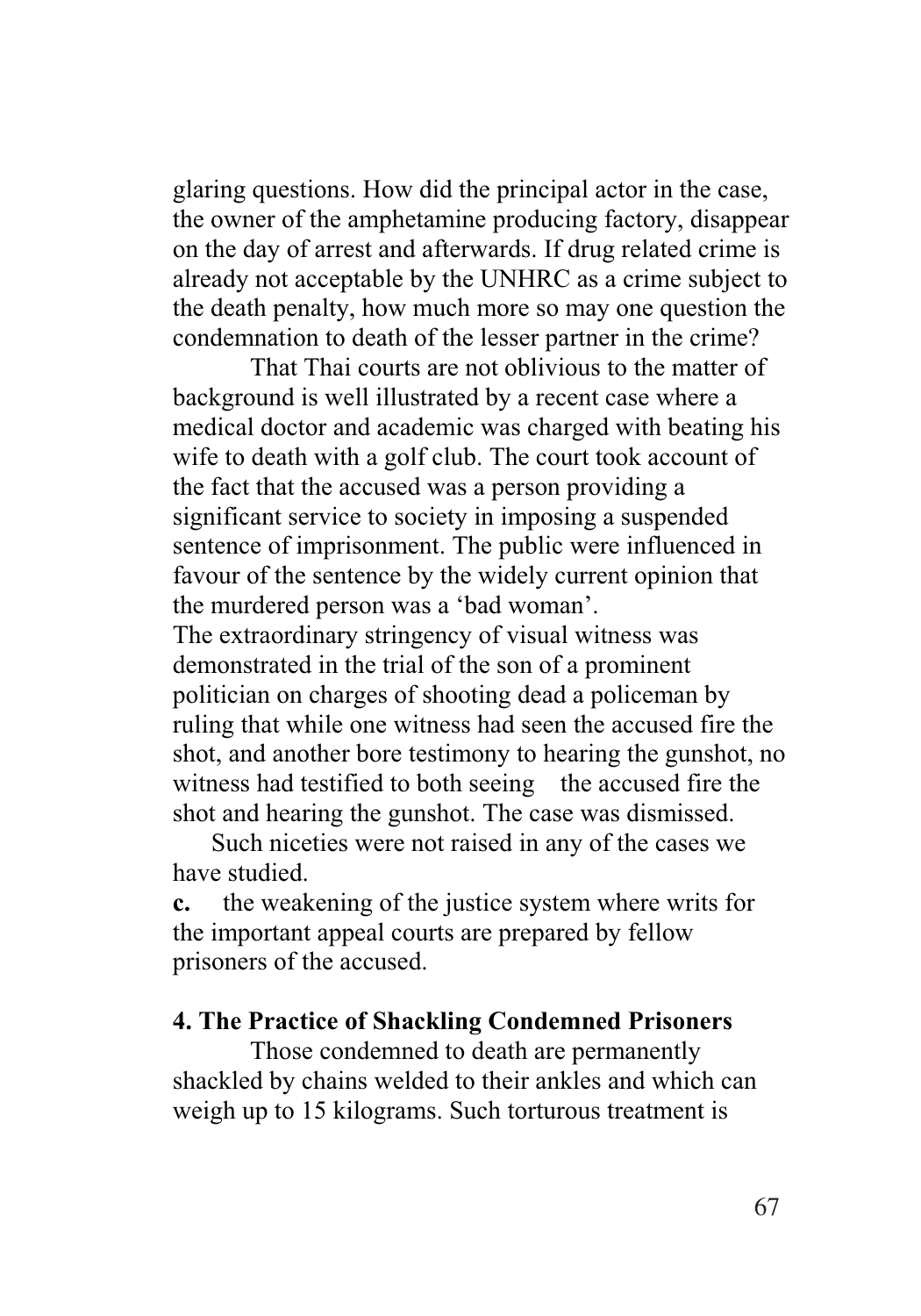glaring questions. How did the principal actor in the case, the owner of the amphetamine producing factory, disappear on the day of arrest and afterwards. If drug related crime is already not acceptable by the UNHRC as a crime subject to the death penalty, how much more so may one question the condemnation to death of the lesser partner in the crime?

That Thai courts are not oblivious to the matter of background is well illustrated by a recent case where a medical doctor and academic was charged with beating his wife to death with a golf club. The court took account of the fact that the accused was a person providing a significant service to society in imposing a suspended sentence of imprisonment. The public were influenced in favour of the sentence by the widely current opinion that the murdered person was a 'bad woman'. The extraordinary stringency of visual witness was demonstrated in the trial of the son of a prominent politician on charges of shooting dead a policeman by ruling that while one witness had seen the accused fire the shot, and another bore testimony to hearing the gunshot, no witness had testified to both seeing the accused fire the shot and hearing the gunshot. The case was dismissed.

 Such niceties were not raised in any of the cases we have studied.

**c.** the weakening of the justice system where writs for the important appeal courts are prepared by fellow prisoners of the accused.

#### **4. The Practice of Shackling Condemned Prisoners**

Those condemned to death are permanently shackled by chains welded to their ankles and which can weigh up to 15 kilograms. Such torturous treatment is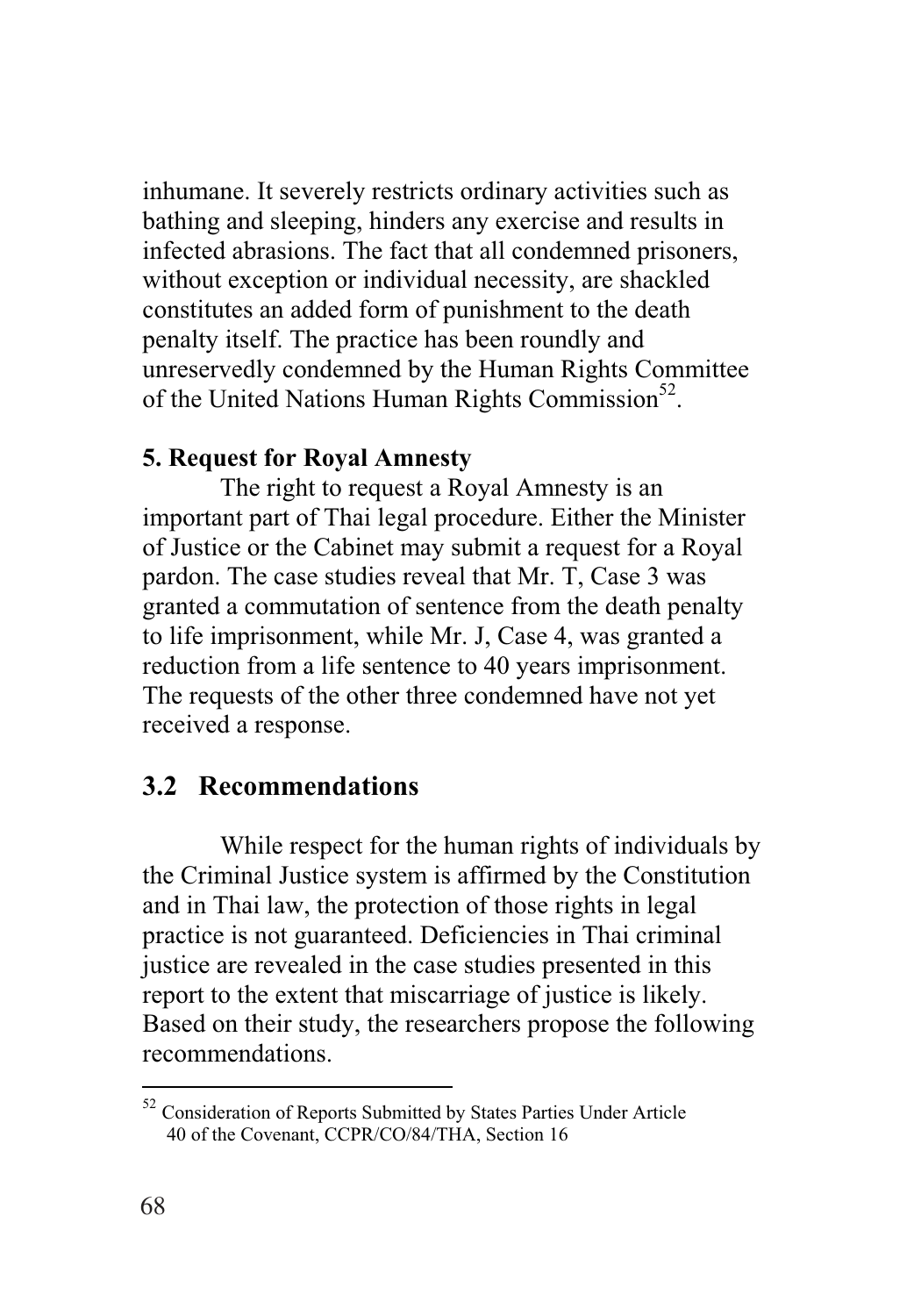inhumane. It severely restricts ordinary activities such as bathing and sleeping, hinders any exercise and results in infected abrasions. The fact that all condemned prisoners, without exception or individual necessity, are shackled constitutes an added form of punishment to the death penalty itself. The practice has been roundly and unreservedly condemned by the Human Rights Committee of the United Nations Human Rights Commission<sup>52</sup>.

#### **5. Request for Royal Amnesty**

The right to request a Royal Amnesty is an important part of Thai legal procedure. Either the Minister of Justice or the Cabinet may submit a request for a Royal pardon. The case studies reveal that Mr. T, Case 3 was granted a commutation of sentence from the death penalty to life imprisonment, while Mr. J, Case 4, was granted a reduction from a life sentence to 40 years imprisonment. The requests of the other three condemned have not yet received a response.

#### **3.2 Recommendations**

While respect for the human rights of individuals by the Criminal Justice system is affirmed by the Constitution and in Thai law, the protection of those rights in legal practice is not guaranteed. Deficiencies in Thai criminal justice are revealed in the case studies presented in this report to the extent that miscarriage of justice is likely. Based on their study, the researchers propose the following recommendations.

<u>.</u>

<sup>&</sup>lt;sup>52</sup> Consideration of Reports Submitted by States Parties Under Article 40 of the Covenant, CCPR/CO/84/THA, Section 16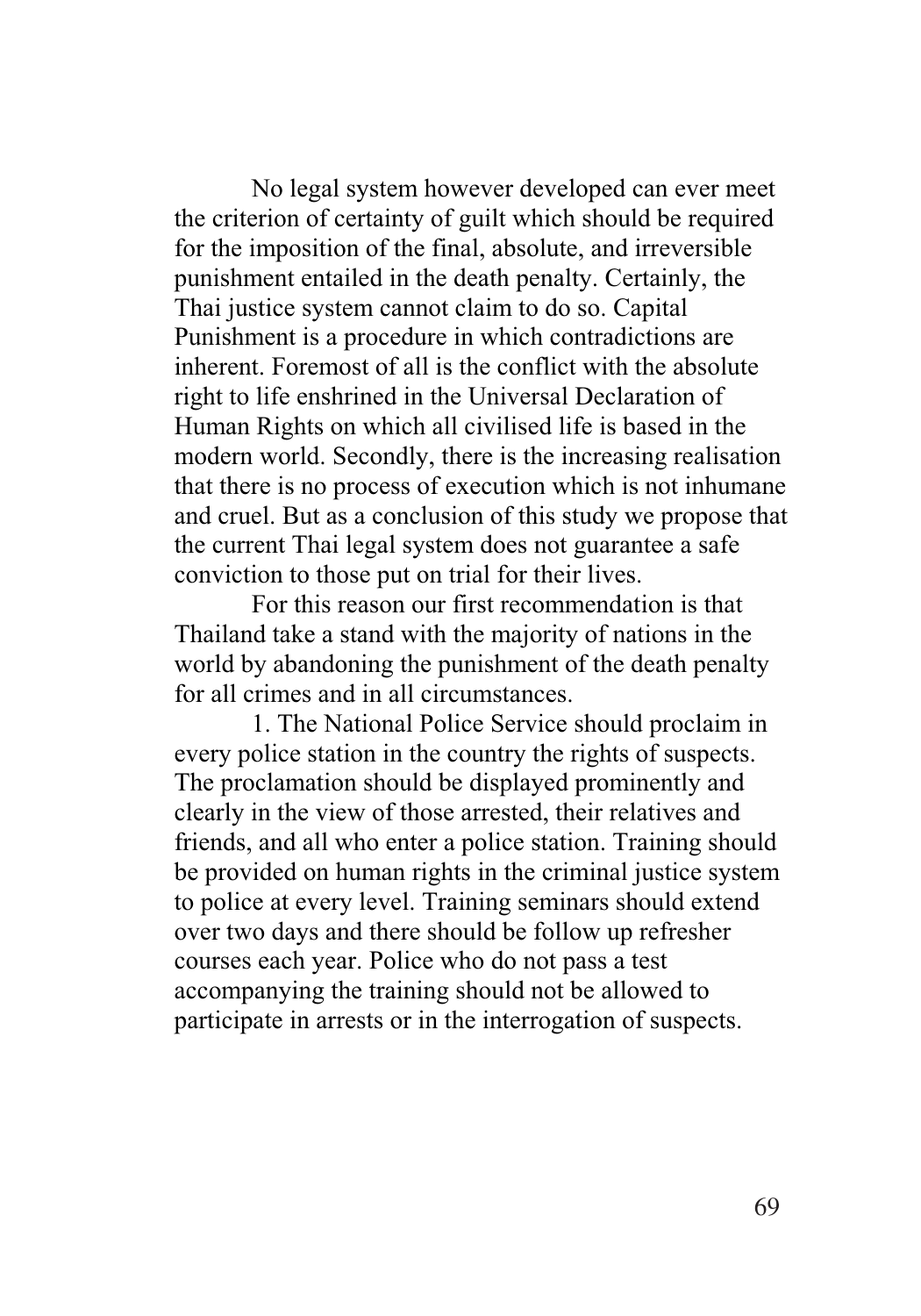No legal system however developed can ever meet the criterion of certainty of guilt which should be required for the imposition of the final, absolute, and irreversible punishment entailed in the death penalty. Certainly, the Thai justice system cannot claim to do so. Capital Punishment is a procedure in which contradictions are inherent. Foremost of all is the conflict with the absolute right to life enshrined in the Universal Declaration of Human Rights on which all civilised life is based in the modern world. Secondly, there is the increasing realisation that there is no process of execution which is not inhumane and cruel. But as a conclusion of this study we propose that the current Thai legal system does not guarantee a safe conviction to those put on trial for their lives.

For this reason our first recommendation is that Thailand take a stand with the majority of nations in the world by abandoning the punishment of the death penalty for all crimes and in all circumstances.

1. The National Police Service should proclaim in every police station in the country the rights of suspects. The proclamation should be displayed prominently and clearly in the view of those arrested, their relatives and friends, and all who enter a police station. Training should be provided on human rights in the criminal justice system to police at every level. Training seminars should extend over two days and there should be follow up refresher courses each year. Police who do not pass a test accompanying the training should not be allowed to participate in arrests or in the interrogation of suspects.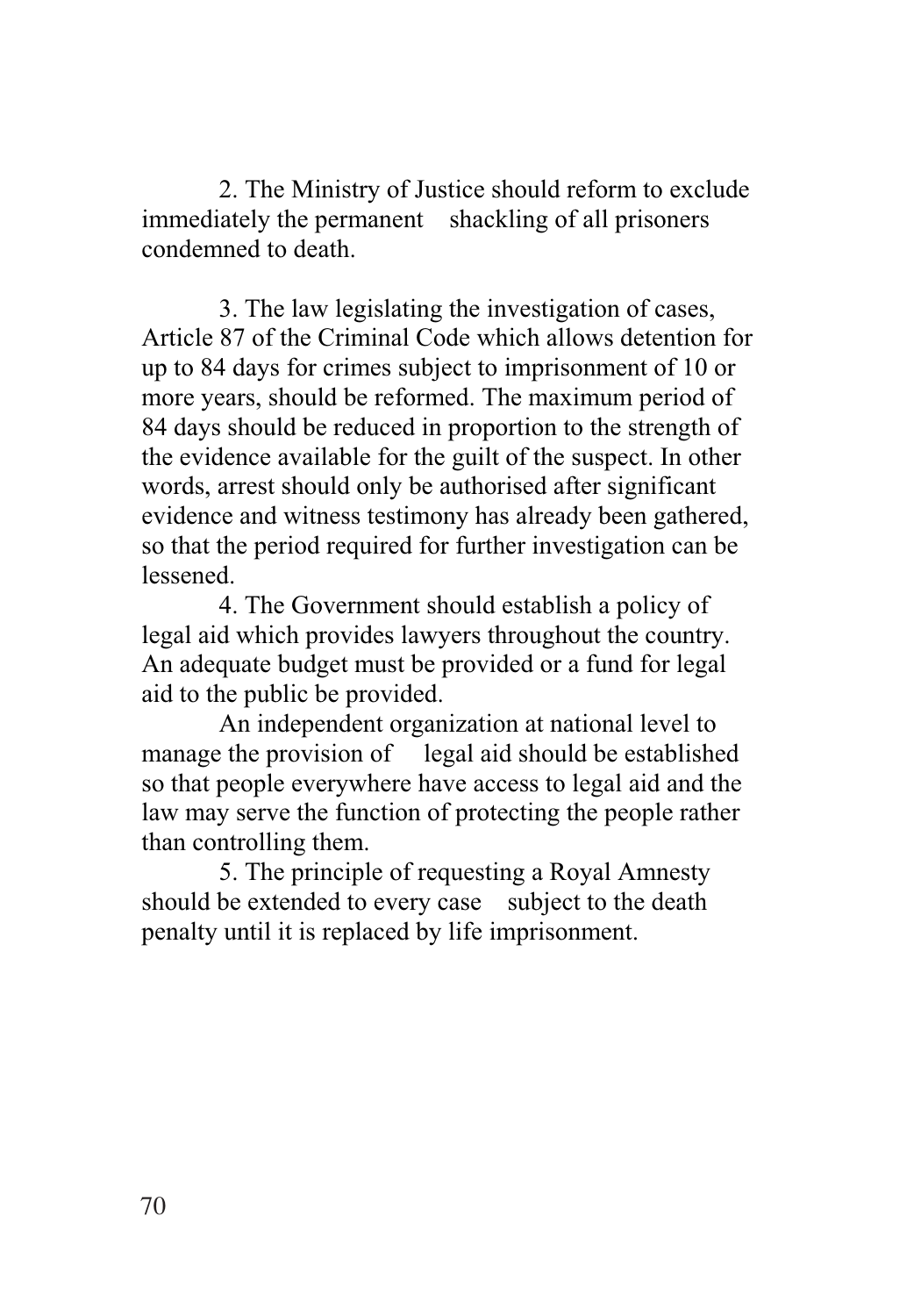2. The Ministry of Justice should reform to exclude immediately the permanent shackling of all prisoners condemned to death.

3. The law legislating the investigation of cases, Article 87 of the Criminal Code which allows detention for up to 84 days for crimes subject to imprisonment of 10 or more years, should be reformed. The maximum period of 84 days should be reduced in proportion to the strength of the evidence available for the guilt of the suspect. In other words, arrest should only be authorised after significant evidence and witness testimony has already been gathered, so that the period required for further investigation can be lessened.

4. The Government should establish a policy of legal aid which provides lawyers throughout the country. An adequate budget must be provided or a fund for legal aid to the public be provided.

An independent organization at national level to manage the provision of legal aid should be established so that people everywhere have access to legal aid and the law may serve the function of protecting the people rather than controlling them.

5. The principle of requesting a Royal Amnesty should be extended to every case subject to the death penalty until it is replaced by life imprisonment.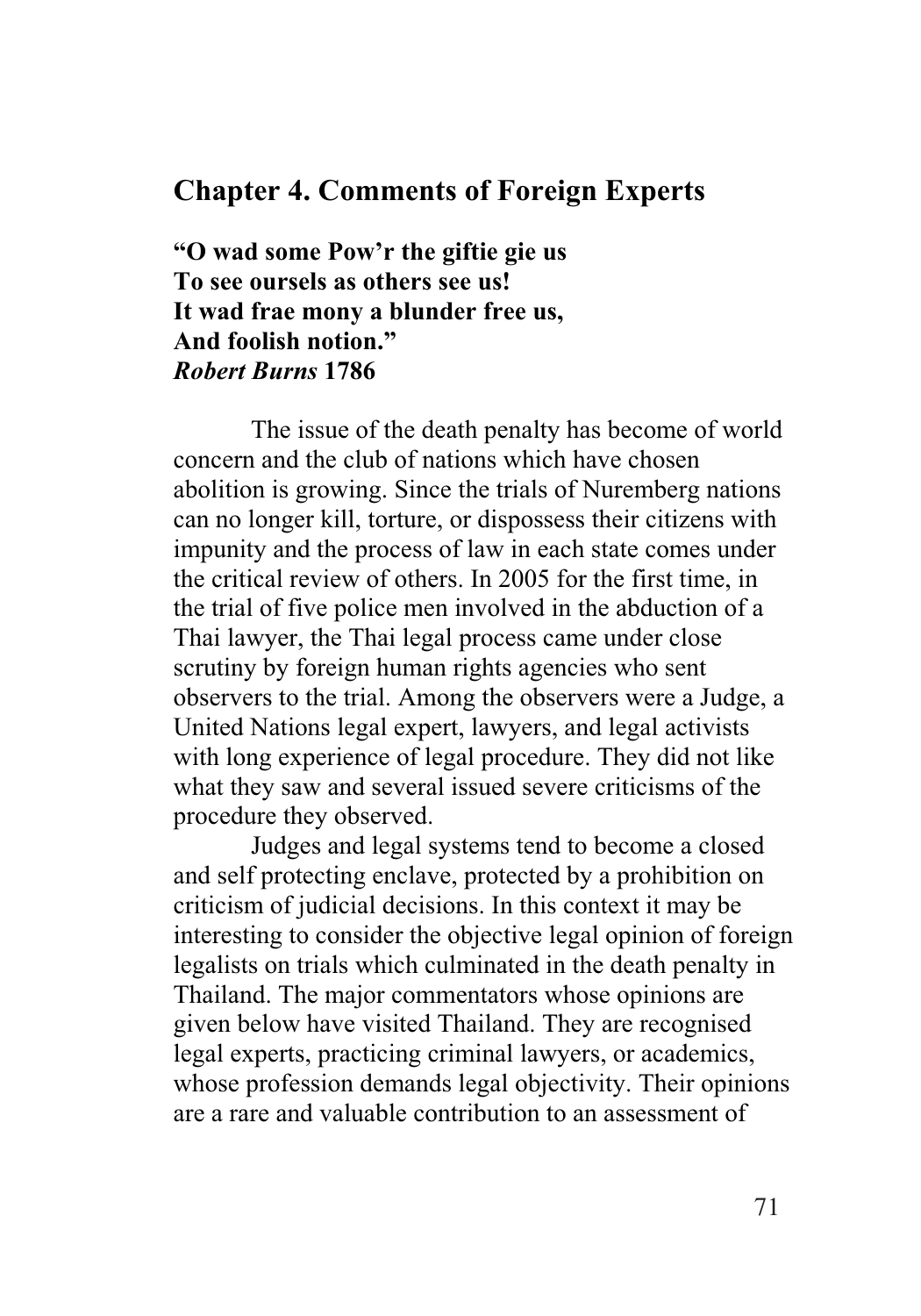## **Chapter 4. Comments of Foreign Experts**

**"O wad some Pow'r the giftie gie us To see oursels as others see us! It wad frae mony a blunder free us, And foolish notion."**  *Robert Burns* **1786** 

The issue of the death penalty has become of world concern and the club of nations which have chosen abolition is growing. Since the trials of Nuremberg nations can no longer kill, torture, or dispossess their citizens with impunity and the process of law in each state comes under the critical review of others. In 2005 for the first time, in the trial of five police men involved in the abduction of a Thai lawyer, the Thai legal process came under close scrutiny by foreign human rights agencies who sent observers to the trial. Among the observers were a Judge, a United Nations legal expert, lawyers, and legal activists with long experience of legal procedure. They did not like what they saw and several issued severe criticisms of the procedure they observed.

Judges and legal systems tend to become a closed and self protecting enclave, protected by a prohibition on criticism of judicial decisions. In this context it may be interesting to consider the objective legal opinion of foreign legalists on trials which culminated in the death penalty in Thailand. The major commentators whose opinions are given below have visited Thailand. They are recognised legal experts, practicing criminal lawyers, or academics, whose profession demands legal objectivity. Their opinions are a rare and valuable contribution to an assessment of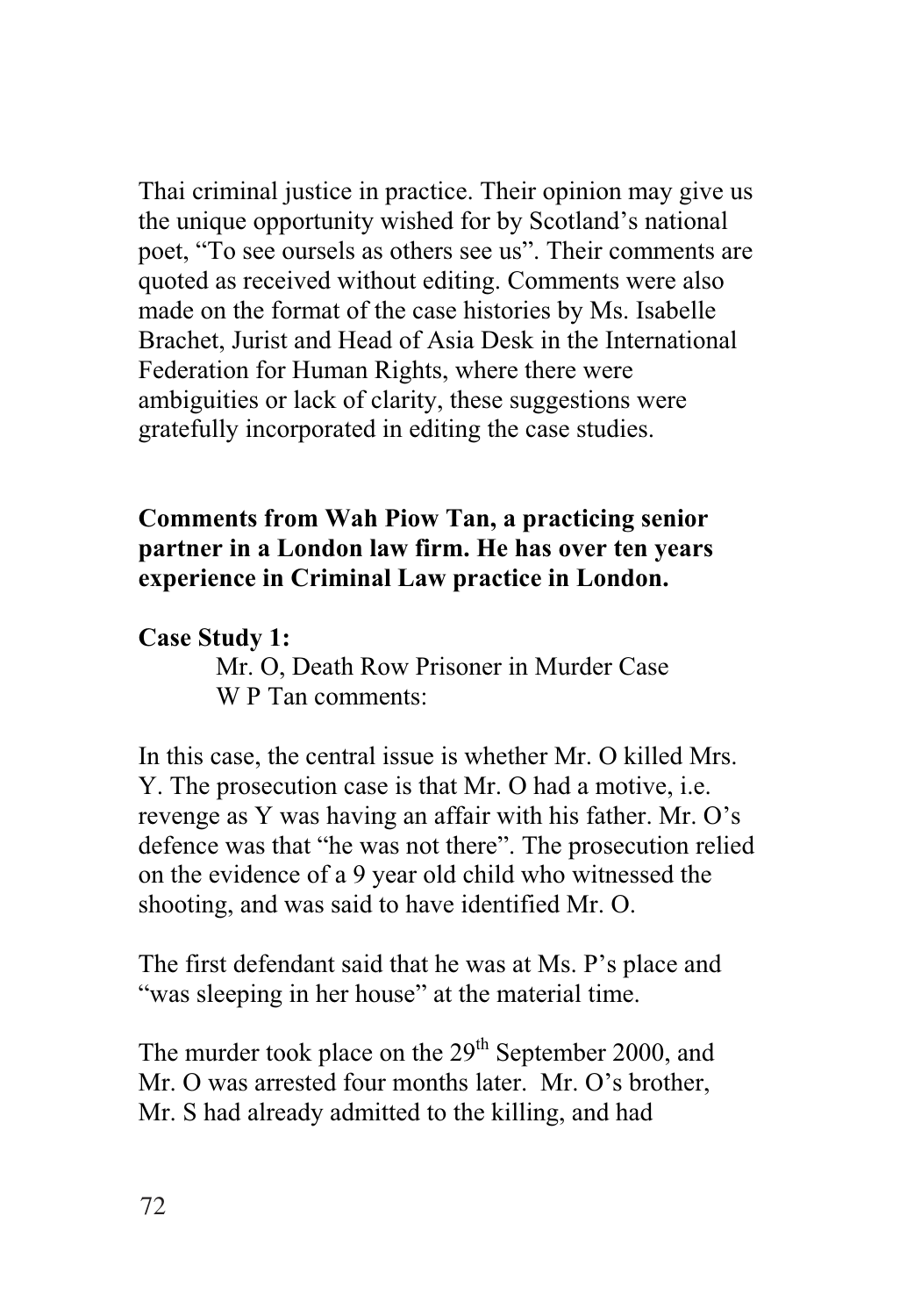Thai criminal justice in practice. Their opinion may give us the unique opportunity wished for by Scotland's national poet, "To see oursels as others see us". Their comments are quoted as received without editing. Comments were also made on the format of the case histories by Ms. Isabelle Brachet, Jurist and Head of Asia Desk in the International Federation for Human Rights, where there were ambiguities or lack of clarity, these suggestions were gratefully incorporated in editing the case studies.

## **Comments from Wah Piow Tan, a practicing senior partner in a London law firm. He has over ten years experience in Criminal Law practice in London.**

## **Case Study 1:**

Mr. O, Death Row Prisoner in Murder Case W P Tan comments:

In this case, the central issue is whether Mr. O killed Mrs. Y. The prosecution case is that Mr. O had a motive, i.e. revenge as Y was having an affair with his father. Mr. O's defence was that "he was not there". The prosecution relied on the evidence of a 9 year old child who witnessed the shooting, and was said to have identified Mr. O.

The first defendant said that he was at Ms. P's place and "was sleeping in her house" at the material time.

The murder took place on the  $29<sup>th</sup>$  September 2000, and Mr. O was arrested four months later. Mr. O's brother, Mr. S had already admitted to the killing, and had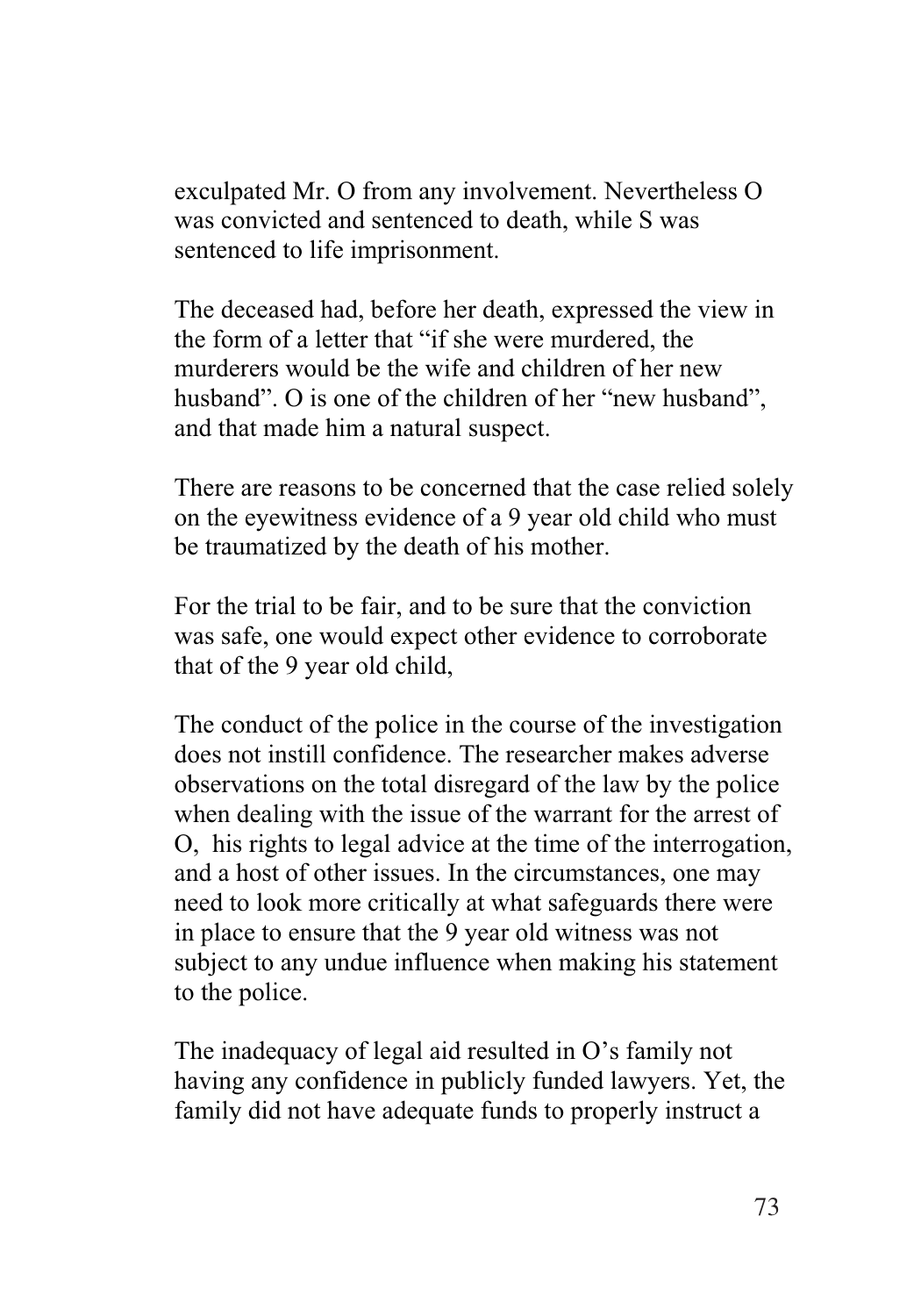exculpated Mr. O from any involvement. Nevertheless O was convicted and sentenced to death, while S was sentenced to life imprisonment.

The deceased had, before her death, expressed the view in the form of a letter that "if she were murdered, the murderers would be the wife and children of her new husband". O is one of the children of her "new husband", and that made him a natural suspect.

There are reasons to be concerned that the case relied solely on the eyewitness evidence of a 9 year old child who must be traumatized by the death of his mother.

For the trial to be fair, and to be sure that the conviction was safe, one would expect other evidence to corroborate that of the 9 year old child,

The conduct of the police in the course of the investigation does not instill confidence. The researcher makes adverse observations on the total disregard of the law by the police when dealing with the issue of the warrant for the arrest of O, his rights to legal advice at the time of the interrogation, and a host of other issues. In the circumstances, one may need to look more critically at what safeguards there were in place to ensure that the 9 year old witness was not subject to any undue influence when making his statement to the police.

The inadequacy of legal aid resulted in O's family not having any confidence in publicly funded lawyers. Yet, the family did not have adequate funds to properly instruct a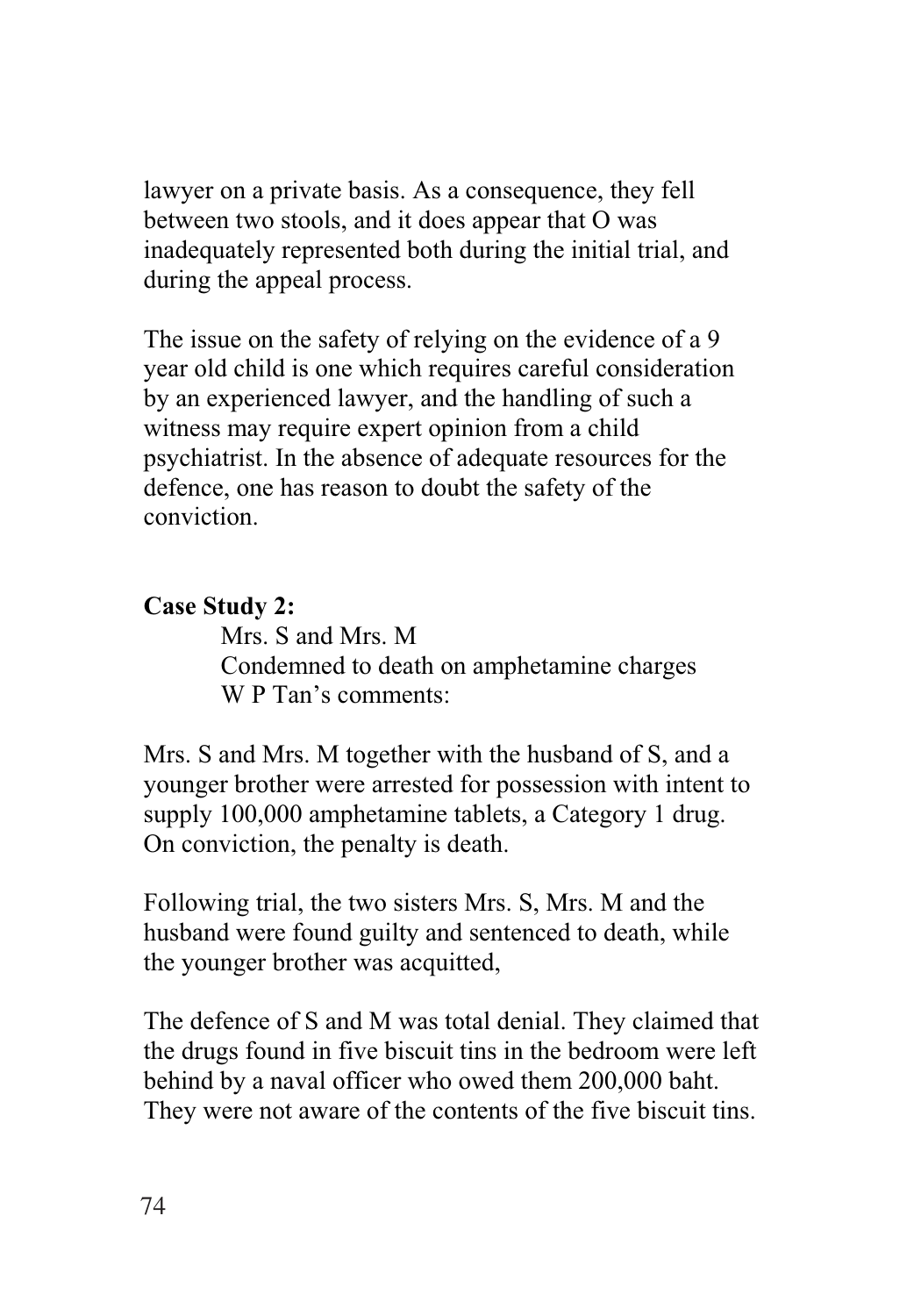lawyer on a private basis. As a consequence, they fell between two stools, and it does appear that O was inadequately represented both during the initial trial, and during the appeal process.

The issue on the safety of relying on the evidence of a 9 year old child is one which requires careful consideration by an experienced lawyer, and the handling of such a witness may require expert opinion from a child psychiatrist. In the absence of adequate resources for the defence, one has reason to doubt the safety of the conviction.

## **Case Study 2:**

Mrs. S and Mrs. M Condemned to death on amphetamine charges W P Tan's comments:

Mrs. S and Mrs. M together with the husband of S, and a younger brother were arrested for possession with intent to supply 100,000 amphetamine tablets, a Category 1 drug. On conviction, the penalty is death.

Following trial, the two sisters Mrs. S, Mrs. M and the husband were found guilty and sentenced to death, while the younger brother was acquitted,

The defence of S and M was total denial. They claimed that the drugs found in five biscuit tins in the bedroom were left behind by a naval officer who owed them 200,000 baht. They were not aware of the contents of the five biscuit tins.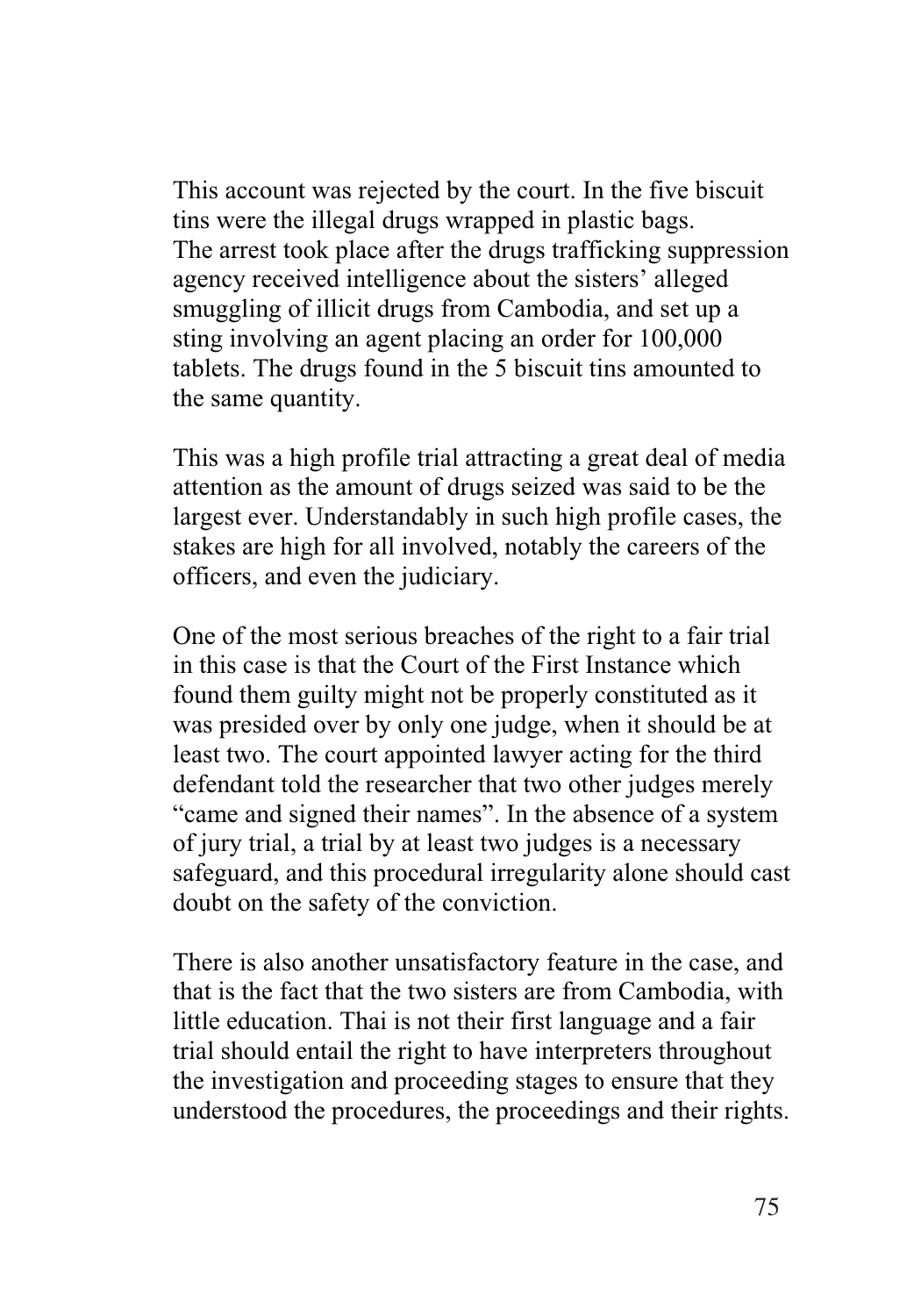This account was rejected by the court. In the five biscuit tins were the illegal drugs wrapped in plastic bags. The arrest took place after the drugs trafficking suppression agency received intelligence about the sisters' alleged smuggling of illicit drugs from Cambodia, and set up a sting involving an agent placing an order for 100,000 tablets. The drugs found in the 5 biscuit tins amounted to the same quantity.

This was a high profile trial attracting a great deal of media attention as the amount of drugs seized was said to be the largest ever. Understandably in such high profile cases, the stakes are high for all involved, notably the careers of the officers, and even the judiciary.

One of the most serious breaches of the right to a fair trial in this case is that the Court of the First Instance which found them guilty might not be properly constituted as it was presided over by only one judge, when it should be at least two. The court appointed lawyer acting for the third defendant told the researcher that two other judges merely "came and signed their names". In the absence of a system of jury trial, a trial by at least two judges is a necessary safeguard, and this procedural irregularity alone should cast doubt on the safety of the conviction.

There is also another unsatisfactory feature in the case, and that is the fact that the two sisters are from Cambodia, with little education. Thai is not their first language and a fair trial should entail the right to have interpreters throughout the investigation and proceeding stages to ensure that they understood the procedures, the proceedings and their rights.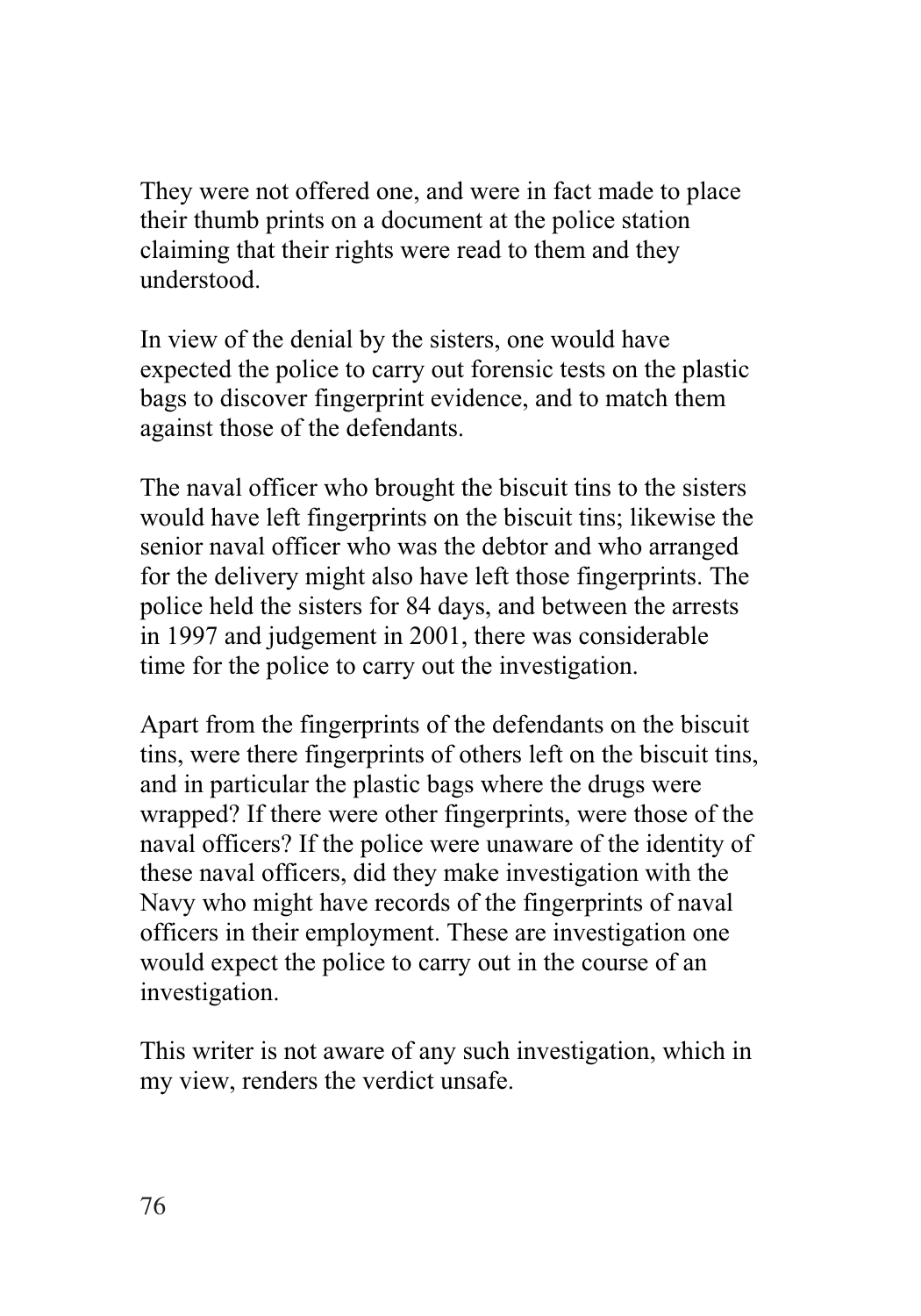They were not offered one, and were in fact made to place their thumb prints on a document at the police station claiming that their rights were read to them and they understood.

In view of the denial by the sisters, one would have expected the police to carry out forensic tests on the plastic bags to discover fingerprint evidence, and to match them against those of the defendants.

The naval officer who brought the biscuit tins to the sisters would have left fingerprints on the biscuit tins; likewise the senior naval officer who was the debtor and who arranged for the delivery might also have left those fingerprints. The police held the sisters for 84 days, and between the arrests in 1997 and judgement in 2001, there was considerable time for the police to carry out the investigation.

Apart from the fingerprints of the defendants on the biscuit tins, were there fingerprints of others left on the biscuit tins, and in particular the plastic bags where the drugs were wrapped? If there were other fingerprints, were those of the naval officers? If the police were unaware of the identity of these naval officers, did they make investigation with the Navy who might have records of the fingerprints of naval officers in their employment. These are investigation one would expect the police to carry out in the course of an investigation.

This writer is not aware of any such investigation, which in my view, renders the verdict unsafe.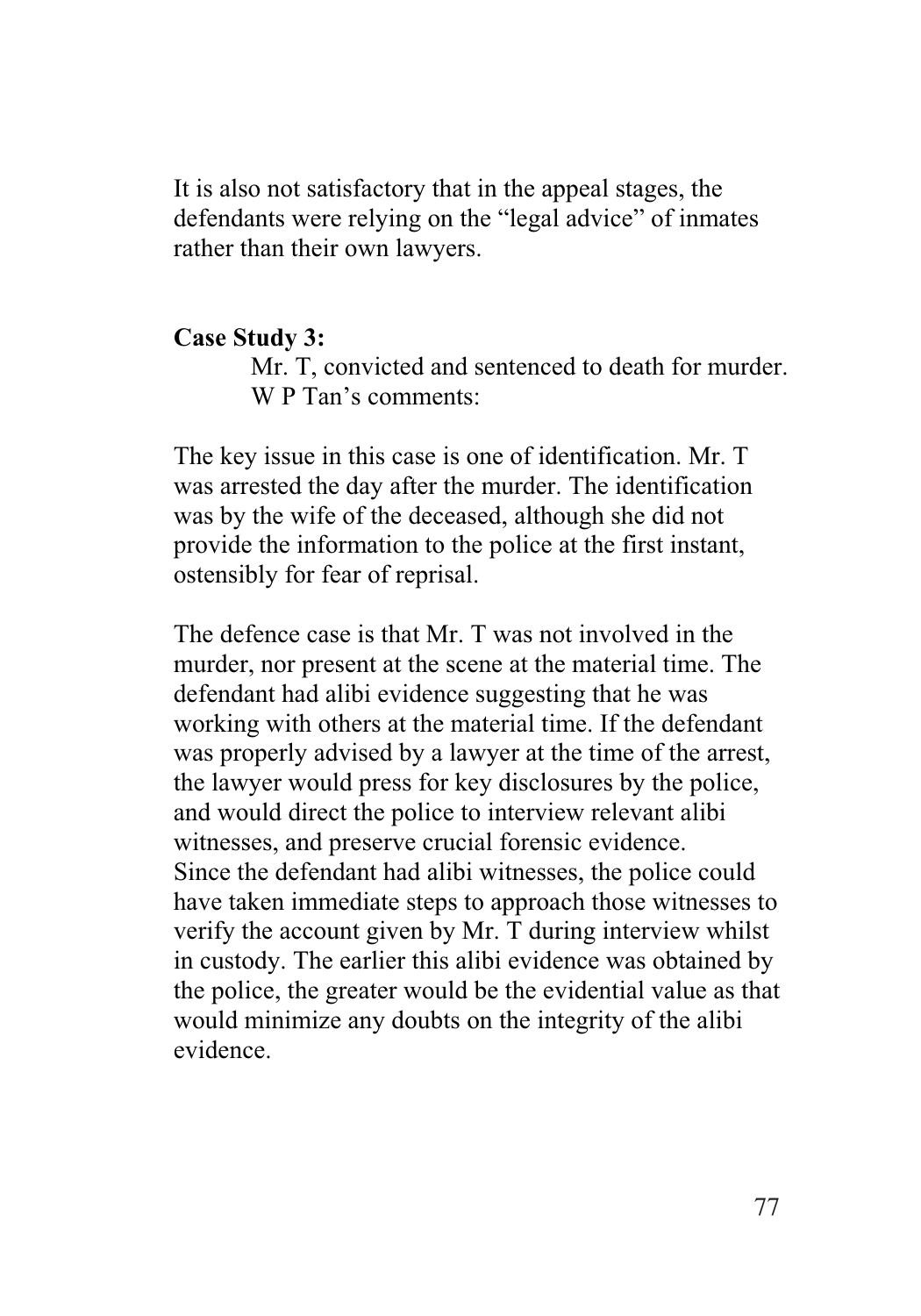It is also not satisfactory that in the appeal stages, the defendants were relying on the "legal advice" of inmates rather than their own lawyers.

#### **Case Study 3:**

Mr. T, convicted and sentenced to death for murder. W P Tan's comments:

The key issue in this case is one of identification. Mr. T was arrested the day after the murder. The identification was by the wife of the deceased, although she did not provide the information to the police at the first instant, ostensibly for fear of reprisal.

The defence case is that Mr. T was not involved in the murder, nor present at the scene at the material time. The defendant had alibi evidence suggesting that he was working with others at the material time. If the defendant was properly advised by a lawyer at the time of the arrest, the lawyer would press for key disclosures by the police, and would direct the police to interview relevant alibi witnesses, and preserve crucial forensic evidence. Since the defendant had alibi witnesses, the police could have taken immediate steps to approach those witnesses to verify the account given by Mr. T during interview whilst in custody. The earlier this alibi evidence was obtained by the police, the greater would be the evidential value as that would minimize any doubts on the integrity of the alibi evidence.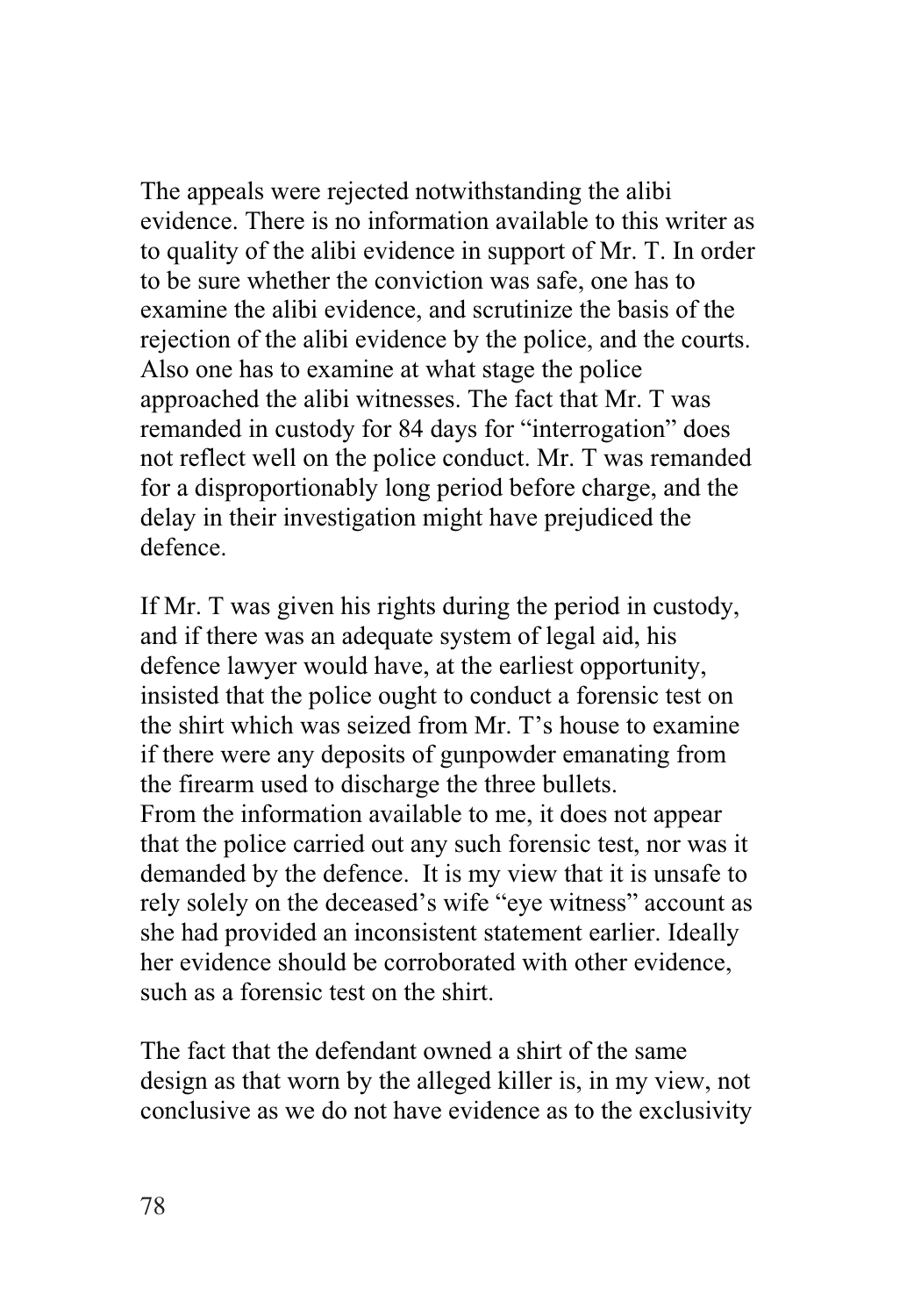The appeals were rejected notwithstanding the alibi evidence. There is no information available to this writer as to quality of the alibi evidence in support of Mr. T. In order to be sure whether the conviction was safe, one has to examine the alibi evidence, and scrutinize the basis of the rejection of the alibi evidence by the police, and the courts. Also one has to examine at what stage the police approached the alibi witnesses. The fact that Mr. T was remanded in custody for 84 days for "interrogation" does not reflect well on the police conduct. Mr. T was remanded for a disproportionably long period before charge, and the delay in their investigation might have prejudiced the defence.

If Mr. T was given his rights during the period in custody, and if there was an adequate system of legal aid, his defence lawyer would have, at the earliest opportunity, insisted that the police ought to conduct a forensic test on the shirt which was seized from Mr. T's house to examine if there were any deposits of gunpowder emanating from the firearm used to discharge the three bullets. From the information available to me, it does not appear that the police carried out any such forensic test, nor was it demanded by the defence. It is my view that it is unsafe to rely solely on the deceased's wife "eye witness" account as she had provided an inconsistent statement earlier. Ideally her evidence should be corroborated with other evidence, such as a forensic test on the shirt.

The fact that the defendant owned a shirt of the same design as that worn by the alleged killer is, in my view, not conclusive as we do not have evidence as to the exclusivity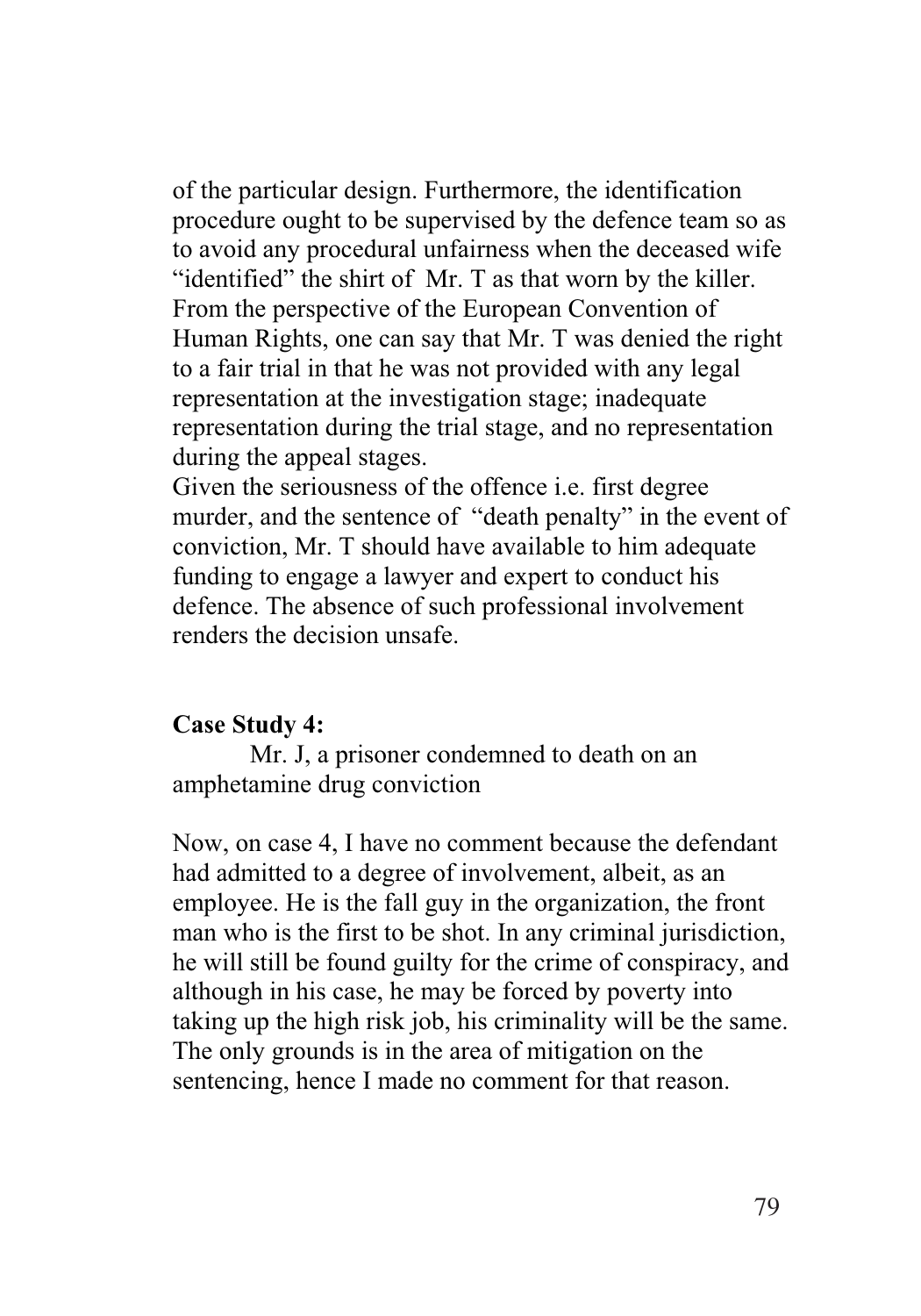of the particular design. Furthermore, the identification procedure ought to be supervised by the defence team so as to avoid any procedural unfairness when the deceased wife "identified" the shirt of Mr. T as that worn by the killer. From the perspective of the European Convention of Human Rights, one can say that Mr. T was denied the right to a fair trial in that he was not provided with any legal representation at the investigation stage; inadequate representation during the trial stage, and no representation during the appeal stages.

Given the seriousness of the offence i.e. first degree murder, and the sentence of "death penalty" in the event of conviction, Mr. T should have available to him adequate funding to engage a lawyer and expert to conduct his defence. The absence of such professional involvement renders the decision unsafe.

#### **Case Study 4:**

Mr. J, a prisoner condemned to death on an amphetamine drug conviction

Now, on case 4, I have no comment because the defendant had admitted to a degree of involvement, albeit, as an employee. He is the fall guy in the organization, the front man who is the first to be shot. In any criminal jurisdiction, he will still be found guilty for the crime of conspiracy, and although in his case, he may be forced by poverty into taking up the high risk job, his criminality will be the same. The only grounds is in the area of mitigation on the sentencing, hence I made no comment for that reason.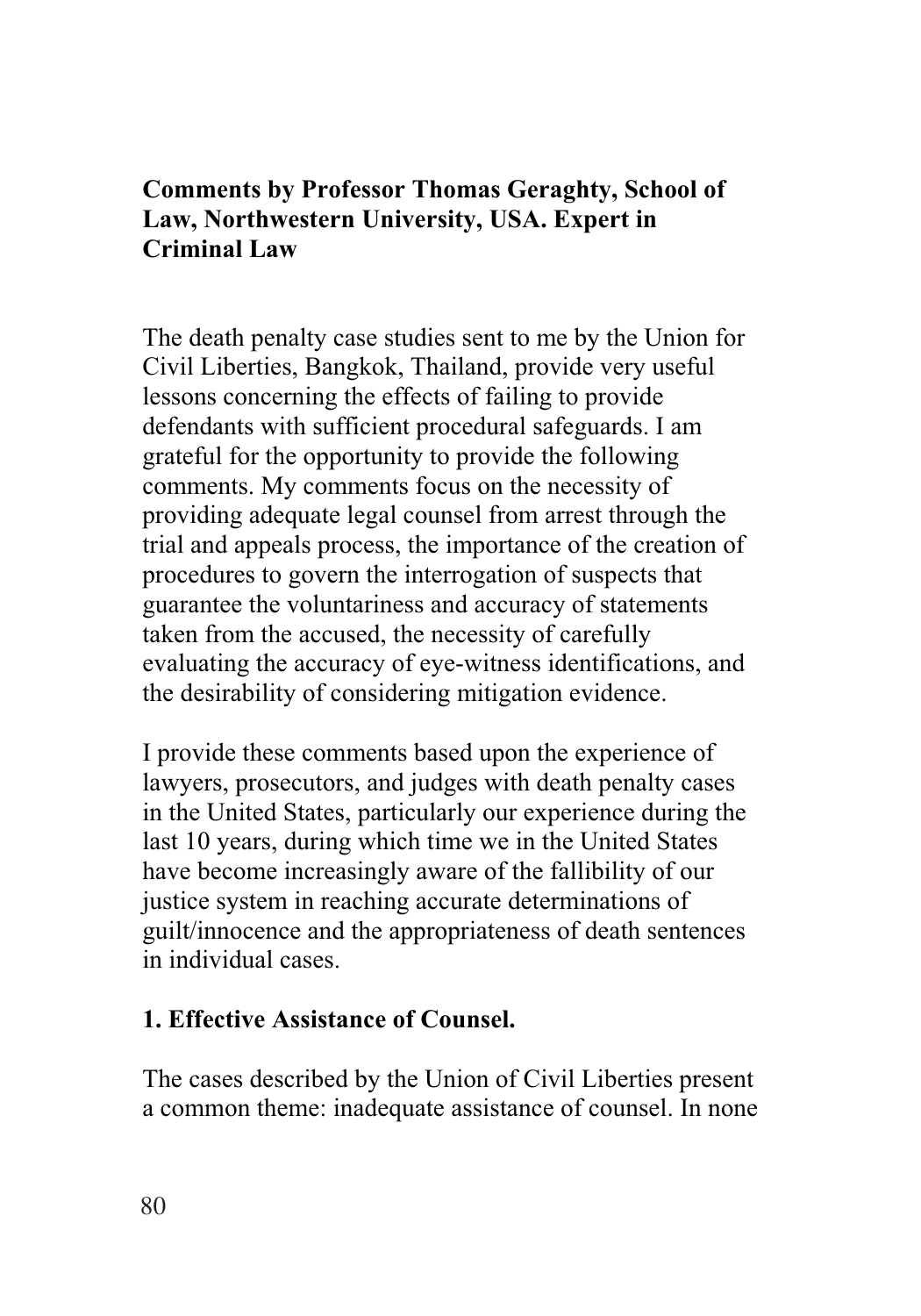## **Comments by Professor Thomas Geraghty, School of Law, Northwestern University, USA. Expert in Criminal Law**

The death penalty case studies sent to me by the Union for Civil Liberties, Bangkok, Thailand, provide very useful lessons concerning the effects of failing to provide defendants with sufficient procedural safeguards. I am grateful for the opportunity to provide the following comments. My comments focus on the necessity of providing adequate legal counsel from arrest through the trial and appeals process, the importance of the creation of procedures to govern the interrogation of suspects that guarantee the voluntariness and accuracy of statements taken from the accused, the necessity of carefully evaluating the accuracy of eye-witness identifications, and the desirability of considering mitigation evidence.

I provide these comments based upon the experience of lawyers, prosecutors, and judges with death penalty cases in the United States, particularly our experience during the last 10 years, during which time we in the United States have become increasingly aware of the fallibility of our justice system in reaching accurate determinations of guilt/innocence and the appropriateness of death sentences in individual cases.

#### **1. Effective Assistance of Counsel.**

The cases described by the Union of Civil Liberties present a common theme: inadequate assistance of counsel. In none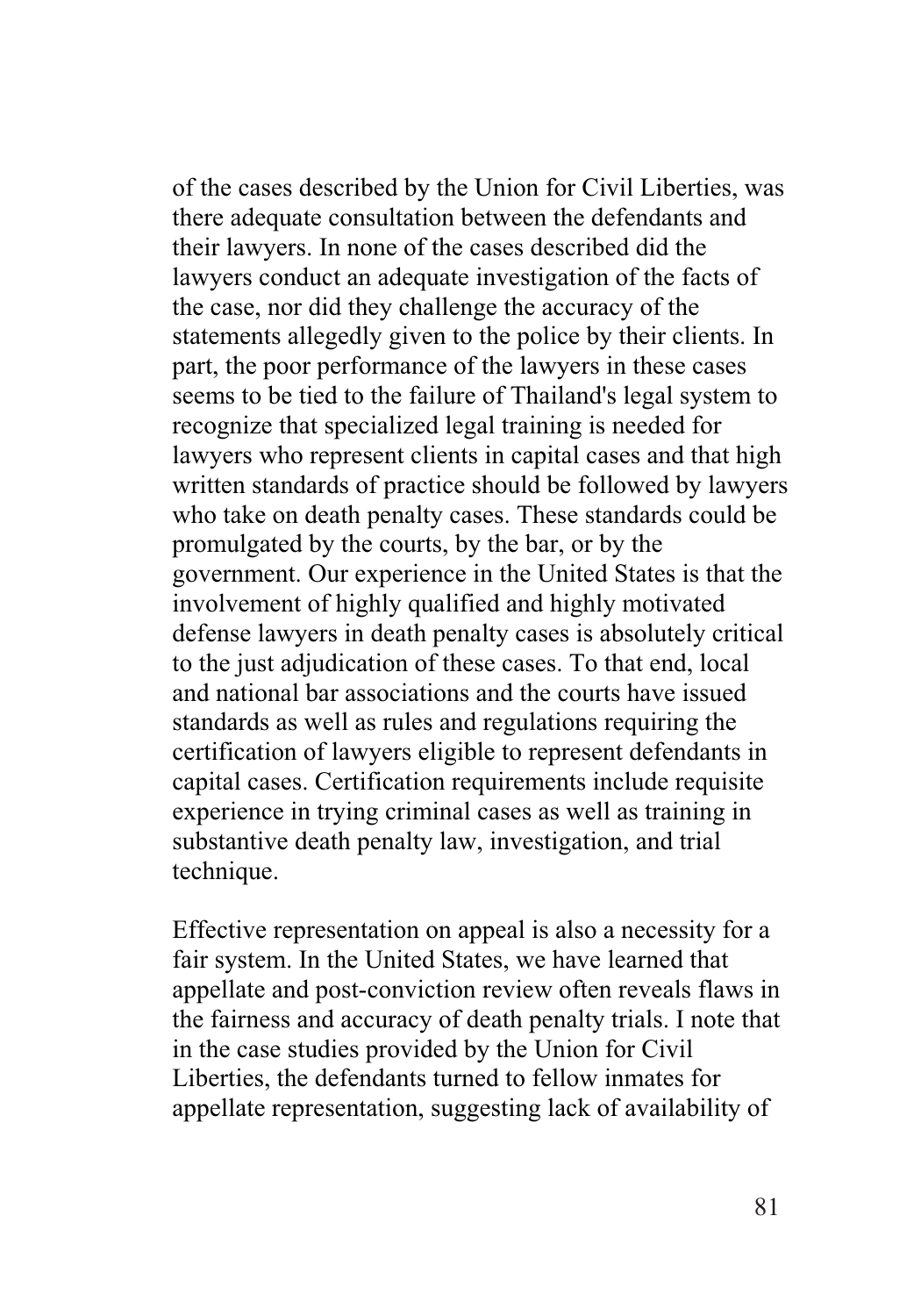of the cases described by the Union for Civil Liberties, was there adequate consultation between the defendants and their lawyers. In none of the cases described did the lawyers conduct an adequate investigation of the facts of the case, nor did they challenge the accuracy of the statements allegedly given to the police by their clients. In part, the poor performance of the lawyers in these cases seems to be tied to the failure of Thailand's legal system to recognize that specialized legal training is needed for lawyers who represent clients in capital cases and that high written standards of practice should be followed by lawyers who take on death penalty cases. These standards could be promulgated by the courts, by the bar, or by the government. Our experience in the United States is that the involvement of highly qualified and highly motivated defense lawyers in death penalty cases is absolutely critical to the just adjudication of these cases. To that end, local and national bar associations and the courts have issued standards as well as rules and regulations requiring the certification of lawyers eligible to represent defendants in capital cases. Certification requirements include requisite experience in trying criminal cases as well as training in substantive death penalty law, investigation, and trial technique.

Effective representation on appeal is also a necessity for a fair system. In the United States, we have learned that appellate and post-conviction review often reveals flaws in the fairness and accuracy of death penalty trials. I note that in the case studies provided by the Union for Civil Liberties, the defendants turned to fellow inmates for appellate representation, suggesting lack of availability of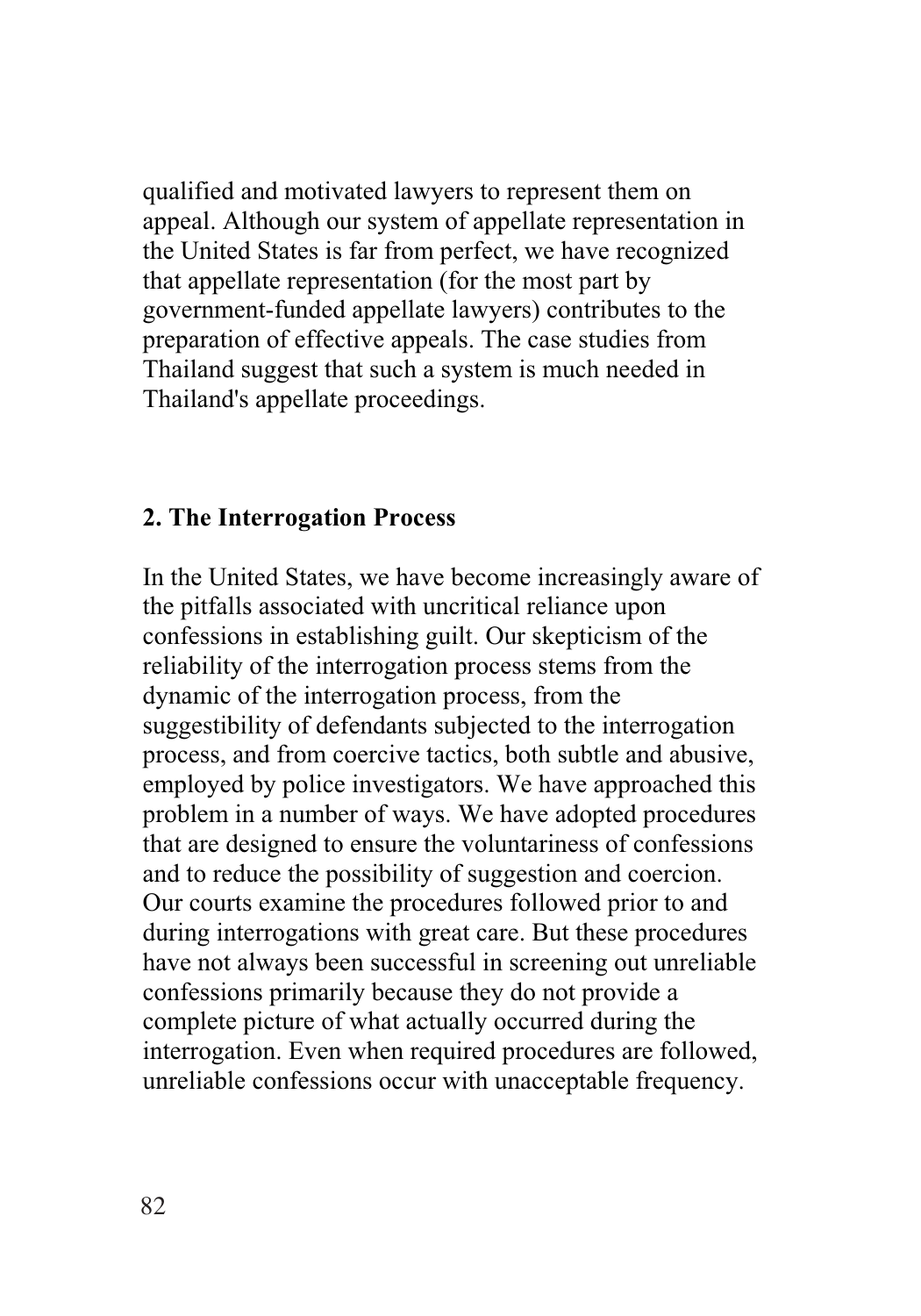qualified and motivated lawyers to represent them on appeal. Although our system of appellate representation in the United States is far from perfect, we have recognized that appellate representation (for the most part by government-funded appellate lawyers) contributes to the preparation of effective appeals. The case studies from Thailand suggest that such a system is much needed in Thailand's appellate proceedings.

#### **2. The Interrogation Process**

In the United States, we have become increasingly aware of the pitfalls associated with uncritical reliance upon confessions in establishing guilt. Our skepticism of the reliability of the interrogation process stems from the dynamic of the interrogation process, from the suggestibility of defendants subjected to the interrogation process, and from coercive tactics, both subtle and abusive, employed by police investigators. We have approached this problem in a number of ways. We have adopted procedures that are designed to ensure the voluntariness of confessions and to reduce the possibility of suggestion and coercion. Our courts examine the procedures followed prior to and during interrogations with great care. But these procedures have not always been successful in screening out unreliable confessions primarily because they do not provide a complete picture of what actually occurred during the interrogation. Even when required procedures are followed, unreliable confessions occur with unacceptable frequency.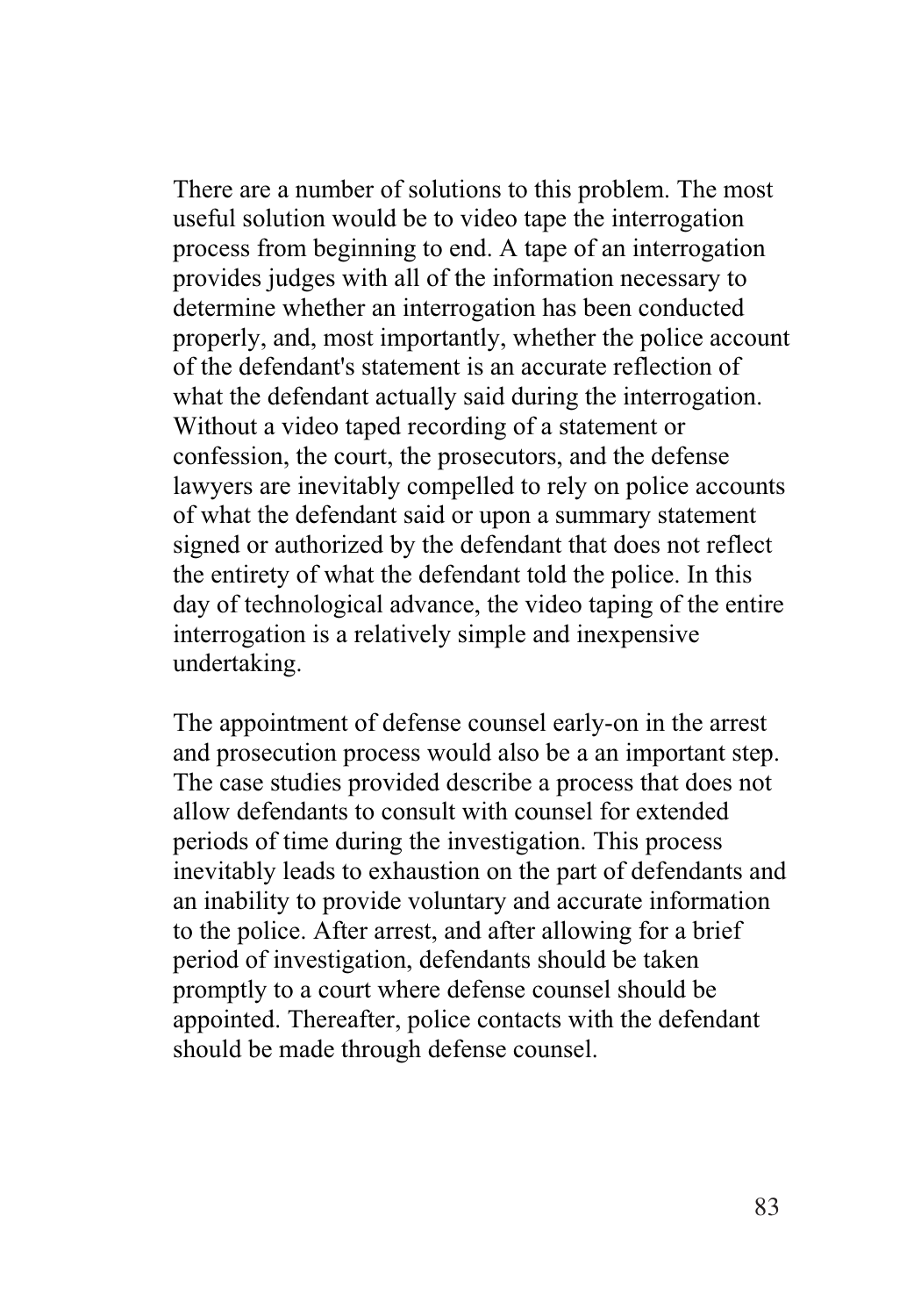There are a number of solutions to this problem. The most useful solution would be to video tape the interrogation process from beginning to end. A tape of an interrogation provides judges with all of the information necessary to determine whether an interrogation has been conducted properly, and, most importantly, whether the police account of the defendant's statement is an accurate reflection of what the defendant actually said during the interrogation. Without a video taped recording of a statement or confession, the court, the prosecutors, and the defense lawyers are inevitably compelled to rely on police accounts of what the defendant said or upon a summary statement signed or authorized by the defendant that does not reflect the entirety of what the defendant told the police. In this day of technological advance, the video taping of the entire interrogation is a relatively simple and inexpensive undertaking.

The appointment of defense counsel early-on in the arrest and prosecution process would also be a an important step. The case studies provided describe a process that does not allow defendants to consult with counsel for extended periods of time during the investigation. This process inevitably leads to exhaustion on the part of defendants and an inability to provide voluntary and accurate information to the police. After arrest, and after allowing for a brief period of investigation, defendants should be taken promptly to a court where defense counsel should be appointed. Thereafter, police contacts with the defendant should be made through defense counsel.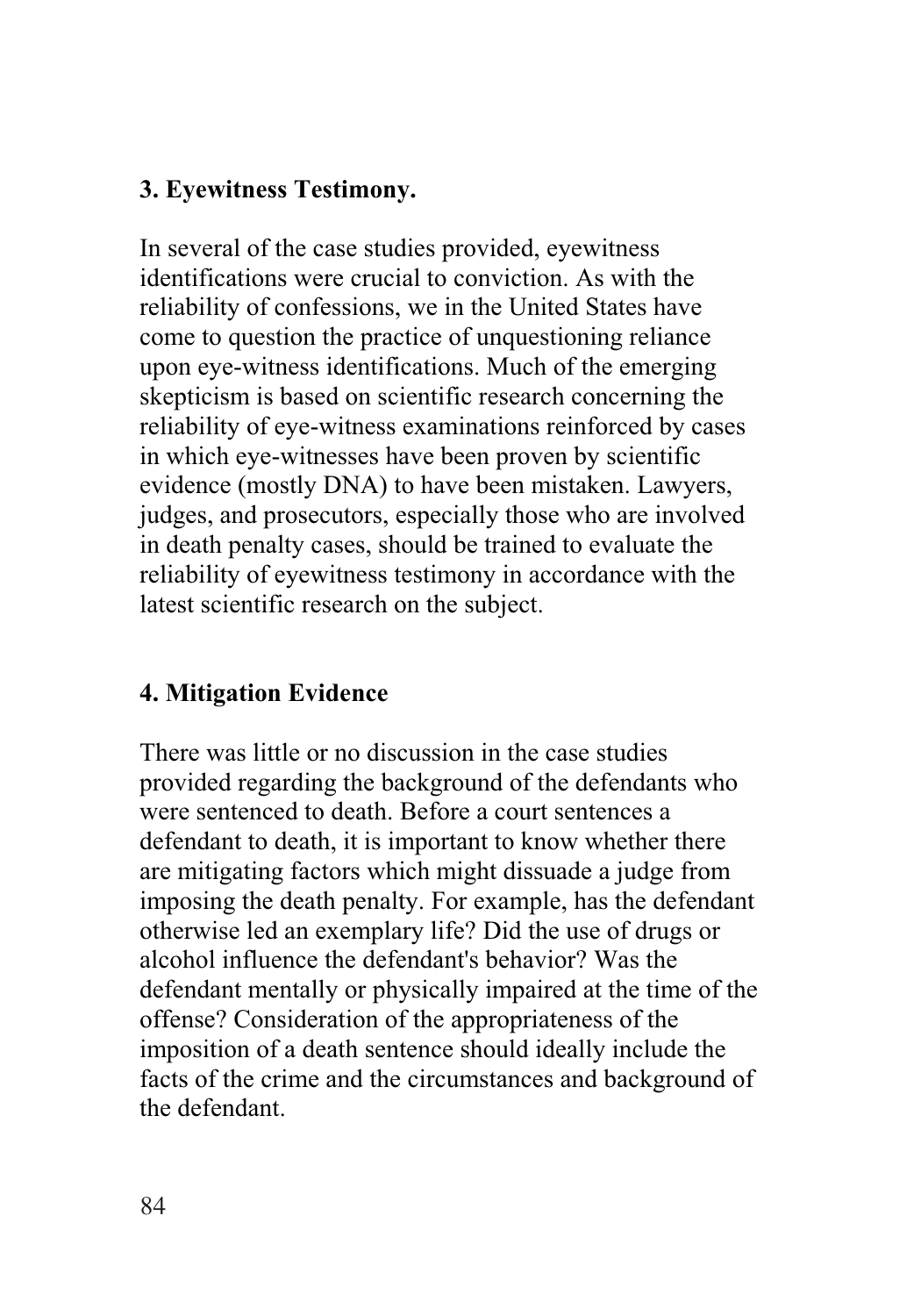#### **3. Eyewitness Testimony.**

In several of the case studies provided, eyewitness identifications were crucial to conviction. As with the reliability of confessions, we in the United States have come to question the practice of unquestioning reliance upon eye-witness identifications. Much of the emerging skepticism is based on scientific research concerning the reliability of eye-witness examinations reinforced by cases in which eye-witnesses have been proven by scientific evidence (mostly DNA) to have been mistaken. Lawyers, judges, and prosecutors, especially those who are involved in death penalty cases, should be trained to evaluate the reliability of eyewitness testimony in accordance with the latest scientific research on the subject.

## **4. Mitigation Evidence**

There was little or no discussion in the case studies provided regarding the background of the defendants who were sentenced to death. Before a court sentences a defendant to death, it is important to know whether there are mitigating factors which might dissuade a judge from imposing the death penalty. For example, has the defendant otherwise led an exemplary life? Did the use of drugs or alcohol influence the defendant's behavior? Was the defendant mentally or physically impaired at the time of the offense? Consideration of the appropriateness of the imposition of a death sentence should ideally include the facts of the crime and the circumstances and background of the defendant.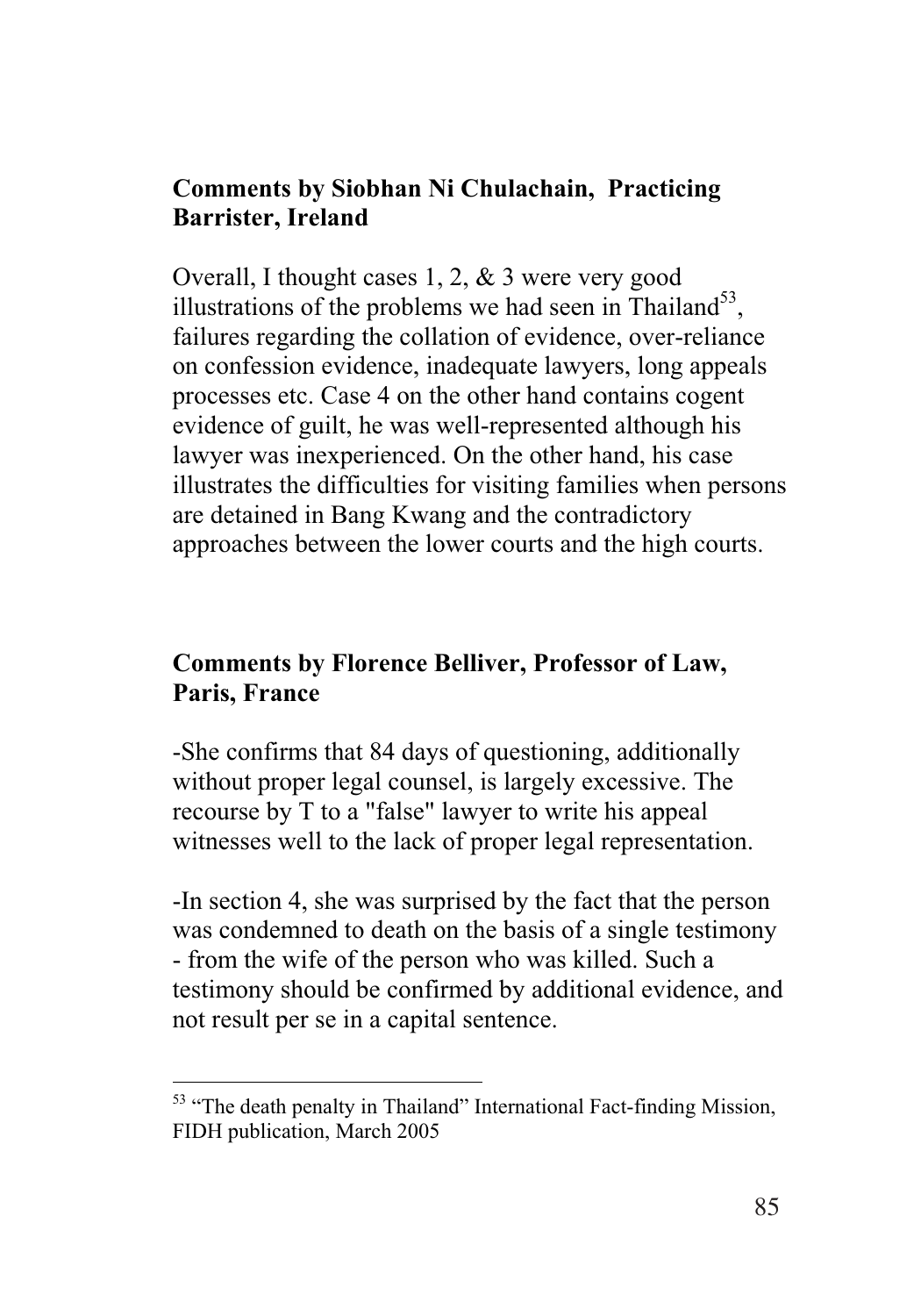#### **Comments by Siobhan Ni Chulachain, Practicing Barrister, Ireland**

Overall, I thought cases 1, 2, & 3 were very good illustrations of the problems we had seen in Thailand<sup>53</sup>, failures regarding the collation of evidence, over-reliance on confession evidence, inadequate lawyers, long appeals processes etc. Case 4 on the other hand contains cogent evidence of guilt, he was well-represented although his lawyer was inexperienced. On the other hand, his case illustrates the difficulties for visiting families when persons are detained in Bang Kwang and the contradictory approaches between the lower courts and the high courts.

## **Comments by Florence Belliver, Professor of Law, Paris, France**

-She confirms that 84 days of questioning, additionally without proper legal counsel, is largely excessive. The recourse by T to a "false" lawyer to write his appeal witnesses well to the lack of proper legal representation.

-In section 4, she was surprised by the fact that the person was condemned to death on the basis of a single testimony - from the wife of the person who was killed. Such a testimony should be confirmed by additional evidence, and not result per se in a capital sentence.

-

<sup>&</sup>lt;sup>53</sup> "The death penalty in Thailand" International Fact-finding Mission, FIDH publication, March 2005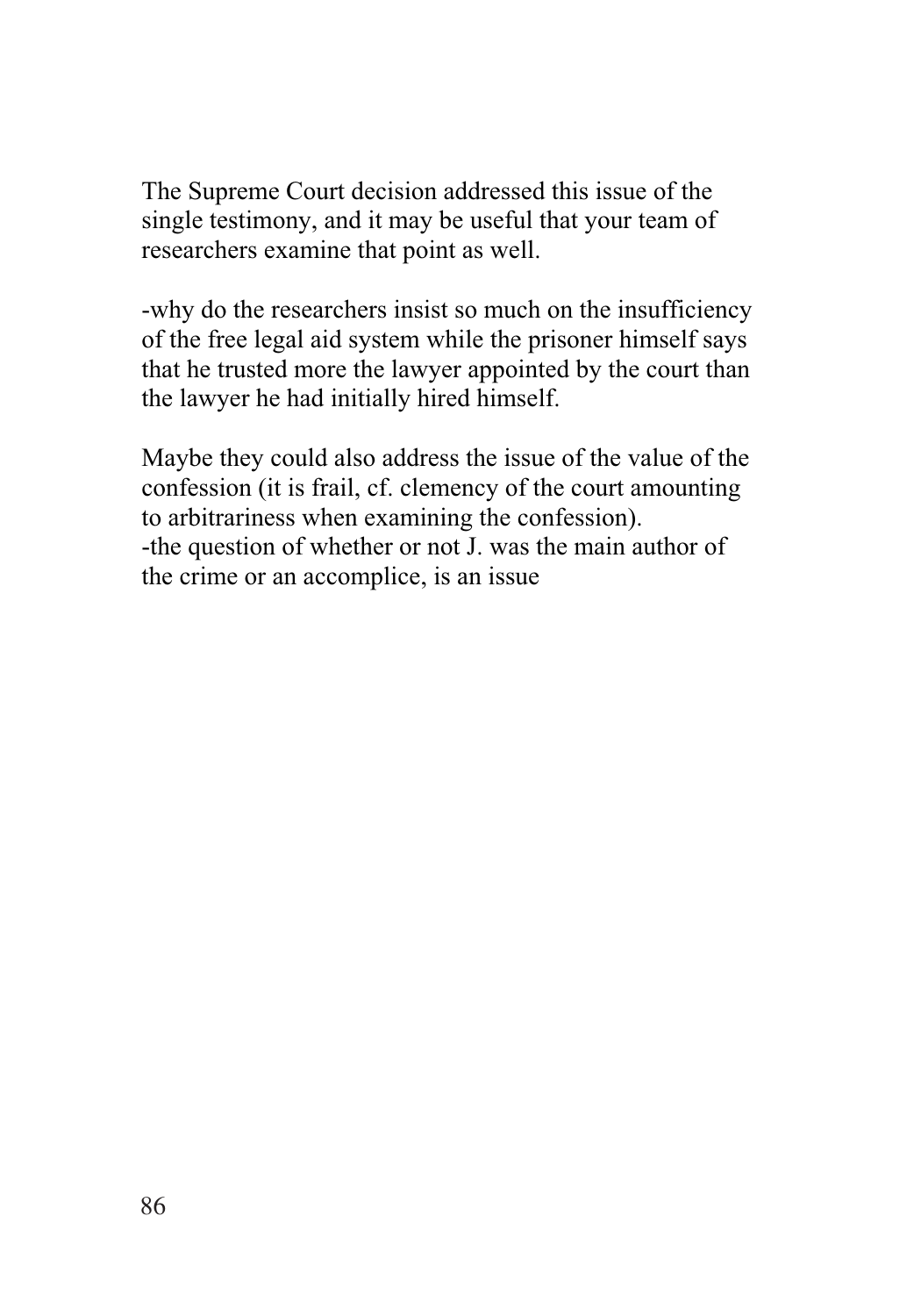The Supreme Court decision addressed this issue of the single testimony, and it may be useful that your team of researchers examine that point as well.

-why do the researchers insist so much on the insufficiency of the free legal aid system while the prisoner himself says that he trusted more the lawyer appointed by the court than the lawyer he had initially hired himself.

Maybe they could also address the issue of the value of the confession (it is frail, cf. clemency of the court amounting to arbitrariness when examining the confession). -the question of whether or not J. was the main author of the crime or an accomplice, is an issue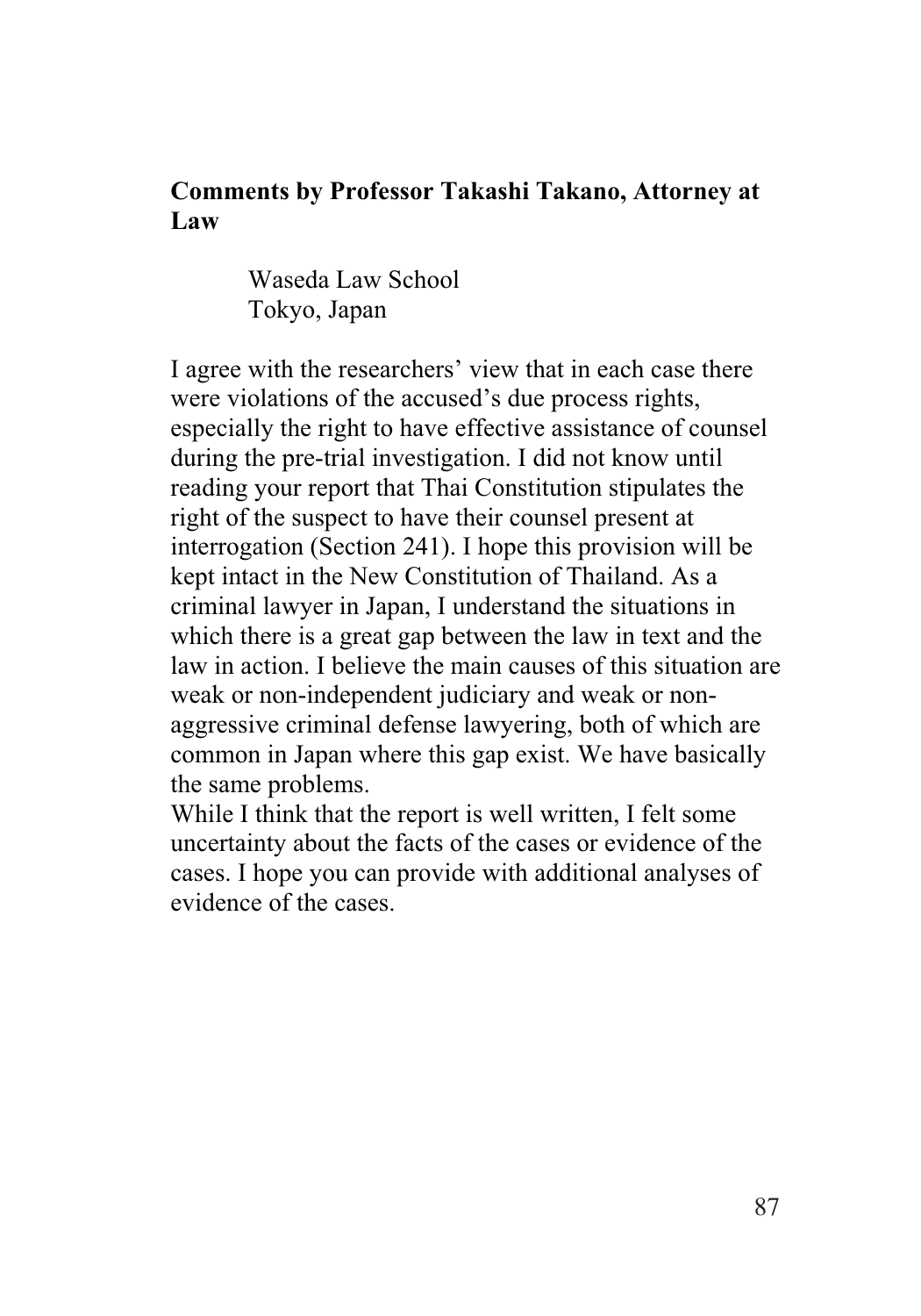#### **Comments by Professor Takashi Takano, Attorney at Law**

Waseda Law School Tokyo, Japan

I agree with the researchers' view that in each case there were violations of the accused's due process rights, especially the right to have effective assistance of counsel during the pre-trial investigation. I did not know until reading your report that Thai Constitution stipulates the right of the suspect to have their counsel present at interrogation (Section 241). I hope this provision will be kept intact in the New Constitution of Thailand. As a criminal lawyer in Japan, I understand the situations in which there is a great gap between the law in text and the law in action. I believe the main causes of this situation are weak or non-independent judiciary and weak or nonaggressive criminal defense lawyering, both of which are common in Japan where this gap exist. We have basically the same problems.

While I think that the report is well written, I felt some uncertainty about the facts of the cases or evidence of the cases. I hope you can provide with additional analyses of evidence of the cases.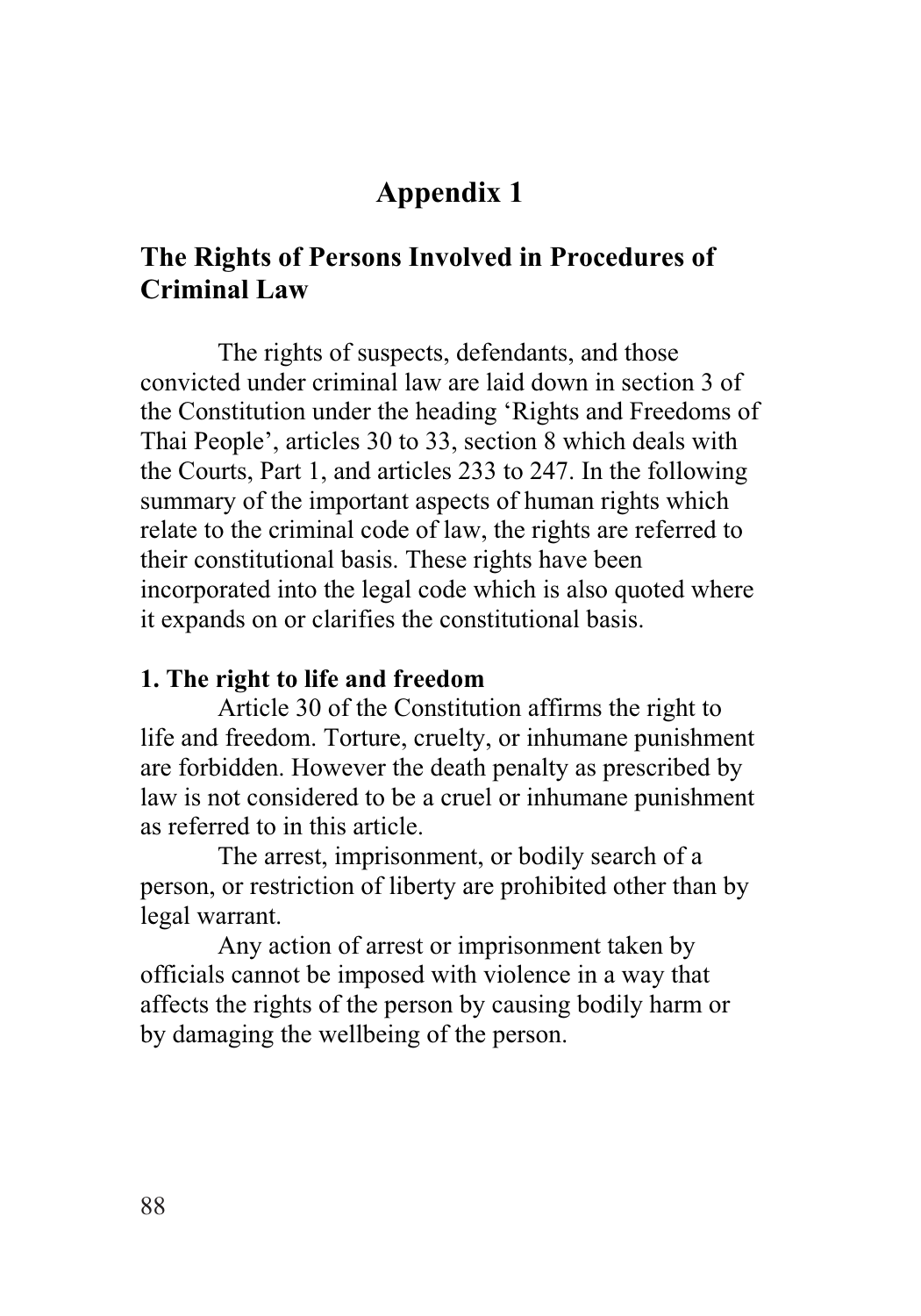# **Appendix 1**

## **The Rights of Persons Involved in Procedures of Criminal Law**

The rights of suspects, defendants, and those convicted under criminal law are laid down in section 3 of the Constitution under the heading 'Rights and Freedoms of Thai People', articles 30 to 33, section 8 which deals with the Courts, Part 1, and articles 233 to 247. In the following summary of the important aspects of human rights which relate to the criminal code of law, the rights are referred to their constitutional basis. These rights have been incorporated into the legal code which is also quoted where it expands on or clarifies the constitutional basis.

#### **1. The right to life and freedom**

Article 30 of the Constitution affirms the right to life and freedom. Torture, cruelty, or inhumane punishment are forbidden. However the death penalty as prescribed by law is not considered to be a cruel or inhumane punishment as referred to in this article.

The arrest, imprisonment, or bodily search of a person, or restriction of liberty are prohibited other than by legal warrant.

Any action of arrest or imprisonment taken by officials cannot be imposed with violence in a way that affects the rights of the person by causing bodily harm or by damaging the wellbeing of the person.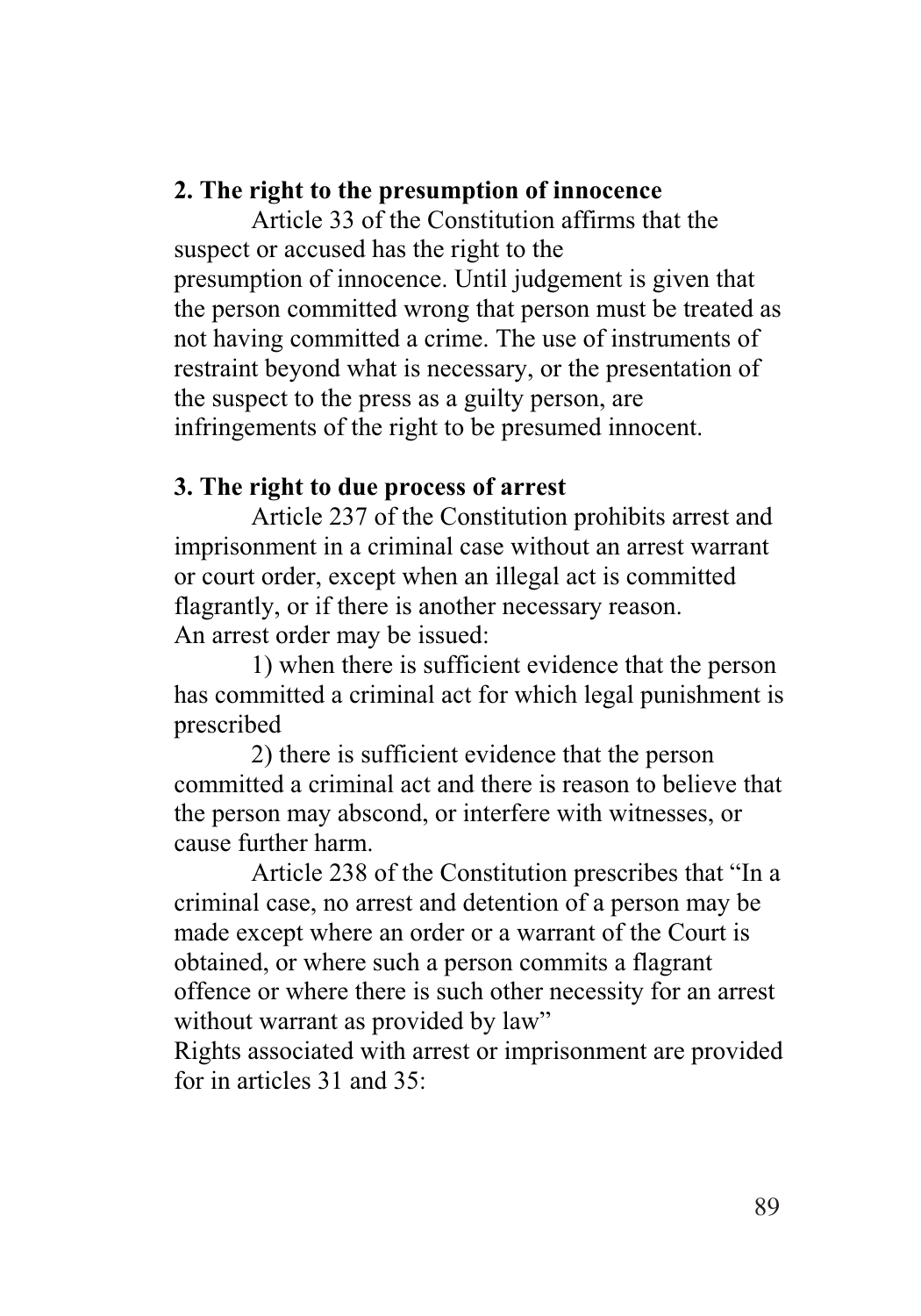#### **2. The right to the presumption of innocence**

Article 33 of the Constitution affirms that the suspect or accused has the right to the presumption of innocence. Until judgement is given that the person committed wrong that person must be treated as not having committed a crime. The use of instruments of restraint beyond what is necessary, or the presentation of the suspect to the press as a guilty person, are infringements of the right to be presumed innocent.

## **3. The right to due process of arrest**

Article 237 of the Constitution prohibits arrest and imprisonment in a criminal case without an arrest warrant or court order, except when an illegal act is committed flagrantly, or if there is another necessary reason. An arrest order may be issued:

1) when there is sufficient evidence that the person has committed a criminal act for which legal punishment is prescribed

2) there is sufficient evidence that the person committed a criminal act and there is reason to believe that the person may abscond, or interfere with witnesses, or cause further harm.

Article 238 of the Constitution prescribes that "In a criminal case, no arrest and detention of a person may be made except where an order or a warrant of the Court is obtained, or where such a person commits a flagrant offence or where there is such other necessity for an arrest without warrant as provided by law"

Rights associated with arrest or imprisonment are provided for in articles 31 and 35: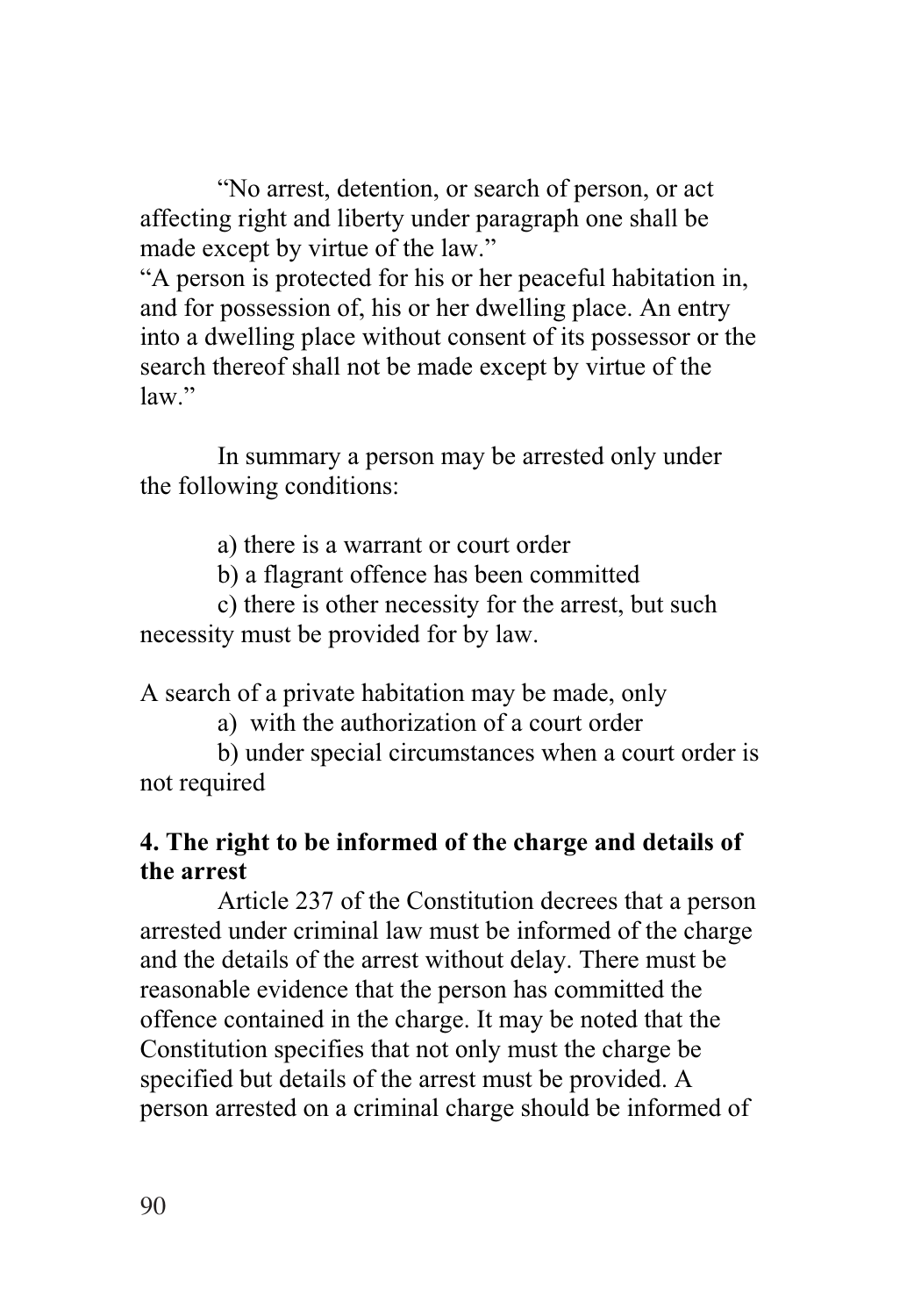"No arrest, detention, or search of person, or act affecting right and liberty under paragraph one shall be made except by virtue of the law."

"A person is protected for his or her peaceful habitation in, and for possession of, his or her dwelling place. An entry into a dwelling place without consent of its possessor or the search thereof shall not be made except by virtue of the law."

In summary a person may be arrested only under the following conditions:

a) there is a warrant or court order

b) a flagrant offence has been committed

c) there is other necessity for the arrest, but such necessity must be provided for by law.

A search of a private habitation may be made, only

a) with the authorization of a court order

b) under special circumstances when a court order is not required

## **4. The right to be informed of the charge and details of the arrest**

Article 237 of the Constitution decrees that a person arrested under criminal law must be informed of the charge and the details of the arrest without delay. There must be reasonable evidence that the person has committed the offence contained in the charge. It may be noted that the Constitution specifies that not only must the charge be specified but details of the arrest must be provided. A person arrested on a criminal charge should be informed of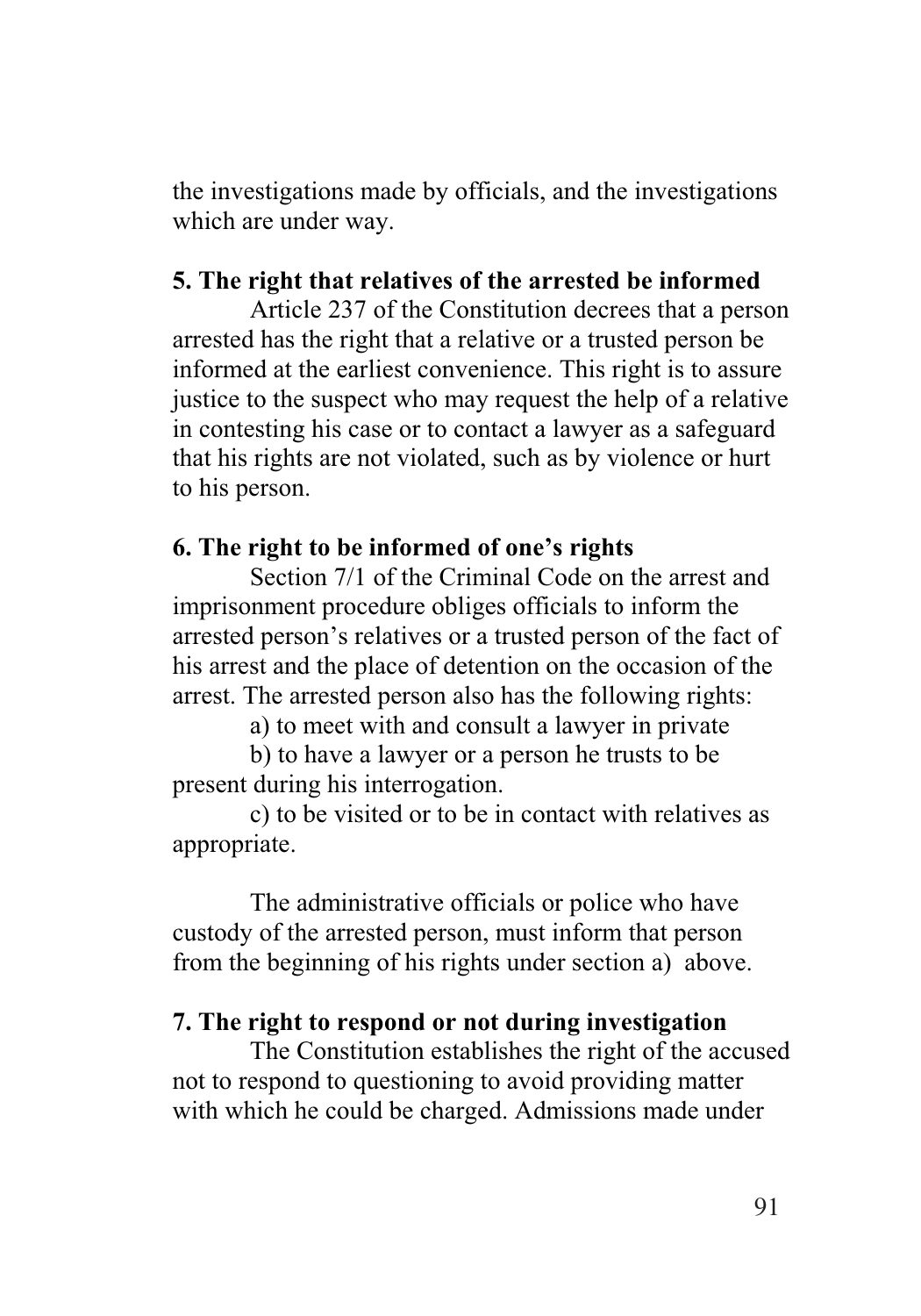the investigations made by officials, and the investigations which are under way.

#### **5. The right that relatives of the arrested be informed**

Article 237 of the Constitution decrees that a person arrested has the right that a relative or a trusted person be informed at the earliest convenience. This right is to assure justice to the suspect who may request the help of a relative in contesting his case or to contact a lawyer as a safeguard that his rights are not violated, such as by violence or hurt to his person.

#### **6. The right to be informed of one's rights**

Section 7/1 of the Criminal Code on the arrest and imprisonment procedure obliges officials to inform the arrested person's relatives or a trusted person of the fact of his arrest and the place of detention on the occasion of the arrest. The arrested person also has the following rights:

a) to meet with and consult a lawyer in private

b) to have a lawyer or a person he trusts to be present during his interrogation.

c) to be visited or to be in contact with relatives as appropriate.

The administrative officials or police who have custody of the arrested person, must inform that person from the beginning of his rights under section a) above.

#### **7. The right to respond or not during investigation**

The Constitution establishes the right of the accused not to respond to questioning to avoid providing matter with which he could be charged. Admissions made under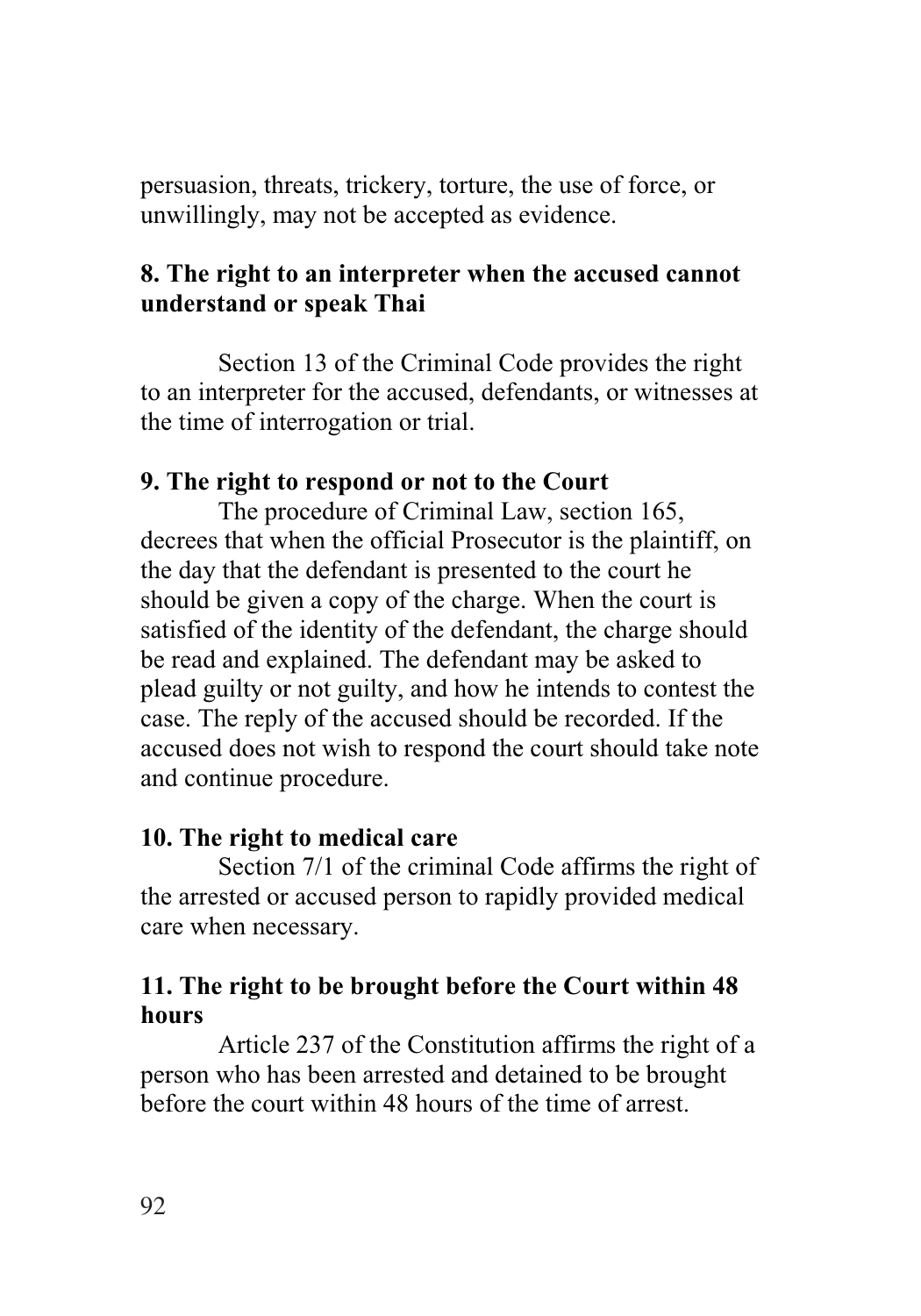persuasion, threats, trickery, torture, the use of force, or unwillingly, may not be accepted as evidence.

## **8. The right to an interpreter when the accused cannot understand or speak Thai**

Section 13 of the Criminal Code provides the right to an interpreter for the accused, defendants, or witnesses at the time of interrogation or trial.

#### **9. The right to respond or not to the Court**

The procedure of Criminal Law, section 165, decrees that when the official Prosecutor is the plaintiff, on the day that the defendant is presented to the court he should be given a copy of the charge. When the court is satisfied of the identity of the defendant, the charge should be read and explained. The defendant may be asked to plead guilty or not guilty, and how he intends to contest the case. The reply of the accused should be recorded. If the accused does not wish to respond the court should take note and continue procedure.

#### **10. The right to medical care**

Section 7/1 of the criminal Code affirms the right of the arrested or accused person to rapidly provided medical care when necessary.

## **11. The right to be brought before the Court within 48 hours**

Article 237 of the Constitution affirms the right of a person who has been arrested and detained to be brought before the court within 48 hours of the time of arrest.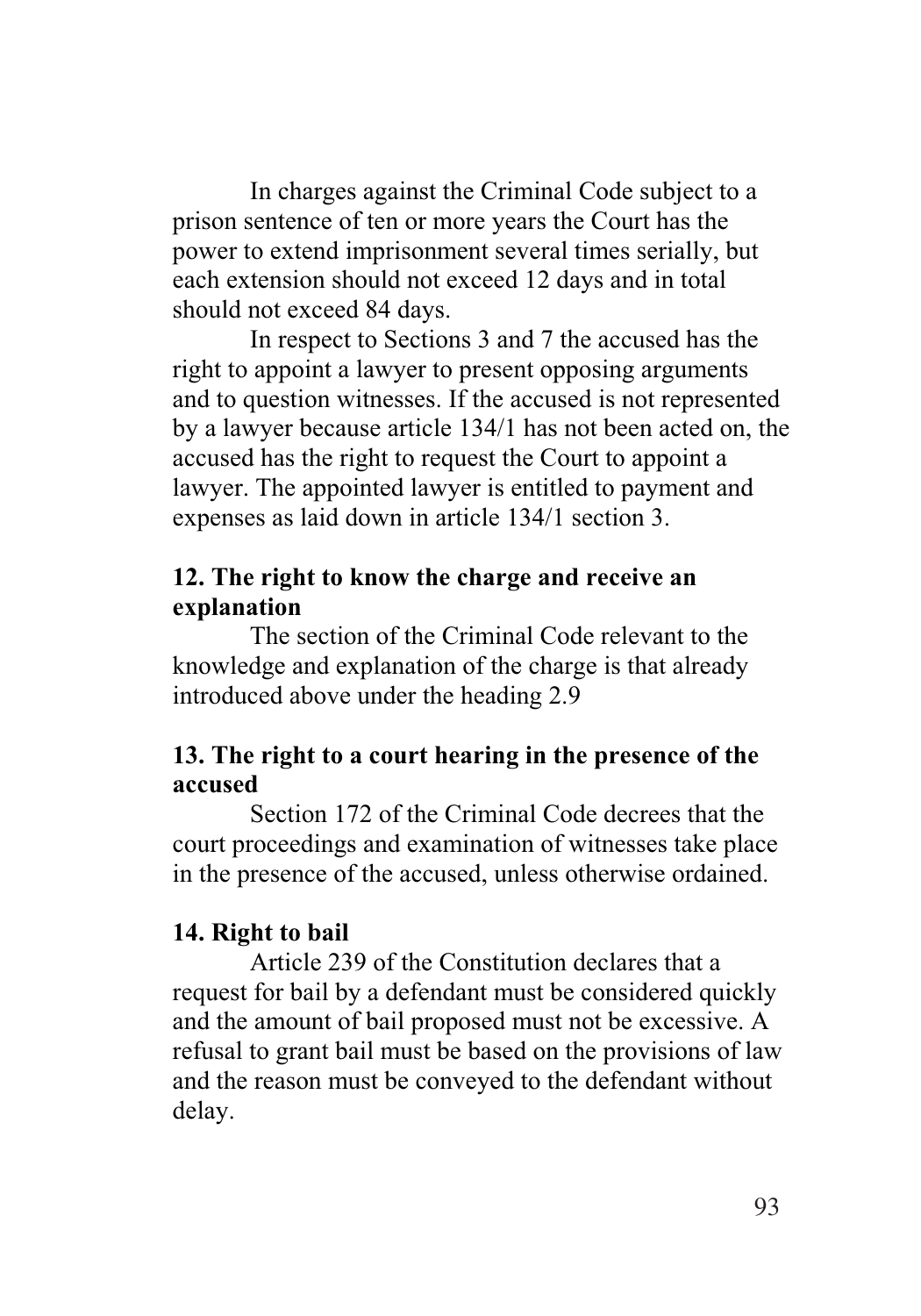In charges against the Criminal Code subject to a prison sentence of ten or more years the Court has the power to extend imprisonment several times serially, but each extension should not exceed 12 days and in total should not exceed 84 days.

In respect to Sections 3 and 7 the accused has the right to appoint a lawyer to present opposing arguments and to question witnesses. If the accused is not represented by a lawyer because article 134/1 has not been acted on, the accused has the right to request the Court to appoint a lawyer. The appointed lawyer is entitled to payment and expenses as laid down in article 134/1 section 3.

#### **12. The right to know the charge and receive an explanation**

The section of the Criminal Code relevant to the knowledge and explanation of the charge is that already introduced above under the heading 2.9

## **13. The right to a court hearing in the presence of the accused**

Section 172 of the Criminal Code decrees that the court proceedings and examination of witnesses take place in the presence of the accused, unless otherwise ordained.

## **14. Right to bail**

Article 239 of the Constitution declares that a request for bail by a defendant must be considered quickly and the amount of bail proposed must not be excessive. A refusal to grant bail must be based on the provisions of law and the reason must be conveyed to the defendant without delay.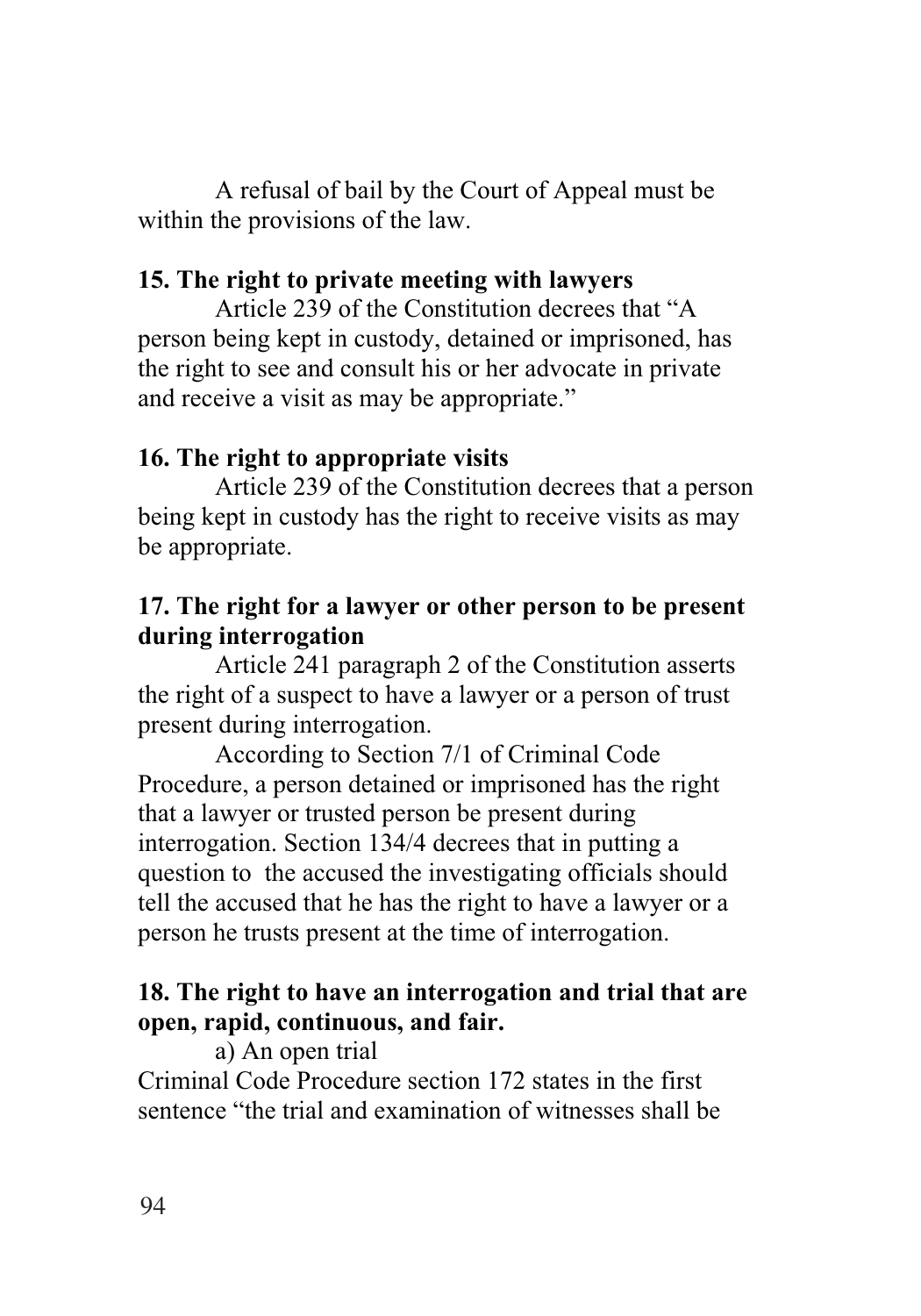A refusal of bail by the Court of Appeal must be within the provisions of the law.

#### **15. The right to private meeting with lawyers**

Article 239 of the Constitution decrees that "A person being kept in custody, detained or imprisoned, has the right to see and consult his or her advocate in private and receive a visit as may be appropriate."

#### **16. The right to appropriate visits**

Article 239 of the Constitution decrees that a person being kept in custody has the right to receive visits as may be appropriate.

## **17. The right for a lawyer or other person to be present during interrogation**

Article 241 paragraph 2 of the Constitution asserts the right of a suspect to have a lawyer or a person of trust present during interrogation.

According to Section 7/1 of Criminal Code Procedure, a person detained or imprisoned has the right that a lawyer or trusted person be present during interrogation. Section 134/4 decrees that in putting a question to the accused the investigating officials should tell the accused that he has the right to have a lawyer or a person he trusts present at the time of interrogation.

## **18. The right to have an interrogation and trial that are open, rapid, continuous, and fair.**

a) An open trial

Criminal Code Procedure section 172 states in the first sentence "the trial and examination of witnesses shall be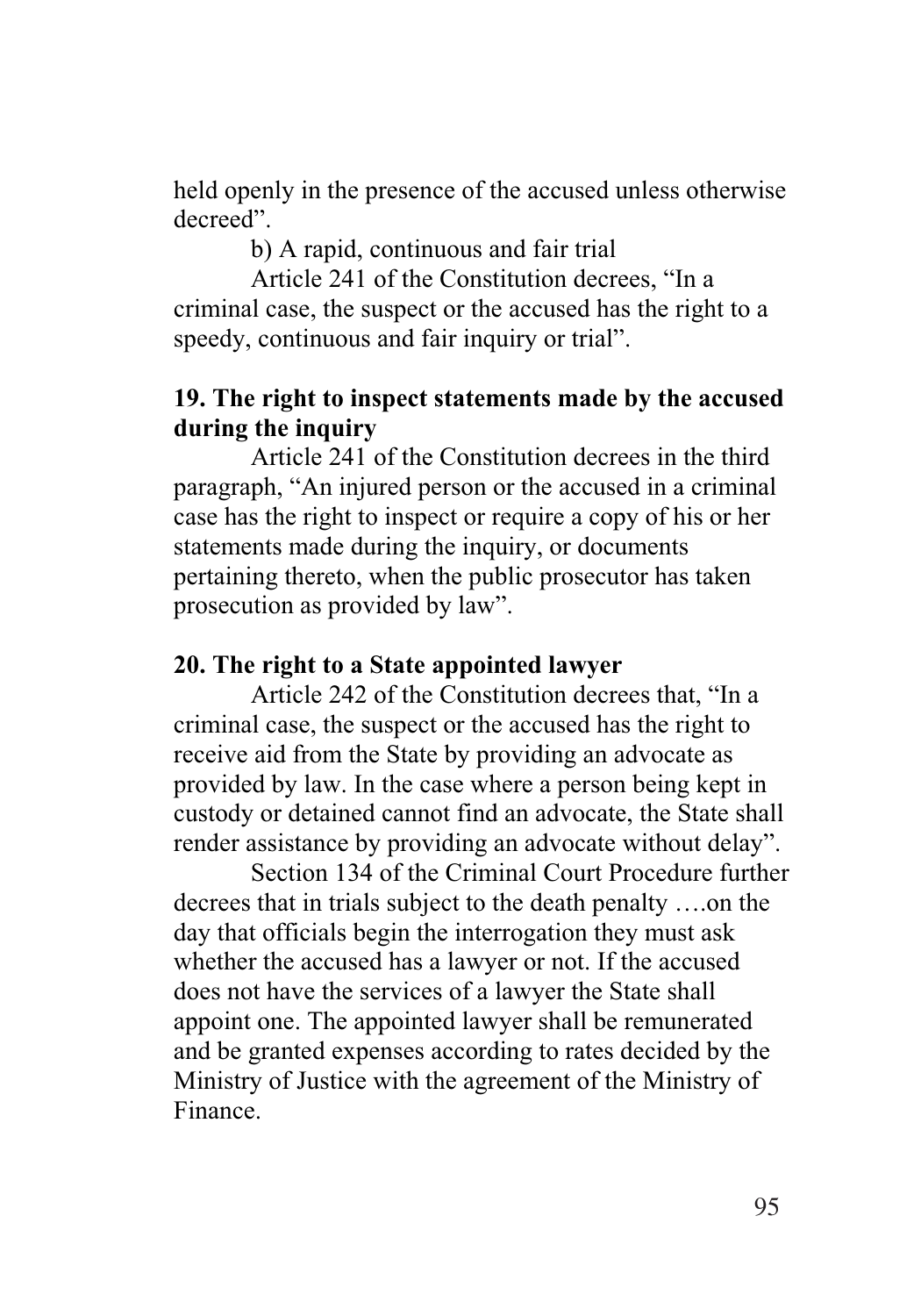held openly in the presence of the accused unless otherwise decreed".

b) A rapid, continuous and fair trial

Article 241 of the Constitution decrees, "In a criminal case, the suspect or the accused has the right to a speedy, continuous and fair inquiry or trial".

#### **19. The right to inspect statements made by the accused during the inquiry**

Article 241 of the Constitution decrees in the third paragraph, "An injured person or the accused in a criminal case has the right to inspect or require a copy of his or her statements made during the inquiry, or documents pertaining thereto, when the public prosecutor has taken prosecution as provided by law".

#### **20. The right to a State appointed lawyer**

Article 242 of the Constitution decrees that, "In a criminal case, the suspect or the accused has the right to receive aid from the State by providing an advocate as provided by law. In the case where a person being kept in custody or detained cannot find an advocate, the State shall render assistance by providing an advocate without delay".

Section 134 of the Criminal Court Procedure further decrees that in trials subject to the death penalty ….on the day that officials begin the interrogation they must ask whether the accused has a lawyer or not. If the accused does not have the services of a lawyer the State shall appoint one. The appointed lawyer shall be remunerated and be granted expenses according to rates decided by the Ministry of Justice with the agreement of the Ministry of Finance.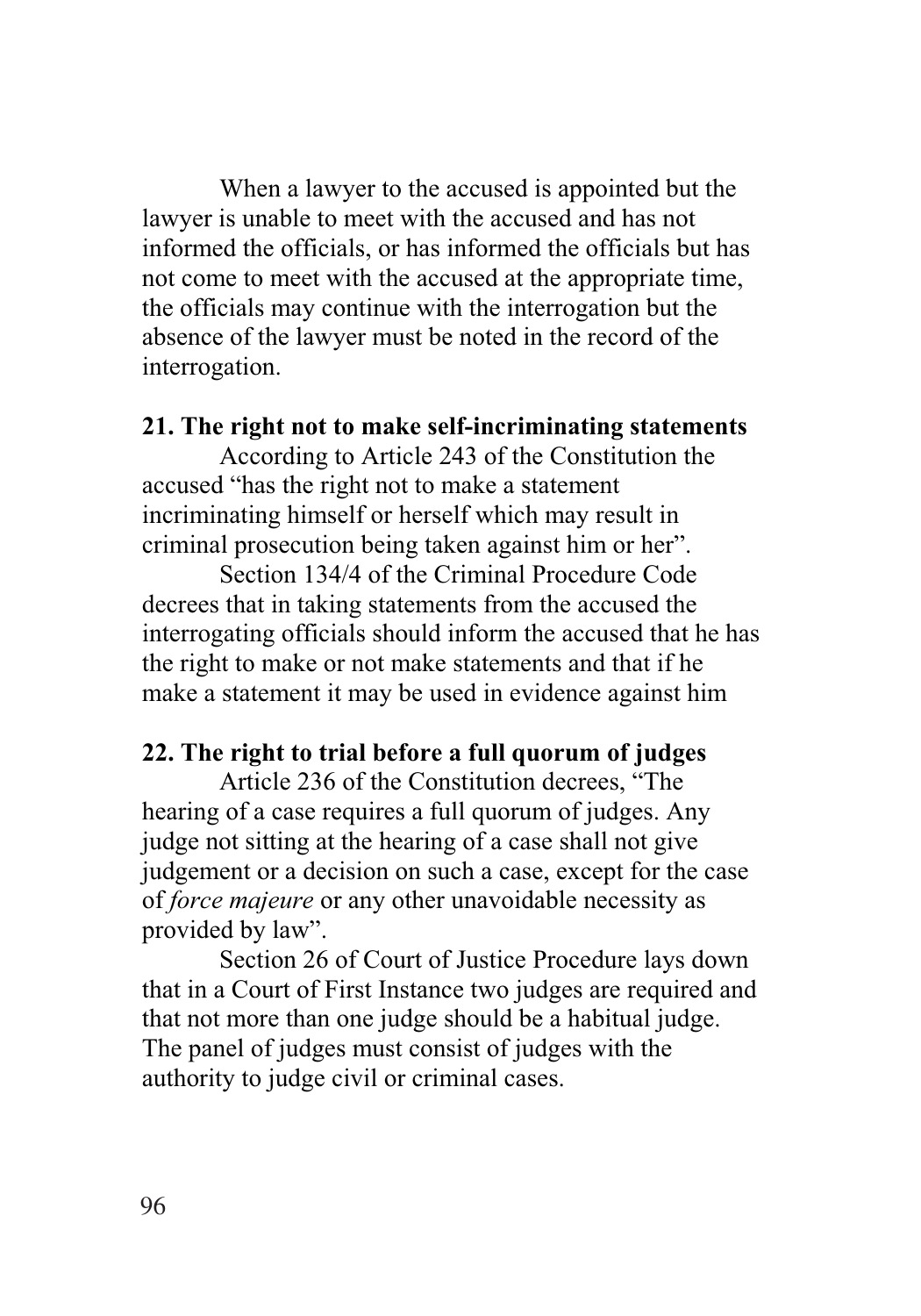When a lawyer to the accused is appointed but the lawyer is unable to meet with the accused and has not informed the officials, or has informed the officials but has not come to meet with the accused at the appropriate time, the officials may continue with the interrogation but the absence of the lawyer must be noted in the record of the interrogation.

#### **21. The right not to make self-incriminating statements**

According to Article 243 of the Constitution the accused "has the right not to make a statement incriminating himself or herself which may result in criminal prosecution being taken against him or her".

Section 134/4 of the Criminal Procedure Code decrees that in taking statements from the accused the interrogating officials should inform the accused that he has the right to make or not make statements and that if he make a statement it may be used in evidence against him

## **22. The right to trial before a full quorum of judges**

Article 236 of the Constitution decrees, "The hearing of a case requires a full quorum of judges. Any judge not sitting at the hearing of a case shall not give judgement or a decision on such a case, except for the case of *force majeure* or any other unavoidable necessity as provided by law".

Section 26 of Court of Justice Procedure lays down that in a Court of First Instance two judges are required and that not more than one judge should be a habitual judge. The panel of judges must consist of judges with the authority to judge civil or criminal cases.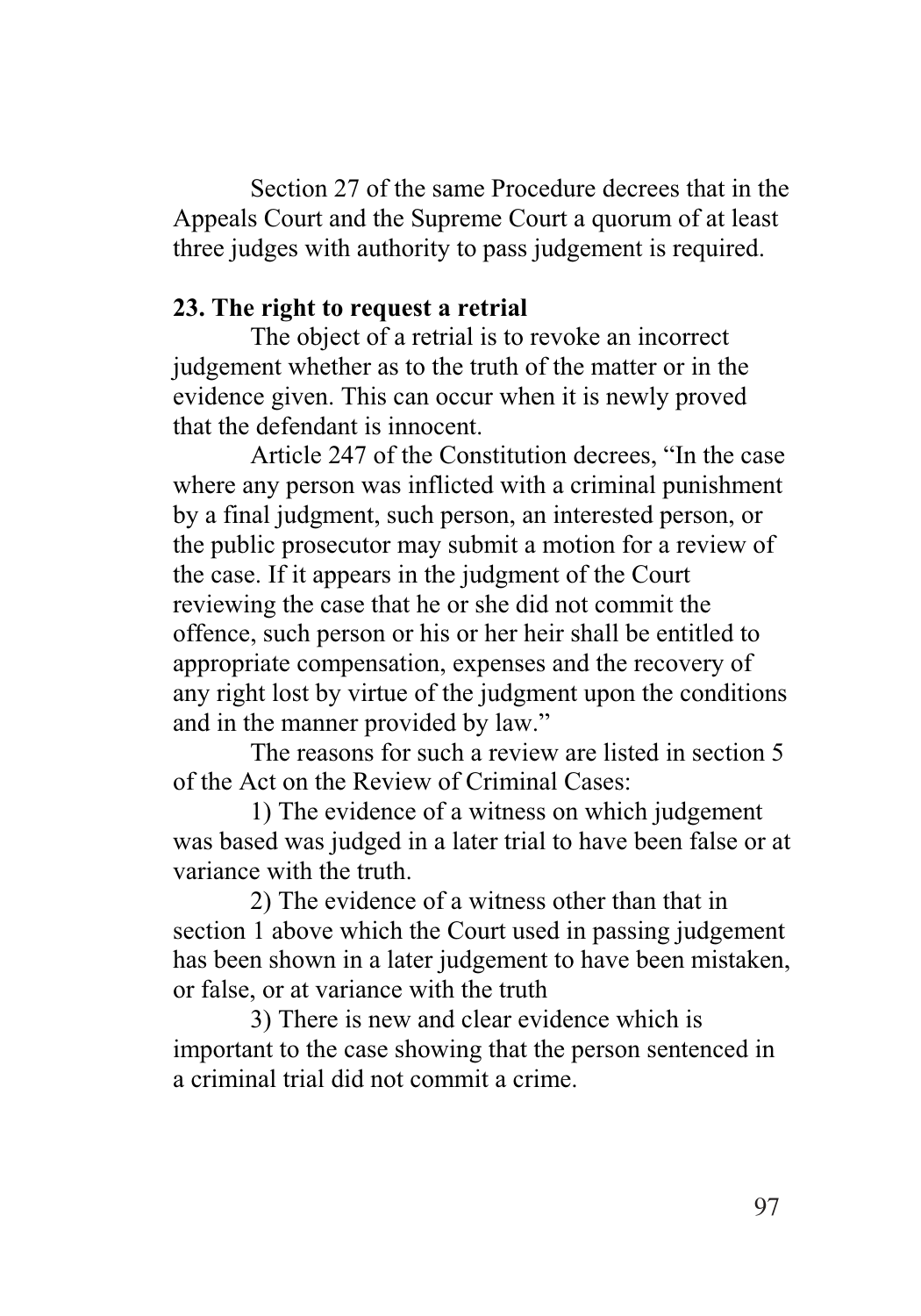Section 27 of the same Procedure decrees that in the Appeals Court and the Supreme Court a quorum of at least three judges with authority to pass judgement is required.

#### **23. The right to request a retrial**

The object of a retrial is to revoke an incorrect judgement whether as to the truth of the matter or in the evidence given. This can occur when it is newly proved that the defendant is innocent.

Article 247 of the Constitution decrees, "In the case where any person was inflicted with a criminal punishment by a final judgment, such person, an interested person, or the public prosecutor may submit a motion for a review of the case. If it appears in the judgment of the Court reviewing the case that he or she did not commit the offence, such person or his or her heir shall be entitled to appropriate compensation, expenses and the recovery of any right lost by virtue of the judgment upon the conditions and in the manner provided by law."

The reasons for such a review are listed in section 5 of the Act on the Review of Criminal Cases:

1) The evidence of a witness on which judgement was based was judged in a later trial to have been false or at variance with the truth.

2) The evidence of a witness other than that in section 1 above which the Court used in passing judgement has been shown in a later judgement to have been mistaken, or false, or at variance with the truth

3) There is new and clear evidence which is important to the case showing that the person sentenced in a criminal trial did not commit a crime.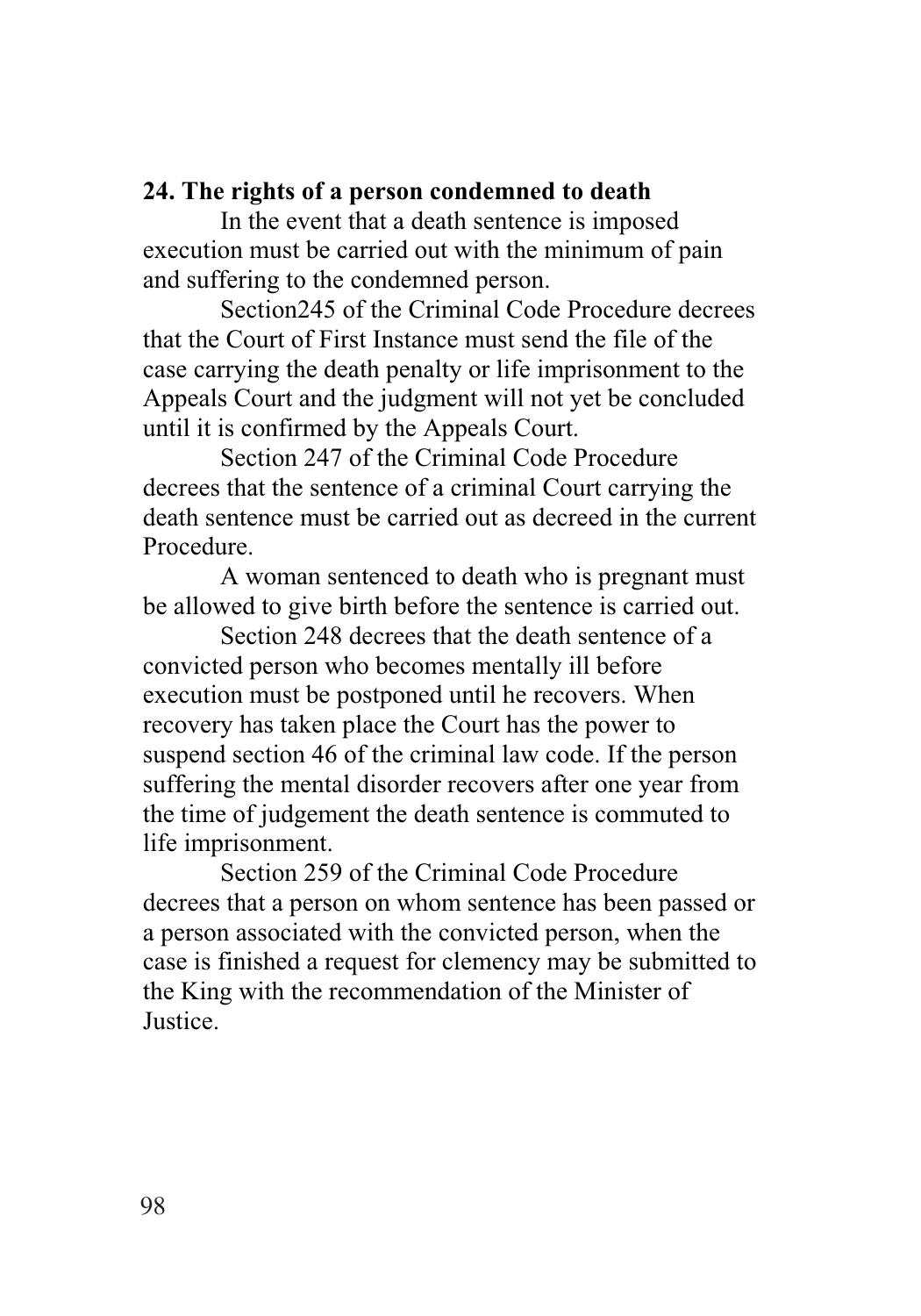#### **24. The rights of a person condemned to death**

In the event that a death sentence is imposed execution must be carried out with the minimum of pain and suffering to the condemned person.

Section245 of the Criminal Code Procedure decrees that the Court of First Instance must send the file of the case carrying the death penalty or life imprisonment to the Appeals Court and the judgment will not yet be concluded until it is confirmed by the Appeals Court.

Section 247 of the Criminal Code Procedure decrees that the sentence of a criminal Court carrying the death sentence must be carried out as decreed in the current Procedure.

A woman sentenced to death who is pregnant must be allowed to give birth before the sentence is carried out.

Section 248 decrees that the death sentence of a convicted person who becomes mentally ill before execution must be postponed until he recovers. When recovery has taken place the Court has the power to suspend section 46 of the criminal law code. If the person suffering the mental disorder recovers after one year from the time of judgement the death sentence is commuted to life imprisonment.

Section 259 of the Criminal Code Procedure decrees that a person on whom sentence has been passed or a person associated with the convicted person, when the case is finished a request for clemency may be submitted to the King with the recommendation of the Minister of **Justice**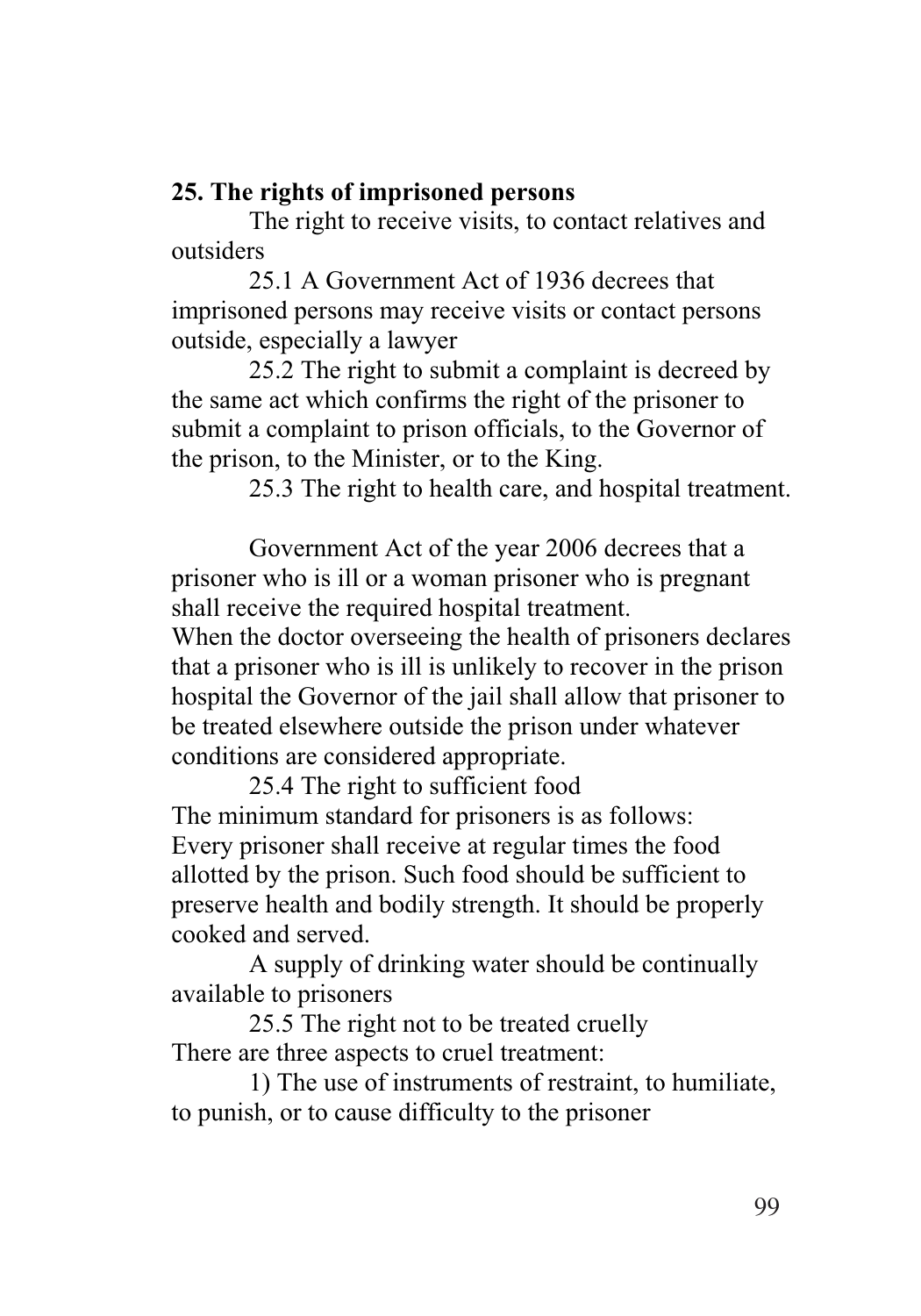## **25. The rights of imprisoned persons**

The right to receive visits, to contact relatives and outsiders

25.1 A Government Act of 1936 decrees that imprisoned persons may receive visits or contact persons outside, especially a lawyer

25.2 The right to submit a complaint is decreed by the same act which confirms the right of the prisoner to submit a complaint to prison officials, to the Governor of the prison, to the Minister, or to the King.

25.3 The right to health care, and hospital treatment.

Government Act of the year 2006 decrees that a prisoner who is ill or a woman prisoner who is pregnant shall receive the required hospital treatment.

When the doctor overseeing the health of prisoners declares that a prisoner who is ill is unlikely to recover in the prison hospital the Governor of the jail shall allow that prisoner to be treated elsewhere outside the prison under whatever conditions are considered appropriate.

25.4 The right to sufficient food The minimum standard for prisoners is as follows: Every prisoner shall receive at regular times the food allotted by the prison. Such food should be sufficient to preserve health and bodily strength. It should be properly cooked and served.

A supply of drinking water should be continually available to prisoners

25.5 The right not to be treated cruelly There are three aspects to cruel treatment:

1) The use of instruments of restraint, to humiliate, to punish, or to cause difficulty to the prisoner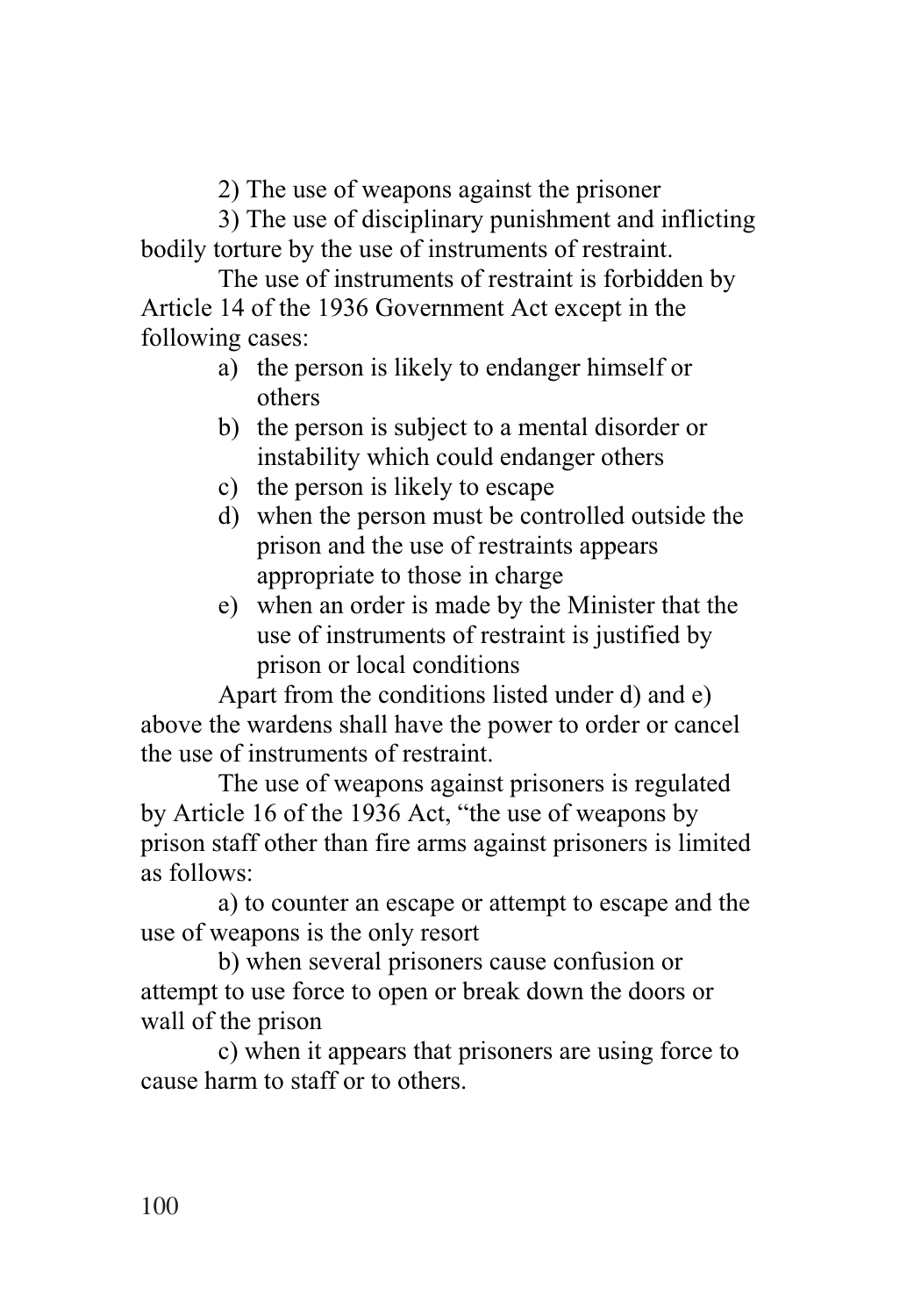2) The use of weapons against the prisoner

3) The use of disciplinary punishment and inflicting bodily torture by the use of instruments of restraint.

The use of instruments of restraint is forbidden by Article 14 of the 1936 Government Act except in the following cases:

- a) the person is likely to endanger himself or others
- b) the person is subject to a mental disorder or instability which could endanger others
- c) the person is likely to escape
- d) when the person must be controlled outside the prison and the use of restraints appears appropriate to those in charge
- e) when an order is made by the Minister that the use of instruments of restraint is justified by prison or local conditions

Apart from the conditions listed under d) and e) above the wardens shall have the power to order or cancel the use of instruments of restraint.

The use of weapons against prisoners is regulated by Article 16 of the 1936 Act, "the use of weapons by prison staff other than fire arms against prisoners is limited as follows:

a) to counter an escape or attempt to escape and the use of weapons is the only resort

b) when several prisoners cause confusion or attempt to use force to open or break down the doors or wall of the prison

c) when it appears that prisoners are using force to cause harm to staff or to others.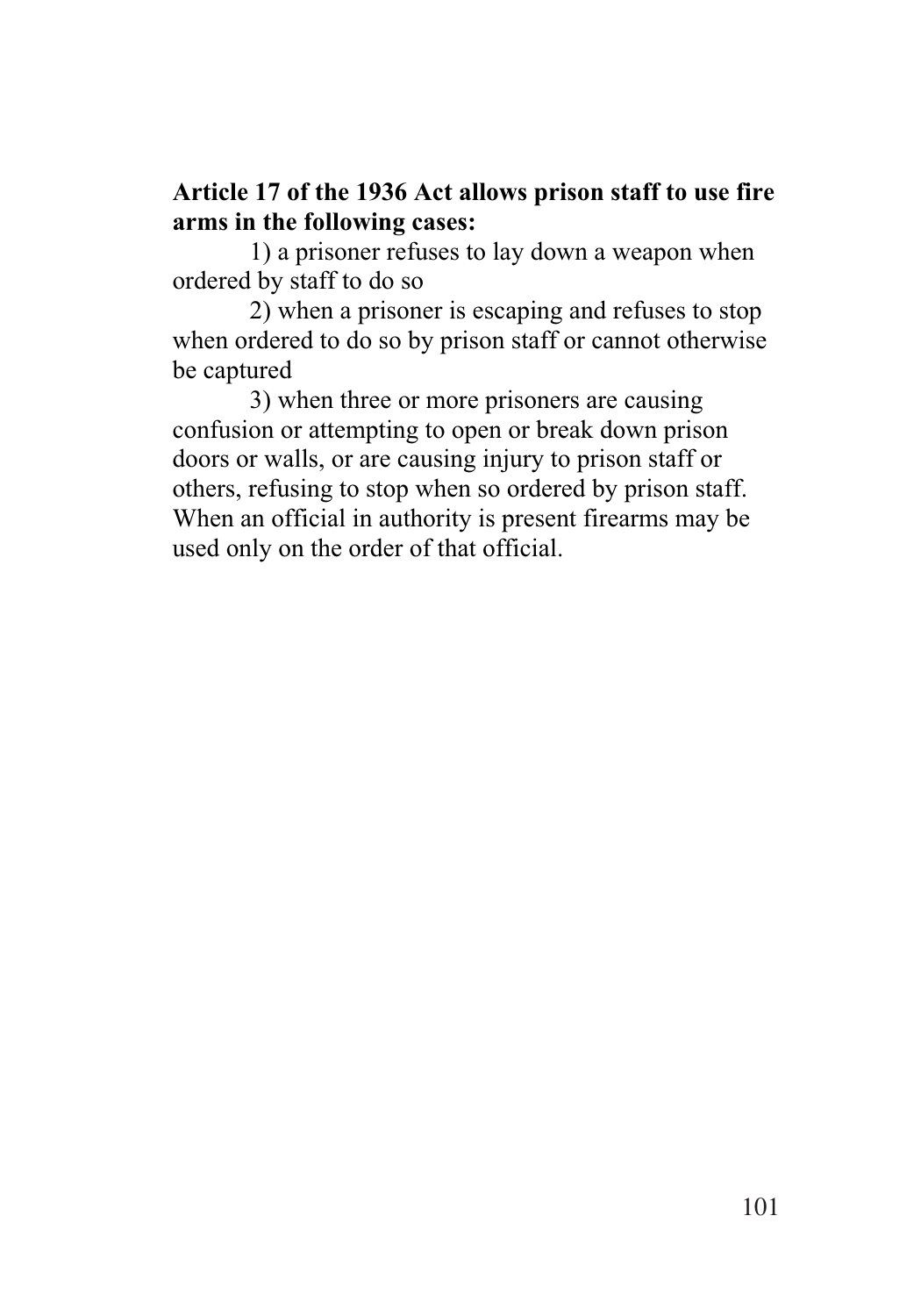## **Article 17 of the 1936 Act allows prison staff to use fire arms in the following cases:**

1) a prisoner refuses to lay down a weapon when ordered by staff to do so

2) when a prisoner is escaping and refuses to stop when ordered to do so by prison staff or cannot otherwise be captured

3) when three or more prisoners are causing confusion or attempting to open or break down prison doors or walls, or are causing injury to prison staff or others, refusing to stop when so ordered by prison staff. When an official in authority is present firearms may be used only on the order of that official.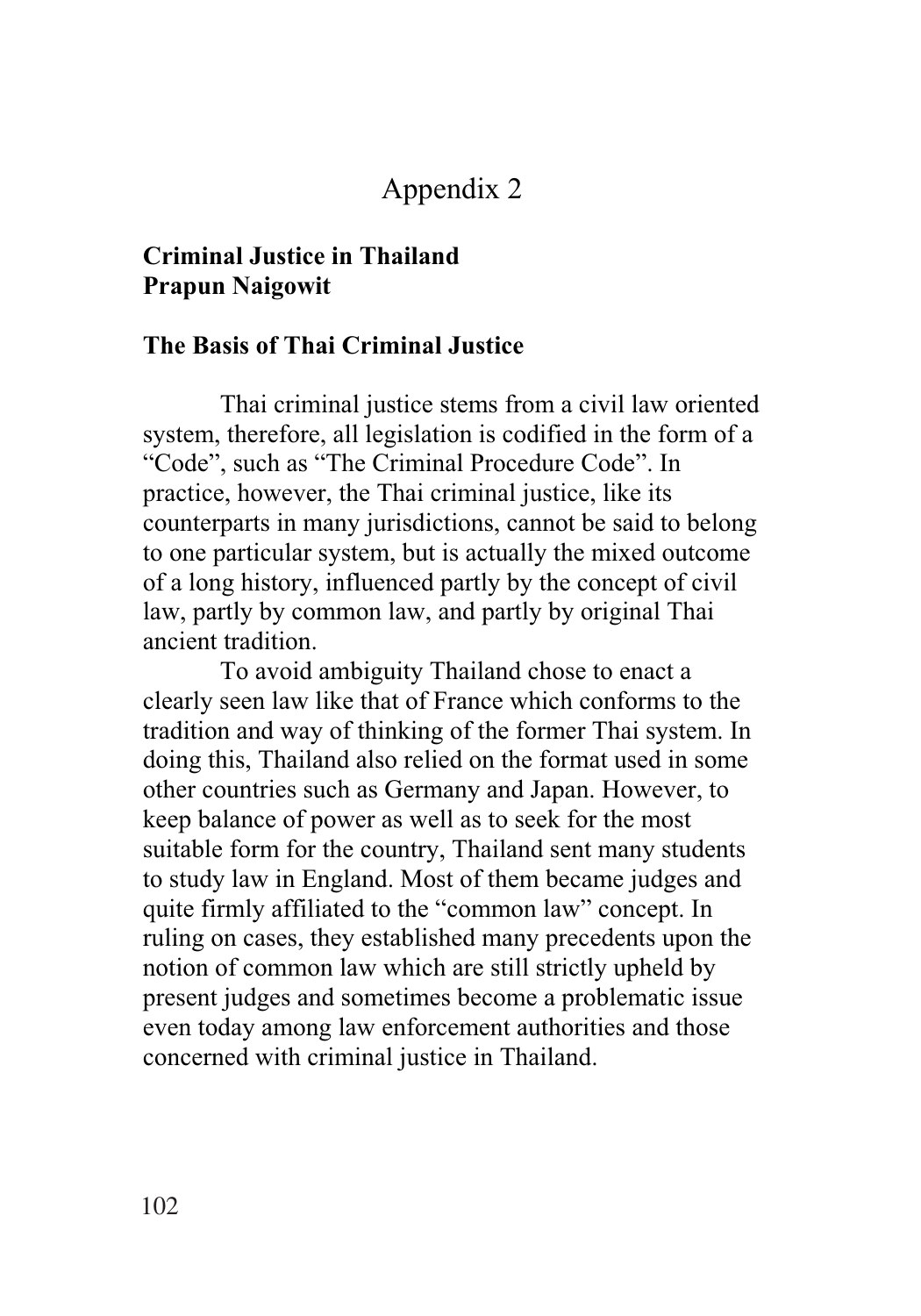## Appendix 2

## **Criminal Justice in Thailand Prapun Naigowit**

#### **The Basis of Thai Criminal Justice**

Thai criminal justice stems from a civil law oriented system, therefore, all legislation is codified in the form of a "Code", such as "The Criminal Procedure Code". In practice, however, the Thai criminal justice, like its counterparts in many jurisdictions, cannot be said to belong to one particular system, but is actually the mixed outcome of a long history, influenced partly by the concept of civil law, partly by common law, and partly by original Thai ancient tradition.

To avoid ambiguity Thailand chose to enact a clearly seen law like that of France which conforms to the tradition and way of thinking of the former Thai system. In doing this, Thailand also relied on the format used in some other countries such as Germany and Japan. However, to keep balance of power as well as to seek for the most suitable form for the country, Thailand sent many students to study law in England. Most of them became judges and quite firmly affiliated to the "common law" concept. In ruling on cases, they established many precedents upon the notion of common law which are still strictly upheld by present judges and sometimes become a problematic issue even today among law enforcement authorities and those concerned with criminal justice in Thailand.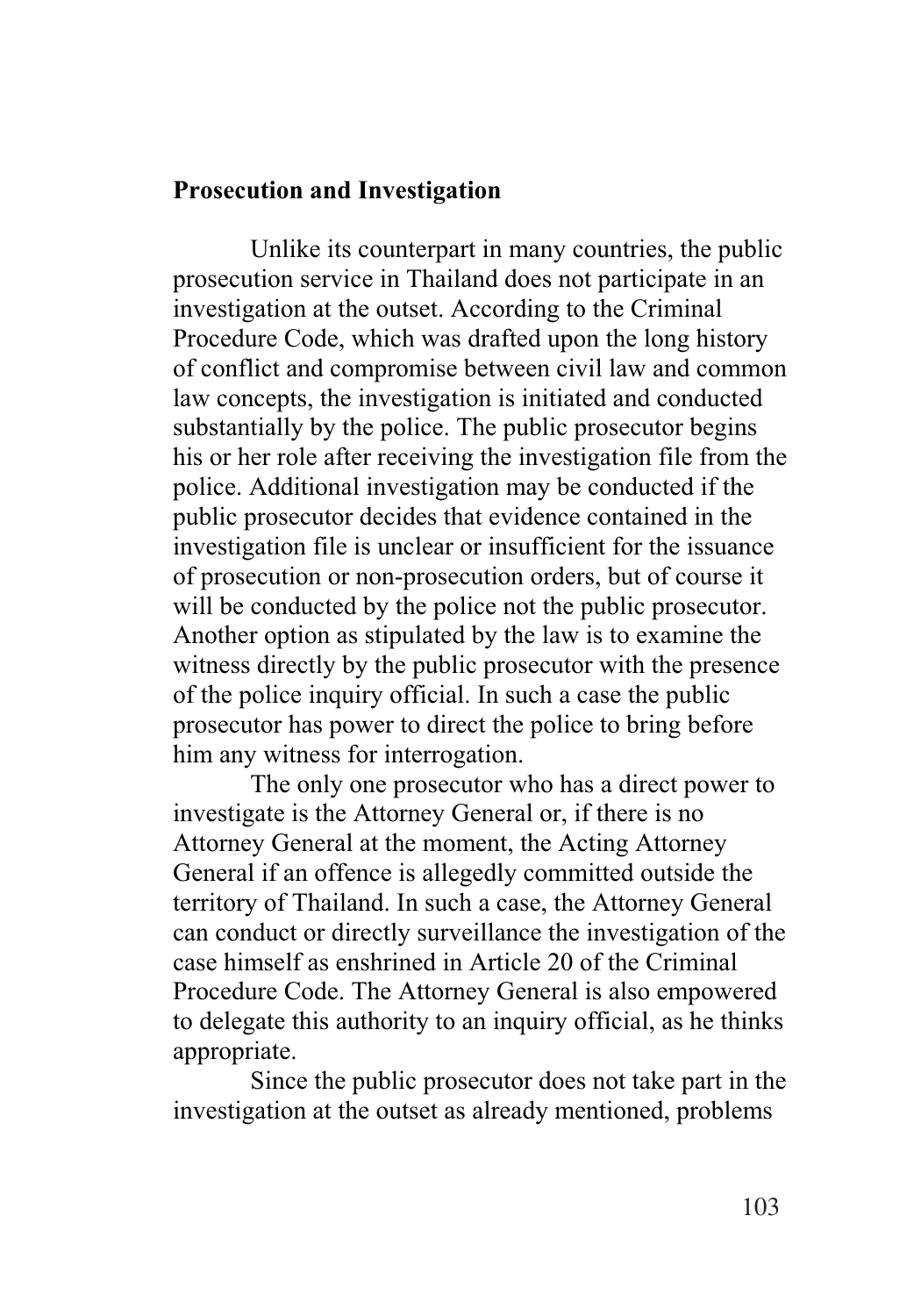#### **Prosecution and Investigation**

Unlike its counterpart in many countries, the public prosecution service in Thailand does not participate in an investigation at the outset. According to the Criminal Procedure Code, which was drafted upon the long history of conflict and compromise between civil law and common law concepts, the investigation is initiated and conducted substantially by the police. The public prosecutor begins his or her role after receiving the investigation file from the police. Additional investigation may be conducted if the public prosecutor decides that evidence contained in the investigation file is unclear or insufficient for the issuance of prosecution or non-prosecution orders, but of course it will be conducted by the police not the public prosecutor. Another option as stipulated by the law is to examine the witness directly by the public prosecutor with the presence of the police inquiry official. In such a case the public prosecutor has power to direct the police to bring before him any witness for interrogation.

The only one prosecutor who has a direct power to investigate is the Attorney General or, if there is no Attorney General at the moment, the Acting Attorney General if an offence is allegedly committed outside the territory of Thailand. In such a case, the Attorney General can conduct or directly surveillance the investigation of the case himself as enshrined in Article 20 of the Criminal Procedure Code. The Attorney General is also empowered to delegate this authority to an inquiry official, as he thinks appropriate.

Since the public prosecutor does not take part in the investigation at the outset as already mentioned, problems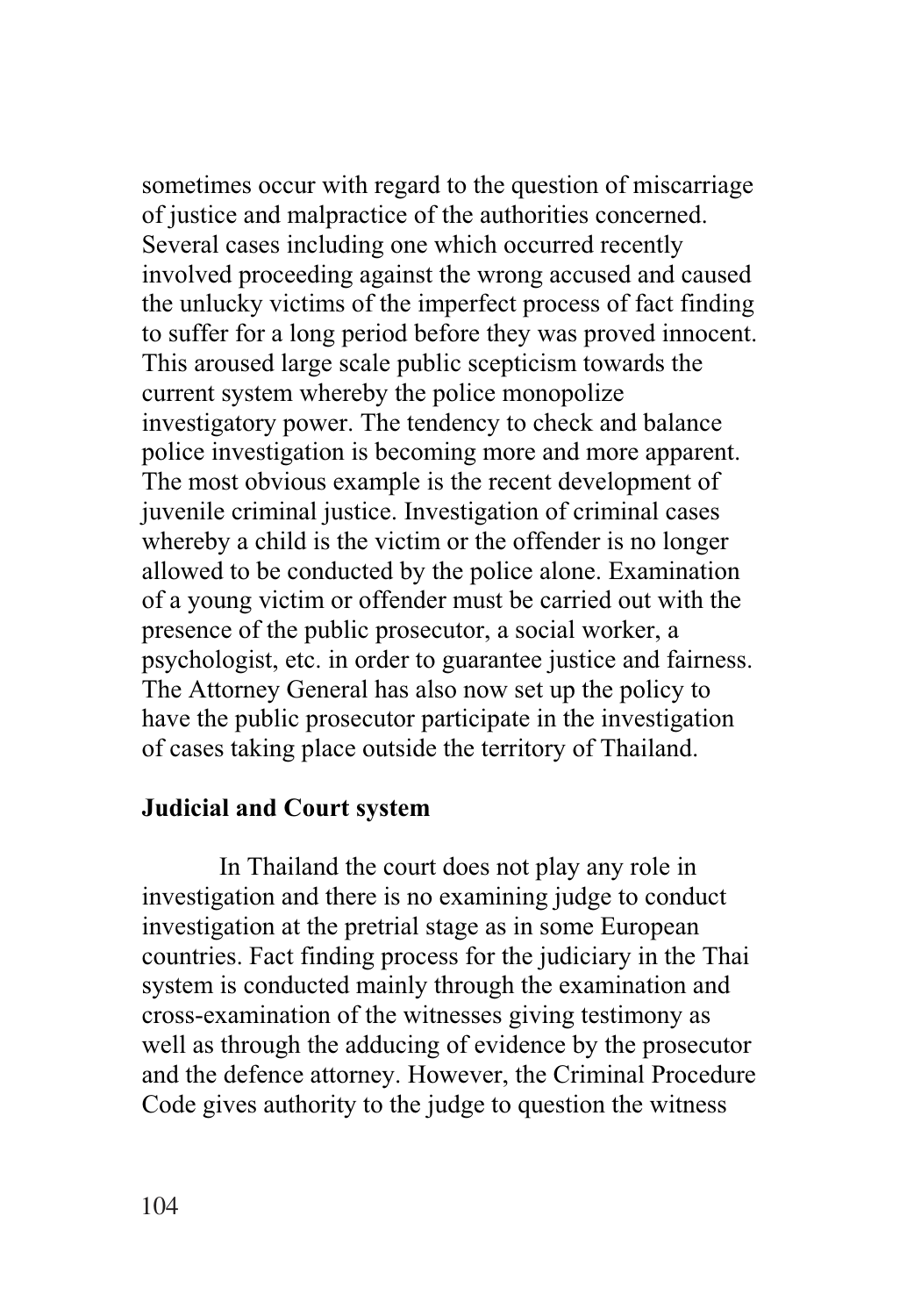sometimes occur with regard to the question of miscarriage of justice and malpractice of the authorities concerned. Several cases including one which occurred recently involved proceeding against the wrong accused and caused the unlucky victims of the imperfect process of fact finding to suffer for a long period before they was proved innocent. This aroused large scale public scepticism towards the current system whereby the police monopolize investigatory power. The tendency to check and balance police investigation is becoming more and more apparent. The most obvious example is the recent development of juvenile criminal justice. Investigation of criminal cases whereby a child is the victim or the offender is no longer allowed to be conducted by the police alone. Examination of a young victim or offender must be carried out with the presence of the public prosecutor, a social worker, a psychologist, etc. in order to guarantee justice and fairness. The Attorney General has also now set up the policy to have the public prosecutor participate in the investigation of cases taking place outside the territory of Thailand.

#### **Judicial and Court system**

In Thailand the court does not play any role in investigation and there is no examining judge to conduct investigation at the pretrial stage as in some European countries. Fact finding process for the judiciary in the Thai system is conducted mainly through the examination and cross-examination of the witnesses giving testimony as well as through the adducing of evidence by the prosecutor and the defence attorney. However, the Criminal Procedure Code gives authority to the judge to question the witness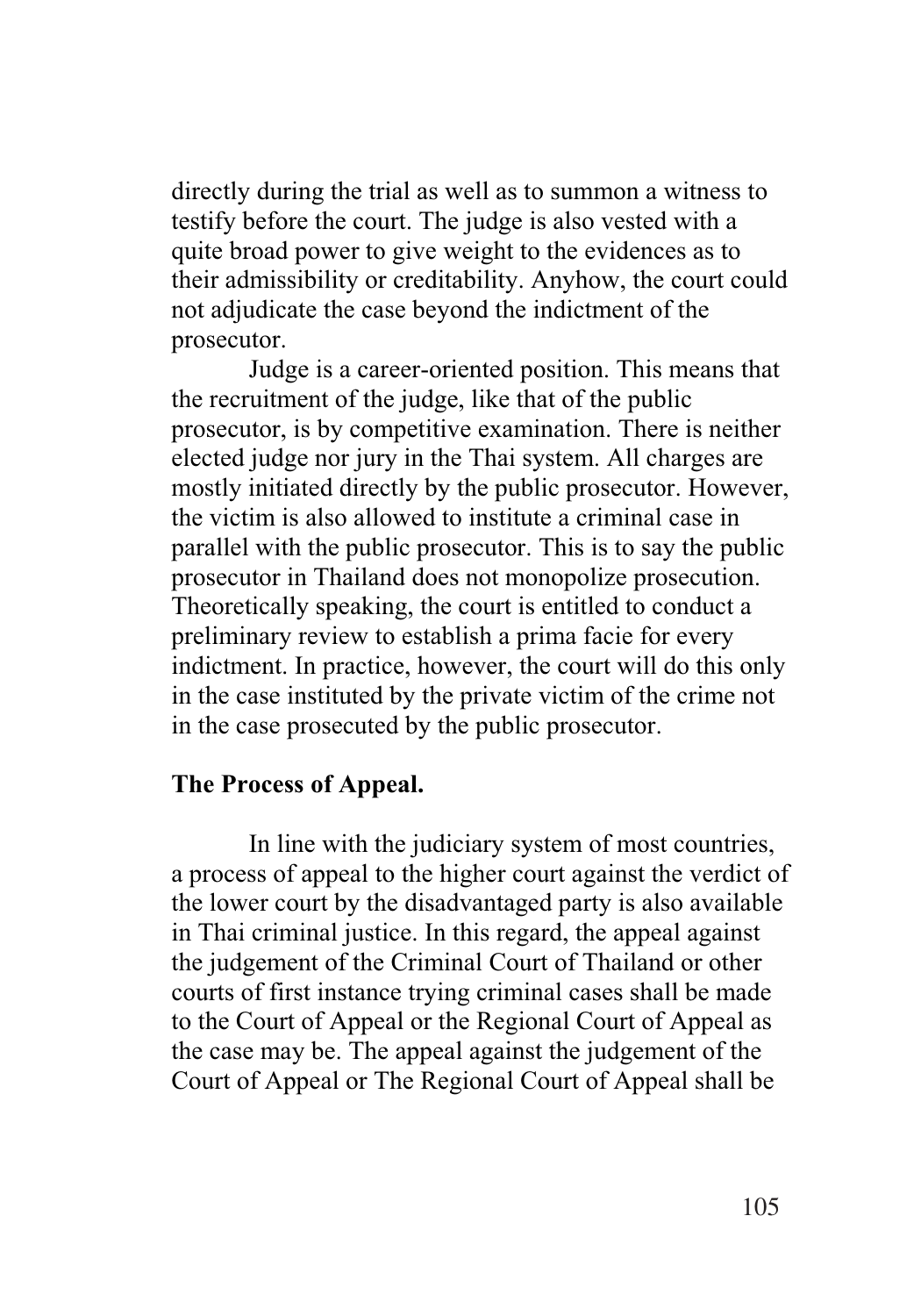directly during the trial as well as to summon a witness to testify before the court. The judge is also vested with a quite broad power to give weight to the evidences as to their admissibility or creditability. Anyhow, the court could not adjudicate the case beyond the indictment of the prosecutor.

Judge is a career-oriented position. This means that the recruitment of the judge, like that of the public prosecutor, is by competitive examination. There is neither elected judge nor jury in the Thai system. All charges are mostly initiated directly by the public prosecutor. However, the victim is also allowed to institute a criminal case in parallel with the public prosecutor. This is to say the public prosecutor in Thailand does not monopolize prosecution. Theoretically speaking, the court is entitled to conduct a preliminary review to establish a prima facie for every indictment. In practice, however, the court will do this only in the case instituted by the private victim of the crime not in the case prosecuted by the public prosecutor.

#### **The Process of Appeal.**

In line with the judiciary system of most countries, a process of appeal to the higher court against the verdict of the lower court by the disadvantaged party is also available in Thai criminal justice. In this regard, the appeal against the judgement of the Criminal Court of Thailand or other courts of first instance trying criminal cases shall be made to the Court of Appeal or the Regional Court of Appeal as the case may be. The appeal against the judgement of the Court of Appeal or The Regional Court of Appeal shall be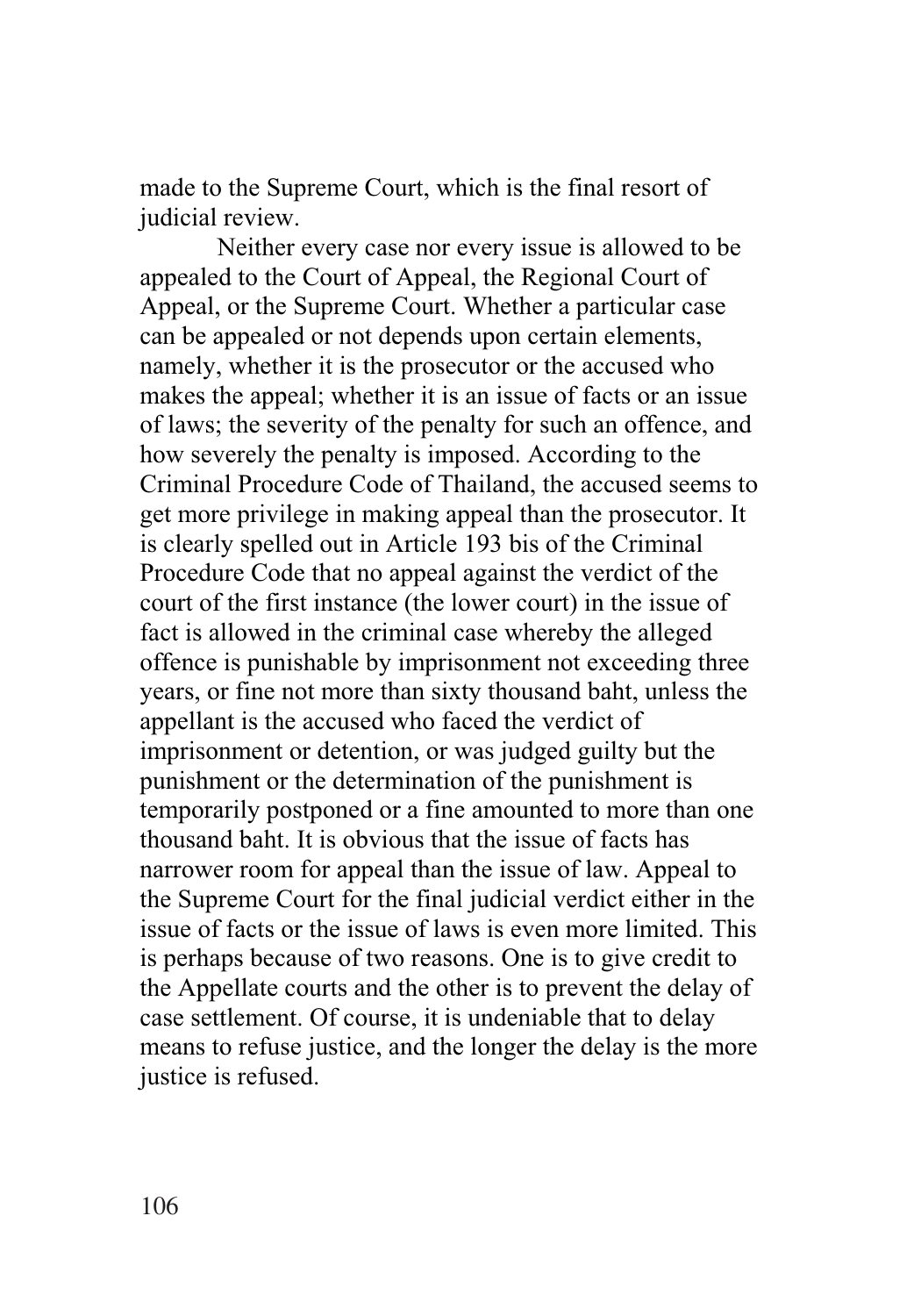made to the Supreme Court, which is the final resort of judicial review.

Neither every case nor every issue is allowed to be appealed to the Court of Appeal, the Regional Court of Appeal, or the Supreme Court. Whether a particular case can be appealed or not depends upon certain elements, namely, whether it is the prosecutor or the accused who makes the appeal; whether it is an issue of facts or an issue of laws; the severity of the penalty for such an offence, and how severely the penalty is imposed. According to the Criminal Procedure Code of Thailand, the accused seems to get more privilege in making appeal than the prosecutor. It is clearly spelled out in Article 193 bis of the Criminal Procedure Code that no appeal against the verdict of the court of the first instance (the lower court) in the issue of fact is allowed in the criminal case whereby the alleged offence is punishable by imprisonment not exceeding three years, or fine not more than sixty thousand baht, unless the appellant is the accused who faced the verdict of imprisonment or detention, or was judged guilty but the punishment or the determination of the punishment is temporarily postponed or a fine amounted to more than one thousand baht. It is obvious that the issue of facts has narrower room for appeal than the issue of law. Appeal to the Supreme Court for the final judicial verdict either in the issue of facts or the issue of laws is even more limited. This is perhaps because of two reasons. One is to give credit to the Appellate courts and the other is to prevent the delay of case settlement. Of course, it is undeniable that to delay means to refuse justice, and the longer the delay is the more justice is refused.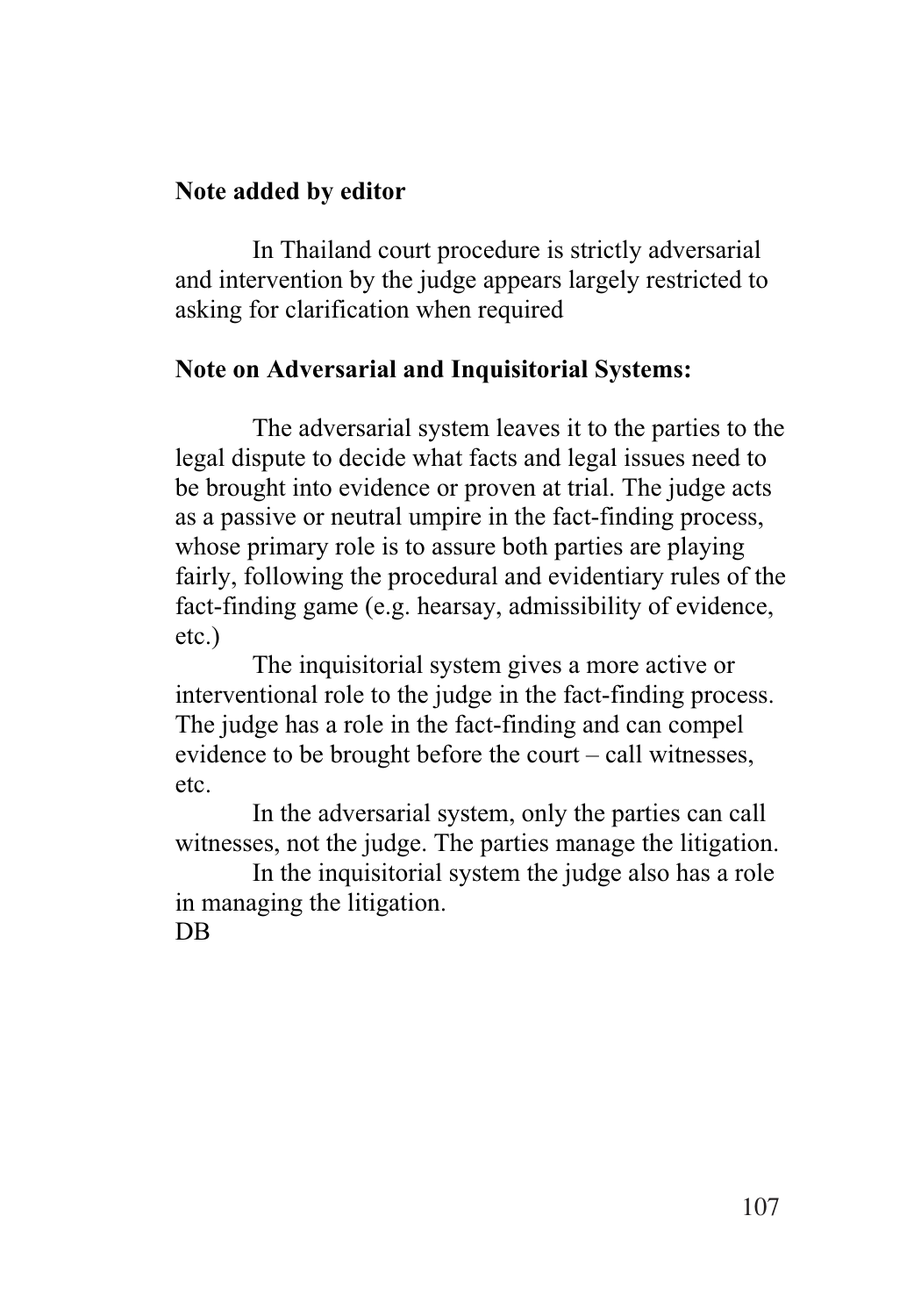## **Note added by editor**

In Thailand court procedure is strictly adversarial and intervention by the judge appears largely restricted to asking for clarification when required

## **Note on Adversarial and Inquisitorial Systems:**

 The adversarial system leaves it to the parties to the legal dispute to decide what facts and legal issues need to be brought into evidence or proven at trial. The judge acts as a passive or neutral umpire in the fact-finding process, whose primary role is to assure both parties are playing fairly, following the procedural and evidentiary rules of the fact-finding game (e.g. hearsay, admissibility of evidence, etc.)

The inquisitorial system gives a more active or interventional role to the judge in the fact-finding process. The judge has a role in the fact-finding and can compel evidence to be brought before the court – call witnesses, etc.

In the adversarial system, only the parties can call witnesses, not the judge. The parties manage the litigation.

In the inquisitorial system the judge also has a role in managing the litigation. DB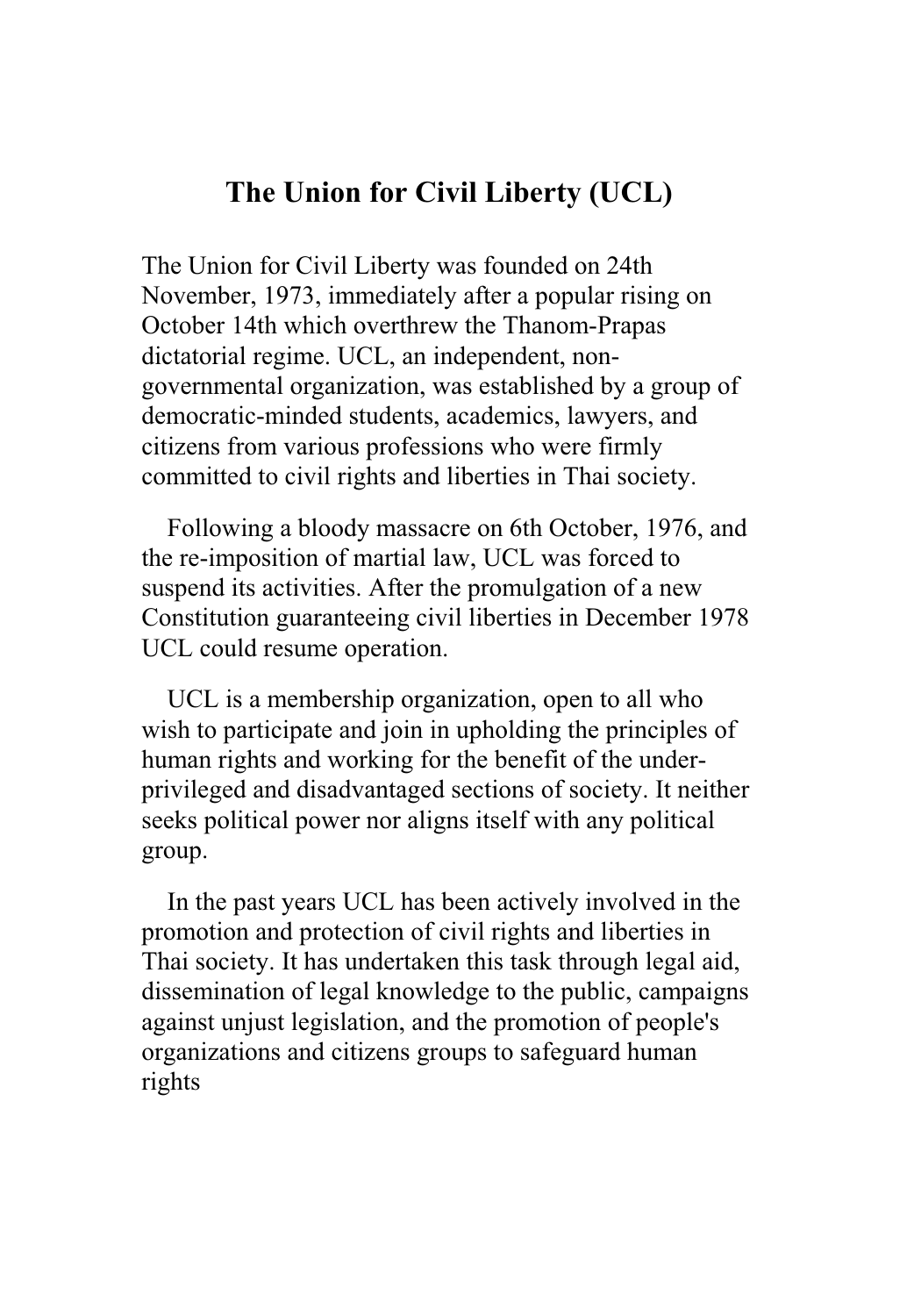## **The Union for Civil Liberty (UCL)**

The Union for Civil Liberty was founded on 24th November, 1973, immediately after a popular rising on October 14th which overthrew the Thanom-Prapas dictatorial regime. UCL, an independent, nongovernmental organization, was established by a group of democratic-minded students, academics, lawyers, and citizens from various professions who were firmly committed to civil rights and liberties in Thai society.

 Following a bloody massacre on 6th October, 1976, and the re-imposition of martial law, UCL was forced to suspend its activities. After the promulgation of a new Constitution guaranteeing civil liberties in December 1978 UCL could resume operation.

 UCL is a membership organization, open to all who wish to participate and join in upholding the principles of human rights and working for the benefit of the underprivileged and disadvantaged sections of society. It neither seeks political power nor aligns itself with any political group.

 In the past years UCL has been actively involved in the promotion and protection of civil rights and liberties in Thai society. It has undertaken this task through legal aid, dissemination of legal knowledge to the public, campaigns against unjust legislation, and the promotion of people's organizations and citizens groups to safeguard human rights